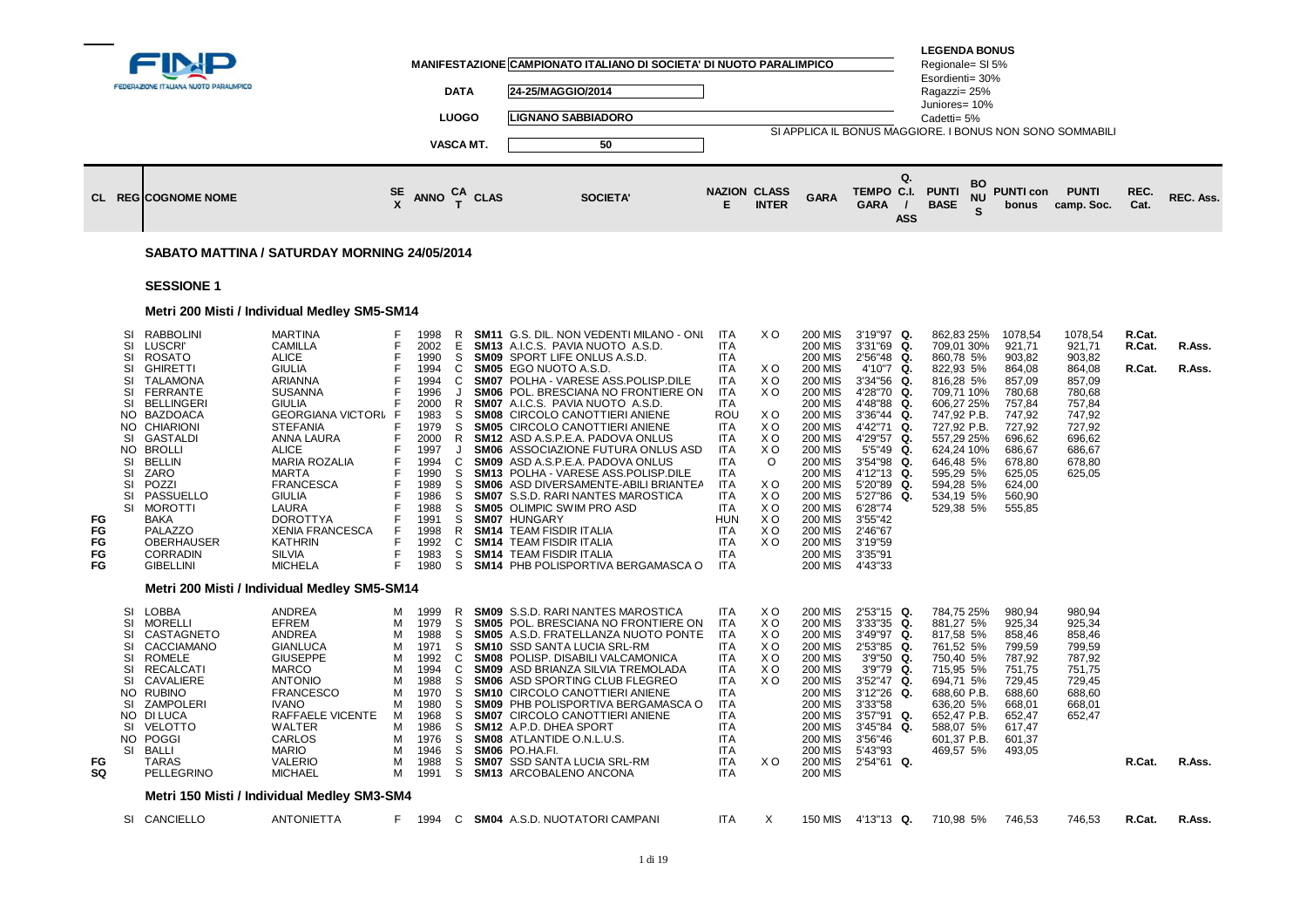|                            |                                                                                                 | FEDERAZIONE ITALIANA NUOTO PARALIMPICO                                                                                                                                                                                                                                                                                                                      |                                                                                                                                                                                                                                                                                                                                                                                 |                                                                    |                                                                                                                                                                      | DATA<br><b>LUOGO</b><br>VASCA MT.                                                                      | MANIFESTAZIONE CAMPIONATO ITALIANO DI SOCIETA' DI NUOTO PARALIMPICO<br>24-25/MAGGIO/2014<br>LIGNANO SABBIADORO<br>50                                                                                                                                                                                                                                                                                                                                                                                                                                                                                                                                                                                                                                                                                          | <b>NAZION CLASS</b>                                                                                                                                                                                      |                                                                                                                      |                                                                                                                                                                                                                                                                                                                                                                                        | SI APPLICA IL BONUS MAGGIORE. I BONUS NON SONO SOMMABILI<br>Q.<br>TEMPO C.I.                                                                                                                                                                                                               | <b>LEGENDA BONUS</b><br>Regionale= SI 5%<br>Esordienti= 30%<br>Ragazzi= 25%<br>Juniores= 10%<br>Cadetti= 5%<br><b>PUNTI</b>                                                                                            | BO      | <b>PUNTI con</b>                                                                                                                                              | <b>PUNTI</b>                                                                                                                    | REC.                       |                  |
|----------------------------|-------------------------------------------------------------------------------------------------|-------------------------------------------------------------------------------------------------------------------------------------------------------------------------------------------------------------------------------------------------------------------------------------------------------------------------------------------------------------|---------------------------------------------------------------------------------------------------------------------------------------------------------------------------------------------------------------------------------------------------------------------------------------------------------------------------------------------------------------------------------|--------------------------------------------------------------------|----------------------------------------------------------------------------------------------------------------------------------------------------------------------|--------------------------------------------------------------------------------------------------------|---------------------------------------------------------------------------------------------------------------------------------------------------------------------------------------------------------------------------------------------------------------------------------------------------------------------------------------------------------------------------------------------------------------------------------------------------------------------------------------------------------------------------------------------------------------------------------------------------------------------------------------------------------------------------------------------------------------------------------------------------------------------------------------------------------------|----------------------------------------------------------------------------------------------------------------------------------------------------------------------------------------------------------|----------------------------------------------------------------------------------------------------------------------|----------------------------------------------------------------------------------------------------------------------------------------------------------------------------------------------------------------------------------------------------------------------------------------------------------------------------------------------------------------------------------------|--------------------------------------------------------------------------------------------------------------------------------------------------------------------------------------------------------------------------------------------------------------------------------------------|------------------------------------------------------------------------------------------------------------------------------------------------------------------------------------------------------------------------|---------|---------------------------------------------------------------------------------------------------------------------------------------------------------------|---------------------------------------------------------------------------------------------------------------------------------|----------------------------|------------------|
|                            |                                                                                                 | <b>CL REGICOGNOME NOME</b>                                                                                                                                                                                                                                                                                                                                  |                                                                                                                                                                                                                                                                                                                                                                                 | $rac{\text{SE}}{\text{X}}$                                         | ANNO $_{T}^{CA}$ CLAS                                                                                                                                                |                                                                                                        | <b>SOCIETA'</b>                                                                                                                                                                                                                                                                                                                                                                                                                                                                                                                                                                                                                                                                                                                                                                                               | Е                                                                                                                                                                                                        | <b>INTER</b>                                                                                                         | <b>GARA</b>                                                                                                                                                                                                                                                                                                                                                                            | <b>GARA</b><br><b>ASS</b>                                                                                                                                                                                                                                                                  | <b>BASE</b>                                                                                                                                                                                                            | ΝU<br>S | bonus                                                                                                                                                         | camp. Soc.                                                                                                                      | Cat.                       | REC. Ass.        |
|                            |                                                                                                 | SABATO MATTINA / SATURDAY MORNING 24/05/2014                                                                                                                                                                                                                                                                                                                |                                                                                                                                                                                                                                                                                                                                                                                 |                                                                    |                                                                                                                                                                      |                                                                                                        |                                                                                                                                                                                                                                                                                                                                                                                                                                                                                                                                                                                                                                                                                                                                                                                                               |                                                                                                                                                                                                          |                                                                                                                      |                                                                                                                                                                                                                                                                                                                                                                                        |                                                                                                                                                                                                                                                                                            |                                                                                                                                                                                                                        |         |                                                                                                                                                               |                                                                                                                                 |                            |                  |
|                            |                                                                                                 | <b>SESSIONE 1</b>                                                                                                                                                                                                                                                                                                                                           |                                                                                                                                                                                                                                                                                                                                                                                 |                                                                    |                                                                                                                                                                      |                                                                                                        |                                                                                                                                                                                                                                                                                                                                                                                                                                                                                                                                                                                                                                                                                                                                                                                                               |                                                                                                                                                                                                          |                                                                                                                      |                                                                                                                                                                                                                                                                                                                                                                                        |                                                                                                                                                                                                                                                                                            |                                                                                                                                                                                                                        |         |                                                                                                                                                               |                                                                                                                                 |                            |                  |
|                            |                                                                                                 | Metri 200 Misti / Individual Medley SM5-SM14                                                                                                                                                                                                                                                                                                                |                                                                                                                                                                                                                                                                                                                                                                                 |                                                                    |                                                                                                                                                                      |                                                                                                        |                                                                                                                                                                                                                                                                                                                                                                                                                                                                                                                                                                                                                                                                                                                                                                                                               |                                                                                                                                                                                                          |                                                                                                                      |                                                                                                                                                                                                                                                                                                                                                                                        |                                                                                                                                                                                                                                                                                            |                                                                                                                                                                                                                        |         |                                                                                                                                                               |                                                                                                                                 |                            |                  |
| FG<br>FG<br>FG<br>FG<br>FG | SI<br>SI<br>SI<br>SI<br>SI<br>SI<br>SI<br>NO.<br>NO.<br>SI<br>NO.<br>SI<br>SI<br>SI<br>SI<br>SI | <b>RABBOLINI</b><br><b>LUSCRI</b><br><b>ROSATO</b><br><b>GHIRETTI</b><br><b>TALAMONA</b><br><b>FERRANTE</b><br><b>BELLINGERI</b><br><b>BAZDOACA</b><br><b>CHIARIONI</b><br><b>GASTALDI</b><br><b>BROLLI</b><br><b>BELLIN</b><br>ZARO<br>POZZI<br>PASSUELLO<br><b>MOROTTI</b><br>BAKA<br>PALAZZO<br><b>OBERHAUSER</b><br><b>CORRADIN</b><br><b>GIBELLINI</b> | <b>MARTINA</b><br><b>CAMILLA</b><br><b>ALICE</b><br><b>GIULIA</b><br>ARIANNA<br><b>SUSANNA</b><br><b>GIULIA</b><br><b>GEORGIANA VICTORI F</b><br><b>STEFANIA</b><br>ANNA LAURA<br><b>ALICE</b><br><b>MARIA ROZALIA</b><br>MARTA<br><b>FRANCESCA</b><br><b>GIULIA</b><br>LAURA<br><b>DOROTTYA</b><br><b>XENIA FRANCESCA</b><br><b>KATHRIN</b><br><b>SILVIA</b><br><b>MICHELA</b> | F<br>F<br>F<br>F<br>F<br>F<br>F<br>F<br>F<br>F<br>E<br>F<br>E<br>E | 1998<br>2002<br>1990<br>1994<br>1994<br>1996<br>2000<br>1983<br>1979<br>2000<br>1997<br>1994<br>1990<br>1989<br>1986<br>1988<br>1991<br>1998<br>1992<br>1983<br>1980 | R<br>Е<br>S<br>C<br>C<br>R<br>S<br>S<br>R<br>$\cdot$<br>C<br>S<br>S<br>S<br>S<br>S<br>R<br>C<br>S<br>S | <b>SM11 G.S. DIL. NON VEDENTI MILANO - ONL</b><br>SM13 A.I.C.S. PAVIA NUOTO A.S.D.<br><b>SM09 SPORT LIFE ONLUS A.S.D.</b><br><b>SM05 EGO NUOTO A.S.D.</b><br>SM07 POLHA - VARESE ASS.POLISP.DILE<br>SM06 POL. BRESCIANA NO FRONTIERE ON<br>SM07 A.I.C.S. PAVIA NUOTO A.S.D.<br><b>SM08 CIRCOLO CANOTTIERI ANIENE</b><br>SM05 CIRCOLO CANOTTIERI ANIENE<br><b>SM12</b> ASD A.S.P.E.A. PADOVA ONLUS<br>SM06 ASSOCIAZIONE FUTURA ONLUS ASD<br><b>SM09</b> ASD A.S.P.E.A. PADOVA ONLUS<br>SM13 POLHA - VARESE ASS.POLISP.DILE<br>SM06 ASD DIVERSAMENTE-ABILI BRIANTEA<br><b>SM07</b> S.S.D. RARI NANTES MAROSTICA<br><b>SM05 OLIMPIC SWIM PRO ASD</b><br>SM07 HUNGARY<br><b>SM14 TEAM FISDIR ITALIA</b><br><b>SM14 TEAM FISDIR ITALIA</b><br><b>SM14 TEAM FISDIR ITALIA</b><br>SM14 PHB POLISPORTIVA BERGAMASCA O | ITA<br>ITA.<br>ITA<br>ITA<br>ITA<br>ITA<br><b>ITA</b><br><b>ROU</b><br><b>ITA</b><br>ITA<br><b>ITA</b><br>ITA<br>ITA<br><b>ITA</b><br>ITA<br>ITA<br><b>HUN</b><br><b>ITA</b><br>ITA<br>ITA<br><b>ITA</b> | X O<br>X O<br>X O<br>X O<br>X O<br>X O<br>X O<br>X O<br>$\Omega$<br>ΧO<br>X O<br>X O<br>X O<br>X O<br>X <sub>O</sub> | <b>200 MIS</b><br><b>200 MIS</b><br><b>200 MIS</b><br><b>200 MIS</b><br><b>200 MIS</b><br><b>200 MIS</b><br><b>200 MIS</b><br><b>200 MIS</b><br><b>200 MIS</b><br><b>200 MIS</b><br><b>200 MIS</b><br><b>200 MIS</b><br><b>200 MIS</b><br><b>200 MIS</b><br><b>200 MIS</b><br><b>200 MIS</b><br><b>200 MIS</b><br><b>200 MIS</b><br><b>200 MIS</b><br><b>200 MIS</b><br><b>200 MIS</b> | 3'19"97 Q.<br>3'31"69 Q.<br>2'56"48 Q.<br>4'10"7 Q.<br>3'34"56 Q.<br>4'28"70<br>Q.<br>4'48"88 Q.<br>3'36"44 Q.<br>4'42"71<br>Q.<br>4'29"57 Q.<br>5'5"49 Q.<br>3'54"98<br>Q.<br>4'12"13 Q.<br>5'20"89 Q.<br>5'27"86<br>Q.<br>6'28"74<br>3'55"42<br>2'46"67<br>3'19"59<br>3'35"91<br>4'43"33 | 862,83 25%<br>709,01 30%<br>860,78 5%<br>822,93 5%<br>816,28 5%<br>709,71 10%<br>606,27 25%<br>747,92 P.B.<br>727,92 P.B.<br>557,29 25%<br>624,24 10%<br>646,48 5%<br>595,29 5%<br>594,28 5%<br>534,19 5%<br>529,38 5% |         | 1078,54<br>921,71<br>903,82<br>864,08<br>857,09<br>780,68<br>757,84<br>747,92<br>727,92<br>696,62<br>686,67<br>678,80<br>625,05<br>624,00<br>560,90<br>555,85 | 1078,54<br>921,71<br>903,82<br>864,08<br>857,09<br>780,68<br>757,84<br>747,92<br>727,92<br>696,62<br>686,67<br>678,80<br>625,05 | R.Cat.<br>R.Cat.<br>R.Cat. | R.Ass.<br>R.Ass. |
|                            |                                                                                                 | Metri 200 Misti / Individual Medley SM5-SM14                                                                                                                                                                                                                                                                                                                |                                                                                                                                                                                                                                                                                                                                                                                 |                                                                    |                                                                                                                                                                      |                                                                                                        |                                                                                                                                                                                                                                                                                                                                                                                                                                                                                                                                                                                                                                                                                                                                                                                                               |                                                                                                                                                                                                          |                                                                                                                      |                                                                                                                                                                                                                                                                                                                                                                                        |                                                                                                                                                                                                                                                                                            |                                                                                                                                                                                                                        |         |                                                                                                                                                               |                                                                                                                                 |                            |                  |
| FG<br>SQ                   | SI<br>SI<br>SI<br>SI<br>SI<br>SI<br>SI<br>NO.<br>SI<br>SI<br>SI                                 | LOBBA<br><b>MORELLI</b><br>CASTAGNETO<br>CACCIAMANO<br><b>ROMELE</b><br><b>RECALCATI</b><br>CAVALIERE<br><b>RUBINO</b><br>ZAMPOLERI<br>NO DI LUCA<br>VELOTTO<br>NO POGGI<br>BALLI<br>TARAS<br>PELLEGRINO                                                                                                                                                    | ANDREA<br>EFREM<br>ANDREA<br><b>GIANLUCA</b><br><b>GIUSEPPE</b><br><b>MARCO</b><br><b>ANTONIO</b><br><b>FRANCESCO</b><br><b>IVANO</b><br>RAFFAELE VICENTE<br>WALTER<br>CARLOS<br><b>MARIO</b><br><b>VALERIO</b><br><b>MICHAEL</b>                                                                                                                                               | M<br>м<br>м<br>м<br>м<br>м<br>м<br>м<br>м<br>м<br>м<br>м<br>м<br>м | 1999<br>1979<br>1988<br>1971<br>1992<br>1994<br>1988<br>1970<br>1980<br>1968<br>1986<br>1946<br>1988<br>1991                                                         | R<br>S<br>S<br>S<br>C<br>C<br>S<br>S<br>S<br>S<br>S<br>S.<br>S                                         | <b>SM09</b> S.S.D. RARI NANTES MAROSTICA<br>SM05 POL. BRESCIANA NO FRONTIERE ON<br>SM05 A.S.D. FRATELLANZA NUOTO PONTE<br>SM10 SSD SANTA LUCIA SRL-RM<br>SM08 POLISP. DISABILI VALCAMONICA<br>SM09 ASD BRIANZA SILVIA TREMOLADA<br>SM06 ASD SPORTING CLUB FLEGREO<br>SM10 CIRCOLO CANOTTIERI ANIENE<br><b>SM09 PHB POLISPORTIVA BERGAMASCA O</b><br><b>SM07 CIRCOLO CANOTTIERI ANIENE</b><br>SM12 A.P.D. DHEA SPORT<br>M 1976 S SM08 ATLANTIDE O.N.L.U.S.<br>SM06 PO.HA.FI.<br><b>SM07 SSD SANTA LUCIA SRL-RM</b><br>S SM13 ARCOBALENO ANCONA                                                                                                                                                                                                                                                                 | ITA.<br><b>ITA</b><br><b>ITA</b><br>ITA<br>ITA<br><b>ITA</b><br>ITA<br>ITA<br>ITA.<br>ITA<br>ITA<br>ITA<br>ITA<br>ITA.<br>ITA                                                                            | ΧO<br>X O<br>X O<br>X O<br>X O<br>X O<br>X <sub>O</sub><br>X O                                                       | <b>200 MIS</b><br><b>200 MIS</b><br><b>200 MIS</b><br><b>200 MIS</b><br><b>200 MIS</b><br><b>200 MIS</b><br><b>200 MIS</b><br><b>200 MIS</b><br><b>200 MIS</b><br><b>200 MIS</b><br>200 MIS<br>200 MIS<br><b>200 MIS</b><br>200 MIS<br><b>200 MIS</b>                                                                                                                                  | 2'53"15 Q.<br>$3'33''35$ Q.<br>3'49"97 Q.<br>2'53"85 Q.<br>3'9"50<br>Q.<br>3'9"79 Q.<br>3'52"47 Q.<br>3'12"26<br>Q.<br>3'33"58<br>3'57"91 Q.<br>3'45"84<br>Q.<br>3'56"46<br>5'43"93<br>2'54"61 Q.                                                                                          | 784,75 25%<br>881,27 5%<br>817,58 5%<br>761,52 5%<br>750,40 5%<br>715,95 5%<br>694.71 5%<br>688,60 P.B.<br>636,20 5%<br>652,47 P.B.<br>588,07 5%<br>601,37 P.B.<br>469,57 5%                                           |         | 980,94<br>925,34<br>858,46<br>799,59<br>787,92<br>751,75<br>729,45<br>688,60<br>668,01<br>652,47<br>617,47<br>601,37<br>493,05                                | 980,94<br>925,34<br>858,46<br>799,59<br>787,92<br>751,75<br>729,45<br>688,60<br>668,01<br>652,47                                | R.Cat.                     | R.Ass.           |
|                            |                                                                                                 | Metri 150 Misti / Individual Medley SM3-SM4                                                                                                                                                                                                                                                                                                                 |                                                                                                                                                                                                                                                                                                                                                                                 |                                                                    |                                                                                                                                                                      |                                                                                                        |                                                                                                                                                                                                                                                                                                                                                                                                                                                                                                                                                                                                                                                                                                                                                                                                               |                                                                                                                                                                                                          |                                                                                                                      |                                                                                                                                                                                                                                                                                                                                                                                        |                                                                                                                                                                                                                                                                                            |                                                                                                                                                                                                                        |         |                                                                                                                                                               |                                                                                                                                 |                            |                  |
|                            |                                                                                                 | SI CANCIELLO                                                                                                                                                                                                                                                                                                                                                | ANTONIETTA                                                                                                                                                                                                                                                                                                                                                                      |                                                                    |                                                                                                                                                                      |                                                                                                        | F 1994 C SM04 A.S.D. NUOTATORI CAMPANI                                                                                                                                                                                                                                                                                                                                                                                                                                                                                                                                                                                                                                                                                                                                                                        | ITA.                                                                                                                                                                                                     | X                                                                                                                    |                                                                                                                                                                                                                                                                                                                                                                                        | 150 MIS 4'13"13 Q.                                                                                                                                                                                                                                                                         | 710,98 5%                                                                                                                                                                                                              |         | 746,53                                                                                                                                                        | 746,53                                                                                                                          | R.Cat.                     | R.Ass.           |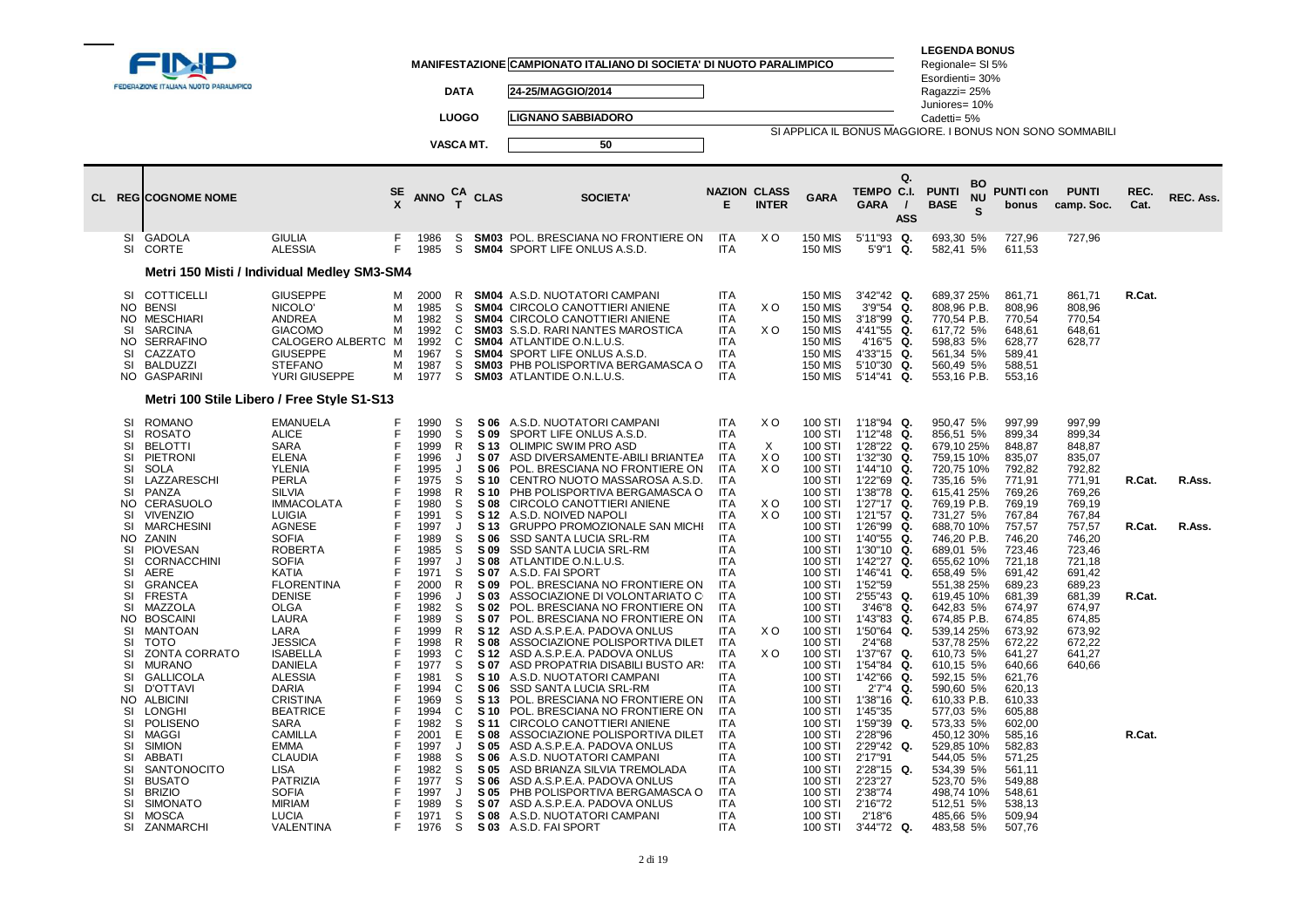|                                                                                                                                                                                                                                        | FEDERAZIONE ITALIANA NUOTO PARALIMPICO                                                                                                                                                                                                                                                                                                                                                                                                                                                                                                                                                           |                                                                                                                                                                                                                                                                                                                                                                                                                                                                                                                                                                                      |                                                                                                                                                                             |                                                                                                                                                                                                                                                                                              | <b>DATA</b>                                                                                                                                                                                   |                                                                                                                                                                                                                                                                                                      | MANIFESTAZIONE CAMPIONATO ITALIANO DI SOCIETA' DI NUOTO PARALIMPICO<br>24-25/MAGGIO/2014                                                                                                                                                                                                                                                                                                                                                                                                                                                                                                                                                                                                                                                                                                                                                                                                                                                                                                                                                                                                                                            |                                                                                                                                                                                                                                                                                                                                                                                                                                                                            |                                                                                     |                                                                                                                                                                                                                                                                                                                                                                                                          |                                                                                                                                                                                                                                                                                                                                                                                                                                                                                                              | <b>LEGENDA BONUS</b><br>Regionale= SI 5%<br>Esordienti= 30%<br>Ragazzi= 25%<br>Juniores= 10%                                                                                                                                                                                                                                                                                                                                                                                                          |                                                                                                                                                                                                                                                                                                                                                                      |                                                                                                                                                                                                                          |                                      |                  |
|----------------------------------------------------------------------------------------------------------------------------------------------------------------------------------------------------------------------------------------|--------------------------------------------------------------------------------------------------------------------------------------------------------------------------------------------------------------------------------------------------------------------------------------------------------------------------------------------------------------------------------------------------------------------------------------------------------------------------------------------------------------------------------------------------------------------------------------------------|--------------------------------------------------------------------------------------------------------------------------------------------------------------------------------------------------------------------------------------------------------------------------------------------------------------------------------------------------------------------------------------------------------------------------------------------------------------------------------------------------------------------------------------------------------------------------------------|-----------------------------------------------------------------------------------------------------------------------------------------------------------------------------|----------------------------------------------------------------------------------------------------------------------------------------------------------------------------------------------------------------------------------------------------------------------------------------------|-----------------------------------------------------------------------------------------------------------------------------------------------------------------------------------------------|------------------------------------------------------------------------------------------------------------------------------------------------------------------------------------------------------------------------------------------------------------------------------------------------------|-------------------------------------------------------------------------------------------------------------------------------------------------------------------------------------------------------------------------------------------------------------------------------------------------------------------------------------------------------------------------------------------------------------------------------------------------------------------------------------------------------------------------------------------------------------------------------------------------------------------------------------------------------------------------------------------------------------------------------------------------------------------------------------------------------------------------------------------------------------------------------------------------------------------------------------------------------------------------------------------------------------------------------------------------------------------------------------------------------------------------------------|----------------------------------------------------------------------------------------------------------------------------------------------------------------------------------------------------------------------------------------------------------------------------------------------------------------------------------------------------------------------------------------------------------------------------------------------------------------------------|-------------------------------------------------------------------------------------|----------------------------------------------------------------------------------------------------------------------------------------------------------------------------------------------------------------------------------------------------------------------------------------------------------------------------------------------------------------------------------------------------------|--------------------------------------------------------------------------------------------------------------------------------------------------------------------------------------------------------------------------------------------------------------------------------------------------------------------------------------------------------------------------------------------------------------------------------------------------------------------------------------------------------------|-------------------------------------------------------------------------------------------------------------------------------------------------------------------------------------------------------------------------------------------------------------------------------------------------------------------------------------------------------------------------------------------------------------------------------------------------------------------------------------------------------|----------------------------------------------------------------------------------------------------------------------------------------------------------------------------------------------------------------------------------------------------------------------------------------------------------------------------------------------------------------------|--------------------------------------------------------------------------------------------------------------------------------------------------------------------------------------------------------------------------|--------------------------------------|------------------|
|                                                                                                                                                                                                                                        |                                                                                                                                                                                                                                                                                                                                                                                                                                                                                                                                                                                                  |                                                                                                                                                                                                                                                                                                                                                                                                                                                                                                                                                                                      |                                                                                                                                                                             |                                                                                                                                                                                                                                                                                              | <b>LUOGO</b>                                                                                                                                                                                  |                                                                                                                                                                                                                                                                                                      | <b>LIGNANO SABBIADORO</b>                                                                                                                                                                                                                                                                                                                                                                                                                                                                                                                                                                                                                                                                                                                                                                                                                                                                                                                                                                                                                                                                                                           |                                                                                                                                                                                                                                                                                                                                                                                                                                                                            |                                                                                     |                                                                                                                                                                                                                                                                                                                                                                                                          |                                                                                                                                                                                                                                                                                                                                                                                                                                                                                                              | Cadetti= 5%                                                                                                                                                                                                                                                                                                                                                                                                                                                                                           |                                                                                                                                                                                                                                                                                                                                                                      |                                                                                                                                                                                                                          |                                      |                  |
|                                                                                                                                                                                                                                        |                                                                                                                                                                                                                                                                                                                                                                                                                                                                                                                                                                                                  |                                                                                                                                                                                                                                                                                                                                                                                                                                                                                                                                                                                      |                                                                                                                                                                             | VASCA MT.                                                                                                                                                                                                                                                                                    |                                                                                                                                                                                               |                                                                                                                                                                                                                                                                                                      | 50                                                                                                                                                                                                                                                                                                                                                                                                                                                                                                                                                                                                                                                                                                                                                                                                                                                                                                                                                                                                                                                                                                                                  |                                                                                                                                                                                                                                                                                                                                                                                                                                                                            |                                                                                     |                                                                                                                                                                                                                                                                                                                                                                                                          |                                                                                                                                                                                                                                                                                                                                                                                                                                                                                                              | SI APPLICA IL BONUS MAGGIORE. I BONUS NON SONO SOMMABILI                                                                                                                                                                                                                                                                                                                                                                                                                                              |                                                                                                                                                                                                                                                                                                                                                                      |                                                                                                                                                                                                                          |                                      |                  |
|                                                                                                                                                                                                                                        | CL REG COGNOME NOME                                                                                                                                                                                                                                                                                                                                                                                                                                                                                                                                                                              |                                                                                                                                                                                                                                                                                                                                                                                                                                                                                                                                                                                      | SE<br>x                                                                                                                                                                     | ANNO $_{T}^{CA}$ CLAS                                                                                                                                                                                                                                                                        |                                                                                                                                                                                               |                                                                                                                                                                                                                                                                                                      | <b>SOCIETA'</b>                                                                                                                                                                                                                                                                                                                                                                                                                                                                                                                                                                                                                                                                                                                                                                                                                                                                                                                                                                                                                                                                                                                     | <b>NAZION CLASS</b>                                                                                                                                                                                                                                                                                                                                                                                                                                                        | <b>INTER</b>                                                                        | <b>GARA</b>                                                                                                                                                                                                                                                                                                                                                                                              | Q.<br>TEMPO C.I.<br><b>GARA</b><br><b>ASS</b>                                                                                                                                                                                                                                                                                                                                                                                                                                                                | BO<br><b>PUNTI</b><br><b>NU</b><br><b>BASE</b><br>S                                                                                                                                                                                                                                                                                                                                                                                                                                                   | <b>PUNTI con</b><br>bonus                                                                                                                                                                                                                                                                                                                                            | <b>PUNTI</b><br>camp. Soc.                                                                                                                                                                                               | REC.<br>Cat.                         | REC. Ass.        |
| SI<br>SI                                                                                                                                                                                                                               | GADOLA<br>CORTE                                                                                                                                                                                                                                                                                                                                                                                                                                                                                                                                                                                  | <b>GIULIA</b><br><b>ALESSIA</b>                                                                                                                                                                                                                                                                                                                                                                                                                                                                                                                                                      | F<br>F                                                                                                                                                                      | 1986<br>1985                                                                                                                                                                                                                                                                                 | S<br>S                                                                                                                                                                                        |                                                                                                                                                                                                                                                                                                      | <b>SM03</b> POL. BRESCIANA NO FRONTIERE ON<br><b>SM04 SPORT LIFE ONLUS A.S.D.</b>                                                                                                                                                                                                                                                                                                                                                                                                                                                                                                                                                                                                                                                                                                                                                                                                                                                                                                                                                                                                                                                   | <b>ITA</b><br><b>ITA</b>                                                                                                                                                                                                                                                                                                                                                                                                                                                   | X O                                                                                 | <b>150 MIS</b><br><b>150 MIS</b>                                                                                                                                                                                                                                                                                                                                                                         | 5'11"93 Q.<br>5'9"1 Q.                                                                                                                                                                                                                                                                                                                                                                                                                                                                                       | 693,30 5%<br>582,41 5%                                                                                                                                                                                                                                                                                                                                                                                                                                                                                | 727,96<br>611,53                                                                                                                                                                                                                                                                                                                                                     | 727,96                                                                                                                                                                                                                   |                                      |                  |
|                                                                                                                                                                                                                                        |                                                                                                                                                                                                                                                                                                                                                                                                                                                                                                                                                                                                  | Metri 150 Misti / Individual Medley SM3-SM4                                                                                                                                                                                                                                                                                                                                                                                                                                                                                                                                          |                                                                                                                                                                             |                                                                                                                                                                                                                                                                                              |                                                                                                                                                                                               |                                                                                                                                                                                                                                                                                                      |                                                                                                                                                                                                                                                                                                                                                                                                                                                                                                                                                                                                                                                                                                                                                                                                                                                                                                                                                                                                                                                                                                                                     |                                                                                                                                                                                                                                                                                                                                                                                                                                                                            |                                                                                     |                                                                                                                                                                                                                                                                                                                                                                                                          |                                                                                                                                                                                                                                                                                                                                                                                                                                                                                                              |                                                                                                                                                                                                                                                                                                                                                                                                                                                                                                       |                                                                                                                                                                                                                                                                                                                                                                      |                                                                                                                                                                                                                          |                                      |                  |
| SI<br>NO BENSI<br>NO.<br>SI<br>NO.<br>SI<br>SI<br>NO.                                                                                                                                                                                  | COTTICELLI<br><b>MESCHIARI</b><br><b>SARCINA</b><br><b>SERRAFINO</b><br>CAZZATO<br><b>BALDUZZI</b><br>GASPARINI                                                                                                                                                                                                                                                                                                                                                                                                                                                                                  | <b>GIUSEPPE</b><br>NICOLO'<br><b>ANDREA</b><br>GIACOMO<br>CALOGERO ALBERTO M<br><b>GIUSEPPE</b><br><b>STEFANO</b><br>YURI GIUSEPPE                                                                                                                                                                                                                                                                                                                                                                                                                                                   | М<br>м<br>М<br>М<br>M<br>M<br>M                                                                                                                                             | 2000<br>1985<br>1982<br>1992<br>1992<br>1967<br>1987<br>1977                                                                                                                                                                                                                                 | R<br>S<br>S<br>C<br>$\mathsf{C}$<br>S<br>S<br>S                                                                                                                                               | SM03                                                                                                                                                                                                                                                                                                 | <b>SM04</b> A.S.D. NUOTATORI CAMPANI<br><b>SM04 CIRCOLO CANOTTIERI ANIENE</b><br>SM04 CIRCOLO CANOTTIERI ANIENE<br>S.S.D. RARI NANTES MAROSTICA<br>SM04 ATLANTIDE O.N.L.U.S.<br>SM04 SPORT LIFE ONLUS A.S.D.<br>SM03 PHB POLISPORTIVA BERGAMASCA O<br><b>SM03</b> ATLANTIDE O.N.L.U.S.                                                                                                                                                                                                                                                                                                                                                                                                                                                                                                                                                                                                                                                                                                                                                                                                                                              | ITA<br><b>ITA</b><br><b>ITA</b><br><b>ITA</b><br>ITA.<br>ITA<br>ITA.<br>ITA                                                                                                                                                                                                                                                                                                                                                                                                | X O<br>X O                                                                          | <b>150 MIS</b><br><b>150 MIS</b><br><b>150 MIS</b><br><b>150 MIS</b><br><b>150 MIS</b><br><b>150 MIS</b><br>150 MIS<br><b>150 MIS</b>                                                                                                                                                                                                                                                                    | 3'42"42 Q.<br>$3'9''54$ Q.<br>3'18"99<br>Q.<br>4'41"55<br>Q.<br>4'16"5 Q.<br>4'33"15 Q.<br>5'10"30 Q.<br>5'14"41 Q.                                                                                                                                                                                                                                                                                                                                                                                          | 689,37 25%<br>808,96 P.B.<br>770,54 P.B.<br>617,72 5%<br>598,83 5%<br>561,34 5%<br>560,49 5%<br>553,16 P.B.                                                                                                                                                                                                                                                                                                                                                                                           | 861,71<br>808,96<br>770,54<br>648,61<br>628,77<br>589,41<br>588,51<br>553,16                                                                                                                                                                                                                                                                                         | 861,71<br>808,96<br>770,54<br>648,61<br>628,77                                                                                                                                                                           | R.Cat.                               |                  |
|                                                                                                                                                                                                                                        |                                                                                                                                                                                                                                                                                                                                                                                                                                                                                                                                                                                                  | Metri 100 Stile Libero / Free Style S1-S13                                                                                                                                                                                                                                                                                                                                                                                                                                                                                                                                           |                                                                                                                                                                             |                                                                                                                                                                                                                                                                                              |                                                                                                                                                                                               |                                                                                                                                                                                                                                                                                                      |                                                                                                                                                                                                                                                                                                                                                                                                                                                                                                                                                                                                                                                                                                                                                                                                                                                                                                                                                                                                                                                                                                                                     |                                                                                                                                                                                                                                                                                                                                                                                                                                                                            |                                                                                     |                                                                                                                                                                                                                                                                                                                                                                                                          |                                                                                                                                                                                                                                                                                                                                                                                                                                                                                                              |                                                                                                                                                                                                                                                                                                                                                                                                                                                                                                       |                                                                                                                                                                                                                                                                                                                                                                      |                                                                                                                                                                                                                          |                                      |                  |
| <b>SI</b><br>SI<br>SI<br>SI<br>SI<br>SI<br>SI<br>NO.<br><b>SI</b><br>SI<br>NO.<br>SI<br>SI<br>SI<br>SI<br>SI<br>SI<br>NO.<br>SI<br>SI<br>SI<br>SI<br>SI<br>SI<br>NO.<br>SI<br>SI<br>SI<br>SI<br>SI<br>SI<br>SI<br>SI<br>SI<br>SI<br>SI | <b>ROMANO</b><br><b>ROSATO</b><br><b>BELOTTI</b><br>PIETRONI<br><b>SOLA</b><br>LAZZARESCHI<br>PANZA<br>CERASUOLO<br><b>VIVENZIO</b><br><b>MARCHESINI</b><br>ZANIN<br><b>PIOVESAN</b><br><b>CORNACCHINI</b><br>AERE<br><b>GRANCEA</b><br><b>FRESTA</b><br>MAZZOLA<br><b>BOSCAINI</b><br><b>MANTOAN</b><br><b>TOTO</b><br>ZONTA CORRATO<br><b>MURANO</b><br><b>GALLICOLA</b><br><b>D'OTTAVI</b><br><b>ALBICINI</b><br><b>LONGHI</b><br>POLISENO<br><b>MAGGI</b><br><b>SIMION</b><br><b>ABBATI</b><br>SANTONOCITO<br><b>BUSATO</b><br><b>BRIZIO</b><br><b>SIMONATO</b><br><b>MOSCA</b><br>ZANMARCHI | <b>EMANUELA</b><br><b>ALICE</b><br><b>SARA</b><br><b>ELENA</b><br><b>YLENIA</b><br>PERLA<br><b>SILVIA</b><br><b>IMMACOLATA</b><br><b>LUIGIA</b><br><b>AGNESE</b><br><b>SOFIA</b><br><b>ROBERTA</b><br><b>SOFIA</b><br><b>KATIA</b><br><b>FLORENTINA</b><br><b>DENISE</b><br>OLGA<br>LAURA<br>LARA<br><b>JESSICA</b><br><b>ISABELLA</b><br><b>DANIELA</b><br><b>ALESSIA</b><br><b>DARIA</b><br><b>CRISTINA</b><br><b>BEATRICE</b><br>SARA<br><b>CAMILLA</b><br><b>EMMA</b><br><b>CLAUDIA</b><br><b>LISA</b><br><b>PATRIZIA</b><br><b>SOFIA</b><br><b>MIRIAM</b><br>LUCIA<br>VALENTINA | F<br>F<br>F<br>F<br>F<br>F<br>F<br>F<br>E<br>F<br>E<br>F<br>F<br>F<br>F<br>F<br>F<br>F<br>F<br>F<br>E<br>F<br>E<br>F<br>F<br>F<br>F<br>F<br>F<br>F<br>F<br>F<br>E<br>F<br>F | 1990<br>1990<br>1999<br>1996<br>1995<br>1975<br>1998<br>1980<br>1991<br>1997<br>1989<br>1985<br>1997<br>1971<br>2000<br>1996<br>1982<br>1989<br>1999<br>1998<br>1993<br>1977<br>1981<br>1994<br>1969<br>1994<br>1982<br>2001<br>1997<br>1988<br>1982<br>1977<br>1997<br>1989<br>1971<br>1976 | -S<br>S<br>R<br>J<br>J<br>S<br>R<br>S<br>S<br>J<br>S<br>S<br>J<br>S<br>R<br>J<br>S<br>S<br>$\mathsf{R}$<br>R.<br>C<br>S<br>S<br>C<br>S<br>C<br>S<br>E<br>J<br>S<br>S<br>S<br>J<br>S<br>S<br>S | S 09<br>S 13<br>S 07<br>S 06<br><b>S</b> 10<br>S 10<br><b>S08</b><br>S 12<br>S 13<br>S 06<br>S 09<br>S 08<br>S 07<br>S 09<br>S 03<br>S 02<br>S 07<br>S 12<br>S 08<br>S 12<br>S 07<br>S 10<br>S 06<br>S 13<br>S <sub>10</sub><br>S 11<br>S 08<br>S 05<br>S 06<br>S 05<br>S 06<br>S 05<br>S 07<br>S 08 | S 06 A.S.D. NUOTATORI CAMPANI<br>SPORT LIFE ONLUS A.S.D.<br>OLIMPIC SWIM PRO ASD<br>ASD DIVERSAMENTE-ABILI BRIANTEA<br>POL. BRESCIANA NO FRONTIERE ON<br>CENTRO NUOTO MASSAROSA A.S.D.<br>PHB POLISPORTIVA BERGAMASCA O<br>CIRCOLO CANOTTIERI ANIENE<br>A.S.D. NOIVED NAPOLI<br>GRUPPO PROMOZIONALE SAN MICHI<br>SSD SANTA LUCIA SRL-RM<br>SSD SANTA LUCIA SRL-RM<br>ATLANTIDE O.N.L.U.S.<br>A.S.D. FAI SPORT<br>POL. BRESCIANA NO FRONTIERE ON<br>ASSOCIAZIONE DI VOLONTARIATO C<br>POL. BRESCIANA NO FRONTIERE ON<br>POL. BRESCIANA NO FRONTIERE ON<br>ASD A.S.P.E.A. PADOVA ONLUS<br>ASSOCIAZIONE POLISPORTIVA DILET<br>ASD A.S.P.E.A. PADOVA ONLUS<br>ASD PROPATRIA DISABILI BUSTO AR!<br>A.S.D. NUOTATORI CAMPANI<br>SSD SANTA LUCIA SRL-RM<br>POL. BRESCIANA NO FRONTIERE ON<br>POL. BRESCIANA NO FRONTIERE ON<br>CIRCOLO CANOTTIERI ANIENE<br>ASSOCIAZIONE POLISPORTIVA DILET<br>ASD A.S.P.E.A. PADOVA ONLUS<br>A.S.D. NUOTATORI CAMPANI<br>ASD BRIANZA SILVIA TREMOLADA<br>ASD A.S.P.E.A. PADOVA ONLUS<br>PHB POLISPORTIVA BERGAMASCA O<br>ASD A.S.P.E.A. PADOVA ONLUS<br>A.S.D. NUOTATORI CAMPANI<br>S 03 A.S.D. FAI SPORT | <b>ITA</b><br><b>ITA</b><br><b>ITA</b><br><b>ITA</b><br><b>ITA</b><br><b>ITA</b><br><b>ITA</b><br><b>ITA</b><br><b>ITA</b><br><b>ITA</b><br><b>ITA</b><br><b>ITA</b><br>ITA<br><b>ITA</b><br><b>ITA</b><br><b>ITA</b><br><b>ITA</b><br><b>ITA</b><br><b>ITA</b><br><b>ITA</b><br><b>ITA</b><br><b>ITA</b><br><b>ITA</b><br>ITA<br><b>ITA</b><br><b>ITA</b><br><b>ITA</b><br><b>ITA</b><br><b>ITA</b><br>ITA<br><b>ITA</b><br>ITA<br><b>ITA</b><br>ITA<br><b>ITA</b><br>ITA | X <sub>O</sub><br>X<br>X <sub>O</sub><br>X O<br>X O<br>X <sub>O</sub><br>X O<br>X O | 100 STI<br>100 STI<br>100 STI<br>100 STI<br>100 STI<br>100 STI<br>100 STI<br>100 STI<br>100 STI<br>100 STI<br>100 STI<br>100 STI<br>100 STI<br>100 STI<br>100 STI<br>100 STI<br>100 STI<br>100 STI<br>100 STI<br>100 STI<br>100 STI<br>100 STI<br>100 STI<br>100 STI<br>100 STI<br>100 STI<br>100 STI<br>100 STI<br>100 STI<br>100 STI<br>100 STI<br>100 STI<br>100 STI<br>100 STI<br>100 STI<br>100 STI | 1'18"94 Q.<br>1'12"48 Q.<br>1'28"22 Q.<br>1'32"30<br>Q.<br>1'44"10 Q.<br>1'22"69<br>Q.<br>1'38"78 Q.<br>1'27"17 Q.<br>1'21"57 Q.<br>1'26"99<br>Q.<br>1'40"55 Q.<br>1'30"10 Q.<br>1'42"27 Q.<br>1'46"41<br>Q.<br>1'52"59<br>2'55"43 Q.<br>$3'46''8$ Q.<br>1'43"83 Q.<br>1'50"64<br>Q.<br>2'4"68<br>1'37"67 Q.<br>1'54"84 Q.<br>1'42"66 Q.<br>2'7"4 Q.<br>1'38"16<br>Q.<br>1'45"35<br>1'59"39<br>Q.<br>2'28"96<br>2'29"42 Q.<br>2'17"91<br>2'28"15 Q.<br>2'23"27<br>2'38"74<br>2'16"72<br>2'18"6<br>3'44"72 Q. | 950,47 5%<br>856,51 5%<br>679,10 25%<br>759,15 10%<br>720,75 10%<br>735,16 5%<br>615,41 25%<br>769,19 P.B.<br>731,27 5%<br>688,70 10%<br>746,20 P.B.<br>689,01 5%<br>655,62 10%<br>658,49 5%<br>551,38 25%<br>619,45 10%<br>642,83 5%<br>674,85 P.B.<br>539,14 25%<br>537,78 25%<br>610,73 5%<br>610,15 5%<br>592,15 5%<br>590,60 5%<br>610,33 P.B.<br>577,03 5%<br>573,33 5%<br>450,12 30%<br>529,85 10%<br>544,05 5%<br>534,39 5%<br>523,70 5%<br>498,74 10%<br>512,51 5%<br>485,66 5%<br>483,58 5% | 997,99<br>899,34<br>848,87<br>835,07<br>792,82<br>771,91<br>769,26<br>769,19<br>767,84<br>757,57<br>746,20<br>723,46<br>721,18<br>691,42<br>689,23<br>681,39<br>674,97<br>674,85<br>673,92<br>672,22<br>641,27<br>640,66<br>621,76<br>620,13<br>610,33<br>605,88<br>602,00<br>585,16<br>582,83<br>571,25<br>561,11<br>549,88<br>548,61<br>538,13<br>509,94<br>507,76 | 997,99<br>899,34<br>848,87<br>835,07<br>792,82<br>771,91<br>769,26<br>769,19<br>767,84<br>757,57<br>746,20<br>723,46<br>721,18<br>691,42<br>689,23<br>681,39<br>674,97<br>674,85<br>673,92<br>672,22<br>641,27<br>640,66 | R.Cat.<br>R.Cat.<br>R.Cat.<br>R.Cat. | R.Ass.<br>R.Ass. |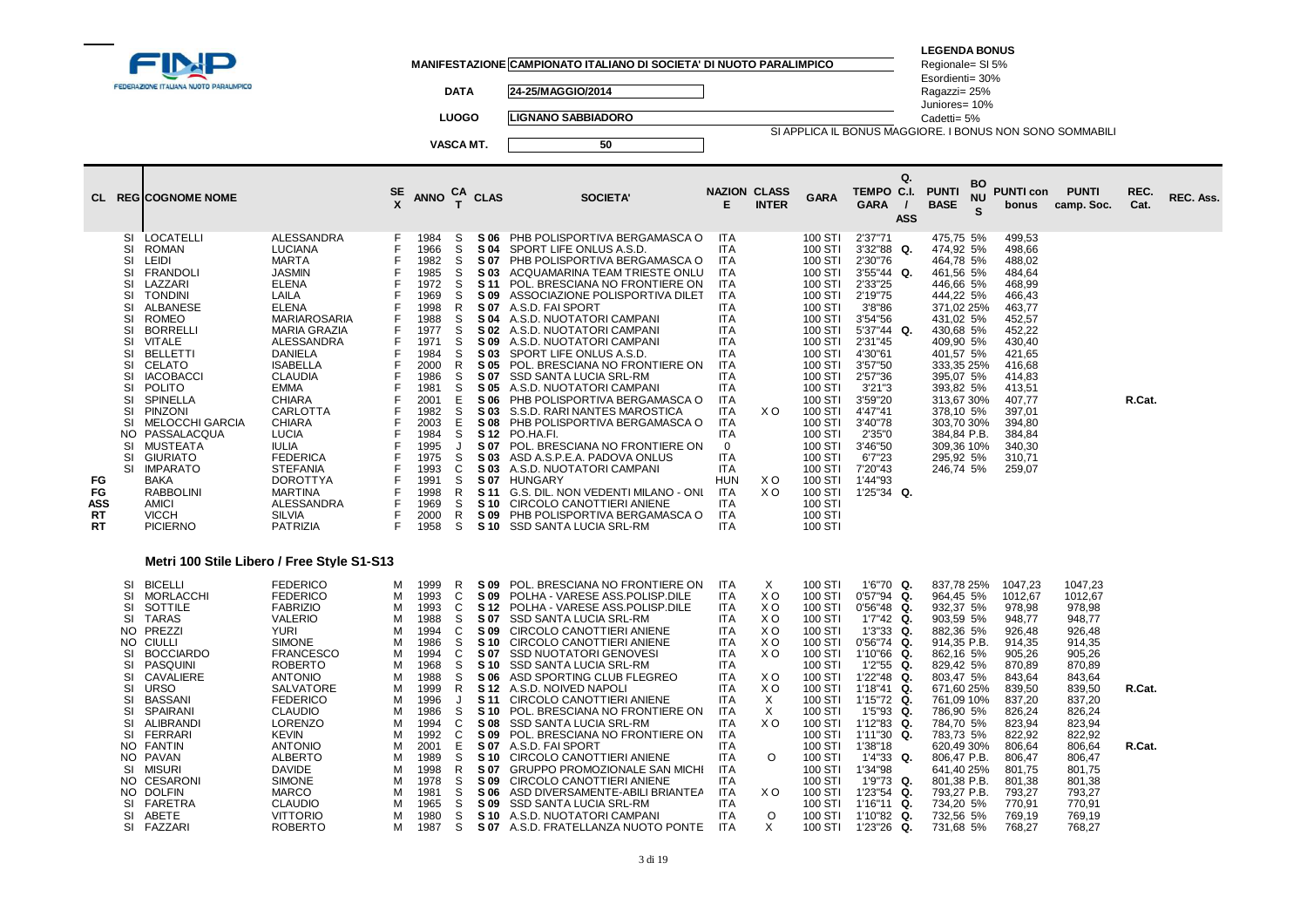| FEDERAZIONE ITALIANA NUOTO PARALIMPICO                                                                                                                                                                                                                                                                                                                                                                                                                                                                                                                                                                                                      |                                                                                                                                                                                                                                                                                                                                                                                                                                                |                                                                                                                                   |                                                                                                                                                                                                              | <b>DATA</b>                                                                                                                                |                                                                                                                                                                                                                          | MANIFESTAZIONE CAMPIONATO ITALIANO DI SOCIETA' DI NUOTO PARALIMPICO<br>24-25/MAGGIO/2014                                                                                                                                                                                                                                                                                                                                                                                                                                                                                                                                                                                                                                                                                                      |                                                                                                                                                                                                                                                                                                                          |                                                                                                                                           |                                                                                                                                                                                                                                                                                            |                                                                                                                                                                                                                                                                                                                                                  | <b>LEGENDA BONUS</b><br>Regionale= SI 5%<br>Esordienti= 30%<br>Ragazzi= 25%<br>Juniores= 10%                                                                                                                                                                                                            |                      |                                                                                                                                                                                                                            |                                                                                                                                                                                                                            |                  |           |
|---------------------------------------------------------------------------------------------------------------------------------------------------------------------------------------------------------------------------------------------------------------------------------------------------------------------------------------------------------------------------------------------------------------------------------------------------------------------------------------------------------------------------------------------------------------------------------------------------------------------------------------------|------------------------------------------------------------------------------------------------------------------------------------------------------------------------------------------------------------------------------------------------------------------------------------------------------------------------------------------------------------------------------------------------------------------------------------------------|-----------------------------------------------------------------------------------------------------------------------------------|--------------------------------------------------------------------------------------------------------------------------------------------------------------------------------------------------------------|--------------------------------------------------------------------------------------------------------------------------------------------|--------------------------------------------------------------------------------------------------------------------------------------------------------------------------------------------------------------------------|-----------------------------------------------------------------------------------------------------------------------------------------------------------------------------------------------------------------------------------------------------------------------------------------------------------------------------------------------------------------------------------------------------------------------------------------------------------------------------------------------------------------------------------------------------------------------------------------------------------------------------------------------------------------------------------------------------------------------------------------------------------------------------------------------|--------------------------------------------------------------------------------------------------------------------------------------------------------------------------------------------------------------------------------------------------------------------------------------------------------------------------|-------------------------------------------------------------------------------------------------------------------------------------------|--------------------------------------------------------------------------------------------------------------------------------------------------------------------------------------------------------------------------------------------------------------------------------------------|--------------------------------------------------------------------------------------------------------------------------------------------------------------------------------------------------------------------------------------------------------------------------------------------------------------------------------------------------|---------------------------------------------------------------------------------------------------------------------------------------------------------------------------------------------------------------------------------------------------------------------------------------------------------|----------------------|----------------------------------------------------------------------------------------------------------------------------------------------------------------------------------------------------------------------------|----------------------------------------------------------------------------------------------------------------------------------------------------------------------------------------------------------------------------|------------------|-----------|
|                                                                                                                                                                                                                                                                                                                                                                                                                                                                                                                                                                                                                                             |                                                                                                                                                                                                                                                                                                                                                                                                                                                |                                                                                                                                   |                                                                                                                                                                                                              | <b>LUOGO</b>                                                                                                                               |                                                                                                                                                                                                                          | <b>LIGNANO SABBIADORO</b>                                                                                                                                                                                                                                                                                                                                                                                                                                                                                                                                                                                                                                                                                                                                                                     |                                                                                                                                                                                                                                                                                                                          |                                                                                                                                           |                                                                                                                                                                                                                                                                                            |                                                                                                                                                                                                                                                                                                                                                  | Cadetti= 5%                                                                                                                                                                                                                                                                                             |                      |                                                                                                                                                                                                                            | SI APPLICA IL BONUS MAGGIORE. I BONUS NON SONO SOMMABILI                                                                                                                                                                   |                  |           |
|                                                                                                                                                                                                                                                                                                                                                                                                                                                                                                                                                                                                                                             |                                                                                                                                                                                                                                                                                                                                                                                                                                                |                                                                                                                                   |                                                                                                                                                                                                              | VASCA MT.                                                                                                                                  |                                                                                                                                                                                                                          | 50                                                                                                                                                                                                                                                                                                                                                                                                                                                                                                                                                                                                                                                                                                                                                                                            |                                                                                                                                                                                                                                                                                                                          |                                                                                                                                           |                                                                                                                                                                                                                                                                                            |                                                                                                                                                                                                                                                                                                                                                  |                                                                                                                                                                                                                                                                                                         |                      |                                                                                                                                                                                                                            |                                                                                                                                                                                                                            |                  |           |
| CL REGICOGNOME NOME                                                                                                                                                                                                                                                                                                                                                                                                                                                                                                                                                                                                                         |                                                                                                                                                                                                                                                                                                                                                                                                                                                | SE                                                                                                                                | <b>ANNO</b>                                                                                                                                                                                                  | <b>CA</b><br>$\mathbf{T}$                                                                                                                  | <b>CLAS</b>                                                                                                                                                                                                              | <b>SOCIETA</b>                                                                                                                                                                                                                                                                                                                                                                                                                                                                                                                                                                                                                                                                                                                                                                                | <b>NAZION CLASS</b><br>Е                                                                                                                                                                                                                                                                                                 | <b>INTER</b>                                                                                                                              | <b>GARA</b>                                                                                                                                                                                                                                                                                | Q.<br>TEMPO C.I.<br><b>GARA</b><br>$\prime$<br><b>ASS</b>                                                                                                                                                                                                                                                                                        | <b>PUNTI</b><br><b>BASE</b>                                                                                                                                                                                                                                                                             | BO<br><b>NU</b><br>S | <b>PUNTI con</b><br>bonus                                                                                                                                                                                                  | <b>PUNTI</b><br>camp. Soc.                                                                                                                                                                                                 | REC.<br>Cat.     | REC. Ass. |
| LOCATELLI<br>SI<br>SI<br><b>ROMAN</b><br>SI<br><b>LEIDI</b><br>SI<br><b>FRANDOLI</b><br>SI<br>LAZZARI<br>SI<br><b>TONDINI</b><br>SI<br>ALBANESE<br>SI<br><b>ROMEO</b><br>SI<br><b>BORRELLI</b><br>SI<br><b>VITALE</b><br>SI<br><b>BELLETTI</b><br>SI<br><b>CELATO</b><br>SI<br><b>IACOBACCI</b><br>SI<br><b>POLITO</b><br>SI<br><b>SPINELLA</b><br>SI<br><b>PINZONI</b><br>SI<br><b>MELOCCHI GARCIA</b><br>PASSALACQUA<br>NO.<br>SI<br><b>MUSTEATA</b><br>SI<br><b>GIURIATO</b><br><b>SI</b><br><b>IMPARATO</b><br>FG<br>BAKA<br>FG<br><b>RABBOLINI</b><br><b>ASS</b><br>AMICI<br><b>RT</b><br><b>VICCH</b><br><b>RT</b><br><b>PICIERNO</b> | ALESSANDRA<br><b>LUCIANA</b><br>MARTA<br><b>JASMIN</b><br><b>ELENA</b><br>LAILA<br><b>ELENA</b><br><b>MARIAROSARIA</b><br><b>MARIA GRAZIA</b><br>ALESSANDRA<br><b>DANIELA</b><br><b>ISABELLA</b><br><b>CLAUDIA</b><br>EMMA<br><b>CHIARA</b><br><b>CARLOTTA</b><br><b>CHIARA</b><br><b>LUCIA</b><br><b>IULIA</b><br><b>FEDERICA</b><br><b>STEFANIA</b><br><b>DOROTTYA</b><br><b>MARTINA</b><br>ALESSANDRA<br><b>SILVIA</b><br><b>PATRIZIA</b>   | F<br>F.<br>F<br>F<br>F<br>E<br>F<br>F<br>F<br>F.<br>F<br>F<br>F<br>F<br>F<br>F<br>F<br>F<br>F<br>F<br>F<br>F<br>F.<br>F<br>F<br>F | 1984<br>1966<br>1982<br>1985<br>1972<br>1969<br>1998<br>1988<br>1977<br>1971<br>1984<br>2000<br>1986<br>1981<br>2001<br>1982<br>2003<br>1984<br>1995<br>1975<br>1993<br>1991<br>1998<br>1969<br>2000<br>1958 | S<br>S<br>S<br>S<br>S<br>S<br>R<br>S<br>S<br>S<br>S<br>$\mathsf{R}$<br>S<br>S<br>E<br>S<br>E<br>S<br>J<br>S<br>C<br>S<br>R.<br>S<br>R<br>S | S 06<br>S 04<br>S 07<br>S 03<br><b>S11</b><br>S 09<br>S 07<br>S 04<br>S 02<br>S 09<br>S 03<br>S 05<br>S 07<br>S 05<br>S 06<br>S 03<br>S 08<br>S 12<br>S 07<br>S 03<br>S 03<br>S 07<br>S 11<br>S 10<br>S 09<br>S 10       | PHB POLISPORTIVA BERGAMASCA O<br>SPORT LIFE ONLUS A.S.D.<br>PHB POLISPORTIVA BERGAMASCA O<br>ACQUAMARINA TEAM TRIESTE ONLU<br>POL. BRESCIANA NO FRONTIERE ON<br>ASSOCIAZIONE POLISPORTIVA DILET<br>A.S.D. FAI SPORT<br>A.S.D. NUOTATORI CAMPANI<br>A.S.D. NUOTATORI CAMPANI<br>A.S.D. NUOTATORI CAMPANI<br>SPORT LIFE ONLUS A.S.D.<br>POL. BRESCIANA NO FRONTIERE ON<br>SSD SANTA LUCIA SRL-RM<br>A.S.D. NUOTATORI CAMPANI<br>PHB POLISPORTIVA BERGAMASCA O<br>S.S.D. RARI NANTES MAROSTICA<br>PHB POLISPORTIVA BERGAMASCA O<br>PO.HA.FI.<br>POL. BRESCIANA NO FRONTIERE ON<br>ASD A.S.P.E.A. PADOVA ONLUS<br>A.S.D. NUOTATORI CAMPANI<br><b>HUNGARY</b><br>G.S. DIL. NON VEDENTI MILANO - ONL<br>CIRCOLO CANOTTIERI ANIENE<br>PHB POLISPORTIVA BERGAMASCA O<br><b>SSD SANTA LUCIA SRL-RM</b> | <b>ITA</b><br>ITA<br><b>ITA</b><br>ITA<br>ITA<br><b>ITA</b><br><b>ITA</b><br><b>ITA</b><br><b>ITA</b><br><b>ITA</b><br><b>ITA</b><br>ITA<br><b>ITA</b><br>ITA<br><b>ITA</b><br><b>ITA</b><br><b>ITA</b><br><b>ITA</b><br>$\mathbf 0$<br><b>ITA</b><br><b>ITA</b><br>HUN<br>ITA<br><b>ITA</b><br><b>ITA</b><br><b>ITA</b> | X O<br>X O<br>X <sub>O</sub>                                                                                                              | 100 STI<br>100 STI<br>100 STI<br>100 STI<br>100 STI<br>100 STI<br>100 STI<br>100 STI<br>100 STI<br>100 STI<br>100 STI<br>100 STI<br>100 STI<br>100 STI<br>100 STI<br>100 STI<br>100 STI<br>100 STI<br>100 STI<br>100 STI<br>100 STI<br>100 STI<br>100 STI<br>100 STI<br>100 STI<br>100 STI | 2'37"71<br>3'32"88<br>Q.<br>2'30"76<br>3'55"44 Q.<br>2'33"25<br>2'19"75<br>3'8"86<br>3'54"56<br>5'37"44 Q.<br>2'31"45<br>4'30"61<br>3'57"50<br>2'57"36<br>3'21''3<br>3'59"20<br>4'47"41<br>3'40"78<br>2'35"0<br>3'46"50<br>6'7"23<br>7'20"43<br>1'44"93<br>1'25"34 Q.                                                                            | 475,75 5%<br>474,92 5%<br>464,78 5%<br>461,56 5%<br>446,66 5%<br>444,22 5%<br>371,02 25%<br>431,02 5%<br>430,68 5%<br>409,90 5%<br>401,57 5%<br>333,35 25%<br>395,07 5%<br>393,82 5%<br>313,67 30%<br>378,10 5%<br>303,70 30%<br>384,84 P.B.<br>309,36 10%<br>295,92 5%<br>246,74 5%                    |                      | 499.53<br>498,66<br>488,02<br>484,64<br>468,99<br>466,43<br>463,77<br>452,57<br>452,22<br>430.40<br>421,65<br>416.68<br>414,83<br>413,51<br>407,77<br>397,01<br>394,80<br>384,84<br>340,30<br>310,71<br>259,07             |                                                                                                                                                                                                                            | R.Cat.           |           |
| <b>SI</b><br><b>BICELLI</b><br>SI<br><b>MORLACCHI</b><br>SI<br>SOTTILE<br>SI<br><b>TARAS</b><br>N <sub>O</sub><br>PREZZI<br><b>CIULLI</b><br>NO.<br>SI<br><b>BOCCIARDO</b><br>SI<br>PASQUINI<br>SI<br><b>CAVALIERE</b><br>SI<br><b>URSO</b><br>SI<br><b>BASSANI</b><br>SI<br><b>SPAIRANI</b><br>SI<br>ALIBRANDI<br>SI<br><b>FERRARI</b><br>NO.<br>FANTIN<br>PAVAN<br>NO.<br><b>MISURI</b><br>SI<br><b>CESARONI</b><br>NO.<br><b>DOLFIN</b><br>NO.<br>SI<br>FARETRA<br>SI<br>ABETE<br>SI<br>FAZZARI                                                                                                                                          | Metri 100 Stile Libero / Free Style S1-S13<br><b>FEDERICO</b><br><b>FEDERICO</b><br><b>FABRIZIO</b><br><b>VALERIO</b><br><b>YURI</b><br><b>SIMONE</b><br><b>FRANCESCO</b><br><b>ROBERTO</b><br><b>ANTONIO</b><br>SALVATORE<br><b>FEDERICO</b><br><b>CLAUDIO</b><br><b>LORENZO</b><br><b>KEVIN</b><br><b>ANTONIO</b><br><b>ALBERTO</b><br><b>DAVIDE</b><br><b>SIMONE</b><br><b>MARCO</b><br><b>CLAUDIO</b><br><b>VITTORIO</b><br><b>ROBERTO</b> | м<br>м<br>м<br>M<br>M<br>M<br>M<br>M<br>M<br>M<br>M<br>M<br>M<br>M<br>M<br>M<br>M<br>M<br>M<br>M<br>М<br>М                        | 1999<br>1993<br>1993<br>1988<br>1994<br>1986<br>1994<br>1968<br>1988<br>1999<br>1996<br>1986<br>1994<br>1992<br>2001<br>1989<br>1998<br>1978<br>1981<br>1965<br>1980<br>1987                                 | R<br>C<br>C<br>S<br>C<br>S<br>C<br>S<br>S<br>R<br>J<br>S<br>C<br>C<br>E<br>S<br>R<br>S<br>S<br>S<br>S<br>S                                 | S 09<br>S 09<br>S 12<br>S 07<br>S 09<br>S <sub>10</sub><br>S 07<br>S <sub>10</sub><br>S 06<br>S 12<br>S 11<br>S <sub>10</sub><br>S 08<br>S 09<br>S 07<br>S <sub>10</sub><br>S 07<br>S 09<br>S 06<br>S 09<br>S 10<br>S 07 | POL. BRESCIANA NO FRONTIERE ON<br>POLHA - VARESE ASS.POLISP.DILE<br>POLHA - VARESE ASS.POLISP.DILE<br>SSD SANTA LUCIA SRL-RM<br>CIRCOLO CANOTTIERI ANIENE<br>CIRCOLO CANOTTIERI ANIENE<br><b>SSD NUOTATORI GENOVESI</b><br>SSD SANTA LUCIA SRL-RM<br>ASD SPORTING CLUB FLEGREO<br>A.S.D. NOIVED NAPOLI<br>CIRCOLO CANOTTIERI ANIENE<br>POL. BRESCIANA NO FRONTIERE ON<br>SSD SANTA LUCIA SRL-RM<br>POL. BRESCIANA NO FRONTIERE ON<br>A.S.D. FAI SPORT<br>CIRCOLO CANOTTIERI ANIENE<br>GRUPPO PROMOZIONALE SAN MICHI<br>CIRCOLO CANOTTIERI ANIENE<br>ASD DIVERSAMENTE-ABILI BRIANTEA<br>SSD SANTA LUCIA SRL-RM<br>A.S.D. NUOTATORI CAMPANI<br>A.S.D. FRATELLANZA NUOTO PONTE                                                                                                                   | ITA<br><b>ITA</b><br><b>ITA</b><br><b>ITA</b><br>ITA<br><b>ITA</b><br><b>ITA</b><br><b>ITA</b><br><b>ITA</b><br>ITA<br><b>ITA</b><br><b>ITA</b><br><b>ITA</b><br><b>ITA</b><br><b>ITA</b><br>ITA<br><b>ITA</b><br><b>ITA</b><br><b>ITA</b><br><b>ITA</b><br><b>ITA</b><br>ITA                                            | X<br>X O<br>X O<br>X O<br>X O<br>X O<br>X O<br>X <sub>O</sub><br>X O<br>X<br>$\times$<br>X <sub>O</sub><br>$\circ$<br>X O<br>$\circ$<br>Х | 100 STI<br>100 STI<br>100 STI<br>100 STI<br>100 STI<br>100 STI<br>100 STI<br>100 STI<br>100 STI<br>100 STI<br>100 STI<br>100 STI<br>100 STI<br>100 STI<br>100 STI<br>100 STI<br>100 STI<br>100 STI<br>100 STI<br>100 STI<br>100 STI<br>100 STI                                             | 1'6"70 Q.<br>0'57"94<br>Q.<br>0'56"48<br>Q.<br>1'7"42 Q.<br>1'3"33<br>Q.<br>0'56"74 Q.<br>1'10"66<br>Q.<br>1'2"55<br>Q.<br>$1'22''48$ Q.<br>1'18"41<br>Q.<br>1'15"72<br>Q.<br>1'5"93<br>Q.<br>1'12"83<br>Q.<br>1'11"30<br>Q.<br>1'38"18<br>1'4"33<br>Q.<br>1'34"98<br>1'9"73 Q.<br>1'23"54 Q.<br>1'16"11<br>Q.<br>1'10"82<br>Q.<br>1'23"26<br>Q. | 837,78 25%<br>964,45 5%<br>932,37 5%<br>903,59 5%<br>882,36 5%<br>914,35 P.B.<br>862,16 5%<br>829,42 5%<br>803,47 5%<br>671,60 25%<br>761,09 10%<br>786,90 5%<br>784,70 5%<br>783,73 5%<br>620,49 30%<br>806,47 P.B.<br>641,40 25%<br>801,38 P.B.<br>793,27 P.B.<br>734,20 5%<br>732,56 5%<br>731,68 5% |                      | 1047,23<br>1012,67<br>978,98<br>948,77<br>926,48<br>914,35<br>905,26<br>870,89<br>843.64<br>839,50<br>837,20<br>826,24<br>823,94<br>822.92<br>806.64<br>806,47<br>801,75<br>801,38<br>793,27<br>770,91<br>769,19<br>768,27 | 1047,23<br>1012,67<br>978,98<br>948,77<br>926,48<br>914,35<br>905,26<br>870,89<br>843,64<br>839,50<br>837,20<br>826,24<br>823,94<br>822.92<br>806,64<br>806,47<br>801,75<br>801,38<br>793,27<br>770,91<br>769,19<br>768,27 | R.Cat.<br>R.Cat. |           |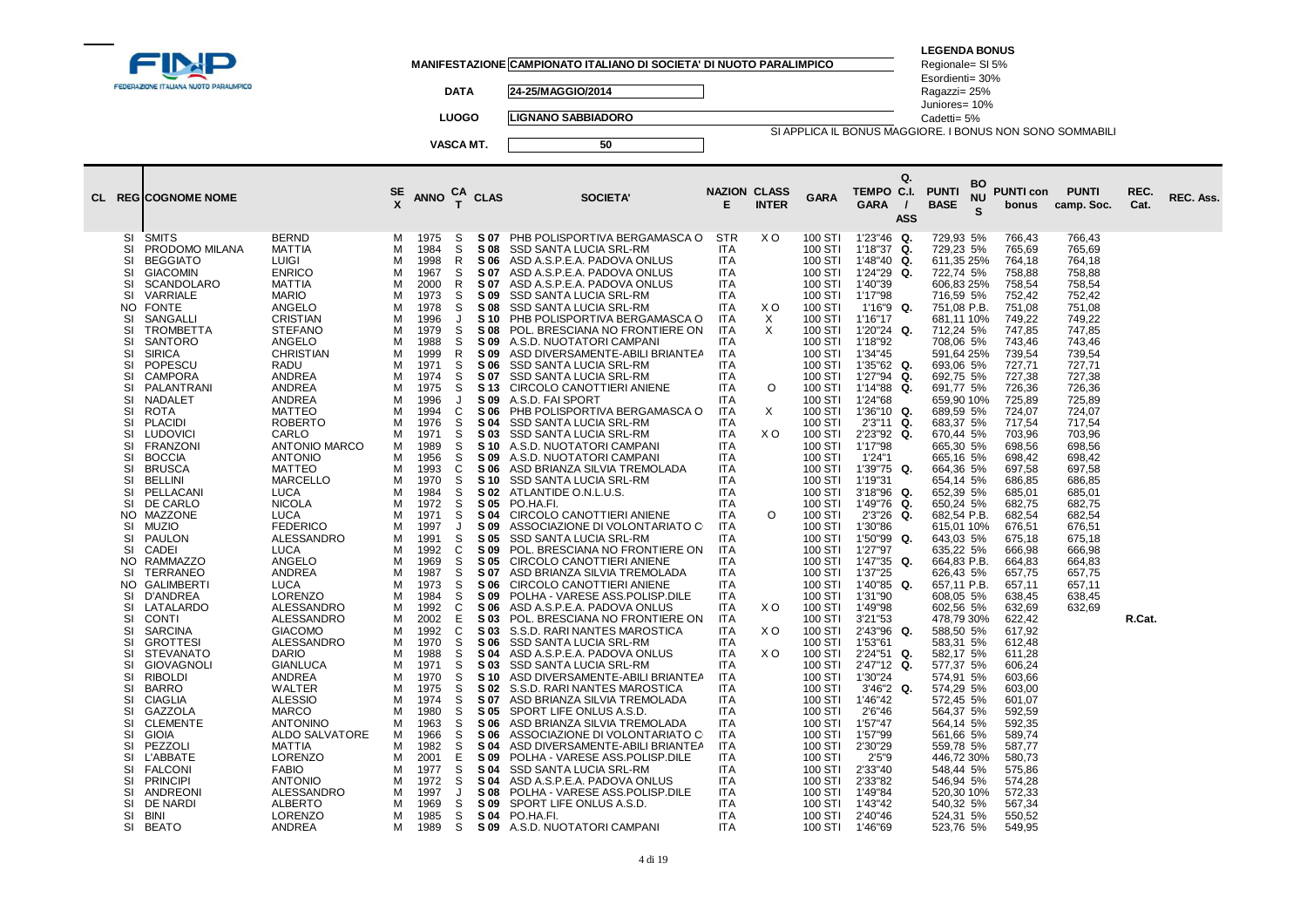| FEDERAZIONE ITALIANA NUOTO PARALIMPICO                                                                                                                                                                                                                                                                                                                                                                                                                                                                                                                                                                                                                                                                                                                                                                                                                                                                                                                                                                                                                                                                                                                                                                                |                                                                                                                                                                                                                                                                                                                                                                                                                                                                                                                                                                                                                                                                                                                                                                                                                                           |                                                                                                                                                                                                                                                                  |                                                                                                                                                                                                                                                                                                                                                                                                                              | <b>DATA</b><br><b>LUOGO</b><br>VASCA MT.                                                                                                                                                                                                                                                                                                                                                                                                                                                                                                                                                                                                                                                                                                                | MANIFESTAZIONE CAMPIONATO ITALIANO DI SOCIETA' DI NUOTO PARALIMPICO<br>24-25/MAGGIO/2014<br><b>LIGNANO SABBIADORO</b><br>50                                                                                                                                                                                                                                                                                                                                                                                                                                                                                                                                                                                                                                                                                                                                                                                                                                                                                                                                                                                                                                                                                                                                                                                                                                                                                                                                                                                                                                                       |                                                                                                                                                                                                                                                                                                                                                                                                                                                                                                                                                                                                                                                                                                                                 |                                                                                     |                                                                                                                                                                                                                                                                                                                                                                                                                                                                                                                                                                                          | SI APPLICA IL BONUS MAGGIORE. I BONUS NON SONO SOMMABILI<br>Q.                                                                                                                                                                                                                                                                                                                                                                                                                                                                                                                                                                                                                                | <b>LEGENDA BONUS</b><br>Regionale= SI 5%<br>Esordienti= 30%<br>Ragazzi= 25%<br>Juniores= 10%<br>Cadetti= 5%                                                                                                                                                                                                                                                                                                                                                                                                                                                                                                                                                                                                       |                      |                                                                                                                                                                                                                                                                                                                                                                                                                                                                                                                                      |                                                                                                                                                                                                                                                                                                                                        |              |           |
|-----------------------------------------------------------------------------------------------------------------------------------------------------------------------------------------------------------------------------------------------------------------------------------------------------------------------------------------------------------------------------------------------------------------------------------------------------------------------------------------------------------------------------------------------------------------------------------------------------------------------------------------------------------------------------------------------------------------------------------------------------------------------------------------------------------------------------------------------------------------------------------------------------------------------------------------------------------------------------------------------------------------------------------------------------------------------------------------------------------------------------------------------------------------------------------------------------------------------|-------------------------------------------------------------------------------------------------------------------------------------------------------------------------------------------------------------------------------------------------------------------------------------------------------------------------------------------------------------------------------------------------------------------------------------------------------------------------------------------------------------------------------------------------------------------------------------------------------------------------------------------------------------------------------------------------------------------------------------------------------------------------------------------------------------------------------------------|------------------------------------------------------------------------------------------------------------------------------------------------------------------------------------------------------------------------------------------------------------------|------------------------------------------------------------------------------------------------------------------------------------------------------------------------------------------------------------------------------------------------------------------------------------------------------------------------------------------------------------------------------------------------------------------------------|---------------------------------------------------------------------------------------------------------------------------------------------------------------------------------------------------------------------------------------------------------------------------------------------------------------------------------------------------------------------------------------------------------------------------------------------------------------------------------------------------------------------------------------------------------------------------------------------------------------------------------------------------------------------------------------------------------------------------------------------------------|-----------------------------------------------------------------------------------------------------------------------------------------------------------------------------------------------------------------------------------------------------------------------------------------------------------------------------------------------------------------------------------------------------------------------------------------------------------------------------------------------------------------------------------------------------------------------------------------------------------------------------------------------------------------------------------------------------------------------------------------------------------------------------------------------------------------------------------------------------------------------------------------------------------------------------------------------------------------------------------------------------------------------------------------------------------------------------------------------------------------------------------------------------------------------------------------------------------------------------------------------------------------------------------------------------------------------------------------------------------------------------------------------------------------------------------------------------------------------------------------------------------------------------------------------------------------------------------|---------------------------------------------------------------------------------------------------------------------------------------------------------------------------------------------------------------------------------------------------------------------------------------------------------------------------------------------------------------------------------------------------------------------------------------------------------------------------------------------------------------------------------------------------------------------------------------------------------------------------------------------------------------------------------------------------------------------------------|-------------------------------------------------------------------------------------|------------------------------------------------------------------------------------------------------------------------------------------------------------------------------------------------------------------------------------------------------------------------------------------------------------------------------------------------------------------------------------------------------------------------------------------------------------------------------------------------------------------------------------------------------------------------------------------|-----------------------------------------------------------------------------------------------------------------------------------------------------------------------------------------------------------------------------------------------------------------------------------------------------------------------------------------------------------------------------------------------------------------------------------------------------------------------------------------------------------------------------------------------------------------------------------------------------------------------------------------------------------------------------------------------|-------------------------------------------------------------------------------------------------------------------------------------------------------------------------------------------------------------------------------------------------------------------------------------------------------------------------------------------------------------------------------------------------------------------------------------------------------------------------------------------------------------------------------------------------------------------------------------------------------------------------------------------------------------------------------------------------------------------|----------------------|--------------------------------------------------------------------------------------------------------------------------------------------------------------------------------------------------------------------------------------------------------------------------------------------------------------------------------------------------------------------------------------------------------------------------------------------------------------------------------------------------------------------------------------|----------------------------------------------------------------------------------------------------------------------------------------------------------------------------------------------------------------------------------------------------------------------------------------------------------------------------------------|--------------|-----------|
| <b>CL REGICOGNOME NOME</b>                                                                                                                                                                                                                                                                                                                                                                                                                                                                                                                                                                                                                                                                                                                                                                                                                                                                                                                                                                                                                                                                                                                                                                                            |                                                                                                                                                                                                                                                                                                                                                                                                                                                                                                                                                                                                                                                                                                                                                                                                                                           | SE<br>X                                                                                                                                                                                                                                                          | <b>ANNO</b>                                                                                                                                                                                                                                                                                                                                                                                                                  | CA<br>T<br><b>CLAS</b>                                                                                                                                                                                                                                                                                                                                                                                                                                                                                                                                                                                                                                                                                                                                  | <b>SOCIETA'</b>                                                                                                                                                                                                                                                                                                                                                                                                                                                                                                                                                                                                                                                                                                                                                                                                                                                                                                                                                                                                                                                                                                                                                                                                                                                                                                                                                                                                                                                                                                                                                                   | E                                                                                                                                                                                                                                                                                                                                                                                                                                                                                                                                                                                                                                                                                                                               | <b>NAZION CLASS</b><br><b>INTER</b>                                                 | <b>GARA</b>                                                                                                                                                                                                                                                                                                                                                                                                                                                                                                                                                                              | TEMPO C.I.<br>GARA<br>$\prime$<br><b>ASS</b>                                                                                                                                                                                                                                                                                                                                                                                                                                                                                                                                                                                                                                                  | <b>PUNTI</b><br><b>BASE</b>                                                                                                                                                                                                                                                                                                                                                                                                                                                                                                                                                                                                                                                                                       | ВO<br><b>NU</b><br>S | <b>PUNTI con</b><br>bonus                                                                                                                                                                                                                                                                                                                                                                                                                                                                                                            | <b>PUNTI</b><br>camp. Soc.                                                                                                                                                                                                                                                                                                             | REC.<br>Cat. | REC. Ass. |
| SI<br><b>SMITS</b><br>PRODOMO MILANA<br>SI<br>SI<br><b>BEGGIATO</b><br>SI<br><b>GIACOMIN</b><br>SI<br><b>SCANDOLARO</b><br><b>VARRIALE</b><br><b>SI</b><br><b>NO</b><br><b>FONTE</b><br>SANGALLI<br>SI<br>SI<br><b>TROMBETTA</b><br><b>SANTORO</b><br>SI<br>SI<br><b>SIRICA</b><br>SI<br>POPESCU<br><b>CAMPORA</b><br>SI<br>SI<br>PALANTRANI<br>SI<br>NADALET<br>SI<br><b>ROTA</b><br>SI<br><b>PLACIDI</b><br>SI<br><b>LUDOVICI</b><br><b>FRANZONI</b><br>SI<br>SI<br><b>BOCCIA</b><br><b>BRUSCA</b><br>SI<br>SI<br><b>BELLINI</b><br>SI<br>PELLACANI<br>DE CARLO<br>SI<br><b>MAZZONE</b><br>NO.<br>SI<br><b>MUZIO</b><br><b>PAULON</b><br>SI<br>CADEI<br>SI<br>NO.<br><b>RAMMAZZO</b><br><b>TERRANEO</b><br>SI<br><b>GALIMBERTI</b><br>NO.<br>SI<br>D'ANDREA<br>LATALARDO<br>SI<br><b>CONTI</b><br>SI<br>SI<br><b>SARCINA</b><br>SI<br><b>GROTTESI</b><br>SI<br><b>STEVANATO</b><br><b>GIOVAGNOLI</b><br>SI<br><b>RIBOLDI</b><br><b>SI</b><br><b>BARRO</b><br>SI<br>SI<br><b>CIAGLIA</b><br>SI<br>GAZZOLA<br>SI<br><b>CLEMENTE</b><br>SI<br><b>GIOIA</b><br>SI<br>PEZZOLI<br>SI<br>L'ABBATE<br><b>FALCONI</b><br>SI<br><b>PRINCIPI</b><br>SI<br><b>ANDREONI</b><br>SI<br>DE NARDI<br>SI<br>SI<br>BINI<br>SI<br>BEATO | <b>BERND</b><br><b>MATTIA</b><br><b>LUIGI</b><br><b>ENRICO</b><br><b>MATTIA</b><br><b>MARIO</b><br>ANGELO<br><b>CRISTIAN</b><br><b>STEFANO</b><br>ANGELO<br><b>CHRISTIAN</b><br>RADU<br>ANDREA<br><b>ANDREA</b><br>ANDREA<br><b>MATTEO</b><br><b>ROBERTO</b><br>CARLO<br><b>ANTONIO MARCO</b><br><b>ANTONIO</b><br><b>MATTEO</b><br><b>MARCELLO</b><br><b>LUCA</b><br><b>NICOLA</b><br><b>LUCA</b><br><b>FEDERICO</b><br>ALESSANDRO<br><b>LUCA</b><br>ANGELO<br>ANDREA<br><b>LUCA</b><br><b>LORENZO</b><br>ALESSANDRO<br>ALESSANDRO<br><b>GIACOMO</b><br>ALESSANDRO<br><b>DARIO</b><br><b>GIANLUCA</b><br><b>ANDREA</b><br>WALTER<br><b>ALESSIO</b><br><b>MARCO</b><br><b>ANTONINO</b><br>ALDO SALVATORE<br><b>MATTIA</b><br><b>LORENZO</b><br><b>FABIO</b><br><b>ANTONIO</b><br>ALESSANDRO<br><b>ALBERTO</b><br><b>LORENZO</b><br>ANDREA | м<br>М<br>M<br>M<br>M<br>М<br>М<br>M<br>M<br>М<br>M<br>М<br>М<br>М<br>М<br>M<br>М<br>М<br>М<br>М<br>М<br>M<br>M<br>M<br>М<br>М<br>М<br>М<br>М<br>M<br>M<br>М<br>М<br>М<br>М<br>M<br>M<br>М<br>М<br>М<br>M<br>М<br>М<br>M<br>М<br>М<br>М<br>М<br>М<br>M<br>М<br>М | 1975<br>1984<br>1998<br>1967<br>2000<br>1973<br>1978<br>1996<br>1979<br>1988<br>1999<br>1971<br>1974<br>1975<br>1996<br>1994<br>1976<br>1971<br>1989<br>1956<br>1993<br>1970<br>1984<br>1972<br>1971<br>1997<br>1991<br>1992<br>1969<br>1987<br>1973<br>1984<br>1992<br>2002<br>1992<br>1970<br>1988<br>1971<br>1970<br>1975<br>1974<br>1980<br>1963<br>1966<br>1982<br>2001<br>1977<br>1972<br>1997<br>1969<br>1985<br>1989 | S 07<br>S<br>S<br>S 08<br>R<br>S 06<br>S<br>S 07<br>R.<br>S 07<br>S<br>S 09<br>S<br>S 08<br>J<br><b>S</b> 10<br>S<br>S 08<br>S.<br>S 09<br>R.<br>S 09<br>S<br>S 06<br>S<br>S 07<br>S<br>S <sub>13</sub><br>S 09<br>$\cdot$<br>$\mathbf{C}$<br>S 06<br>S<br>S 04<br>S<br>S 03<br>S<br>S 10<br>S<br>S 09<br>C<br>S 06<br>S<br>S 10<br>S<br>S 02<br>S<br>S 05<br>S<br>S 04<br>S 09<br>$\cdot$<br>S<br>S 05<br>C<br>S 09<br>S<br>S 05<br>S<br>S 07<br>S<br>S 06<br>S<br>S 09<br>C<br>S 06<br>Е<br>S 03<br>C<br>S 03<br>S<br>S 06<br>S<br>S 04<br>S<br>S 03<br>S<br>S <sub>10</sub><br>S<br>S 02<br>S<br>S 07<br>S<br>S 05<br>S<br>S 06<br>S<br>S 06<br>S<br>S 04<br>E<br>S 09<br>S<br>S 04<br>S<br>S 04<br>S 08<br>J<br>S<br>S 09<br>S<br>S 04<br>S<br>S 09 | PHB POLISPORTIVA BERGAMASCA O<br><b>SSD SANTA LUCIA SRL-RM</b><br>ASD A.S.P.E.A. PADOVA ONLUS<br>ASD A.S.P.E.A. PADOVA ONLUS<br>ASD A.S.P.E.A. PADOVA ONLUS<br>SSD SANTA LUCIA SRL-RM<br>SSD SANTA LUCIA SRL-RM<br>PHB POLISPORTIVA BERGAMASCA O<br>POL. BRESCIANA NO FRONTIERE ON<br>A.S.D. NUOTATORI CAMPANI<br>ASD DIVERSAMENTE-ABILI BRIANTEA<br>SSD SANTA LUCIA SRL-RM<br>SSD SANTA LUCIA SRL-RM<br>CIRCOLO CANOTTIERI ANIENE<br>A.S.D. FAI SPORT<br>PHB POLISPORTIVA BERGAMASCA O<br>SSD SANTA LUCIA SRL-RM<br>SSD SANTA LUCIA SRL-RM<br>A.S.D. NUOTATORI CAMPANI<br>A.S.D. NUOTATORI CAMPANI<br>ASD BRIANZA SILVIA TREMOLADA<br>SSD SANTA LUCIA SRL-RM<br>ATLANTIDE O.N.L.U.S.<br>PO.HA.FI.<br>CIRCOLO CANOTTIERI ANIENE<br>ASSOCIAZIONE DI VOLONTARIATO C<br>SSD SANTA LUCIA SRL-RM<br>POL. BRESCIANA NO FRONTIERE ON<br>CIRCOLO CANOTTIERI ANIENE<br>ASD BRIANZA SILVIA TREMOLADA<br>CIRCOLO CANOTTIERI ANIENE<br>POLHA - VARESE ASS.POLISP.DILE<br>ASD A.S.P.E.A. PADOVA ONLUS<br>POL. BRESCIANA NO FRONTIERE ON<br>S.S.D. RARI NANTES MAROSTICA<br>SSD SANTA LUCIA SRL-RM<br>ASD A.S.P.E.A. PADOVA ONLUS<br>SSD SANTA LUCIA SRL-RM<br>ASD DIVERSAMENTE-ABILI BRIANTEA<br>S.S.D. RARI NANTES MAROSTICA<br>ASD BRIANZA SILVIA TREMOLADA<br>SPORT LIFE ONLUS A.S.D.<br>ASD BRIANZA SILVIA TREMOLADA<br>ASSOCIAZIONE DI VOLONTARIATO C<br>ASD DIVERSAMENTE-ABILI BRIANTEA<br>POLHA - VARESE ASS.POLISP.DILE<br>SSD SANTA LUCIA SRL-RM<br>ASD A.S.P.E.A. PADOVA ONLUS<br>POLHA - VARESE ASS.POLISP.DILE<br>SPORT LIFE ONLUS A.S.D.<br>PO.HA.FI.<br>A.S.D. NUOTATORI CAMPANI | <b>STR</b><br><b>ITA</b><br><b>ITA</b><br><b>ITA</b><br><b>ITA</b><br><b>ITA</b><br><b>ITA</b><br><b>ITA</b><br><b>ITA</b><br><b>ITA</b><br><b>ITA</b><br><b>ITA</b><br><b>ITA</b><br><b>ITA</b><br><b>ITA</b><br><b>ITA</b><br><b>ITA</b><br><b>ITA</b><br><b>ITA</b><br><b>ITA</b><br>ITA<br><b>ITA</b><br><b>ITA</b><br><b>ITA</b><br><b>ITA</b><br><b>ITA</b><br><b>ITA</b><br><b>ITA</b><br><b>ITA</b><br><b>ITA</b><br><b>ITA</b><br><b>ITA</b><br><b>ITA</b><br><b>ITA</b><br>ITA<br><b>ITA</b><br><b>ITA</b><br>ITA<br><b>ITA</b><br><b>ITA</b><br><b>ITA</b><br><b>ITA</b><br><b>ITA</b><br><b>ITA</b><br><b>ITA</b><br><b>ITA</b><br><b>ITA</b><br><b>ITA</b><br><b>ITA</b><br><b>ITA</b><br><b>ITA</b><br><b>ITA</b> | X O<br>X O<br>X<br>$\times$<br>$\circ$<br>$\times$<br>X O<br>O<br>X O<br>X O<br>X O | 100 STI<br>100 STI<br>100 STI<br>100 STI<br>100 STI<br>100 STI<br>100 STI<br>100 STI<br>100 STI<br>100 STI<br>100 STI<br>100 STI<br>100 STI<br>100 STI<br>100 STI<br>100 STI<br>100 STI<br>100 STI<br>100 STI<br>100 STI<br>100 STI<br>100 STI<br>100 STI<br>100 STI<br>100 STI<br>100 STI<br>100 STI<br>100 STI<br>100 STI<br>100 STI<br>100 STI<br>100 STI<br>100 STI<br>100 STI<br>100 STI<br>100 STI<br>100 STI<br>100 STI<br>100 STI<br>100 STI<br>100 STI<br>100 STI<br>100 STI<br>100 STI<br>100 STI<br>100 STI<br>100 STI<br>100 STI<br>100 STI<br>100 STI<br>100 STI<br>100 STI | 1'23"46 Q.<br>1'18"37 Q.<br>Q.<br>1'48"40<br>1'24"29<br>Q.<br>1'40"39<br>1'17"98<br>Q.<br>1'16"9<br>1'16"17<br>1'20"24 Q.<br>1'18"92<br>1'34"45<br>1'35"62 Q.<br>1'27"94<br>Q.<br>1'14"88<br>Q.<br>1'24"68<br>1'36"10 Q.<br>2'3"11 Q.<br>2'23"92 Q.<br>1'17"98<br>1'24"1<br>1'39"75<br>Q.<br>1'19"31<br>Q.<br>3'18"96<br>1'49"76<br>Q.<br>2'3"26<br>Q.<br>1'30"86<br>1'50"99<br>Q.<br>1'27"97<br>1'47"35<br>Q.<br>1'37"25<br>1'40"85 Q.<br>1'31"90<br>1'49"98<br>3'21"53<br>2'43"96 Q.<br>1'53"61<br>2'24"51 Q.<br>2'47"12<br>Q.<br>1'30"24<br>3'46"2<br>Q.<br>1'46"42<br>2'6"46<br>1'57"47<br>1'57"99<br>2'30"29<br>2'5''9<br>2'33"40<br>2'33"82<br>1'49"84<br>1'43"42<br>2'40"46<br>1'46"69 | 729,93 5%<br>729,23 5%<br>611,35 25%<br>722,74 5%<br>606,83 25%<br>716,59 5%<br>751,08 P.B.<br>681,11 10%<br>712,24 5%<br>708,06 5%<br>591,64 25%<br>693,06 5%<br>692,75 5%<br>691,77 5%<br>659,90 10%<br>689,59 5%<br>683,37 5%<br>670,44 5%<br>665,30 5%<br>665,16 5%<br>664,36 5%<br>654.14 5%<br>652,39 5%<br>650,24 5%<br>682,54 P.B.<br>615,01 10%<br>643,03 5%<br>635,22 5%<br>664,83 P.B.<br>626,43 5%<br>657,11 P.B.<br>608,05 5%<br>602,56 5%<br>478,79 30%<br>588,50 5%<br>583,31 5%<br>582,17 5%<br>577,37 5%<br>574,91 5%<br>574,29 5%<br>572,45 5%<br>564,37 5%<br>564,14 5%<br>561,66 5%<br>559,78 5%<br>446,72 30%<br>548,44 5%<br>546,94 5%<br>520,30 10%<br>540,32 5%<br>524,31 5%<br>523,76 5% |                      | 766,43<br>765,69<br>764,18<br>758,88<br>758.54<br>752,42<br>751,08<br>749,22<br>747,85<br>743,46<br>739,54<br>727,71<br>727,38<br>726,36<br>725,89<br>724,07<br>717,54<br>703,96<br>698,56<br>698,42<br>697,58<br>686,85<br>685,01<br>682,75<br>682,54<br>676,51<br>675,18<br>666,98<br>664,83<br>657,75<br>657,11<br>638,45<br>632,69<br>622,42<br>617,92<br>612,48<br>611,28<br>606,24<br>603,66<br>603,00<br>601,07<br>592.59<br>592,35<br>589,74<br>587,77<br>580,73<br>575,86<br>574,28<br>572,33<br>567,34<br>550,52<br>549,95 | 766,43<br>765,69<br>764,18<br>758,88<br>758.54<br>752,42<br>751,08<br>749,22<br>747,85<br>743,46<br>739,54<br>727,71<br>727,38<br>726,36<br>725,89<br>724,07<br>717,54<br>703,96<br>698,56<br>698,42<br>697,58<br>686,85<br>685,01<br>682,75<br>682,54<br>676,51<br>675,18<br>666,98<br>664,83<br>657,75<br>657,11<br>638,45<br>632,69 | R.Cat.       |           |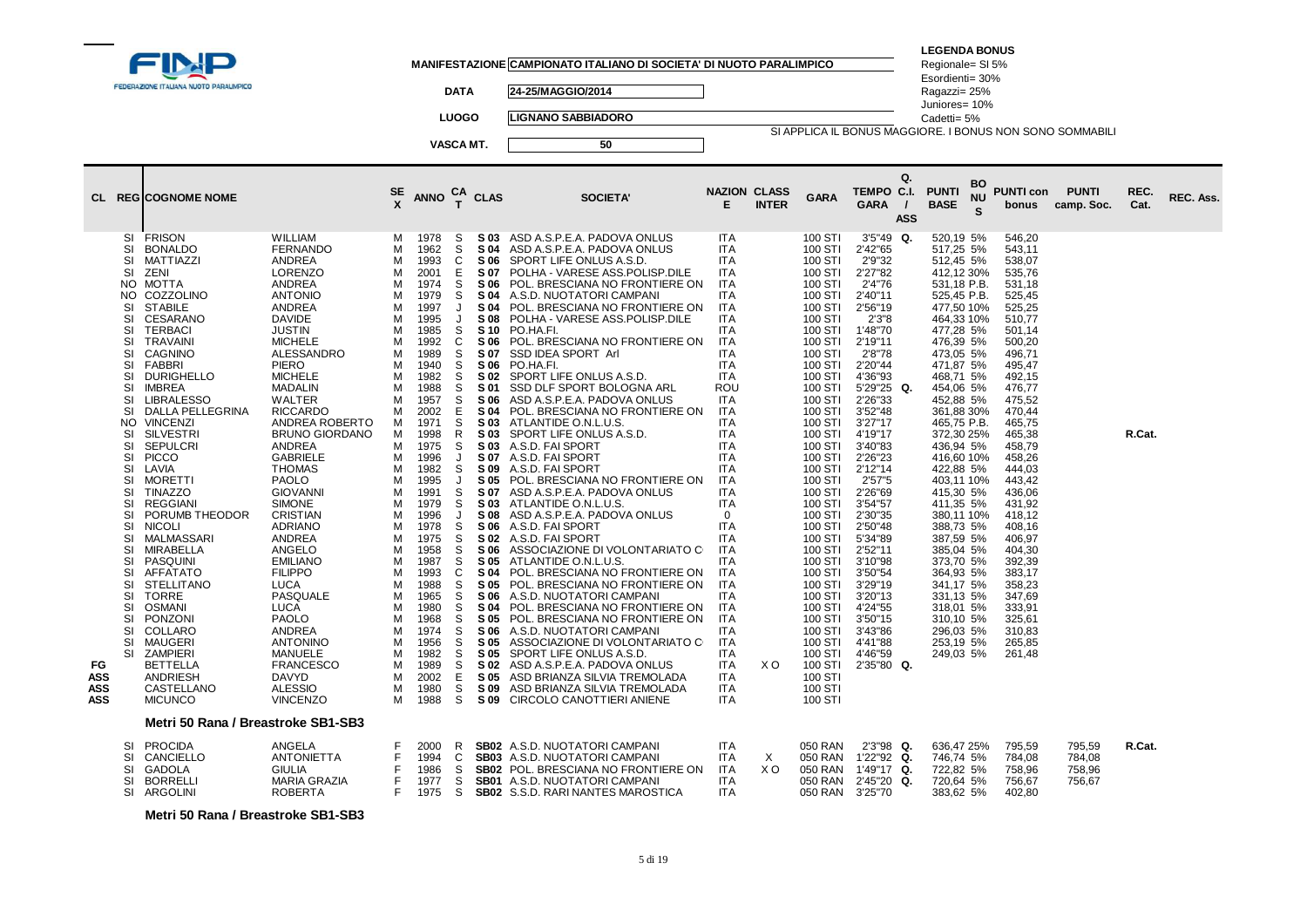|                                 |                                                                                                                                                                                                                         |                                                                                                                                                                                                                                                                                                                                                                                                                                                                                                                                                                                                                                                    |                                                                                                                                                                                                                                                                                                                                                                                                                                                                                                                                                                                                                                                         |                                                                                                                                                                                                           |                                                                                                                                                                                                                                                                                                                                      |                                                                                                                                                                                                                                                         |                                                                                                                                                                                                                                                                                                                                    | MANIFESTAZIONE CAMPIONATO ITALIANO DI SOCIETA' DI NUOTO PARALIMPICO                                                                                                                                                                                                                                                                                                                                                                                                                                                                                                                                                                                                                                                                                                                                                                                                                                                                                                                                                                                                                                                                                                                                          |                                                                                                                                                                                                                                                                                                                                                                                                                                                                                                                                                                     |                |                                                                                                                                                                                                                                                                                                                                                                                                                                                                 |                                                                                                                                                                                                                                                                                                                                                                                                                                      |                  | <b>LEGENDA BONUS</b><br>Regionale= SI 5%<br>Esordienti= 30%                                                                                                                                                                                                                                                                                                                                                                                                                                                 |                                                                                                                                                                                                                                                                                                                                                                                |                                      |              |           |
|---------------------------------|-------------------------------------------------------------------------------------------------------------------------------------------------------------------------------------------------------------------------|----------------------------------------------------------------------------------------------------------------------------------------------------------------------------------------------------------------------------------------------------------------------------------------------------------------------------------------------------------------------------------------------------------------------------------------------------------------------------------------------------------------------------------------------------------------------------------------------------------------------------------------------------|---------------------------------------------------------------------------------------------------------------------------------------------------------------------------------------------------------------------------------------------------------------------------------------------------------------------------------------------------------------------------------------------------------------------------------------------------------------------------------------------------------------------------------------------------------------------------------------------------------------------------------------------------------|-----------------------------------------------------------------------------------------------------------------------------------------------------------------------------------------------------------|--------------------------------------------------------------------------------------------------------------------------------------------------------------------------------------------------------------------------------------------------------------------------------------------------------------------------------------|---------------------------------------------------------------------------------------------------------------------------------------------------------------------------------------------------------------------------------------------------------|------------------------------------------------------------------------------------------------------------------------------------------------------------------------------------------------------------------------------------------------------------------------------------------------------------------------------------|--------------------------------------------------------------------------------------------------------------------------------------------------------------------------------------------------------------------------------------------------------------------------------------------------------------------------------------------------------------------------------------------------------------------------------------------------------------------------------------------------------------------------------------------------------------------------------------------------------------------------------------------------------------------------------------------------------------------------------------------------------------------------------------------------------------------------------------------------------------------------------------------------------------------------------------------------------------------------------------------------------------------------------------------------------------------------------------------------------------------------------------------------------------------------------------------------------------|---------------------------------------------------------------------------------------------------------------------------------------------------------------------------------------------------------------------------------------------------------------------------------------------------------------------------------------------------------------------------------------------------------------------------------------------------------------------------------------------------------------------------------------------------------------------|----------------|-----------------------------------------------------------------------------------------------------------------------------------------------------------------------------------------------------------------------------------------------------------------------------------------------------------------------------------------------------------------------------------------------------------------------------------------------------------------|--------------------------------------------------------------------------------------------------------------------------------------------------------------------------------------------------------------------------------------------------------------------------------------------------------------------------------------------------------------------------------------------------------------------------------------|------------------|-------------------------------------------------------------------------------------------------------------------------------------------------------------------------------------------------------------------------------------------------------------------------------------------------------------------------------------------------------------------------------------------------------------------------------------------------------------------------------------------------------------|--------------------------------------------------------------------------------------------------------------------------------------------------------------------------------------------------------------------------------------------------------------------------------------------------------------------------------------------------------------------------------|--------------------------------------|--------------|-----------|
|                                 |                                                                                                                                                                                                                         | FEDERAZIONE ITALIANA NUOTO PARALIMPICO                                                                                                                                                                                                                                                                                                                                                                                                                                                                                                                                                                                                             |                                                                                                                                                                                                                                                                                                                                                                                                                                                                                                                                                                                                                                                         |                                                                                                                                                                                                           |                                                                                                                                                                                                                                                                                                                                      | <b>DATA</b>                                                                                                                                                                                                                                             |                                                                                                                                                                                                                                                                                                                                    | 24-25/MAGGIO/2014                                                                                                                                                                                                                                                                                                                                                                                                                                                                                                                                                                                                                                                                                                                                                                                                                                                                                                                                                                                                                                                                                                                                                                                            |                                                                                                                                                                                                                                                                                                                                                                                                                                                                                                                                                                     |                |                                                                                                                                                                                                                                                                                                                                                                                                                                                                 |                                                                                                                                                                                                                                                                                                                                                                                                                                      |                  | Ragazzi= 25%<br>Juniores= 10%                                                                                                                                                                                                                                                                                                                                                                                                                                                                               |                                                                                                                                                                                                                                                                                                                                                                                |                                      |              |           |
|                                 |                                                                                                                                                                                                                         |                                                                                                                                                                                                                                                                                                                                                                                                                                                                                                                                                                                                                                                    |                                                                                                                                                                                                                                                                                                                                                                                                                                                                                                                                                                                                                                                         |                                                                                                                                                                                                           |                                                                                                                                                                                                                                                                                                                                      | <b>LUOGO</b>                                                                                                                                                                                                                                            |                                                                                                                                                                                                                                                                                                                                    | <b>LIGNANO SABBIADORO</b>                                                                                                                                                                                                                                                                                                                                                                                                                                                                                                                                                                                                                                                                                                                                                                                                                                                                                                                                                                                                                                                                                                                                                                                    |                                                                                                                                                                                                                                                                                                                                                                                                                                                                                                                                                                     |                |                                                                                                                                                                                                                                                                                                                                                                                                                                                                 |                                                                                                                                                                                                                                                                                                                                                                                                                                      |                  | Cadetti= 5%                                                                                                                                                                                                                                                                                                                                                                                                                                                                                                 |                                                                                                                                                                                                                                                                                                                                                                                |                                      |              |           |
|                                 |                                                                                                                                                                                                                         |                                                                                                                                                                                                                                                                                                                                                                                                                                                                                                                                                                                                                                                    |                                                                                                                                                                                                                                                                                                                                                                                                                                                                                                                                                                                                                                                         |                                                                                                                                                                                                           |                                                                                                                                                                                                                                                                                                                                      | VASCA MT.                                                                                                                                                                                                                                               |                                                                                                                                                                                                                                                                                                                                    | 50                                                                                                                                                                                                                                                                                                                                                                                                                                                                                                                                                                                                                                                                                                                                                                                                                                                                                                                                                                                                                                                                                                                                                                                                           |                                                                                                                                                                                                                                                                                                                                                                                                                                                                                                                                                                     |                |                                                                                                                                                                                                                                                                                                                                                                                                                                                                 |                                                                                                                                                                                                                                                                                                                                                                                                                                      |                  | SI APPLICA IL BONUS MAGGIORE. I BONUS NON SONO SOMMABILI                                                                                                                                                                                                                                                                                                                                                                                                                                                    |                                                                                                                                                                                                                                                                                                                                                                                |                                      |              |           |
|                                 |                                                                                                                                                                                                                         | <b>CL REGICOGNOME NOME</b>                                                                                                                                                                                                                                                                                                                                                                                                                                                                                                                                                                                                                         |                                                                                                                                                                                                                                                                                                                                                                                                                                                                                                                                                                                                                                                         | SE<br>x                                                                                                                                                                                                   | ANNO $_{T}^{CA}$ CLAS                                                                                                                                                                                                                                                                                                                |                                                                                                                                                                                                                                                         |                                                                                                                                                                                                                                                                                                                                    | <b>SOCIETA'</b>                                                                                                                                                                                                                                                                                                                                                                                                                                                                                                                                                                                                                                                                                                                                                                                                                                                                                                                                                                                                                                                                                                                                                                                              | <b>NAZION CLASS</b><br>E                                                                                                                                                                                                                                                                                                                                                                                                                                                                                                                                            | <b>INTER</b>   | <b>GARA</b>                                                                                                                                                                                                                                                                                                                                                                                                                                                     | TEMPO C.I.<br><b>GARA</b>                                                                                                                                                                                                                                                                                                                                                                                                            | Q.<br><b>ASS</b> | BO<br><b>PUNTI</b><br><b>NU</b><br><b>BASE</b><br>S                                                                                                                                                                                                                                                                                                                                                                                                                                                         | <b>PUNTI con</b><br>bonus                                                                                                                                                                                                                                                                                                                                                      | <b>PUNTI</b><br>camp. Soc.           | REC.<br>Cat. | REC. Ass. |
| FG.<br>ASS<br>ASS<br><b>ASS</b> | SI<br>SI<br>SI<br>NO.<br>SI<br>SI<br><b>SI</b><br>SI<br>SI<br>SI<br>SI<br>SI<br>SI<br>SI<br>NO.<br>SI<br>SI<br>SI<br>SI<br>SI<br>SI<br>SI<br>SI<br>SI<br>SI<br>SI<br>SI<br>SI<br>SI<br>SI<br>SI<br>SI<br>SI<br>SI<br>SI | SI FRISON<br><b>BONALDO</b><br>MATTIAZZI<br>ZENI<br><b>MOTTA</b><br>NO COZZOLINO<br><b>STABILE</b><br>CESARANO<br><b>TERBACI</b><br><b>TRAVAINI</b><br>CAGNINO<br>FABBRI<br><b>DURIGHELLO</b><br><b>IMBREA</b><br><b>LIBRALESSO</b><br>DALLA PELLEGRINA<br><b>VINCENZI</b><br><b>SILVESTRI</b><br><b>SEPULCRI</b><br><b>PICCO</b><br>LAVIA<br><b>MORETTI</b><br>TINAZZO<br><b>REGGIANI</b><br>PORUMB THEODOR<br><b>NICOLI</b><br>MALMASSARI<br>MIRABELLA<br>PASQUINI<br><b>AFFATATO</b><br>STELLITANO<br><b>TORRE</b><br><b>OSMANI</b><br>PONZONI<br>COLLARO<br>MAUGERI<br>ZAMPIERI<br><b>BETTELLA</b><br>ANDRIESH<br>CASTELLANO<br><b>MICUNCO</b> | <b>WILLIAM</b><br><b>FERNANDO</b><br>ANDREA<br><b>LORENZO</b><br>ANDREA<br><b>ANTONIO</b><br>ANDREA<br><b>DAVIDE</b><br><b>JUSTIN</b><br><b>MICHELE</b><br>ALESSANDRO<br>PIERO<br><b>MICHELE</b><br><b>MADALIN</b><br>WALTER<br><b>RICCARDO</b><br>ANDREA ROBERTO<br><b>BRUNO GIORDANO</b><br>ANDREA<br><b>GABRIELE</b><br><b>THOMAS</b><br><b>PAOLO</b><br><b>GIOVANNI</b><br>SIMONE<br><b>CRISTIAN</b><br><b>ADRIANO</b><br>ANDREA<br>ANGELO<br><b>EMILIANO</b><br><b>FILIPPO</b><br><b>LUCA</b><br>PASQUALE<br>LUCA<br><b>PAOLO</b><br>ANDREA<br><b>ANTONINO</b><br><b>MANUELE</b><br><b>FRANCESCO</b><br><b>DAVYD</b><br><b>ALESSIO</b><br>VINCENZO | м<br>м<br>м<br>м<br>м<br>М<br>M<br>м<br>М<br>M<br>М<br>м<br>м<br>М<br>м<br>M<br>м<br>м<br>м<br>м<br>м<br>М<br>М<br>М<br>М<br>М<br>M<br>м<br>м<br>м<br>М<br>М<br>м<br>м<br>м<br>м<br>м<br>м<br>м<br>М<br>М | 1978<br>1962<br>1993<br>2001<br>1974<br>1979<br>1997<br>1995<br>1985<br>1992<br>1989<br>1940<br>1982<br>1988<br>1957<br>2002<br>1971<br>1998<br>1975<br>1996<br>1982<br>1995<br>1991<br>1979<br>1996<br>1978<br>1975<br>1958<br>1987<br>1993<br>1988<br>1965<br>1980<br>1968<br>1974<br>1956<br>1982<br>1989<br>2002<br>1980<br>1988 | -S<br>S<br>C<br>E<br><sub>S</sub><br>S<br>J<br>$\cdot$<br>S<br>C<br>S<br>S<br>S<br>S<br>S<br>Ε<br>S<br>R<br><sub>S</sub><br>J<br>S<br>J<br>S<br>S<br>$\cdot$<br>S<br>S<br><sub>S</sub><br>S<br>C<br>S<br>S<br>S<br>S<br>S<br>S<br>S<br>S<br>Ε<br>S<br>S | S 04<br>S 06<br>S 07<br>S 06<br>S 04<br>S 04<br>S 08<br>S 10<br>S 06<br>S 07<br>S 06<br>S 02<br>S 01<br>S 06<br>S 04<br>S 03<br>S 03<br>S 03<br>S 07<br>S 09<br>S 05<br>S 07<br>S 03<br><b>S08</b><br>S 06<br>S 02<br>S 06<br>S 05<br>S 04<br>S 05<br>S 06<br>S 04<br>S 05<br>S 06<br>S 05<br>S 05<br>S 02<br>S 05<br>S 09<br>S 09 | S 03 ASD A.S.P.E.A. PADOVA ONLUS<br>ASD A.S.P.E.A. PADOVA ONLUS<br>SPORT LIFE ONLUS A.S.D.<br>POLHA - VARESE ASS.POLISP.DILE<br>POL. BRESCIANA NO FRONTIERE ON<br>A.S.D. NUOTATORI CAMPANI<br>POL. BRESCIANA NO FRONTIERE ON<br>POLHA - VARESE ASS.POLISP.DILE<br>PO.HA.FI.<br>POL. BRESCIANA NO FRONTIERE ON<br>SSD IDEA SPORT Arl<br>PO.HA.FI.<br>SPORT LIFE ONLUS A.S.D.<br>SSD DLF SPORT BOLOGNA ARL<br>ASD A.S.P.E.A. PADOVA ONLUS<br>POL. BRESCIANA NO FRONTIERE ON<br>ATLANTIDE O.N.L.U.S.<br>SPORT LIFE ONLUS A.S.D.<br>A.S.D. FAI SPORT<br>A.S.D. FAI SPORT<br>A.S.D. FAI SPORT<br>POL. BRESCIANA NO FRONTIERE ON<br>ASD A.S.P.E.A. PADOVA ONLUS<br>ATLANTIDE O.N.L.U.S.<br>ASD A.S.P.E.A. PADOVA ONLUS<br>A.S.D. FAI SPORT<br>A.S.D. FAI SPORT<br>ASSOCIAZIONE DI VOLONTARIATO C<br>ATLANTIDE O.N.L.U.S.<br>POL. BRESCIANA NO FRONTIERE ON<br>POL. BRESCIANA NO FRONTIERE ON<br>A.S.D. NUOTATORI CAMPANI<br>POL. BRESCIANA NO FRONTIERE ON<br>POL. BRESCIANA NO FRONTIERE ON<br>A.S.D. NUOTATORI CAMPANI<br>ASSOCIAZIONE DI VOLONTARIATO CO<br>SPORT LIFE ONLUS A.S.D.<br>ASD A.S.P.E.A. PADOVA ONLUS<br>ASD BRIANZA SILVIA TREMOLADA<br>ASD BRIANZA SILVIA TREMOLADA<br>CIRCOLO CANOTTIERI ANIENE | <b>ITA</b><br><b>ITA</b><br><b>ITA</b><br>ITA<br><b>ITA</b><br><b>ITA</b><br><b>ITA</b><br><b>ITA</b><br><b>ITA</b><br><b>ITA</b><br><b>ITA</b><br><b>ITA</b><br><b>ITA</b><br>ROU<br><b>ITA</b><br><b>ITA</b><br><b>ITA</b><br><b>ITA</b><br><b>ITA</b><br><b>ITA</b><br><b>ITA</b><br><b>ITA</b><br><b>ITA</b><br><b>ITA</b><br>0<br><b>ITA</b><br><b>ITA</b><br><b>ITA</b><br><b>ITA</b><br><b>ITA</b><br><b>ITA</b><br><b>ITA</b><br><b>ITA</b><br><b>ITA</b><br><b>ITA</b><br><b>ITA</b><br><b>ITA</b><br><b>ITA</b><br><b>ITA</b><br><b>ITA</b><br><b>ITA</b> | X <sub>O</sub> | 100 STI<br>100 STI<br>100 STI<br>100 STI<br>100 STI<br>100 STI<br>100 STI<br>100 STI<br>100 STI<br>100 STI<br>100 STI<br>100 STI<br>100 STI<br>100 STI<br>100 STI<br>100 STI<br>100 STI<br>100 STI<br>100 STI<br>100 STI<br>100 STI<br>100 STI<br>100 STI<br>100 STI<br>100 STI<br>100 STI<br>100 STI<br>100 STI<br>100 STI<br>100 STI<br>100 STI<br>100 STI<br>100 STI<br>100 STI<br>100 STI<br>100 STI<br>100 STI<br>100 STI<br>100 STI<br>100 STI<br>100 STI | $3'5''49$ Q.<br>2'42"65<br>2'9"32<br>2'27"82<br>2'4"76<br>2'40"11<br>2'56"19<br>2'3''8<br>1'48"70<br>2'19"11<br>2'8"78<br>2'20"44<br>4'36"93<br>5'29"25 Q.<br>2'26"33<br>3'52"48<br>3'27"17<br>4'19"17<br>3'40"83<br>2'26"23<br>2'12"14<br>2'57"5<br>2'26"69<br>3'54"57<br>2'30"35<br>2'50"48<br>5'34"89<br>2'52"11<br>3'10"98<br>3'50"54<br>3'29"19<br>3'20"13<br>4'24"55<br>3'50"15<br>3'43"86<br>4'41"88<br>4'46"59<br>2'35"80 Q. |                  | 520,19 5%<br>517,25 5%<br>512,45 5%<br>412,12 30%<br>531,18 P.B.<br>525,45 P.B.<br>477,50 10%<br>464,33 10%<br>477,28 5%<br>476,39 5%<br>473,05 5%<br>471,87 5%<br>468.71 5%<br>454,06 5%<br>452,88 5%<br>361,88 30%<br>465,75 P.B.<br>372,30 25%<br>436,94 5%<br>416,60 10%<br>422,88 5%<br>403,11 10%<br>415,30 5%<br>411,35 5%<br>380,11 10%<br>388,73 5%<br>387,59 5%<br>385,04 5%<br>373,70 5%<br>364,93 5%<br>341,17 5%<br>331,13 5%<br>318,01 5%<br>310,10 5%<br>296,03 5%<br>253,19 5%<br>249,03 5% | 546,20<br>543,11<br>538,07<br>535,76<br>531,18<br>525,45<br>525,25<br>510,77<br>501,14<br>500,20<br>496,71<br>495,47<br>492,15<br>476,77<br>475,52<br>470,44<br>465,75<br>465,38<br>458,79<br>458,26<br>444,03<br>443,42<br>436,06<br>431,92<br>418,12<br>408,16<br>406,97<br>404.30<br>392,39<br>383,17<br>358,23<br>347,69<br>333,91<br>325,61<br>310,83<br>265,85<br>261,48 |                                      | R.Cat.       |           |
|                                 |                                                                                                                                                                                                                         | Metri 50 Rana / Breastroke SB1-SB3                                                                                                                                                                                                                                                                                                                                                                                                                                                                                                                                                                                                                 |                                                                                                                                                                                                                                                                                                                                                                                                                                                                                                                                                                                                                                                         |                                                                                                                                                                                                           |                                                                                                                                                                                                                                                                                                                                      |                                                                                                                                                                                                                                                         |                                                                                                                                                                                                                                                                                                                                    |                                                                                                                                                                                                                                                                                                                                                                                                                                                                                                                                                                                                                                                                                                                                                                                                                                                                                                                                                                                                                                                                                                                                                                                                              |                                                                                                                                                                                                                                                                                                                                                                                                                                                                                                                                                                     |                |                                                                                                                                                                                                                                                                                                                                                                                                                                                                 |                                                                                                                                                                                                                                                                                                                                                                                                                                      |                  |                                                                                                                                                                                                                                                                                                                                                                                                                                                                                                             |                                                                                                                                                                                                                                                                                                                                                                                |                                      |              |           |
|                                 | SI<br>SI<br>SI<br>SI<br>SI                                                                                                                                                                                              | <b>PROCIDA</b><br>CANCIELLO<br>GADOLA<br><b>BORRELL</b><br>ARGOLINI                                                                                                                                                                                                                                                                                                                                                                                                                                                                                                                                                                                | ANGELA<br><b>ANTONIETTA</b><br><b>GIULIA</b><br><b>MARIA GRAZIA</b><br>ROBERTA                                                                                                                                                                                                                                                                                                                                                                                                                                                                                                                                                                          | F<br>F<br>F<br>F.<br>F.                                                                                                                                                                                   | 2000<br>1994<br>1986<br>1977<br>1975                                                                                                                                                                                                                                                                                                 | R<br>C<br>-S<br>S<br>-S                                                                                                                                                                                                                                 |                                                                                                                                                                                                                                                                                                                                    | SB02 A.S.D. NUOTATORI CAMPANI<br>SB03 A.S.D. NUOTATORI CAMPANI<br><b>SB02 POL. BRESCIANA NO FRONTIERE ON</b><br><b>SB01</b> A.S.D. NUOTATORI CAMPANI<br><b>SB02</b> S.S.D. RARI NANTES MAROSTICA                                                                                                                                                                                                                                                                                                                                                                                                                                                                                                                                                                                                                                                                                                                                                                                                                                                                                                                                                                                                             | <b>ITA</b><br><b>ITA</b><br><b>ITA</b><br><b>ITA</b><br><b>ITA</b>                                                                                                                                                                                                                                                                                                                                                                                                                                                                                                  | X<br>X O       | 050 RAN<br>050 RAN<br>050 RAN<br>050 RAN                                                                                                                                                                                                                                                                                                                                                                                                                        | 2'3"98 Q.<br>1'22"92 Q.<br>1'49"17 Q.<br>2'45"20 Q.<br>050 RAN 3'25"70                                                                                                                                                                                                                                                                                                                                                               |                  | 636,47 25%<br>746,74 5%<br>722,82 5%<br>720,64 5%<br>383,62 5%                                                                                                                                                                                                                                                                                                                                                                                                                                              | 795,59<br>784,08<br>758,96<br>756,67<br>402,80                                                                                                                                                                                                                                                                                                                                 | 795,59<br>784,08<br>758,96<br>756,67 | R.Cat.       |           |

**Metri 50 Rana / Breastroke SB1-SB3**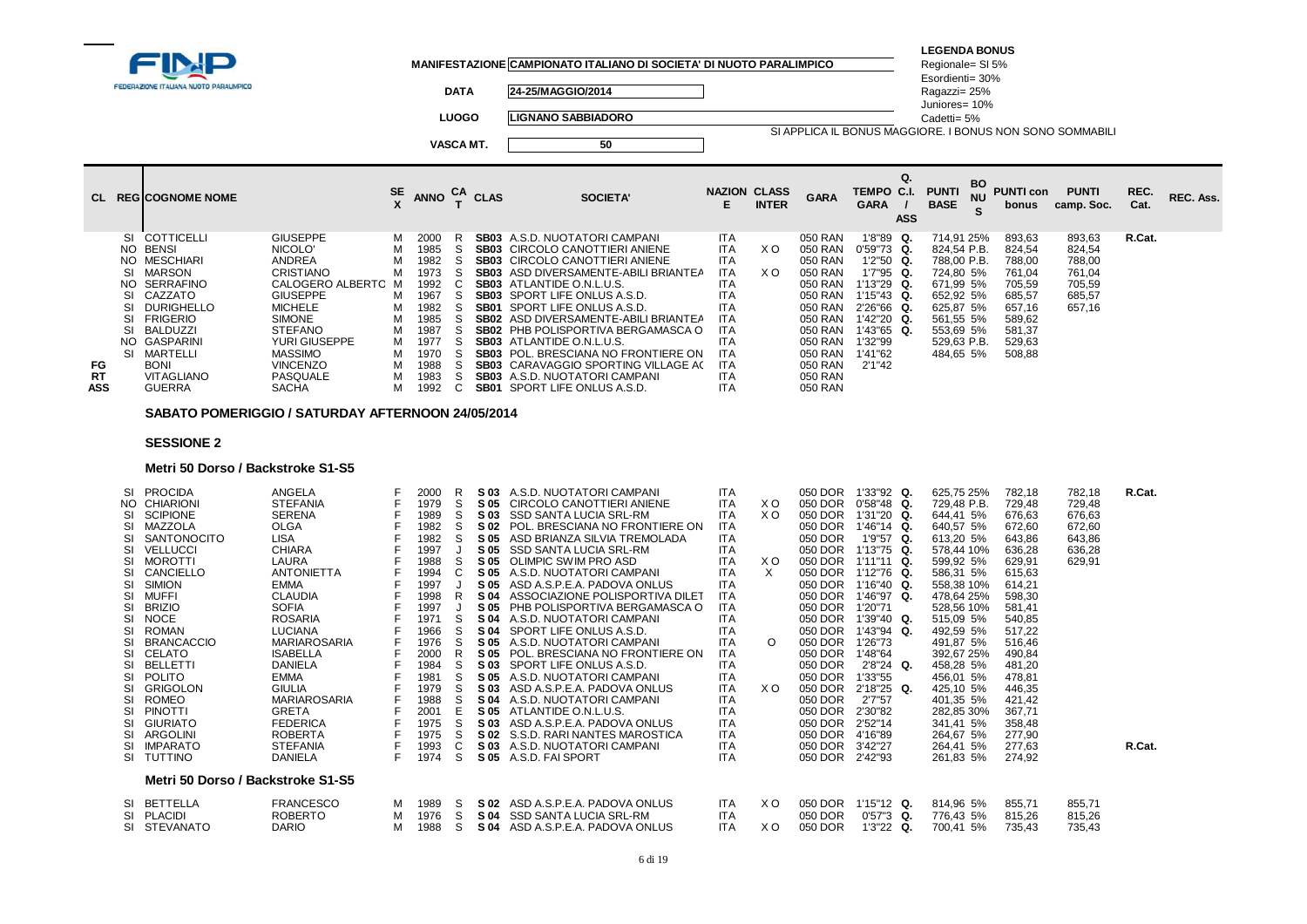|                                                                                                                 |                                                                                                                            |                              |                                                      |               |                  | MANIFESTAZIONE CAMPIONATO ITALIANO DI SOCIETA' DI NUOTO PARALIMPICO                                                                                                                                                                                                                     |                                                                                                |              |                                                                |                                                                                                 |                  | <b>LEGENDA BONUS</b><br>Regionale= SI 5%                                        |                                                          |                                                          |              |           |
|-----------------------------------------------------------------------------------------------------------------|----------------------------------------------------------------------------------------------------------------------------|------------------------------|------------------------------------------------------|---------------|------------------|-----------------------------------------------------------------------------------------------------------------------------------------------------------------------------------------------------------------------------------------------------------------------------------------|------------------------------------------------------------------------------------------------|--------------|----------------------------------------------------------------|-------------------------------------------------------------------------------------------------|------------------|---------------------------------------------------------------------------------|----------------------------------------------------------|----------------------------------------------------------|--------------|-----------|
| <b>FEDERAZIONE ITALIANA NUOTO PARALIMPICO</b>                                                                   |                                                                                                                            |                              |                                                      | <b>DATA</b>   |                  | 24-25/MAGGIO/2014                                                                                                                                                                                                                                                                       |                                                                                                |              |                                                                |                                                                                                 |                  | Esordienti= 30%<br>Ragazzi= 25%<br>Juniores= 10%                                |                                                          |                                                          |              |           |
|                                                                                                                 |                                                                                                                            |                              |                                                      | <b>LUOGO</b>  |                  | <b>LIGNANO SABBIADORO</b>                                                                                                                                                                                                                                                               |                                                                                                |              |                                                                |                                                                                                 |                  | Cadetti= 5%                                                                     |                                                          |                                                          |              |           |
|                                                                                                                 |                                                                                                                            |                              |                                                      |               | <b>VASCA MT.</b> | 50                                                                                                                                                                                                                                                                                      |                                                                                                |              |                                                                |                                                                                                 |                  | SI APPLICA IL BONUS MAGGIORE. I BONUS NON SONO SOMMABILI                        |                                                          |                                                          |              |           |
| CL REGICOGNOME NOME                                                                                             |                                                                                                                            | $\frac{\text{SE}}{\text{V}}$ | ANNO $_{T}^{CA}$ CLAS                                |               |                  | <b>SOCIETA'</b>                                                                                                                                                                                                                                                                         | <b>NAZION CLASS</b><br>E.                                                                      | <b>INTER</b> | <b>GARA</b>                                                    | TEMPO C.I.<br><b>GARA</b>                                                                       | Q.<br><b>ASS</b> | BO<br><b>PUNTI</b><br><b>NU</b><br><b>BASE</b>                                  | <b>PUNTI con</b><br>bonus                                | <b>PUNTI</b><br>camp. Soc.                               | REC.<br>Cat. | REC. Ass. |
| COTTICELLI<br>SI<br>NO BENSI<br>NO MESCHIARI<br>MARSON<br>SI<br>SERRAFINO<br>NO.<br>CAZZATO<br>SI<br>DURIGHELLO | <b>GIUSEPPE</b><br>NICOLO'<br><b>ANDREA</b><br><b>CRISTIANO</b><br>CALOGERO ALBERTO M<br><b>GIUSEPPE</b><br><b>MICHELE</b> | м<br>м<br>м<br>м<br>м        | 2000<br>1985<br>1982<br>1973<br>1992<br>1967<br>1982 | R<br>S.<br>S. |                  | <b>SB03</b> A.S.D. NUOTATORI CAMPANI<br><b>SB03</b> CIRCOLO CANOTTIERI ANIENE<br><b>SB03</b> CIRCOLO CANOTTIERI ANIENE<br><b>SB03</b> ASD DIVERSAMENTE-ABILI BRIANTEA<br><b>SB03</b> ATLANTIDE O.N.L.U.S.<br><b>SB03</b> SPORT LIFE ONLUS A.S.D.<br><b>SB01 SPORT LIFE ONLUS A.S.D.</b> | <b>ITA</b><br><b>ITA</b><br><b>ITA</b><br><b>ITA</b><br><b>ITA</b><br><b>ITA</b><br><b>ITA</b> | X O<br>X O   | 050 RAN<br>050 RAN<br>050 RAN<br>050 RAN<br>050 RAN<br>050 RAN | $1'8''89$ Q.<br>$0'59''73$ Q.<br>$1'2''50$ Q.<br>$1'7''95$ Q.<br>$1'13''29$ Q.<br>$1'15''43$ Q. |                  | 714,91 25%<br>824,54 P.B.<br>788,00 P.B.<br>724,80 5%<br>671,99 5%<br>652,92 5% | 893,63<br>824,54<br>788,00<br>761,04<br>705,59<br>685,57 | 893,63<br>824,54<br>788,00<br>761,04<br>705,59<br>685,57 | R.Cat.       |           |

|     | SI MARSON     | CRISTIANO          |   | 1973   |  | <b>SB03</b> ASD DIVERSAMENTE-ABILI BRIANTEA | ITA        | X O | 050 RAN | $1'7''95$ Q.  | 724.80 5%   | 761.04 | 761.04 |
|-----|---------------|--------------------|---|--------|--|---------------------------------------------|------------|-----|---------|---------------|-------------|--------|--------|
|     | NO SERRAFINO  | CALOGERO ALBERTO M |   | 1992   |  | <b>SB03</b> ATLANTIDE O.N.L.U.S.            | ITA        |     | 050 RAN | $1'13''29$ Q. | 671.99 5%   | 705.59 | 705.59 |
|     | SI CAZZATO    | GIUSEPPE           | M | 1967   |  | <b>SB03</b> SPORT LIFE ONLUS A.S.D.         | ITA        |     | 050 RAN | $1'15''43$ Q. | 652.92 5%   | 685.57 | 685,57 |
|     | SI DURIGHELLO | MICHELE            | M | 1982   |  | <b>SB01</b> SPORT LIFE ONLUS A.S.D.         | ITA        |     | 050 RAN | 2'26"66 Q.    | 625.87 5%   | 657.16 | 657.16 |
|     | SI FRIGERIO   | SIMONE             | M | 1985   |  | <b>SB02</b> ASD DIVERSAMENTE-ABILI BRIANTEA | <b>ITA</b> |     | 050 RAN | 1'42"20 Q.    | 561.55 5%   | 589.62 |        |
|     | SI BALDUZZI   | <b>STEFANO</b>     | M | 1987   |  | SB02 PHB POLISPORTIVA BERGAMASCA O          | <b>ITA</b> |     | 050 RAN | 1'43"65 Q.    | 553.69 5%   | 581.37 |        |
|     | NO GASPARINI  | YURI GIUSEPPE      |   | M 1977 |  | <b>SB03</b> ATLANTIDE O.N.L.U.S.            | <b>ITA</b> |     | 050 RAN | 1'32"99       | 529.63 P.B. | 529.63 |        |
|     | SI MARTELLI   | MASSIMO            | M | 1970   |  | <b>SB03</b> POL. BRESCIANA NO FRONTIERE ON  | -ITA       |     | 050 RAN | 1'41"62       | 484.65 5%   | 508.88 |        |
| FG  | BONI          | <b>VINCENZO</b>    |   | 1988   |  | <b>SB03</b> CARAVAGGIO SPORTING VILLAGE AC  | - ITA      |     | 050 RAN | 2'1"42        |             |        |        |
| RT  | VITAGLIANO    | PASQUALE           | M | 1983   |  | <b>SB03</b> A.S.D. NUOTATORI CAMPANI        | ITA        |     | 050 RAN |               |             |        |        |
| ASS | <b>GUERRA</b> | <b>SACHA</b>       |   |        |  | M 1992 C SB01 SPORT LIFE ONLUS A.S.D.       | ITA        |     | 050 RAN |               |             |        |        |
|     |               |                    |   |        |  |                                             |            |     |         |               |             |        |        |

### **SABATO POMERIGGIO / SATURDAY AFTERNOON 24/05/2014**

# **SESSIONE 2**

### **Metri 50 Dorso / Backstroke S1-S5**

| SI<br>SI<br>SI<br>SI<br>SI<br>SI<br>SI<br>SI<br>SI<br>SI<br>SI<br>SI<br>SI<br>SI<br>SI<br>SI<br>SI<br>SI<br>SI | SI PROCIDA<br>NO CHIARIONI<br>SCIPIONE<br>MAZZOLA<br>SANTONOCITO<br>VELLUCCI<br><b>MOROTTI</b><br>SI CANCIELLO<br>SIMION<br>MUFFI<br><b>BRIZIO</b><br>NOCE<br>ROMAN<br><b>BRANCACCIO</b><br>CELATO<br><b>BELLETTI</b><br>POLITO<br>GRIGOLON<br>ROMEO<br>PINOTTI<br>GIURIATO<br>ARGOLINI<br>SI IMPARATO<br>SI TUTTINO | ANGELA<br><b>STEFANIA</b><br><b>SERENA</b><br><b>OLGA</b><br><b>LISA</b><br><b>CHIARA</b><br>LAURA<br><b>ANTONIETTA</b><br><b>EMMA</b><br><b>CLAUDIA</b><br><b>SOFIA</b><br><b>ROSARIA</b><br><b>LUCIANA</b><br>MARIAROSARIA<br>ISABELLA<br><b>DANIELA</b><br><b>EMMA</b><br><b>GIULIA</b><br>MARIAROSARIA<br><b>GRETA</b><br><b>FEDERICA</b><br><b>ROBERTA</b><br><b>STEFANIA</b><br>DANIELA |             | 2000<br>1979<br>1989<br>1982<br>1982<br>1997<br>1988<br>1994<br>1997<br>1998<br>1997<br>1971<br>1966<br>1976<br>2000<br>1984<br>1981<br>1979<br>1988<br>2001<br>1975<br>1975<br>1993<br>1974 | S<br>S<br>S<br>S<br>S<br>C<br>R<br>S<br>S<br>S<br>S<br>S<br>S<br>Е<br>S<br>C<br>S | S 03<br>S 05<br>S 05<br>S 05<br>S 05<br>S 04<br>S 04<br>S 05<br>S 03 | A.S.D. NUOTATORI CAMPANI<br>CIRCOLO CANOTTIERI ANIENE<br>S 03 SSD SANTA LUCIA SRL-RM<br>S 02 POL. BRESCIANA NO FRONTIERE ON<br>S 05 ASD BRIANZA SILVIA TREMOLADA<br>S 05 SSD SANTA LUCIA SRL-RM<br>OLIMPIC SWIM PRO ASD<br>S 05 A.S.D. NUOTATORI CAMPANI<br>ASD A.S.P.E.A. PADOVA ONLUS<br>S 04 ASSOCIAZIONE POLISPORTIVA DILET<br>PHB POLISPORTIVA BERGAMASCA O<br>A.S.D. NUOTATORI CAMPANI<br>SPORT LIFE ONLUS A.S.D.<br>S 05 A.S.D. NUOTATORI CAMPANI<br>POL. BRESCIANA NO FRONTIERE ON<br>SPORT LIFE ONLUS A.S.D.<br>S 05 A.S.D. NUOTATORI CAMPANI<br>S 03 ASD A.S.P.E.A. PADOVA ONLUS<br>S 04 A.S.D. NUOTATORI CAMPANI<br>S 05 ATLANTIDE O.N.L.U.S.<br>S 03 ASD A.S.P.E.A. PADOVA ONLUS<br>S 02 S.S.D. RARI NANTES MAROSTICA<br>S 03 A.S.D. NUOTATORI CAMPANI<br>S 05 A.S.D. FAI SPORT | <b>ITA</b><br><b>ITA</b><br>ITA<br><b>ITA</b><br><b>ITA</b><br><b>ITA</b><br><b>ITA</b><br><b>ITA</b><br><b>ITA</b><br><b>ITA</b><br><b>ITA</b><br><b>ITA</b><br><b>ITA</b><br>ITA<br><b>ITA</b><br><b>ITA</b><br><b>ITA</b><br><b>ITA</b><br>ITA<br><b>ITA</b><br><b>ITA</b><br>ITA<br><b>ITA</b><br>ITA | X O<br>X O<br>X O<br>X<br>$\circ$<br>X O | 050 DOR<br>050 DOR<br>050 DOR<br>050 DOR<br>050 DOR<br>050 DOR<br>050 DOR<br>050 DOR<br>050 DOR<br>050 DOR<br>050 DOR<br>050 DOR<br>050 DOR<br>050 DOR<br>050 DOR<br>050 DOR<br>050 DOR<br>050 DOR<br>050 DOR<br>050 DOR<br>050 DOR<br>050 DOR<br>050 DOR<br>050 DOR | 1'33"92 Q.<br>$0'58''48$ Q.<br>1'31"20 Q.<br>$1'46''14$ Q.<br>1'9"57 Q.<br>1'13"75 Q.<br>$1'11''11$ Q.<br>1'12"76 Q.<br>1'16"40 Q.<br>1'46"97 Q.<br>1'20"71<br>1'39"40 Q.<br>1'43"94 Q.<br>1'26"73<br>1'48"64<br>2'8"24 Q.<br>1'33"55<br>$2'18''25$ Q.<br>2'7''57<br>2'30"82<br>2'52"14<br>4'16"89<br>3'42"27<br>2'42"93 | 625.75 25%<br>729.48 P.B.<br>644.41 5%<br>640,57 5%<br>613.20 5%<br>578.44 10%<br>599,92 5%<br>586,31 5%<br>558,38 10%<br>478.64 25%<br>528,56 10%<br>515.09 5%<br>492,59 5%<br>491,87 5%<br>392,67 25%<br>458.28 5%<br>456.01 5%<br>425.10 5%<br>401,35 5%<br>282,85 30%<br>341,41 5%<br>264,67 5%<br>264,41 5%<br>261,83 5% | 782.18<br>729,48<br>676,63<br>672,60<br>643,86<br>636,28<br>629,91<br>615.63<br>614,21<br>598,30<br>581,41<br>540,85<br>517,22<br>516,46<br>490.84<br>481,20<br>478.81<br>446,35<br>421,42<br>367,71<br>358,48<br>277.90<br>277,63<br>274,92 | 782,18<br>729,48<br>676,63<br>672,60<br>643,86<br>636,28<br>629,91 | R.Cat.<br>R.Cat. |
|----------------------------------------------------------------------------------------------------------------|----------------------------------------------------------------------------------------------------------------------------------------------------------------------------------------------------------------------------------------------------------------------------------------------------------------------|-----------------------------------------------------------------------------------------------------------------------------------------------------------------------------------------------------------------------------------------------------------------------------------------------------------------------------------------------------------------------------------------------|-------------|----------------------------------------------------------------------------------------------------------------------------------------------------------------------------------------------|-----------------------------------------------------------------------------------|----------------------------------------------------------------------|---------------------------------------------------------------------------------------------------------------------------------------------------------------------------------------------------------------------------------------------------------------------------------------------------------------------------------------------------------------------------------------------------------------------------------------------------------------------------------------------------------------------------------------------------------------------------------------------------------------------------------------------------------------------------------------------------------------------------------------------------------------------------------------------|-----------------------------------------------------------------------------------------------------------------------------------------------------------------------------------------------------------------------------------------------------------------------------------------------------------|------------------------------------------|----------------------------------------------------------------------------------------------------------------------------------------------------------------------------------------------------------------------------------------------------------------------|--------------------------------------------------------------------------------------------------------------------------------------------------------------------------------------------------------------------------------------------------------------------------------------------------------------------------|-------------------------------------------------------------------------------------------------------------------------------------------------------------------------------------------------------------------------------------------------------------------------------------------------------------------------------|----------------------------------------------------------------------------------------------------------------------------------------------------------------------------------------------------------------------------------------------|--------------------------------------------------------------------|------------------|
|                                                                                                                | Metri 50 Dorso / Backstroke S1-S5                                                                                                                                                                                                                                                                                    |                                                                                                                                                                                                                                                                                                                                                                                               |             |                                                                                                                                                                                              |                                                                                   |                                                                      |                                                                                                                                                                                                                                                                                                                                                                                                                                                                                                                                                                                                                                                                                                                                                                                             |                                                                                                                                                                                                                                                                                                           |                                          |                                                                                                                                                                                                                                                                      |                                                                                                                                                                                                                                                                                                                          |                                                                                                                                                                                                                                                                                                                               |                                                                                                                                                                                                                                              |                                                                    |                  |
| SI                                                                                                             | SI BETTELLA<br>SI PLACIDI<br>STEVANATO                                                                                                                                                                                                                                                                               | <b>FRANCESCO</b><br><b>ROBERTO</b><br><b>DARIO</b>                                                                                                                                                                                                                                                                                                                                            | м<br>м<br>м | 1989<br>1976<br>1988                                                                                                                                                                         | s<br>S.<br>S                                                                      | S 04<br>S 04                                                         | S 02 ASD A.S.P.E.A. PADOVA ONLUS<br>SSD SANTA LUCIA SRL-RM<br>ASD A.S.P.E.A. PADOVA ONLUS                                                                                                                                                                                                                                                                                                                                                                                                                                                                                                                                                                                                                                                                                                   | <b>ITA</b><br>ITA<br><b>ITA</b>                                                                                                                                                                                                                                                                           | X O<br>X O                               | 050 DOR<br>050 DOR<br>050 DOR                                                                                                                                                                                                                                        | $1'15"12$ Q.<br>$0'57"3$ Q.<br>$1'3''22$ Q.                                                                                                                                                                                                                                                                              | 814,96 5%<br>776.43 5%<br>700.41 5%                                                                                                                                                                                                                                                                                           | 855,71<br>815.26<br>735.43                                                                                                                                                                                                                   | 855,71<br>815,26<br>735,43                                         |                  |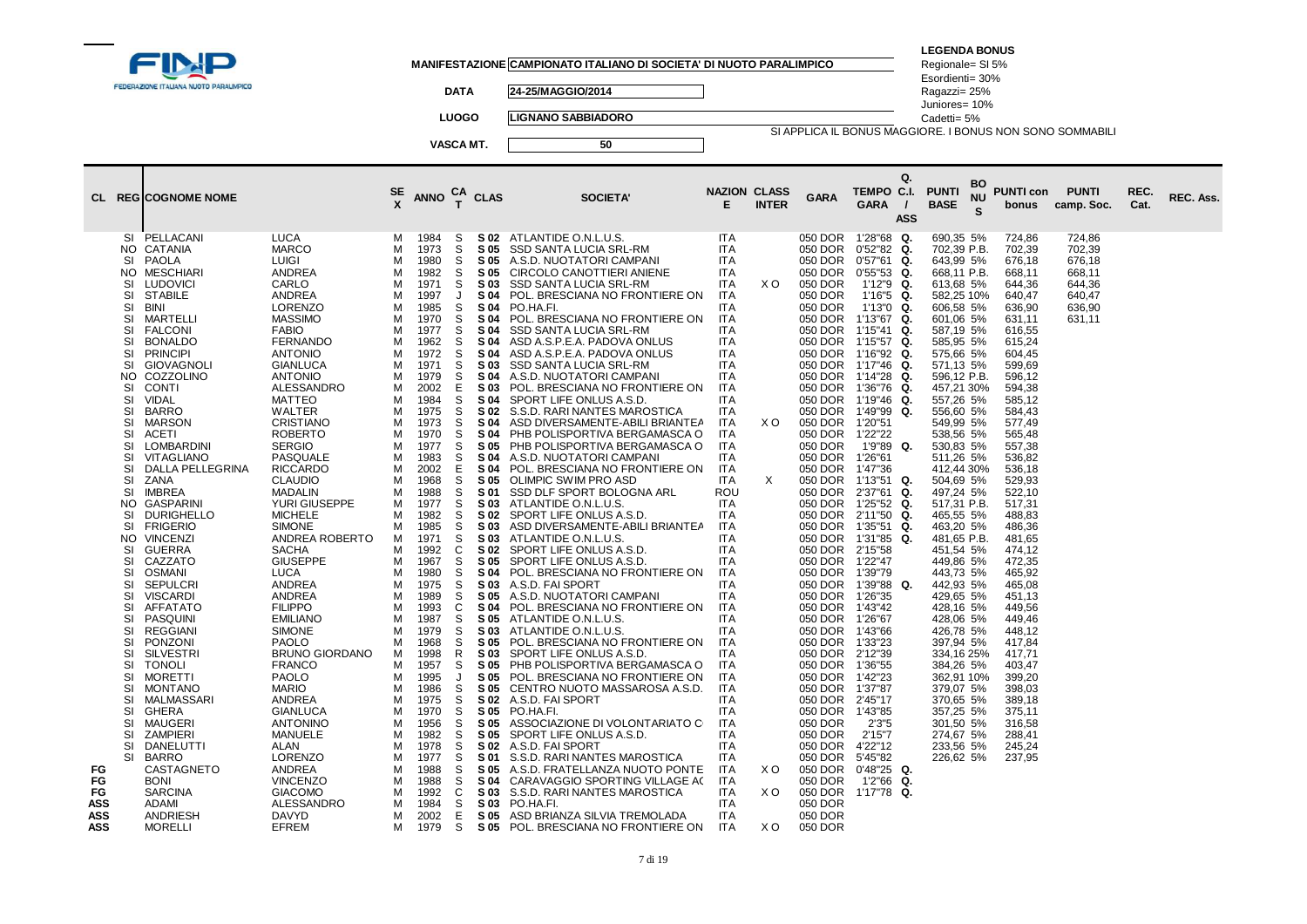|                                                                                                                                                                                                                                                                                                                                                                                                                                                                                                                                                                                                                                                                                                                                                                                                                                                                                                                                                                                                                                                                                                                                                                                                    |  |                                                                                                                                                                                                                                                                                                                                                                                                                                                                                                                                                                                                                                                                                                                                                                                                                                                                                     |                                                                                                                                                                                                                                                                  |                                                                                                                                                                                                                                                                                                                                                                                                                              |                                                                                                                                                                                                                                                                  |                                                                                                                                                                                                                                                                                                                                                                                      | MANIFESTAZIONE CAMPIONATO ITALIANO DI SOCIETA' DI NUOTO PARALIMPICO                                                                                                                                                                                                                                                                                                                                                                                                                                                                                                                                                                                                                                                                                                                                                                                                                                                                                                                                                                                                                                                                                                                                                                                                                                                                                                                                                                                                                                                                                          |                                                                                                                                                                                                                                                                                                                                                                                                                                                                                                                                                                                                                                                                                                                          |                                                 |                                                                                                                                                                                                                                                                                                                                                                                                                                                                                                                                                                                          |                                                                                                                                                                                                                                                                                                                                                                                                                                                                                                                                                                                                                                                                  | <b>LEGENDA BONUS</b><br>Regionale= SI 5%                                                                                                                                                                                                                                                                                                                                                                                                                                                                                                                                                                                          |                                                                                                                                                                                                                                                                                                                                                                                                                                                                          |                                                                              |              |           |
|----------------------------------------------------------------------------------------------------------------------------------------------------------------------------------------------------------------------------------------------------------------------------------------------------------------------------------------------------------------------------------------------------------------------------------------------------------------------------------------------------------------------------------------------------------------------------------------------------------------------------------------------------------------------------------------------------------------------------------------------------------------------------------------------------------------------------------------------------------------------------------------------------------------------------------------------------------------------------------------------------------------------------------------------------------------------------------------------------------------------------------------------------------------------------------------------------|--|-------------------------------------------------------------------------------------------------------------------------------------------------------------------------------------------------------------------------------------------------------------------------------------------------------------------------------------------------------------------------------------------------------------------------------------------------------------------------------------------------------------------------------------------------------------------------------------------------------------------------------------------------------------------------------------------------------------------------------------------------------------------------------------------------------------------------------------------------------------------------------------|------------------------------------------------------------------------------------------------------------------------------------------------------------------------------------------------------------------------------------------------------------------|------------------------------------------------------------------------------------------------------------------------------------------------------------------------------------------------------------------------------------------------------------------------------------------------------------------------------------------------------------------------------------------------------------------------------|------------------------------------------------------------------------------------------------------------------------------------------------------------------------------------------------------------------------------------------------------------------|--------------------------------------------------------------------------------------------------------------------------------------------------------------------------------------------------------------------------------------------------------------------------------------------------------------------------------------------------------------------------------------|--------------------------------------------------------------------------------------------------------------------------------------------------------------------------------------------------------------------------------------------------------------------------------------------------------------------------------------------------------------------------------------------------------------------------------------------------------------------------------------------------------------------------------------------------------------------------------------------------------------------------------------------------------------------------------------------------------------------------------------------------------------------------------------------------------------------------------------------------------------------------------------------------------------------------------------------------------------------------------------------------------------------------------------------------------------------------------------------------------------------------------------------------------------------------------------------------------------------------------------------------------------------------------------------------------------------------------------------------------------------------------------------------------------------------------------------------------------------------------------------------------------------------------------------------------------|--------------------------------------------------------------------------------------------------------------------------------------------------------------------------------------------------------------------------------------------------------------------------------------------------------------------------------------------------------------------------------------------------------------------------------------------------------------------------------------------------------------------------------------------------------------------------------------------------------------------------------------------------------------------------------------------------------------------------|-------------------------------------------------|------------------------------------------------------------------------------------------------------------------------------------------------------------------------------------------------------------------------------------------------------------------------------------------------------------------------------------------------------------------------------------------------------------------------------------------------------------------------------------------------------------------------------------------------------------------------------------------|------------------------------------------------------------------------------------------------------------------------------------------------------------------------------------------------------------------------------------------------------------------------------------------------------------------------------------------------------------------------------------------------------------------------------------------------------------------------------------------------------------------------------------------------------------------------------------------------------------------------------------------------------------------|-----------------------------------------------------------------------------------------------------------------------------------------------------------------------------------------------------------------------------------------------------------------------------------------------------------------------------------------------------------------------------------------------------------------------------------------------------------------------------------------------------------------------------------------------------------------------------------------------------------------------------------|--------------------------------------------------------------------------------------------------------------------------------------------------------------------------------------------------------------------------------------------------------------------------------------------------------------------------------------------------------------------------------------------------------------------------------------------------------------------------|------------------------------------------------------------------------------|--------------|-----------|
| FEDERAZIONE ITALIANA NUOTO PARALIMPICO                                                                                                                                                                                                                                                                                                                                                                                                                                                                                                                                                                                                                                                                                                                                                                                                                                                                                                                                                                                                                                                                                                                                                             |  |                                                                                                                                                                                                                                                                                                                                                                                                                                                                                                                                                                                                                                                                                                                                                                                                                                                                                     |                                                                                                                                                                                                                                                                  | <b>DATA</b>                                                                                                                                                                                                                                                                                                                                                                                                                  |                                                                                                                                                                                                                                                                  | 24-25/MAGGIO/2014                                                                                                                                                                                                                                                                                                                                                                    |                                                                                                                                                                                                                                                                                                                                                                                                                                                                                                                                                                                                                                                                                                                                                                                                                                                                                                                                                                                                                                                                                                                                                                                                                                                                                                                                                                                                                                                                                                                                                              |                                                                                                                                                                                                                                                                                                                                                                                                                                                                                                                                                                                                                                                                                                                          |                                                 |                                                                                                                                                                                                                                                                                                                                                                                                                                                                                                                                                                                          | Esordienti= 30%<br>Ragazzi= 25%                                                                                                                                                                                                                                                                                                                                                                                                                                                                                                                                                                                                                                  |                                                                                                                                                                                                                                                                                                                                                                                                                                                                                                                                                                                                                                   |                                                                                                                                                                                                                                                                                                                                                                                                                                                                          |                                                                              |              |           |
|                                                                                                                                                                                                                                                                                                                                                                                                                                                                                                                                                                                                                                                                                                                                                                                                                                                                                                                                                                                                                                                                                                                                                                                                    |  |                                                                                                                                                                                                                                                                                                                                                                                                                                                                                                                                                                                                                                                                                                                                                                                                                                                                                     |                                                                                                                                                                                                                                                                  |                                                                                                                                                                                                                                                                                                                                                                                                                              | <b>LUOGO</b>                                                                                                                                                                                                                                                     |                                                                                                                                                                                                                                                                                                                                                                                      | <b>LIGNANO SABBIADORO</b>                                                                                                                                                                                                                                                                                                                                                                                                                                                                                                                                                                                                                                                                                                                                                                                                                                                                                                                                                                                                                                                                                                                                                                                                                                                                                                                                                                                                                                                                                                                                    |                                                                                                                                                                                                                                                                                                                                                                                                                                                                                                                                                                                                                                                                                                                          |                                                 |                                                                                                                                                                                                                                                                                                                                                                                                                                                                                                                                                                                          |                                                                                                                                                                                                                                                                                                                                                                                                                                                                                                                                                                                                                                                                  | Juniores= 10%<br>Cadetti= 5%                                                                                                                                                                                                                                                                                                                                                                                                                                                                                                                                                                                                      |                                                                                                                                                                                                                                                                                                                                                                                                                                                                          |                                                                              |              |           |
|                                                                                                                                                                                                                                                                                                                                                                                                                                                                                                                                                                                                                                                                                                                                                                                                                                                                                                                                                                                                                                                                                                                                                                                                    |  |                                                                                                                                                                                                                                                                                                                                                                                                                                                                                                                                                                                                                                                                                                                                                                                                                                                                                     |                                                                                                                                                                                                                                                                  |                                                                                                                                                                                                                                                                                                                                                                                                                              | VASCA MT.                                                                                                                                                                                                                                                        |                                                                                                                                                                                                                                                                                                                                                                                      | 50                                                                                                                                                                                                                                                                                                                                                                                                                                                                                                                                                                                                                                                                                                                                                                                                                                                                                                                                                                                                                                                                                                                                                                                                                                                                                                                                                                                                                                                                                                                                                           |                                                                                                                                                                                                                                                                                                                                                                                                                                                                                                                                                                                                                                                                                                                          |                                                 |                                                                                                                                                                                                                                                                                                                                                                                                                                                                                                                                                                                          |                                                                                                                                                                                                                                                                                                                                                                                                                                                                                                                                                                                                                                                                  | SI APPLICA IL BONUS MAGGIORE. I BONUS NON SONO SOMMABILI                                                                                                                                                                                                                                                                                                                                                                                                                                                                                                                                                                          |                                                                                                                                                                                                                                                                                                                                                                                                                                                                          |                                                                              |              |           |
|                                                                                                                                                                                                                                                                                                                                                                                                                                                                                                                                                                                                                                                                                                                                                                                                                                                                                                                                                                                                                                                                                                                                                                                                    |  |                                                                                                                                                                                                                                                                                                                                                                                                                                                                                                                                                                                                                                                                                                                                                                                                                                                                                     |                                                                                                                                                                                                                                                                  |                                                                                                                                                                                                                                                                                                                                                                                                                              |                                                                                                                                                                                                                                                                  |                                                                                                                                                                                                                                                                                                                                                                                      |                                                                                                                                                                                                                                                                                                                                                                                                                                                                                                                                                                                                                                                                                                                                                                                                                                                                                                                                                                                                                                                                                                                                                                                                                                                                                                                                                                                                                                                                                                                                                              |                                                                                                                                                                                                                                                                                                                                                                                                                                                                                                                                                                                                                                                                                                                          |                                                 |                                                                                                                                                                                                                                                                                                                                                                                                                                                                                                                                                                                          |                                                                                                                                                                                                                                                                                                                                                                                                                                                                                                                                                                                                                                                                  |                                                                                                                                                                                                                                                                                                                                                                                                                                                                                                                                                                                                                                   |                                                                                                                                                                                                                                                                                                                                                                                                                                                                          |                                                                              |              |           |
| <b>CL REGICOGNOME NOME</b>                                                                                                                                                                                                                                                                                                                                                                                                                                                                                                                                                                                                                                                                                                                                                                                                                                                                                                                                                                                                                                                                                                                                                                         |  |                                                                                                                                                                                                                                                                                                                                                                                                                                                                                                                                                                                                                                                                                                                                                                                                                                                                                     | $rac{\text{SE}}{\text{X}}$                                                                                                                                                                                                                                       | <b>ANNO</b>                                                                                                                                                                                                                                                                                                                                                                                                                  |                                                                                                                                                                                                                                                                  | $T$ CLAS                                                                                                                                                                                                                                                                                                                                                                             | <b>SOCIETA'</b>                                                                                                                                                                                                                                                                                                                                                                                                                                                                                                                                                                                                                                                                                                                                                                                                                                                                                                                                                                                                                                                                                                                                                                                                                                                                                                                                                                                                                                                                                                                                              | <b>NAZION CLASS</b><br>E                                                                                                                                                                                                                                                                                                                                                                                                                                                                                                                                                                                                                                                                                                 | <b>INTER</b>                                    | <b>GARA</b>                                                                                                                                                                                                                                                                                                                                                                                                                                                                                                                                                                              | Q.<br>TEMPO C.I.<br><b>GARA</b><br>$\prime$<br><b>ASS</b>                                                                                                                                                                                                                                                                                                                                                                                                                                                                                                                                                                                                        | BO<br><b>PUNTI</b><br><b>NU</b><br><b>BASE</b><br>S                                                                                                                                                                                                                                                                                                                                                                                                                                                                                                                                                                               | <b>PUNTI con</b><br>bonus                                                                                                                                                                                                                                                                                                                                                                                                                                                | <b>PUNTI</b><br>camp. Soc.                                                   | REC.<br>Cat. | REC. Ass. |
| PELLACANI<br>SI<br>NO.<br>CATANIA<br>SI<br>PAOLA<br><b>MESCHIARI</b><br>NO.<br><b>LUDOVICI</b><br>SI<br>SI<br><b>STABILE</b><br>SI<br><b>BINI</b><br>SI<br>MARTELLI<br>SI<br><b>FALCONI</b><br>SI<br><b>BONALDO</b><br><b>PRINCIPI</b><br>SI<br><b>SI</b><br>GIOVAGNOLI<br>COZZOLINO<br>NO.<br>SI<br><b>CONTI</b><br>SI<br><b>VIDAL</b><br>SI<br><b>BARRO</b><br>SI<br><b>MARSON</b><br><b>SI</b><br>ACETI<br><b>LOMBARDINI</b><br>SI<br>SI<br>VITAGLIANO<br>DALLA PELLEGRINA<br>SI<br>SI<br>ZANA<br><b>IMBREA</b><br>SI<br>NO.<br>GASPARINI<br>SI<br><b>DURIGHELLO</b><br><b>SI</b><br><b>FRIGERIO</b><br>NO.<br><b>VINCENZI</b><br><b>SI</b><br><b>GUERRA</b><br><b>SI</b><br>CAZZATO<br><b>OSMANI</b><br>SI<br><b>SEPULCRI</b><br>SI<br>SI<br><b>VISCARDI</b><br>SI<br>AFFATATO<br>SI<br>PASQUINI<br>SI<br>REGGIANI<br>SI<br>PONZONI<br>SI<br><b>SILVESTRI</b><br>SI<br><b>TONOLI</b><br>SI<br><b>MORETTI</b><br>SI<br><b>MONTANO</b><br>SI<br>MALMASSARI<br>SI<br>GHERA<br>SI<br>MAUGERI<br>SI<br>ZAMPIERI<br><b>SI</b><br>DANELUTTI<br>SI<br>BARRO<br>FG<br>CASTAGNETO<br><b>BONI</b><br>FG<br>FG<br><b>SARCINA</b><br><b>ASS</b><br>ADAMI<br>ASS<br>ANDRIESH<br><b>ASS</b><br><b>MORELLI</b> |  | <b>LUCA</b><br><b>MARCO</b><br><b>LUIGI</b><br><b>ANDREA</b><br>CARLO<br><b>ANDREA</b><br><b>LORENZO</b><br><b>MASSIMO</b><br><b>FABIO</b><br><b>FERNANDO</b><br><b>ANTONIO</b><br><b>GIANLUCA</b><br><b>ANTONIO</b><br>ALESSANDRO<br><b>MATTEO</b><br>WALTER<br><b>CRISTIANO</b><br><b>ROBERTO</b><br><b>SERGIO</b><br>PASQUALE<br><b>RICCARDO</b><br><b>CLAUDIO</b><br><b>MADALIN</b><br>YURI GIUSEPPE<br><b>MICHELE</b><br><b>SIMONE</b><br>ANDREA ROBERTO<br><b>SACHA</b><br><b>GIUSEPPE</b><br><b>LUCA</b><br>ANDREA<br><b>ANDREA</b><br><b>FILIPPO</b><br><b>EMILIANO</b><br><b>SIMONE</b><br><b>PAOLO</b><br><b>BRUNO GIORDANO</b><br><b>FRANCO</b><br><b>PAOLO</b><br><b>MARIO</b><br>ANDREA<br><b>GIANLUCA</b><br><b>ANTONINO</b><br><b>MANUELE</b><br><b>ALAN</b><br><b>LORENZO</b><br>ANDREA<br><b>VINCENZO</b><br><b>GIACOMO</b><br>ALESSANDRO<br><b>DAVYD</b><br>EFREM | м<br>М<br>М<br>M<br>M<br>M<br>M<br>М<br>M<br>M<br>M<br>M<br>M<br>M<br>М<br>M<br>M<br>M<br>M<br>М<br>M<br>M<br>M<br>M<br>M<br>М<br>M<br>M<br>M<br>M<br>M<br>M<br>M<br>M<br>M<br>M<br>M<br>М<br>M<br>M<br>М<br>M<br>M<br>M<br>M<br>M<br>M<br>M<br>M<br>M<br>M<br>М | 1984<br>1973<br>1980<br>1982<br>1971<br>1997<br>1985<br>1970<br>1977<br>1962<br>1972<br>1971<br>1979<br>2002<br>1984<br>1975<br>1973<br>1970<br>1977<br>1983<br>2002<br>1968<br>1988<br>1977<br>1982<br>1985<br>1971<br>1992<br>1967<br>1980<br>1975<br>1989<br>1993<br>1987<br>1979<br>1968<br>1998<br>1957<br>1995<br>1986<br>1975<br>1970<br>1956<br>1982<br>1978<br>1977<br>1988<br>1988<br>1992<br>1984<br>2002<br>1979 | S<br>S<br>S<br>S<br>S<br>J<br>S<br>S<br>S<br>S<br>S<br>S<br>S<br>E<br>S<br>S<br>S<br>S<br>S<br>S<br>Ε<br>S<br>S<br>S<br>S<br>S<br>S<br>C<br>S<br>S<br>S<br>S<br>C<br>S<br>S<br>S<br>R<br>S<br>J<br>S<br>S<br>S<br>S<br>S<br>S<br>S<br>S<br>S<br>C<br>S<br>E<br>S | S 05<br>S 05<br>S 05<br>S 03<br>S 04<br>S 04<br>S 04<br>S 04<br>S 04<br>S 04<br>S 03<br>S 04<br>S 03<br>S 04<br>S 02<br>S 04<br>S 04<br>S 05<br>S 04<br>S 04<br>S 05<br>S 01<br>S 02<br>S 03<br>S 03<br>S 02<br>S 05<br>S 04<br>S 03<br>S 05<br>S 04<br>S 05<br>S 03<br>S 05<br>S 03<br>S 05<br>S 05<br>S 05<br>S 05<br>S 05<br>S 05<br>S 02<br>S 01<br>S 05<br>S 04<br>S 03<br>S 03 | S 02 ATLANTIDE O.N.L.U.S.<br>SSD SANTA LUCIA SRL-RM<br>A.S.D. NUOTATORI CAMPANI<br>CIRCOLO CANOTTIERI ANIENE<br>SSD SANTA LUCIA SRL-RM<br>POL. BRESCIANA NO FRONTIERE ON<br>PO.HA.FI.<br>POL. BRESCIANA NO FRONTIERE ON<br>SSD SANTA LUCIA SRL-RM<br>ASD A.S.P.E.A. PADOVA ONLUS<br>ASD A.S.P.E.A. PADOVA ONLUS<br>SSD SANTA LUCIA SRL-RM<br>A.S.D. NUOTATORI CAMPANI<br>POL. BRESCIANA NO FRONTIERE ON<br>SPORT LIFE ONLUS A.S.D.<br>S.S.D. RARI NANTES MAROSTICA<br>ASD DIVERSAMENTE-ABILI BRIANTEA<br>PHB POLISPORTIVA BERGAMASCA O<br>PHB POLISPORTIVA BERGAMASCA O<br>A.S.D. NUOTATORI CAMPANI<br>POL. BRESCIANA NO FRONTIERE ON<br>OLIMPIC SWIM PRO ASD<br>SSD DLF SPORT BOLOGNA ARL<br>S 03 ATLANTIDE O.N.L.U.S.<br>SPORT LIFE ONLUS A.S.D.<br>ASD DIVERSAMENTE-ABILI BRIANTEA<br>ATLANTIDE O.N.L.U.S.<br>SPORT LIFE ONLUS A.S.D.<br>SPORT LIFE ONLUS A.S.D.<br>POL. BRESCIANA NO FRONTIERE ON<br>A.S.D. FAI SPORT<br>A.S.D. NUOTATORI CAMPANI<br>POL. BRESCIANA NO FRONTIERE ON<br>ATLANTIDE O.N.L.U.S.<br>ATLANTIDE O.N.L.U.S.<br>POL. BRESCIANA NO FRONTIERE ON<br>SPORT LIFE ONLUS A.S.D.<br>PHB POLISPORTIVA BERGAMASCA O<br>POL. BRESCIANA NO FRONTIERE ON<br>CENTRO NUOTO MASSAROSA A.S.D.<br>S 02 A.S.D. FAI SPORT<br>PO.HA.FI.<br>ASSOCIAZIONE DI VOLONTARIATO C<br>SPORT LIFE ONLUS A.S.D.<br>A.S.D. FAI SPORT<br>S.S.D. RARI NANTES MAROSTICA<br>A.S.D. FRATELLANZA NUOTO PONTE<br>CARAVAGGIO SPORTING VILLAGE AC<br>S.S.D. RARI NANTES MAROSTICA<br>PO.HA.FI.<br>S 05 ASD BRIANZA SILVIA TREMOLADA<br>S 05 POL. BRESCIANA NO FRONTIERE ON | <b>ITA</b><br><b>ITA</b><br><b>ITA</b><br><b>ITA</b><br><b>ITA</b><br><b>ITA</b><br><b>ITA</b><br>ITA<br><b>ITA</b><br><b>ITA</b><br><b>ITA</b><br><b>ITA</b><br><b>ITA</b><br><b>ITA</b><br><b>ITA</b><br><b>ITA</b><br><b>ITA</b><br><b>ITA</b><br><b>ITA</b><br>ITA<br><b>ITA</b><br><b>ITA</b><br>ROU<br><b>ITA</b><br><b>ITA</b><br><b>ITA</b><br><b>ITA</b><br><b>ITA</b><br><b>ITA</b><br><b>ITA</b><br><b>ITA</b><br><b>ITA</b><br><b>ITA</b><br><b>ITA</b><br><b>ITA</b><br><b>ITA</b><br><b>ITA</b><br><b>ITA</b><br><b>ITA</b><br><b>ITA</b><br>ITA<br><b>ITA</b><br><b>ITA</b><br><b>ITA</b><br><b>ITA</b><br><b>ITA</b><br><b>ITA</b><br><b>ITA</b><br><b>ITA</b><br><b>ITA</b><br><b>ITA</b><br><b>ITA</b> | X O<br>X <sub>O</sub><br>X<br>X O<br>X O<br>X O | 050 DOR<br>050 DOR<br>050 DOR<br>050 DOR<br>050 DOR<br>050 DOR<br>050 DOR<br>050 DOR<br>050 DOR<br>050 DOR<br>050 DOR<br>050 DOR<br>050 DOR<br>050 DOR<br>050 DOR<br>050 DOR<br>050 DOR<br>050 DOR<br>050 DOR<br>050 DOR<br>050 DOR<br>050 DOR<br>050 DOR<br>050 DOR<br>050 DOR<br>050 DOR<br>050 DOR<br>050 DOR<br>050 DOR<br>050 DOR<br>050 DOR<br>050 DOR<br>050 DOR<br>050 DOR<br>050 DOR<br>050 DOR<br>050 DOR<br>050 DOR<br>050 DOR<br>050 DOR<br>050 DOR<br>050 DOR<br>050 DOR<br>050 DOR<br>050 DOR<br>050 DOR<br>050 DOR<br>050 DOR<br>050 DOR<br>050 DOR<br>050 DOR<br>050 DOR | 1'28"68 Q.<br>$0'52''82$ Q.<br>$0'57"61$ Q.<br>$0'55"53$ Q.<br>$1'12''9$ Q.<br>$1'16"5$ Q.<br>$1'13'0$ Q.<br>1'13"67 Q.<br>1'15"41 Q.<br>1'15"57 Q.<br>1'16"92 Q.<br>1'17"46 Q.<br>1'14"28<br>Q.<br>1'36"76<br>Q.<br>1'19"46 Q.<br>1'49"99 Q.<br>1'20"51<br>1'22"22<br>1'9"89<br>Q.<br>1'26"61<br>1'47"36<br>1'13"51 Q.<br>2'37"61 Q.<br>1'25"52 Q.<br>2'11"50<br>Q.<br>1'35"51 Q.<br>1'31"85 Q.<br>2'15"58<br>1'22"47<br>1'39"79<br>1'39"88<br>Q.<br>1'26"35<br>1'43"42<br>1'26"67<br>1'43"66<br>1'33"23<br>2'12"39<br>1'36"55<br>1'42"23<br>1'37"87<br>2'45"17<br>1'43"85<br>2'3''5<br>2'15"7<br>4'22"12<br>5'45"82<br>$0'48"25$ Q.<br>1'2"66 Q.<br>1'17"78 Q. | 690,35 5%<br>702,39 P.B.<br>643,99 5%<br>668,11 P.B.<br>613,68 5%<br>582,25 10%<br>606,58 5%<br>601,06 5%<br>587,19 5%<br>585,95 5%<br>575,66 5%<br>571,13 5%<br>596,12 P.B.<br>457,21 30%<br>557,26 5%<br>556,60 5%<br>549,99 5%<br>538,56 5%<br>530,83 5%<br>511,26 5%<br>412,44 30%<br>504,69 5%<br>497,24 5%<br>517,31 P.B.<br>465,55 5%<br>463,20 5%<br>481,65 P.B.<br>451,54 5%<br>449,86 5%<br>443,73 5%<br>442,93 5%<br>429,65 5%<br>428,16 5%<br>428,06 5%<br>426,78 5%<br>397,94 5%<br>334,16 25%<br>384,26 5%<br>362,91 10%<br>379,07 5%<br>370,65 5%<br>357,25 5%<br>301,50 5%<br>274,67 5%<br>233,56 5%<br>226,62 5% | 724,86<br>702.39<br>676,18<br>668,11<br>644,36<br>640,47<br>636,90<br>631,11<br>616,55<br>615,24<br>604,45<br>599,69<br>596,12<br>594,38<br>585,12<br>584,43<br>577,49<br>565,48<br>557,38<br>536,82<br>536,18<br>529,93<br>522,10<br>517,31<br>488,83<br>486,36<br>481,65<br>474,12<br>472,35<br>465,92<br>465,08<br>451,13<br>449,56<br>449,46<br>448,12<br>417,84<br>417,71<br>403,47<br>399,20<br>398,03<br>389,18<br>375,11<br>316,58<br>288,41<br>245,24<br>237,95 | 724,86<br>702.39<br>676,18<br>668,11<br>644,36<br>640,47<br>636.90<br>631,11 |              |           |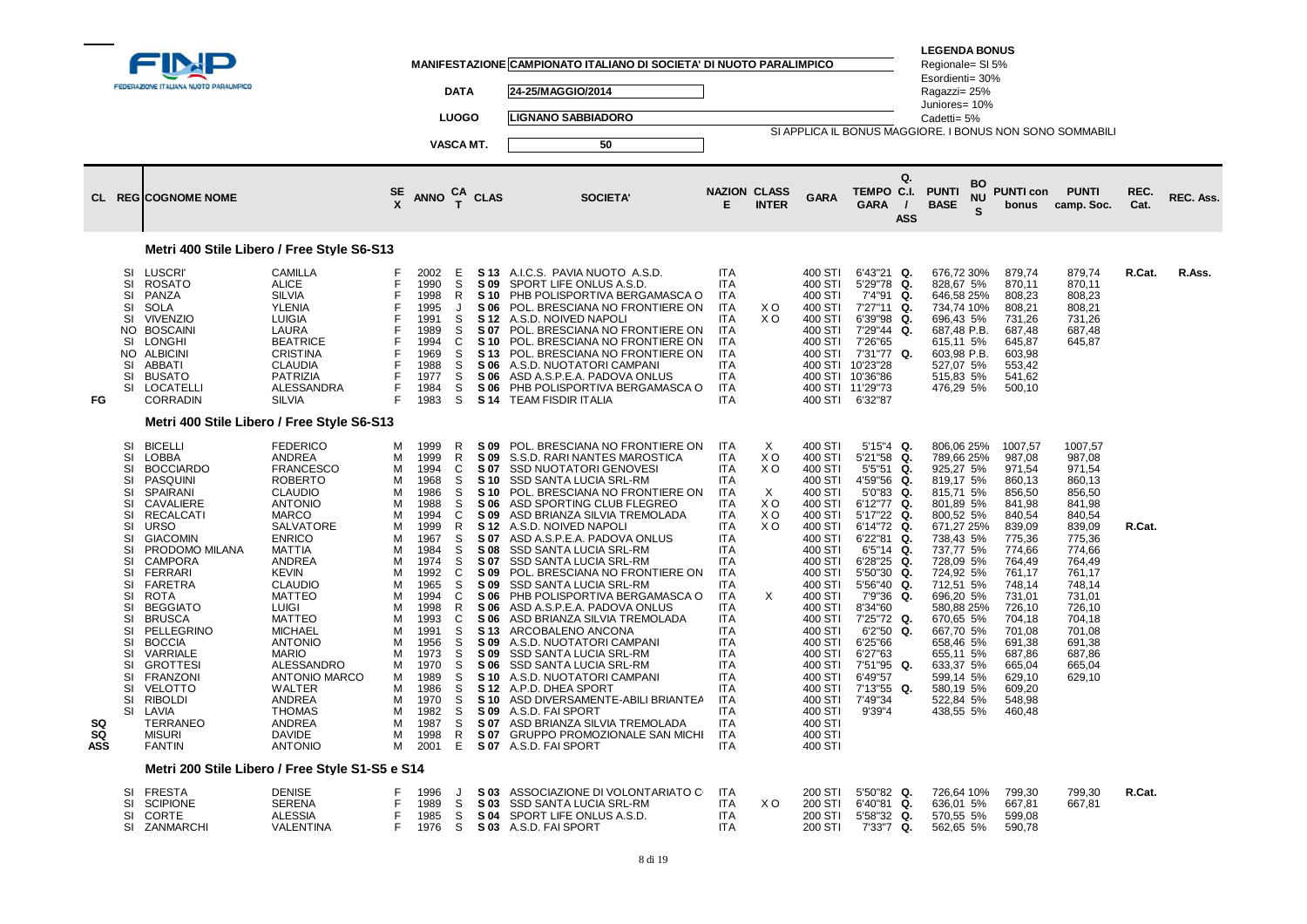|                        |                                                                                                                                              | <b>EDERAZIONE ITALIANA NUOTO PARALIMPICO</b><br><b>CL REGICOGNOME NOME</b>                                                                                                                                                                                                                                                                                                                                                                                  |                                                                                                                                                                                                                                                                                                                                                                                                                                                            | SE                                                                                                                                  | <b>ANNO</b>                                                                                                                                                                                                          | <b>DATA</b><br><b>LUOGO</b><br><b>VASCA MT.</b>                                                                                                          | $T$ CLAS                                                                                                                                                                                                    | MANIFESTAZIONE CAMPIONATO ITALIANO DI SOCIETA' DI NUOTO PARALIMPICO<br>24-25/MAGGIO/2014<br><b>LIGNANO SABBIADORO</b><br>50<br><b>SOCIETA'</b>                                                                                                                                                                                                                                                                                                                                                                                                                                                                                                                                                                                                                                                              | <b>NAZION CLASS</b><br>E.                                                                                                                                                                                                                                                                                                             | <b>INTER</b>                                                       | <b>GARA</b>                                                                                                                                                                                                                                                                                           | Q.<br>TEMPO C.I.<br><b>GARA</b><br>$\prime$                                                                                                                                                                                                                                                                                            | <b>LEGENDA BONUS</b><br>Regionale= SI 5%<br>Esordienti= 30%<br>Ragazzi= 25%<br>Juniores= 10%<br>Cadetti= 5%<br>BO<br><b>PUNTI</b><br>ΝU<br><b>BASE</b><br>S.                                                                                                                                                             | <b>PUNTI con</b><br>bonus                                                                                                                                                                                                                     | SI APPLICA IL BONUS MAGGIORE. I BONUS NON SONO SOMMABILI<br><b>PUNTI</b><br>camp. Soc.                                                                                                                          | REC.<br>Cat. | REC. Ass. |
|------------------------|----------------------------------------------------------------------------------------------------------------------------------------------|-------------------------------------------------------------------------------------------------------------------------------------------------------------------------------------------------------------------------------------------------------------------------------------------------------------------------------------------------------------------------------------------------------------------------------------------------------------|------------------------------------------------------------------------------------------------------------------------------------------------------------------------------------------------------------------------------------------------------------------------------------------------------------------------------------------------------------------------------------------------------------------------------------------------------------|-------------------------------------------------------------------------------------------------------------------------------------|----------------------------------------------------------------------------------------------------------------------------------------------------------------------------------------------------------------------|----------------------------------------------------------------------------------------------------------------------------------------------------------|-------------------------------------------------------------------------------------------------------------------------------------------------------------------------------------------------------------|-------------------------------------------------------------------------------------------------------------------------------------------------------------------------------------------------------------------------------------------------------------------------------------------------------------------------------------------------------------------------------------------------------------------------------------------------------------------------------------------------------------------------------------------------------------------------------------------------------------------------------------------------------------------------------------------------------------------------------------------------------------------------------------------------------------|---------------------------------------------------------------------------------------------------------------------------------------------------------------------------------------------------------------------------------------------------------------------------------------------------------------------------------------|--------------------------------------------------------------------|-------------------------------------------------------------------------------------------------------------------------------------------------------------------------------------------------------------------------------------------------------------------------------------------------------|----------------------------------------------------------------------------------------------------------------------------------------------------------------------------------------------------------------------------------------------------------------------------------------------------------------------------------------|--------------------------------------------------------------------------------------------------------------------------------------------------------------------------------------------------------------------------------------------------------------------------------------------------------------------------|-----------------------------------------------------------------------------------------------------------------------------------------------------------------------------------------------------------------------------------------------|-----------------------------------------------------------------------------------------------------------------------------------------------------------------------------------------------------------------|--------------|-----------|
|                        |                                                                                                                                              |                                                                                                                                                                                                                                                                                                                                                                                                                                                             |                                                                                                                                                                                                                                                                                                                                                                                                                                                            |                                                                                                                                     |                                                                                                                                                                                                                      |                                                                                                                                                          |                                                                                                                                                                                                             |                                                                                                                                                                                                                                                                                                                                                                                                                                                                                                                                                                                                                                                                                                                                                                                                             |                                                                                                                                                                                                                                                                                                                                       |                                                                    |                                                                                                                                                                                                                                                                                                       | <b>ASS</b>                                                                                                                                                                                                                                                                                                                             |                                                                                                                                                                                                                                                                                                                          |                                                                                                                                                                                                                                               |                                                                                                                                                                                                                 |              |           |
| FG                     | SI<br>SI<br>SI<br>SI<br>SI<br>NO .<br>SI<br>NO.<br>SI<br>SI<br>SI                                                                            | LUSCRI'<br><b>ROSATO</b><br>PANZA<br><b>SOLA</b><br><b>VIVENZIO</b><br><b>BOSCAINI</b><br><b>LONGHI</b><br><b>ALBICINI</b><br>ABBATI<br><b>BUSATO</b><br><b>LOCATELLI</b><br><b>CORRADIN</b>                                                                                                                                                                                                                                                                | Metri 400 Stile Libero / Free Style S6-S13<br><b>CAMILLA</b><br><b>ALICE</b><br><b>SILVIA</b><br>YLENIA<br><b>LUIGIA</b><br>LAURA<br><b>BEATRICE</b><br><b>CRISTINA</b><br><b>CLAUDIA</b><br><b>PATRIZIA</b><br>ALESSANDRA<br><b>SILVIA</b>                                                                                                                                                                                                                | F<br>F<br>F<br>F<br>F<br>E<br>F<br>F<br>E<br>F<br>F<br>E                                                                            | 2002<br>1990<br>1998<br>1995<br>1991<br>1989<br>1994<br>1969<br>1988<br>1977<br>1984<br>1983                                                                                                                         | - E<br>S<br>R<br>J<br>S<br>S<br>C<br>S<br>S<br>S<br>S<br>S                                                                                               | S 09<br>S 10<br>S 06<br>S 12<br>S 07<br>S 10<br>S 13<br>S 06<br>S 06<br>S 06<br>S 14                                                                                                                        | S 13 A.I.C.S. PAVIA NUOTO A.S.D.<br>SPORT LIFE ONLUS A.S.D.<br>PHB POLISPORTIVA BERGAMASCA O<br>POL. BRESCIANA NO FRONTIERE ON<br>A.S.D. NOIVED NAPOLI<br>POL. BRESCIANA NO FRONTIERE ON<br>POL. BRESCIANA NO FRONTIERE ON<br>POL. BRESCIANA NO FRONTIERE ON<br>A.S.D. NUOTATORI CAMPANI<br>ASD A.S.P.E.A. PADOVA ONLUS<br>PHB POLISPORTIVA BERGAMASCA O<br>TEAM FISDIR ITALIA                                                                                                                                                                                                                                                                                                                                                                                                                              | ITA<br><b>ITA</b><br><b>ITA</b><br><b>ITA</b><br><b>ITA</b><br><b>ITA</b><br><b>ITA</b><br><b>ITA</b><br><b>ITA</b><br>ITA<br><b>ITA</b><br>ITA                                                                                                                                                                                       | X O<br>X <sub>O</sub>                                              | 400 STI<br>400 STI<br>400 STI<br>400 STI<br>400 STI<br>400 STI<br>400 STI<br>400 STI<br>400 STI                                                                                                                                                                                                       | 6'43"21 Q.<br>5'29"78<br>Q.<br>7'4"91<br>Q.<br>7'27"11<br>Q.<br>6'39"98<br>Q.<br>7'29"44 Q.<br>7'26"65<br>7'31"77 Q.<br>400 STI 10'23"28<br>400 STI 10'36"86<br>400 STI 11'29"73<br>6'32"87                                                                                                                                            | 676,72 30%<br>828,67 5%<br>646,58 25%<br>734,74 10%<br>696,43 5%<br>687,48 P.B.<br>615,11 5%<br>603,98 P.B.<br>527,07 5%<br>515,83 5%<br>476,29 5%                                                                                                                                                                       | 879,74<br>870.11<br>808,23<br>808,21<br>731,26<br>687,48<br>645,87<br>603,98<br>553,42<br>541,62<br>500,10                                                                                                                                    | 879,74<br>870.11<br>808,23<br>808,21<br>731,26<br>687,48<br>645,87                                                                                                                                              | R.Cat.       | R.Ass.    |
|                        |                                                                                                                                              |                                                                                                                                                                                                                                                                                                                                                                                                                                                             | Metri 400 Stile Libero / Free Style S6-S13                                                                                                                                                                                                                                                                                                                                                                                                                 |                                                                                                                                     |                                                                                                                                                                                                                      |                                                                                                                                                          |                                                                                                                                                                                                             |                                                                                                                                                                                                                                                                                                                                                                                                                                                                                                                                                                                                                                                                                                                                                                                                             |                                                                                                                                                                                                                                                                                                                                       |                                                                    |                                                                                                                                                                                                                                                                                                       |                                                                                                                                                                                                                                                                                                                                        |                                                                                                                                                                                                                                                                                                                          |                                                                                                                                                                                                                                               |                                                                                                                                                                                                                 |              |           |
| SQ<br>SQ<br><b>ASS</b> | SI<br>SI<br>SI<br>SI<br>SI<br>SI<br>SI<br>SI<br>SI<br>SI<br>SI<br>SI<br>SI<br>SI<br>SI<br>SI<br>SI<br>SI<br>SI<br>SI<br>SI<br>SI<br>SI<br>SI | <b>BICELLI</b><br><b>LOBBA</b><br><b>BOCCIARDO</b><br><b>PASQUINI</b><br>SPAIRANI<br><b>CAVALIERE</b><br><b>RECALCATI</b><br><b>URSO</b><br><b>GIACOMIN</b><br>PRODOMO MILANA<br><b>CAMPORA</b><br><b>FERRARI</b><br>FARETRA<br><b>ROTA</b><br><b>BEGGIATO</b><br><b>BRUSCA</b><br>PELLEGRINO<br><b>BOCCIA</b><br>VARRIALE<br><b>GROTTESI</b><br><b>FRANZONI</b><br><b>VELOTTO</b><br><b>RIBOLDI</b><br>LAVIA<br>TERRANEO<br><b>MISURI</b><br><b>FANTIN</b> | <b>FEDERICO</b><br><b>ANDREA</b><br><b>FRANCESCO</b><br><b>ROBERTO</b><br><b>CLAUDIO</b><br><b>ANTONIO</b><br><b>MARCO</b><br>SALVATORE<br><b>ENRICO</b><br><b>MATTIA</b><br>ANDREA<br><b>KEVIN</b><br><b>CLAUDIO</b><br><b>MATTEO</b><br><b>LUIGI</b><br><b>MATTEO</b><br><b>MICHAEL</b><br><b>ANTONIO</b><br><b>MARIO</b><br>ALESSANDRO<br><b>ANTONIO MARCO</b><br>WALTER<br>ANDREA<br><b>THOMAS</b><br><b>ANDREA</b><br><b>DAVIDE</b><br><b>ANTONIO</b> | M<br>M<br>М<br>м<br>м<br>M<br>M<br>M<br>м<br>M<br>м<br>M<br>M<br>M<br>M<br>M<br>М<br>M<br>M<br>M<br>М<br>М<br>м<br>м<br>M<br>M<br>M | 1999<br>1999<br>1994<br>1968<br>1986<br>1988<br>1994<br>1999<br>1967<br>1984<br>1974<br>1992<br>1965<br>1994<br>1998<br>1993<br>1991<br>1956<br>1973<br>1970<br>1989<br>1986<br>1970<br>1982<br>1987<br>1998<br>2001 | R<br>R<br>C<br>S<br>S<br>S<br>C<br>R<br>S<br>S<br>S<br>C<br>S<br>$\mathsf C$<br>R<br>C<br>S<br>S<br>S<br>S<br>S<br>S<br>S<br>S<br>S<br>$\mathsf{R}$<br>E | S 09<br>S 09<br>S 07<br>S 10<br>S 10<br>S 06<br>S 09<br>S 12<br>S 07<br>S 08<br>S 07<br>S 09<br>S 09<br>S 06<br>S 06<br>S 06<br>S 13<br>S 09<br>S 09<br>S 06<br><b>S</b> 10<br>S 12<br>S 10<br>S 09<br>S 07 | POL. BRESCIANA NO FRONTIERE ON<br>S.S.D. RARI NANTES MAROSTICA<br>SSD NUOTATORI GENOVESI<br><b>SSD SANTA LUCIA SRL-RM</b><br>POL. BRESCIANA NO FRONTIERE ON<br>ASD SPORTING CLUB FLEGREO<br>ASD BRIANZA SILVIA TREMOLADA<br>A.S.D. NOIVED NAPOLI<br>ASD A.S.P.E.A. PADOVA ONLUS<br>SSD SANTA LUCIA SRL-RM<br>SSD SANTA LUCIA SRL-RM<br>POL. BRESCIANA NO FRONTIERE ON<br>SSD SANTA LUCIA SRL-RM<br>PHB POLISPORTIVA BERGAMASCA O<br>ASD A.S.P.E.A. PADOVA ONLUS<br>ASD BRIANZA SILVIA TREMOLADA<br>ARCOBALENO ANCONA<br>A.S.D. NUOTATORI CAMPANI<br>SSD SANTA LUCIA SRL-RM<br>SSD SANTA LUCIA SRL-RM<br>A.S.D. NUOTATORI CAMPANI<br>A.P.D. DHEA SPORT<br>ASD DIVERSAMENTE-ABILI BRIANTEA<br>A.S.D. FAI SPORT<br>ASD BRIANZA SILVIA TREMOLADA<br>S 07 GRUPPO PROMOZIONALE SAN MICHI<br>S 07 A.S.D. FAI SPORT | ITA<br>ITA<br><b>ITA</b><br><b>ITA</b><br><b>ITA</b><br><b>ITA</b><br><b>ITA</b><br><b>ITA</b><br><b>ITA</b><br><b>ITA</b><br><b>ITA</b><br><b>ITA</b><br><b>ITA</b><br><b>ITA</b><br><b>ITA</b><br>ITA<br>ITA<br><b>ITA</b><br><b>ITA</b><br>ITA<br><b>ITA</b><br>ITA<br><b>ITA</b><br><b>ITA</b><br>ITA<br><b>ITA</b><br><b>ITA</b> | X<br>X O<br>XO<br>X<br>XO<br>X <sub>O</sub><br>X <sub>O</sub><br>X | 400 STI<br>400 STI<br>400 STI<br>400 STI<br>400 STI<br>400 STI<br>400 STI<br>400 STI<br>400 STI<br>400 STI<br>400 STI<br>400 STI<br>400 STI<br>400 STI<br>400 STI<br>400 STI<br>400 STI<br>400 STI<br>400 STI<br>400 STI<br>400 STI<br>400 STI<br>400 STI<br>400 STI<br>400 STI<br>400 STI<br>400 STI | $5'15''4$ Q.<br>5'21"58<br>Q.<br>5'5"51<br>Q.<br>4'59"56<br>Q.<br>5'0"83 Q.<br>6'12"77 Q.<br>5'17"22 Q.<br>6'14"72 Q.<br>6'22"81 Q.<br>6'5''14<br>Q.<br>6'28"25 Q.<br>5'50"30 Q.<br>5'56"40 Q.<br>7'9"36<br>Q.<br>8'34"60<br>7'25"72 Q.<br>6'2"50 Q.<br>6'25"66<br>6'27"63<br>7'51"95 Q.<br>6'49"57<br>7'13"55 Q.<br>7'49"34<br>9'39"4 | 806,06 25%<br>789,66 25%<br>925,27 5%<br>819,17 5%<br>815,71 5%<br>801,89 5%<br>800,52 5%<br>671,27 25%<br>738,43 5%<br>737,77 5%<br>728,09 5%<br>724,92 5%<br>712,51 5%<br>696,20 5%<br>580,88 25%<br>670,65 5%<br>667,70 5%<br>658,46 5%<br>655,11 5%<br>633,37 5%<br>599,14 5%<br>580,19 5%<br>522,84 5%<br>438,55 5% | 1007,57<br>987,08<br>971,54<br>860.13<br>856,50<br>841,98<br>840,54<br>839,09<br>775,36<br>774,66<br>764,49<br>761,17<br>748,14<br>731,01<br>726,10<br>704,18<br>701,08<br>691,38<br>687,86<br>665,04<br>629,10<br>609,20<br>548,98<br>460,48 | 1007,57<br>987,08<br>971,54<br>860.13<br>856,50<br>841,98<br>840,54<br>839,09<br>775,36<br>774,66<br>764,49<br>761,17<br>748,14<br>731,01<br>726,10<br>704,18<br>701,08<br>691,38<br>687,86<br>665,04<br>629,10 | R.Cat.       |           |
|                        |                                                                                                                                              |                                                                                                                                                                                                                                                                                                                                                                                                                                                             | Metri 200 Stile Libero / Free Style S1-S5 e S14                                                                                                                                                                                                                                                                                                                                                                                                            |                                                                                                                                     |                                                                                                                                                                                                                      |                                                                                                                                                          |                                                                                                                                                                                                             |                                                                                                                                                                                                                                                                                                                                                                                                                                                                                                                                                                                                                                                                                                                                                                                                             |                                                                                                                                                                                                                                                                                                                                       |                                                                    |                                                                                                                                                                                                                                                                                                       |                                                                                                                                                                                                                                                                                                                                        |                                                                                                                                                                                                                                                                                                                          |                                                                                                                                                                                                                                               |                                                                                                                                                                                                                 |              |           |
|                        | SI<br>SI<br>SI<br>SI                                                                                                                         | FRESTA<br><b>SCIPIONE</b><br><b>CORTE</b><br>ZANMARCHI                                                                                                                                                                                                                                                                                                                                                                                                      | DENISE<br><b>SERENA</b><br><b>ALESSIA</b><br>VALENTINA                                                                                                                                                                                                                                                                                                                                                                                                     | F<br>F<br>F<br>F                                                                                                                    | 1996<br>1989<br>1985<br>1976                                                                                                                                                                                         | $\mathbf{I}$<br>S<br>S<br>-S                                                                                                                             | S 03                                                                                                                                                                                                        | S 03 ASSOCIAZIONE DI VOLONTARIATO CI<br><b>SSD SANTA LUCIA SRL-RM</b><br>S 04 SPORT LIFE ONLUS A.S.D.<br>S 03 A.S.D. FAI SPORT                                                                                                                                                                                                                                                                                                                                                                                                                                                                                                                                                                                                                                                                              | ITA<br><b>ITA</b><br><b>ITA</b><br>ITA                                                                                                                                                                                                                                                                                                | X O                                                                | 200 STI<br>200 STI<br>200 STI<br>200 STI                                                                                                                                                                                                                                                              | 5'50"82 Q.<br>6'40"81 Q.<br>5'58"32 Q.<br>7'33"7 Q.                                                                                                                                                                                                                                                                                    | 726,64 10%<br>636,01 5%<br>570,55 5%<br>562,65 5%                                                                                                                                                                                                                                                                        | 799,30<br>667,81<br>599,08<br>590,78                                                                                                                                                                                                          | 799,30<br>667,81                                                                                                                                                                                                | R.Cat.       |           |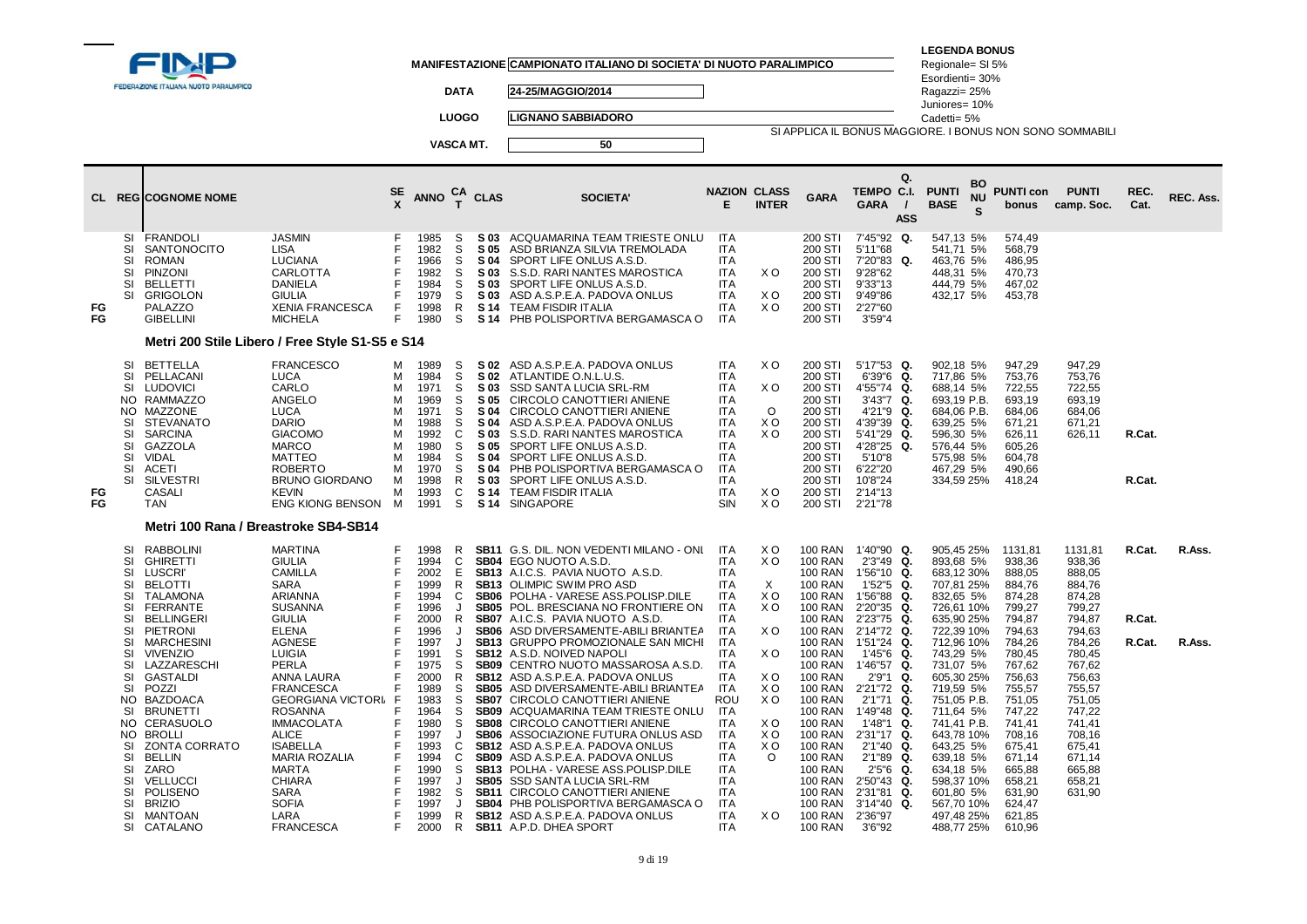|          |                                                                                                                                    | FEDERAZIONE ITALIANA NUOTO PARALIMPICO                                                                                                                                                                                                                      |                                                                                                                                                                                                                                         |                                                               |                                                                                                              | <b>DATA</b><br><b>LUOGO</b><br>VASCA MT.                                    |                                                                                              | MANIFESTAZIONE CAMPIONATO ITALIANO DI SOCIETA' DI NUOTO PARALIMPICO<br>24-25/MAGGIO/2014<br><b>LIGNANO SABBIADORO</b><br>50                                                                                                                                                                                                                                                                                                                                                                             |                                                                                                                                                                                    | <b>NAZION CLASS</b>                                                                   |                                                                                                                                                                                                            | SI APPLICA IL BONUS MAGGIORE. I BONUS NON SONO SOMMABILI<br>Q.<br>TEMPO C.I.                                                                                                                                             | <b>LEGENDA BONUS</b><br>Regionale= SI 5%<br>Esordienti= 30%<br>Ragazzi= 25%<br>Juniores= 10%<br>Cadetti= 5%<br><b>PUNTI</b>                                                                  | <b>BO</b>      | <b>PUNTI con</b>                                                                                                                          | <b>PUNTI</b>                                                                                                                              | REC.                       |                  |
|----------|------------------------------------------------------------------------------------------------------------------------------------|-------------------------------------------------------------------------------------------------------------------------------------------------------------------------------------------------------------------------------------------------------------|-----------------------------------------------------------------------------------------------------------------------------------------------------------------------------------------------------------------------------------------|---------------------------------------------------------------|--------------------------------------------------------------------------------------------------------------|-----------------------------------------------------------------------------|----------------------------------------------------------------------------------------------|---------------------------------------------------------------------------------------------------------------------------------------------------------------------------------------------------------------------------------------------------------------------------------------------------------------------------------------------------------------------------------------------------------------------------------------------------------------------------------------------------------|------------------------------------------------------------------------------------------------------------------------------------------------------------------------------------|---------------------------------------------------------------------------------------|------------------------------------------------------------------------------------------------------------------------------------------------------------------------------------------------------------|--------------------------------------------------------------------------------------------------------------------------------------------------------------------------------------------------------------------------|----------------------------------------------------------------------------------------------------------------------------------------------------------------------------------------------|----------------|-------------------------------------------------------------------------------------------------------------------------------------------|-------------------------------------------------------------------------------------------------------------------------------------------|----------------------------|------------------|
|          |                                                                                                                                    | <b>CL REGICOGNOME NOME</b>                                                                                                                                                                                                                                  |                                                                                                                                                                                                                                         | SE                                                            | <b>ANNO</b>                                                                                                  | <b>CA</b><br>$\mathbf{r}$                                                   | <b>CLAS</b>                                                                                  | <b>SOCIETA</b>                                                                                                                                                                                                                                                                                                                                                                                                                                                                                          | E.                                                                                                                                                                                 | <b>INTER</b>                                                                          | <b>GARA</b>                                                                                                                                                                                                | GARA<br>$\prime$<br><b>ASS</b>                                                                                                                                                                                           | <b>BASE</b>                                                                                                                                                                                  | <b>NU</b><br>S | bonus                                                                                                                                     | camp. Soc.                                                                                                                                | Cat.                       | REC. Ass.        |
| FG<br>FG | SI<br>SI<br>SI<br>SI<br><b>SI</b><br>SI                                                                                            | FRANDOLI<br><b>SANTONOCITO</b><br><b>ROMAN</b><br><b>PINZONI</b><br><b>BELLETTI</b><br><b>GRIGOLON</b><br>PALAZZO<br><b>GIBELLINI</b>                                                                                                                       | <b>JASMIN</b><br><b>LISA</b><br><b>LUCIANA</b><br><b>CARLOTTA</b><br><b>DANIELA</b><br><b>GIULIA</b><br><b>XENIA FRANCESCA</b><br><b>MICHELA</b>                                                                                        | F<br>F<br>F<br>F<br>F                                         | 1985<br>1982<br>1966<br>1982<br>1984<br>1979<br>1998<br>1980                                                 | S<br>S<br>S<br>S<br>S<br>S<br>R<br>S                                        | S 03<br>S 05<br>S 04<br>S 03<br>S 03<br>S 03<br>S 14<br>S 14                                 | ACQUAMARINA TEAM TRIESTE ONLU<br>ASD BRIANZA SILVIA TREMOLADA<br>SPORT LIFE ONLUS A.S.D.<br>S.S.D. RARI NANTES MAROSTICA<br>SPORT LIFE ONLUS A.S.D.<br>ASD A.S.P.E.A. PADOVA ONLUS<br><b>TEAM FISDIR ITALIA</b><br>PHB POLISPORTIVA BERGAMASCA O                                                                                                                                                                                                                                                        | <b>ITA</b><br>ITA.<br><b>ITA</b><br><b>ITA</b><br><b>ITA</b><br><b>ITA</b><br><b>ITA</b><br><b>ITA</b>                                                                             | X O<br>X O<br>X O                                                                     | 200 STI<br>200 STI<br>200 STI<br>200 STI<br>200 STI<br>200 STI<br>200 STI<br>200 STI                                                                                                                       | 7'45"92 Q.<br>5'11"68<br>7'20"83 Q.<br>9'28"62<br>9'33"13<br>9'49"86<br>2'27"60<br>3'59''4                                                                                                                               | 547,13 5%<br>541,71 5%<br>463,76 5%<br>448,31 5%<br>444.79 5%<br>432,17 5%                                                                                                                   |                | 574,49<br>568.79<br>486,95<br>470,73<br>467.02<br>453,78                                                                                  |                                                                                                                                           |                            |                  |
|          |                                                                                                                                    |                                                                                                                                                                                                                                                             | Metri 200 Stile Libero / Free Style S1-S5 e S14                                                                                                                                                                                         |                                                               |                                                                                                              |                                                                             |                                                                                              |                                                                                                                                                                                                                                                                                                                                                                                                                                                                                                         |                                                                                                                                                                                    |                                                                                       |                                                                                                                                                                                                            |                                                                                                                                                                                                                          |                                                                                                                                                                                              |                |                                                                                                                                           |                                                                                                                                           |                            |                  |
| FG<br>FG | <b>SI</b><br>SI<br>SI<br>NO.<br>NO.<br><b>SI</b><br><b>SI</b><br>SI<br><b>SI</b><br>SI<br>SI                                       | <b>BETTELLA</b><br>PELLACANI<br><b>LUDOVICI</b><br><b>RAMMAZZO</b><br>MAZZONE<br><b>STEVANATO</b><br><b>SARCINA</b><br>GAZZOLA<br>VIDAL<br>ACETI<br><b>SILVESTRI</b><br>CASALI<br><b>TAN</b>                                                                | <b>FRANCESCO</b><br>LUCA<br>CARLO<br>ANGELO<br><b>LUCA</b><br><b>DARIO</b><br><b>GIACOMO</b><br><b>MARCO</b><br><b>MATTEO</b><br><b>ROBERTO</b><br><b>BRUNO GIORDANO</b><br><b>KEVIN</b><br>ENG KIONG BENSON                            | М<br>м<br>м<br>м<br>м<br>м<br>м<br>м<br>м<br>м<br>м<br>м<br>М | 1989<br>1984<br>1971<br>1969<br>1971<br>1988<br>1992<br>1980<br>1984<br>1970<br>1998<br>1993<br>1991         | S<br>S<br>S<br>S<br>S<br>S<br>C<br>S<br>S<br>S<br>R<br>C<br>S               | S 02<br>S 03<br>S 05<br>S 04<br>S 04<br>S 03<br>S 05<br>S 04<br>S 04<br>S 03<br>S 14<br>S 14 | S 02 ASD A.S.P.E.A. PADOVA ONLUS<br>ATLANTIDE O.N.L.U.S.<br>SSD SANTA LUCIA SRL-RM<br>CIRCOLO CANOTTIERI ANIENE<br>CIRCOLO CANOTTIERI ANIENE<br>ASD A.S.P.E.A. PADOVA ONLUS<br>S.S.D. RARI NANTES MAROSTICA<br>SPORT LIFE ONLUS A.S.D.<br>SPORT LIFE ONLUS A.S.D.<br>PHB POLISPORTIVA BERGAMASCA O<br>SPORT LIFE ONLUS A.S.D.<br><b>TEAM FISDIR ITALIA</b><br><b>SINGAPORE</b>                                                                                                                          | <b>ITA</b><br><b>ITA</b><br><b>ITA</b><br><b>ITA</b><br><b>ITA</b><br><b>ITA</b><br><b>ITA</b><br><b>ITA</b><br><b>ITA</b><br><b>ITA</b><br><b>ITA</b><br><b>ITA</b><br>SIN        | XO<br>X O<br>$\Omega$<br>X O<br>X <sub>O</sub><br>X O<br>XO                           | 200 STI<br>200 STI<br>200 STI<br>200 STI<br>200 STI<br>200 STI<br>200 STI<br>200 STI<br>200 STI<br>200 STI<br>200 STI<br>200 STI<br>200 STI                                                                | 5'17"53 Q.<br>6'39"6<br>Q.<br>4'55"74<br>Q.<br>3'43"7 Q.<br>4'21"9<br>Q.<br>4'39"39<br>Q.<br>5'41"29 Q.<br>4'28"25 Q.<br>5'10"8<br>6'22"20<br>10'8"24<br>2'14"13<br>2'21"78                                              | 902,18 5%<br>717,86 5%<br>688,14 5%<br>693,19 P.B.<br>684,06 P.B.<br>639,25 5%<br>596,30 5%<br>576,44 5%<br>575,98 5%<br>467,29 5%<br>334,59 25%                                             |                | 947,29<br>753,76<br>722,55<br>693,19<br>684.06<br>671,21<br>626,11<br>605,26<br>604,78<br>490,66<br>418,24                                | 947.29<br>753,76<br>722,55<br>693,19<br>684,06<br>671,21<br>626,11                                                                        | R.Cat.<br>R.Cat.           |                  |
|          |                                                                                                                                    | Metri 100 Rana / Breastroke SB4-SB14                                                                                                                                                                                                                        |                                                                                                                                                                                                                                         |                                                               |                                                                                                              |                                                                             |                                                                                              |                                                                                                                                                                                                                                                                                                                                                                                                                                                                                                         |                                                                                                                                                                                    |                                                                                       |                                                                                                                                                                                                            |                                                                                                                                                                                                                          |                                                                                                                                                                                              |                |                                                                                                                                           |                                                                                                                                           |                            |                  |
|          | <b>SI</b><br><b>SI</b><br>SI<br><b>SI</b><br>SI<br><b>SI</b><br>SI<br>SI<br><b>SI</b><br><b>SI</b><br>SI<br><b>SI</b><br>SI<br>NO. | <b>RABBOLINI</b><br><b>GHIRETTI</b><br><b>LUSCRI'</b><br><b>BELOTTI</b><br><b>TALAMONA</b><br><b>FERRANTE</b><br><b>BELLINGERI</b><br><b>PIETRONI</b><br><b>MARCHESINI</b><br><b>VIVENZIO</b><br>LAZZARESCHI<br><b>GASTALDI</b><br>POZZI<br><b>BAZDOACA</b> | <b>MARTINA</b><br><b>GIULIA</b><br>CAMILLA<br><b>SARA</b><br>ARIANNA<br><b>SUSANNA</b><br><b>GIULIA</b><br><b>ELENA</b><br><b>AGNESE</b><br><b>LUIGIA</b><br>PERLA<br><b>ANNA LAURA</b><br><b>FRANCESCA</b><br><b>GEORGIANA VICTORI</b> | F<br>F<br>F<br>E<br>F<br>F                                    | 1998<br>1994<br>2002<br>1999<br>1994<br>1996<br>2000<br>1996<br>1997<br>1991<br>1975<br>2000<br>1989<br>1983 | R<br>C<br>E<br>R.<br>C<br>$\cdot$<br>R.<br>$\cdot$<br>S<br>S<br>R<br>S<br>S | SB06<br><b>SB05</b><br><b>SB06</b><br><b>SB05</b><br><b>SB07</b>                             | SB11 G.S. DIL. NON VEDENTI MILANO - ONL<br>SB04 EGO NUOTO A.S.D.<br>SB13 A.I.C.S. PAVIA NUOTO A.S.D.<br><b>SB13 OLIMPIC SWIM PRO ASD</b><br>POLHA - VARESE ASS.POLISP.DILE<br>POL. BRESCIANA NO FRONTIERE ON<br>SB07 A.I.C.S. PAVIA NUOTO A.S.D.<br>ASD DIVERSAMENTE-ABILI BRIANTEA<br>SB13 GRUPPO PROMOZIONALE SAN MICHI<br>SB12 A.S.D. NOIVED NAPOLI<br><b>SB09 CENTRO NUOTO MASSAROSA A.S.D.</b><br>SB12 ASD A.S.P.E.A. PADOVA ONLUS<br>ASD DIVERSAMENTE-ABILI BRIANTEA<br>CIRCOLO CANOTTIERI ANIENE | <b>ITA</b><br><b>ITA</b><br><b>ITA</b><br><b>ITA</b><br><b>ITA</b><br><b>ITA</b><br><b>ITA</b><br><b>ITA</b><br><b>ITA</b><br><b>ITA</b><br><b>ITA</b><br><b>ITA</b><br>ITA<br>ROU | X O<br>X O<br>X<br>X O<br>X <sub>O</sub><br>XO<br>X O<br>X <sub>O</sub><br>X O<br>X O | 100 RAN<br><b>100 RAN</b><br><b>100 RAN</b><br><b>100 RAN</b><br><b>100 RAN</b><br>100 RAN<br>100 RAN<br><b>100 RAN</b><br><b>100 RAN</b><br><b>100 RAN</b><br><b>100 RAN</b><br>100 RAN<br><b>100 RAN</b> | 1'40"90 Q.<br>2'3"49 Q.<br>100 RAN 1'56"10 Q.<br>1'52"5 Q.<br>1'56"88<br>Q.<br>2'20"35<br>Q.<br>2'23"75<br>Q.<br>2'14"72<br>Q.<br>1'51"24 Q.<br>1'45"6 Q.<br>1'46"57<br>Q.<br>2'9"1 Q.<br>2'21"72<br>Q.<br>2'1''71<br>Q. | 905,45 25%<br>893,68 5%<br>683,12 30%<br>707,81 25%<br>832,65 5%<br>726,61 10%<br>635,90 25%<br>722,39 10%<br>712,96 10%<br>743,29 5%<br>731,07 5%<br>605,30 25%<br>719,59 5%<br>751,05 P.B. |                | 1131,81<br>938,36<br>888,05<br>884,76<br>874,28<br>799,27<br>794,87<br>794,63<br>784,26<br>780,45<br>767,62<br>756,63<br>755,57<br>751,05 | 1131,81<br>938,36<br>888,05<br>884,76<br>874,28<br>799,27<br>794,87<br>794,63<br>784,26<br>780,45<br>767,62<br>756,63<br>755,57<br>751,05 | R.Cat.<br>R.Cat.<br>R.Cat. | R.Ass.<br>R.Ass. |
|          | SI<br>NO.<br><b>SI</b><br>SI<br>SI<br>SI<br>SI<br>SI<br>SI<br>SI                                                                   | <b>BRUNETTI</b><br>NO CERASUOLO<br><b>BROLLI</b><br><b>ZONTA CORRATO</b><br><b>BELLIN</b><br>ZARO<br><b>VELLUCCI</b><br><b>POLISENO</b><br><b>BRIZIO</b><br><b>MANTOAN</b><br>CATALANO                                                                      | <b>ROSANNA</b><br><b>IMMACOLATA</b><br><b>ALICE</b><br><b>ISABELLA</b><br><b>MARIA ROZALIA</b><br><b>MARTA</b><br><b>CHIARA</b><br><b>SARA</b><br><b>SOFIA</b><br>LARA<br><b>FRANCESCA</b>                                              | Е<br>E<br>F<br>F                                              | 1964<br>1980<br>1997<br>1993<br>1994<br>1990<br>1997<br>1982<br>1997<br>1999<br>2000                         | S<br>S<br>$\cdot$<br>- C<br>C<br>S<br>S<br>$\cdot$<br>R<br>R                | SB09<br><b>SB12</b><br>SB <sub>09</sub><br><b>SB13</b><br><b>SB05</b><br><b>SB11</b>         | ACQUAMARINA TEAM TRIESTE ONLU<br>SB08 CIRCOLO CANOTTIERI ANIENE<br>SB06 ASSOCIAZIONE FUTURA ONLUS ASD<br>ASD A.S.P.E.A. PADOVA ONLUS<br>ASD A.S.P.E.A. PADOVA ONLUS<br>POLHA - VARESE ASS.POLISP.DILE<br>SSD SANTA LUCIA SRL-RM<br>CIRCOLO CANOTTIERI ANIENE<br>SB04 PHB POLISPORTIVA BERGAMASCA O<br><b>SB12</b> ASD A.S.P.E.A. PADOVA ONLUS<br><b>SB11</b> A.P.D. DHEA SPORT                                                                                                                          | <b>ITA</b><br><b>ITA</b><br><b>ITA</b><br><b>ITA</b><br><b>ITA</b><br><b>ITA</b><br><b>ITA</b><br><b>ITA</b><br><b>ITA</b><br><b>ITA</b><br><b>ITA</b>                             | X O<br>X O<br>X <sub>O</sub><br>$\circ$<br>XO                                         | <b>100 RAN</b><br><b>100 RAN</b><br><b>100 RAN</b><br><b>100 RAN</b><br><b>100 RAN</b><br><b>100 RAN</b><br>100 RAN<br><b>100 RAN</b><br><b>100 RAN</b><br>100 RAN<br>100 RAN                              | Q.<br>1'49"48<br>1'48"1 Q.<br>2'31"17<br>Q.<br>2'1''40<br>Q.<br>2'1"89<br>Q.<br>2'5''6<br>Q.<br>2'50"43<br>Q.<br>2'31"81 Q.<br>3'14"40<br>Q.<br>2'36"97<br>3'6"92                                                        | 711,64 5%<br>741,41 P.B.<br>643,78 10%<br>643,25 5%<br>639,18 5%<br>634,18 5%<br>598,37 10%<br>601,80 5%<br>567,70 10%<br>497,48 25%<br>488,77 25%                                           |                | 747,22<br>741,41<br>708,16<br>675,41<br>671,14<br>665,88<br>658,21<br>631,90<br>624,47<br>621,85<br>610,96                                | 747,22<br>741,41<br>708,16<br>675,41<br>671,14<br>665,88<br>658,21<br>631,90                                                              |                            |                  |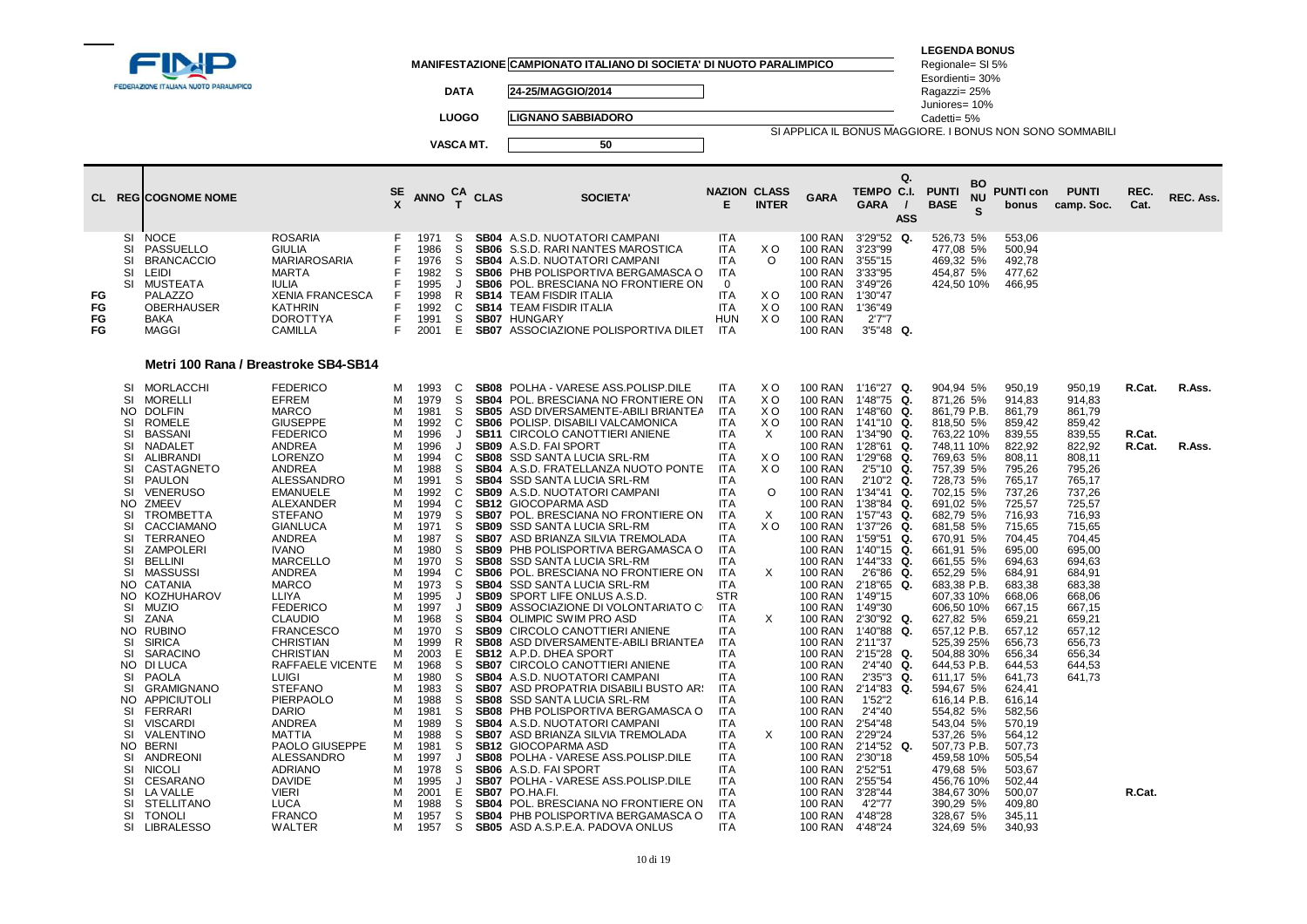|                      | <b>EDERAZIONE ITALIANA NUOTO PARALIMPICO</b>                                                                                                                                                                                                                                                                                                                                                                                                                                                                                                                                                                                                                                                                                           |                                                                                                                                                                                                                                                                                                                                                                                                                                                                                                       |                                                                                                                                                    | <b>DATA</b><br><b>LUOGO</b><br>VASCA MT.                                                                                                                                                                                                                                                                                                                                                                                        |                                                                                                                                                                                                                                                                                                                                                                                                                                | MANIFESTAZIONE CAMPIONATO ITALIANO DI SOCIETA' DI NUOTO PARALIMPICO<br>24-25/MAGGIO/2014<br><b>LIGNANO SABBIADORO</b><br>50                                                                                                                                                                                                                                                                                                                                                                                                                                                                                                                                                                                                                                                                                                                                                                      |                                                                                                                                                                                                                                                                                                                                                                                        |                                                                               |                                                                                                                                                                                                                                                                                                                                                                                                                                                                             |                                                                                                                                                                                                                                                                                                                                                                                                                                     | <b>LEGENDA BONUS</b><br>Regionale= SI 5%<br>Esordienti= 30%<br>Ragazzi= 25%<br>Juniores= 10%<br>Cadetti= 5%<br>SI APPLICA IL BONUS MAGGIORE. I BONUS NON SONO SOMMABILI                                                                                                                                                                                                                                             |                                                                                                                                                                                                                                                                                                          |                                                                                                                                                                                                                |                  |           |
|----------------------|----------------------------------------------------------------------------------------------------------------------------------------------------------------------------------------------------------------------------------------------------------------------------------------------------------------------------------------------------------------------------------------------------------------------------------------------------------------------------------------------------------------------------------------------------------------------------------------------------------------------------------------------------------------------------------------------------------------------------------------|-------------------------------------------------------------------------------------------------------------------------------------------------------------------------------------------------------------------------------------------------------------------------------------------------------------------------------------------------------------------------------------------------------------------------------------------------------------------------------------------------------|----------------------------------------------------------------------------------------------------------------------------------------------------|---------------------------------------------------------------------------------------------------------------------------------------------------------------------------------------------------------------------------------------------------------------------------------------------------------------------------------------------------------------------------------------------------------------------------------|--------------------------------------------------------------------------------------------------------------------------------------------------------------------------------------------------------------------------------------------------------------------------------------------------------------------------------------------------------------------------------------------------------------------------------|--------------------------------------------------------------------------------------------------------------------------------------------------------------------------------------------------------------------------------------------------------------------------------------------------------------------------------------------------------------------------------------------------------------------------------------------------------------------------------------------------------------------------------------------------------------------------------------------------------------------------------------------------------------------------------------------------------------------------------------------------------------------------------------------------------------------------------------------------------------------------------------------------|----------------------------------------------------------------------------------------------------------------------------------------------------------------------------------------------------------------------------------------------------------------------------------------------------------------------------------------------------------------------------------------|-------------------------------------------------------------------------------|-----------------------------------------------------------------------------------------------------------------------------------------------------------------------------------------------------------------------------------------------------------------------------------------------------------------------------------------------------------------------------------------------------------------------------------------------------------------------------|-------------------------------------------------------------------------------------------------------------------------------------------------------------------------------------------------------------------------------------------------------------------------------------------------------------------------------------------------------------------------------------------------------------------------------------|---------------------------------------------------------------------------------------------------------------------------------------------------------------------------------------------------------------------------------------------------------------------------------------------------------------------------------------------------------------------------------------------------------------------|----------------------------------------------------------------------------------------------------------------------------------------------------------------------------------------------------------------------------------------------------------------------------------------------------------|----------------------------------------------------------------------------------------------------------------------------------------------------------------------------------------------------------------|------------------|-----------|
|                      | <b>CL REGICOGNOME NOME</b>                                                                                                                                                                                                                                                                                                                                                                                                                                                                                                                                                                                                                                                                                                             |                                                                                                                                                                                                                                                                                                                                                                                                                                                                                                       | $rac{\mathsf{SE}}{\mathsf{X}}$                                                                                                                     | ANNO $_{T}^{CA}$ CLAS                                                                                                                                                                                                                                                                                                                                                                                                           |                                                                                                                                                                                                                                                                                                                                                                                                                                | <b>SOCIETA'</b>                                                                                                                                                                                                                                                                                                                                                                                                                                                                                                                                                                                                                                                                                                                                                                                                                                                                                  | <b>NAZION CLASS</b><br>Е                                                                                                                                                                                                                                                                                                                                                               | <b>INTER</b>                                                                  | <b>GARA</b>                                                                                                                                                                                                                                                                                                                                                                                                                                                                 | Q.<br>TEMPO C.I.<br><b>GARA</b><br>$\prime$<br><b>ASS</b>                                                                                                                                                                                                                                                                                                                                                                           | <b>BO</b><br><b>PUNTI</b><br><b>NU</b><br><b>BASE</b><br>s                                                                                                                                                                                                                                                                                                                                                          | <b>PUNTI con</b><br>bonus                                                                                                                                                                                                                                                                                | <b>PUNTI</b><br>camp. Soc.                                                                                                                                                                                     | REC.<br>Cat.     | REC. Ass. |
| FG<br>FG<br>FG<br>FG | <b>SI</b><br><b>NOCE</b><br>SI<br>PASSUELLO<br><b>SI</b><br><b>BRANCACCIO</b><br><b>SI</b><br>LEIDI<br><b>SI</b><br>MUSTEATA<br>PALAZZO<br><b>OBERHAUSER</b><br>BAKA<br><b>MAGGI</b>                                                                                                                                                                                                                                                                                                                                                                                                                                                                                                                                                   | <b>ROSARIA</b><br><b>GIULIA</b><br>MARIAROSARIA<br><b>MARTA</b><br><b>IULIA</b><br><b>XENIA FRANCESCA</b><br><b>KATHRIN</b><br><b>DOROTTYA</b><br><b>CAMILLA</b>                                                                                                                                                                                                                                                                                                                                      | F<br>F<br>E<br>F<br>F<br>F<br>F<br>F                                                                                                               | 1971<br>S<br>1986<br>S<br>S<br>1976<br>S<br>1982<br>1995<br>$\mathbf{I}$<br>$\mathsf{R}$<br>1998<br>1992<br>C<br>S<br>1991<br>2001<br>E                                                                                                                                                                                                                                                                                         | <b>SB04</b><br>SB06<br>SB06<br><b>SB14</b><br><b>SB14</b>                                                                                                                                                                                                                                                                                                                                                                      | <b>SB04</b> A.S.D. NUOTATORI CAMPANI<br>SB06 S.S.D. RARI NANTES MAROSTICA<br>A.S.D. NUOTATORI CAMPANI<br>PHB POLISPORTIVA BERGAMASCA O<br>POL. BRESCIANA NO FRONTIERE ON<br><b>TEAM FISDIR ITALIA</b><br><b>TEAM FISDIR ITALIA</b><br><b>SB07 HUNGARY</b><br><b>SB07</b> ASSOCIAZIONE POLISPORTIVA DILET                                                                                                                                                                                                                                                                                                                                                                                                                                                                                                                                                                                         | <b>ITA</b><br><b>ITA</b><br><b>ITA</b><br><b>ITA</b><br>0<br><b>ITA</b><br><b>ITA</b><br><b>HUN</b><br><b>ITA</b>                                                                                                                                                                                                                                                                      | X O<br>$\circ$<br>X <sub>O</sub><br>X O<br>X O                                | 100 RAN<br>100 RAN<br><b>100 RAN</b><br>100 RAN<br>100 RAN<br><b>100 RAN</b><br><b>100 RAN</b><br><b>100 RAN</b><br><b>100 RAN</b>                                                                                                                                                                                                                                                                                                                                          | 3'29"52 Q.<br>3'23"99<br>3'55"15<br>3'33"95<br>3'49"26<br>1'30"47<br>1'36"49<br>2'7''7<br>$3'5''48$ Q.                                                                                                                                                                                                                                                                                                                              | 526,73 5%<br>477,08 5%<br>469,32 5%<br>454,87 5%<br>424,50 10%                                                                                                                                                                                                                                                                                                                                                      | 553,06<br>500,94<br>492,78<br>477,62<br>466,95                                                                                                                                                                                                                                                           |                                                                                                                                                                                                                |                  |           |
|                      |                                                                                                                                                                                                                                                                                                                                                                                                                                                                                                                                                                                                                                                                                                                                        | Metri 100 Rana / Breastroke SB4-SB14                                                                                                                                                                                                                                                                                                                                                                                                                                                                  |                                                                                                                                                    |                                                                                                                                                                                                                                                                                                                                                                                                                                 |                                                                                                                                                                                                                                                                                                                                                                                                                                |                                                                                                                                                                                                                                                                                                                                                                                                                                                                                                                                                                                                                                                                                                                                                                                                                                                                                                  |                                                                                                                                                                                                                                                                                                                                                                                        |                                                                               |                                                                                                                                                                                                                                                                                                                                                                                                                                                                             |                                                                                                                                                                                                                                                                                                                                                                                                                                     |                                                                                                                                                                                                                                                                                                                                                                                                                     |                                                                                                                                                                                                                                                                                                          |                                                                                                                                                                                                                |                  |           |
|                      | SI<br>MORLACCHI<br><b>SI</b><br><b>MORELLI</b><br><b>NO</b><br><b>DOLFIN</b><br><b>ROMELE</b><br>SI<br><b>SI</b><br><b>BASSANI</b>                                                                                                                                                                                                                                                                                                                                                                                                                                                                                                                                                                                                     | <b>FEDERICO</b><br>EFREM<br><b>MARCO</b><br><b>GIUSEPPE</b><br><b>FEDERICO</b>                                                                                                                                                                                                                                                                                                                                                                                                                        | м<br>м<br>M<br>м<br>M                                                                                                                              | 1993<br>C<br><sub>S</sub><br>1979<br>1981<br>S<br>C<br>1992<br>1996<br>J                                                                                                                                                                                                                                                                                                                                                        | <b>SB08</b><br><b>SB04</b><br><b>SB05</b><br><b>SB06</b><br><b>SB11</b>                                                                                                                                                                                                                                                                                                                                                        | POLHA - VARESE ASS.POLISP.DILE<br>POL. BRESCIANA NO FRONTIERE ON<br>ASD DIVERSAMENTE-ABILI BRIANTEA<br>POLISP. DISABILI VALCAMONICA<br>CIRCOLO CANOTTIERI ANIENE                                                                                                                                                                                                                                                                                                                                                                                                                                                                                                                                                                                                                                                                                                                                 | <b>ITA</b><br><b>ITA</b><br>ITA<br><b>ITA</b><br><b>ITA</b>                                                                                                                                                                                                                                                                                                                            | X O<br>X O<br>X O<br>X O<br>$\times$                                          | 100 RAN<br><b>100 RAN</b><br>100 RAN<br>100 RAN<br><b>100 RAN</b>                                                                                                                                                                                                                                                                                                                                                                                                           | 1'16"27 Q.<br>1'48"75<br>Q.<br>1'48"60<br>Q.<br>1'41"10<br>Q.<br>1'34"90<br>Q.                                                                                                                                                                                                                                                                                                                                                      | 904,94 5%<br>871,26 5%<br>861,79 P.B.<br>818,50 5%<br>763,22 10%                                                                                                                                                                                                                                                                                                                                                    | 950,19<br>914.83<br>861,79<br>859,42<br>839,55                                                                                                                                                                                                                                                           | 950,19<br>914,83<br>861,79<br>859,42<br>839,55                                                                                                                                                                 | R.Cat.<br>R.Cat. | R.Ass.    |
|                      | <b>SI</b><br>NADALET<br>SI<br><b>ALIBRANDI</b><br><b>SI</b><br>CASTAGNETO<br><b>SI</b><br>PAULON<br>SI<br><b>VENERUSO</b><br>NO.<br>ZMEEV<br><b>TROMBETTA</b><br>SI<br>CACCIAMANO<br>SI<br>SI<br><b>TERRANEO</b><br><b>SI</b><br><b>ZAMPOLERI</b><br><b>SI</b><br><b>BELLINI</b><br>SI<br>MASSUSSI<br>NO.<br>CATANIA<br>KOZHUHAROV<br>NO.<br>SI<br><b>MUZIO</b><br><b>SI</b><br>ZANA<br>NO.<br><b>RUBINO</b><br>SI<br><b>SIRICA</b><br><b>SI</b><br>SARACINO<br>NO.<br>DI LUCA<br>SI<br>PAOLA<br><b>SI</b><br><b>GRAMIGNANO</b><br>APPICIUTOLI<br>NO.<br>SI<br><b>FERRARI</b><br><b>SI</b><br><b>VISCARD</b><br><b>SI</b><br>VALENTINO<br>NO.<br><b>BERNI</b><br><b>ANDREONI</b><br>SI<br><b>SI</b><br><b>NICOLI</b><br>SI<br>CESARANO | <b>ANDREA</b><br>LORENZO<br><b>ANDREA</b><br>ALESSANDRO<br><b>EMANUELE</b><br><b>ALEXANDER</b><br><b>STEFANO</b><br><b>GIANLUCA</b><br>ANDREA<br><b>IVANO</b><br>MARCELLO<br>ANDREA<br><b>MARCO</b><br>LLIYA<br><b>FEDERICO</b><br><b>CLAUDIO</b><br><b>FRANCESCO</b><br><b>CHRISTIAN</b><br><b>CHRISTIAN</b><br>RAFFAELE VICENTE<br><b>LUIGI</b><br><b>STEFANO</b><br><b>PIERPAOLO</b><br><b>DARIO</b><br><b>ANDREA</b><br>MATTIA<br>PAOLO GIUSEPPE<br>ALESSANDRO<br><b>ADRIANO</b><br><b>DAVIDE</b> | м<br>м<br>м<br>м<br>M<br>M<br>м<br>м<br>м<br>м<br>м<br>м<br>м<br>м<br>м<br>м<br>м<br>м<br>M<br>м<br>м<br>м<br>м<br>м<br>M<br>M<br>м<br>м<br>м<br>м | 1996<br>$\cdot$<br>1994<br>C<br><sub>S</sub><br>1988<br>1991<br>S<br>1992<br>C<br>1994<br>C<br>1979<br>S<br>1971<br>S<br>S<br>1987<br>S<br>1980<br>1970<br>S<br>1994<br>C<br>S<br>1973<br>1995<br>$\cdot$<br>1997<br>$\cdot$<br>S<br>1968<br>1970<br>S<br>1999<br>R<br>E<br>2003<br>1968<br>S<br>1980<br>S<br>1983<br>S<br>1988<br>S<br>1981<br>S<br>1989<br>S<br>1988<br>S<br>S<br>1981<br>1997<br>J<br>1978<br>S<br>1995<br>J | SB <sub>09</sub><br><b>SB08</b><br><b>SB04</b><br><b>SB04</b><br><b>SB09</b><br><b>SB12</b><br><b>SB07</b><br><b>SB09</b><br><b>SB07</b><br><b>SB09</b><br><b>SB08</b><br><b>SB06</b><br><b>SB04</b><br><b>SB09</b><br><b>SB09</b><br><b>SB04</b><br><b>SB09</b><br><b>SB08</b><br><b>SB07</b><br>SB04<br><b>SB07</b><br><b>SB08</b><br><b>SB08</b><br><b>SB07</b><br><b>SB12</b><br><b>SB08</b><br><b>SB06</b><br><b>SB07</b> | A.S.D. FAI SPORT<br>SSD SANTA LUCIA SRL-RM<br>A.S.D. FRATELLANZA NUOTO PONTE<br>SSD SANTA LUCIA SRL-RM<br>A.S.D. NUOTATORI CAMPANI<br>GIOCOPARMA ASD<br>POL. BRESCIANA NO FRONTIERE ON<br>SSD SANTA LUCIA SRL-RM<br>ASD BRIANZA SILVIA TREMOLADA<br>PHB POLISPORTIVA BERGAMASCA O<br>SSD SANTA LUCIA SRL-RM<br>POL. BRESCIANA NO FRONTIERE ON<br>SSD SANTA LUCIA SRL-RM<br>SPORT LIFE ONLUS A.S.D.<br>ASSOCIAZIONE DI VOLONTARIATO C<br>OLIMPIC SWIM PRO ASD<br>CIRCOLO CANOTTIERI ANIENE<br>ASD DIVERSAMENTE-ABILI BRIANTEA<br>SB12 A.P.D. DHEA SPORT<br>CIRCOLO CANOTTIERI ANIENE<br>A.S.D. NUOTATORI CAMPANI<br>ASD PROPATRIA DISABILI BUSTO ARS<br>SSD SANTA LUCIA SRL-RM<br>PHB POLISPORTIVA BERGAMASCA O<br>SB04 A.S.D. NUOTATORI CAMPANI<br>ASD BRIANZA SILVIA TREMOLADA<br><b>GIOCOPARMA ASD</b><br>POLHA - VARESE ASS.POLISP.DILE<br>A.S.D. FAI SPORT<br>POLHA - VARESE ASS.POLISP.DILE | <b>ITA</b><br><b>ITA</b><br>ITA<br><b>ITA</b><br><b>ITA</b><br><b>ITA</b><br>ITA<br><b>ITA</b><br><b>ITA</b><br><b>ITA</b><br><b>ITA</b><br><b>ITA</b><br><b>ITA</b><br><b>STR</b><br><b>ITA</b><br>ITA<br><b>ITA</b><br><b>ITA</b><br><b>ITA</b><br><b>ITA</b><br>ITA<br>ITA<br><b>ITA</b><br>ITA<br><b>ITA</b><br><b>ITA</b><br><b>ITA</b><br><b>ITA</b><br><b>ITA</b><br><b>ITA</b> | X O<br>X <sub>O</sub><br>$\circ$<br>$\times$<br>X <sub>O</sub><br>X<br>X<br>X | <b>100 RAN</b><br>100 RAN<br><b>100 RAN</b><br><b>100 RAN</b><br><b>100 RAN</b><br><b>100 RAN</b><br><b>100 RAN</b><br>100 RAN<br><b>100 RAN</b><br><b>100 RAN</b><br><b>100 RAN</b><br>100 RAN<br><b>100 RAN</b><br><b>100 RAN</b><br><b>100 RAN</b><br><b>100 RAN</b><br>100 RAN<br>100 RAN<br><b>100 RAN</b><br>100 RAN<br>100 RAN<br><b>100 RAN</b><br>100 RAN<br>100 RAN<br><b>100 RAN</b><br><b>100 RAN</b><br>100 RAN<br><b>100 RAN</b><br><b>100 RAN</b><br>100 RAN | 1'28"61<br>Q.<br>1'29"68<br>Q.<br>2'5''10<br>Q.<br>2'10"2 Q.<br>1'34"41 Q.<br>1'38"84 Q.<br>1'57"43 Q.<br>1'37"26<br>Q.<br>1'59"51<br>Q.<br>1'40"15<br>Q.<br>1'44"33<br>Q.<br>2'6"86<br>Q.<br>2'18"65<br>Q.<br>1'49"15<br>1'49"30<br>2'30"92 Q.<br>1'40"88<br>Q.<br>2'11"37<br>2'15"28 Q.<br>$2'4''40$ Q.<br>$2'35''3$ Q.<br>2'14"83<br>Q.<br>1'52"2<br>2'4"40<br>2'54"48<br>2'29"24<br>2'14"52 Q.<br>2'30"18<br>2'52"51<br>2'55"54 | 748,11 10%<br>769,63 5%<br>757,39 5%<br>728,73 5%<br>702,15 5%<br>691,02 5%<br>682,79 5%<br>681,58 5%<br>670,91 5%<br>661,91 5%<br>661,55 5%<br>652,29 5%<br>683,38 P.B.<br>607,33 10%<br>606,50 10%<br>627,82 5%<br>657,12 P.B.<br>525,39 25%<br>504,88 30%<br>644,53 P.B.<br>611,17 5%<br>594,67 5%<br>616,14 P.B.<br>554,82 5%<br>543,04 5%<br>537,26 5%<br>507,73 P.B.<br>459,58 10%<br>479,68 5%<br>456,76 10% | 822,92<br>808,11<br>795,26<br>765,17<br>737,26<br>725,57<br>716,93<br>715,65<br>704,45<br>695.00<br>694,63<br>684,91<br>683.38<br>668,06<br>667,15<br>659,21<br>657,12<br>656,73<br>656,34<br>644,53<br>641,73<br>624,41<br>616,14<br>582,56<br>570,19<br>564,12<br>507,73<br>505,54<br>503,67<br>502,44 | 822,92<br>808,11<br>795,26<br>765,17<br>737,26<br>725,57<br>716,93<br>715,65<br>704,45<br>695,00<br>694,63<br>684,91<br>683.38<br>668,06<br>667,15<br>659,21<br>657,12<br>656,73<br>656,34<br>644,53<br>641,73 | R.Cat.           | R.Ass.    |
|                      | <b>SI</b><br>LA VALLE<br>SI<br><b>STELLITANO</b><br>SI<br><b>TONOLI</b><br><b>LIBRALESSO</b><br>SI                                                                                                                                                                                                                                                                                                                                                                                                                                                                                                                                                                                                                                     | <b>VIERI</b><br><b>LUCA</b><br><b>FRANCO</b><br><b>WALTER</b>                                                                                                                                                                                                                                                                                                                                                                                                                                         | M<br>м<br>м<br>M                                                                                                                                   | 2001<br>E<br>1988<br>S<br>S<br>1957<br>1957<br>S                                                                                                                                                                                                                                                                                                                                                                                | <b>SB07</b><br><b>SB04</b><br>SB04                                                                                                                                                                                                                                                                                                                                                                                             | PO.HA.FI.<br>POL. BRESCIANA NO FRONTIERE ON<br>PHB POLISPORTIVA BERGAMASCA O<br>SB05 ASD A.S.P.E.A. PADOVA ONLUS                                                                                                                                                                                                                                                                                                                                                                                                                                                                                                                                                                                                                                                                                                                                                                                 | <b>ITA</b><br>ITA<br><b>ITA</b><br><b>ITA</b>                                                                                                                                                                                                                                                                                                                                          |                                                                               | 100 RAN<br><b>100 RAN</b><br>100 RAN<br>100 RAN                                                                                                                                                                                                                                                                                                                                                                                                                             | 3'28"44<br>4'2"77<br>4'48"28<br>4'48"24                                                                                                                                                                                                                                                                                                                                                                                             | 384,67 30%<br>390,29 5%<br>328,67 5%<br>324,69 5%                                                                                                                                                                                                                                                                                                                                                                   | 500.07<br>409,80<br>345,11<br>340,93                                                                                                                                                                                                                                                                     |                                                                                                                                                                                                                | R.Cat.           |           |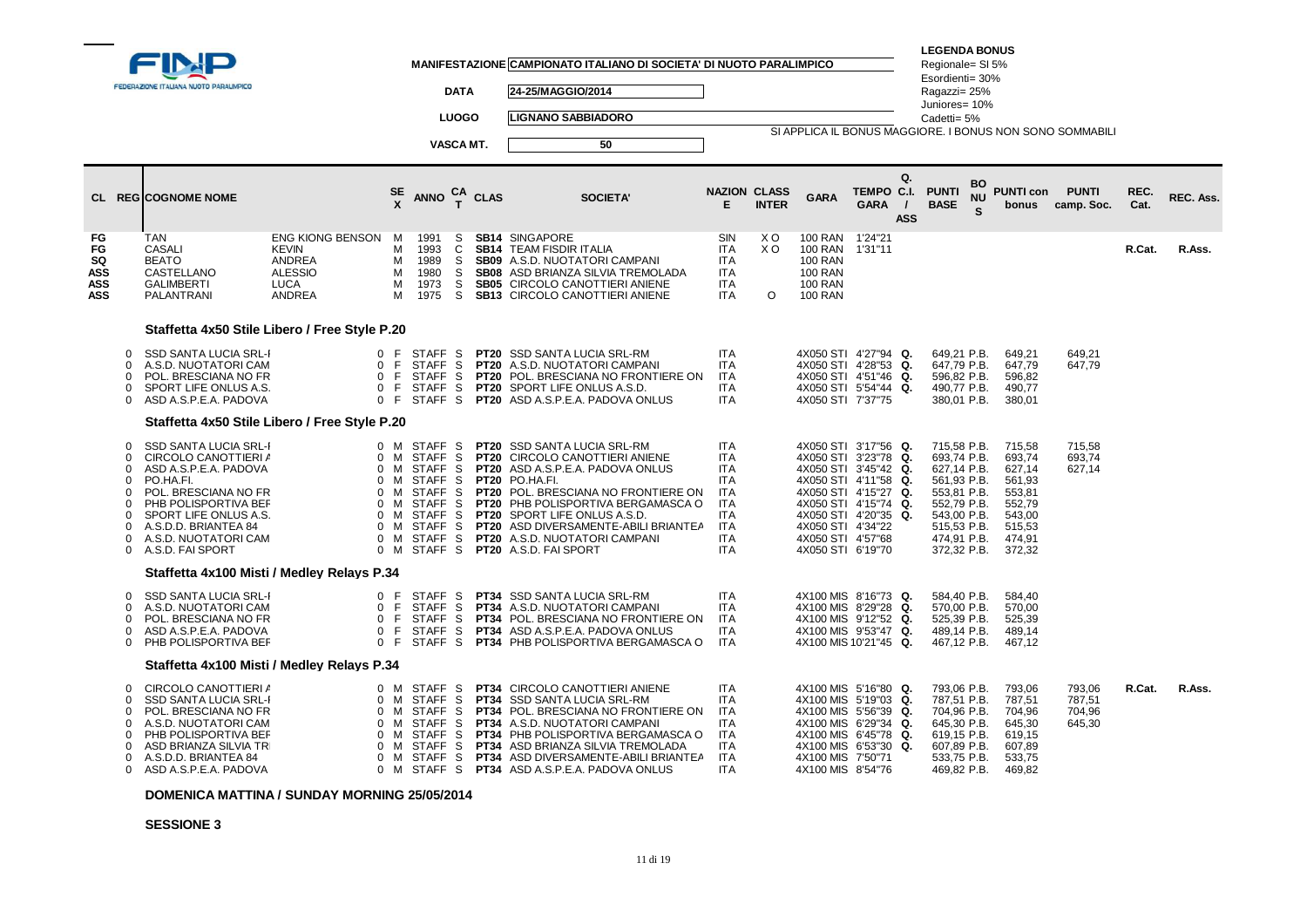|                                            |                                                                                              | FEDERAZIONE ITALIANA NUOTO PARALIMPICO                                                                                                                                                                                                  |                                                                                                                              |                                                |                                                                                                                                                                        | <b>DATA</b>                  |             | MANIFESTAZIONE CAMPIONATO ITALIANO DI SOCIETA' DI NUOTO PARALIMPICO<br>24-25/MAGGIO/2014                                                                                                                                                                                                                                                         |                                                                                                                                          |                                              |                                                                                                   |                                                                                                                                                                      | <b>LEGENDA BONUS</b><br>Regionale= SI 5%<br>Esordienti= 30%<br>Ragazzi= 25%                                                                        |                                 |                                                                                                  |                                      |              |           |
|--------------------------------------------|----------------------------------------------------------------------------------------------|-----------------------------------------------------------------------------------------------------------------------------------------------------------------------------------------------------------------------------------------|------------------------------------------------------------------------------------------------------------------------------|------------------------------------------------|------------------------------------------------------------------------------------------------------------------------------------------------------------------------|------------------------------|-------------|--------------------------------------------------------------------------------------------------------------------------------------------------------------------------------------------------------------------------------------------------------------------------------------------------------------------------------------------------|------------------------------------------------------------------------------------------------------------------------------------------|----------------------------------------------|---------------------------------------------------------------------------------------------------|----------------------------------------------------------------------------------------------------------------------------------------------------------------------|----------------------------------------------------------------------------------------------------------------------------------------------------|---------------------------------|--------------------------------------------------------------------------------------------------|--------------------------------------|--------------|-----------|
|                                            |                                                                                              |                                                                                                                                                                                                                                         |                                                                                                                              |                                                |                                                                                                                                                                        | <b>LUOGO</b>                 |             | <b>LIGNANO SABBIADORO</b>                                                                                                                                                                                                                                                                                                                        |                                                                                                                                          |                                              |                                                                                                   |                                                                                                                                                                      | Juniores= 10%<br>Cadetti= 5%                                                                                                                       |                                 |                                                                                                  |                                      |              |           |
|                                            |                                                                                              |                                                                                                                                                                                                                                         |                                                                                                                              |                                                |                                                                                                                                                                        | VASCA MT.                    |             | 50                                                                                                                                                                                                                                                                                                                                               |                                                                                                                                          |                                              |                                                                                                   | SI APPLICA IL BONUS MAGGIORE. I BONUS NON SONO SOMMABILI                                                                                                             |                                                                                                                                                    |                                 |                                                                                                  |                                      |              |           |
|                                            |                                                                                              |                                                                                                                                                                                                                                         |                                                                                                                              |                                                |                                                                                                                                                                        |                              |             |                                                                                                                                                                                                                                                                                                                                                  |                                                                                                                                          |                                              |                                                                                                   |                                                                                                                                                                      |                                                                                                                                                    |                                 |                                                                                                  |                                      |              |           |
|                                            |                                                                                              | <b>CL REGICOGNOME NOME</b>                                                                                                                                                                                                              |                                                                                                                              |                                                | $_{X}^{SE}$ ANNO $_{T}^{CA}$ CLAS                                                                                                                                      |                              |             | <b>SOCIETA'</b>                                                                                                                                                                                                                                                                                                                                  | <b>NAZION CLASS</b><br>E.                                                                                                                | <b>INTER</b>                                 | <b>GARA</b>                                                                                       | Q.<br>TEMPO C.I.<br><b>GARA</b><br>$\prime$<br><b>ASS</b>                                                                                                            | <b>PUNTI</b><br><b>BASE</b>                                                                                                                        | BO<br><b>NU</b><br>$\mathbf{s}$ | <b>PUNTI con</b><br>bonus                                                                        | <b>PUNTI</b><br>camp. Soc.           | REC.<br>Cat. | REC. Ass. |
| FG<br>FG<br>SQ<br>ASS<br>ASS<br><b>ASS</b> |                                                                                              | <b>TAN</b><br><b>CASALI</b><br><b>BEATO</b><br>CASTELLANO<br><b>GALIMBERTI</b><br>PALANTRANI                                                                                                                                            | <b>ENG KIONG BENSON</b><br>KEVIN<br><b>ANDREA</b><br><b>ALESSIO</b><br>LUCA<br>ANDREA                                        | M<br>М<br>м<br>м<br>м<br>М                     | 1991<br>1993<br>1989<br>1980<br>1973<br>1975                                                                                                                           | S.<br>C<br>S.<br>S<br>S<br>S |             | <b>SB14 SINGAPORE</b><br><b>SB14 TEAM FISDIR ITALIA</b><br>SB09 A.S.D. NUOTATORI CAMPANI<br>SB08 ASD BRIANZA SILVIA TREMOLADA<br>SB05 CIRCOLO CANOTTIERI ANIENE<br><b>SB13 CIRCOLO CANOTTIERI ANIENE</b>                                                                                                                                         | SIN<br><b>ITA</b><br><b>ITA</b><br><b>ITA</b><br><b>ITA</b><br><b>ITA</b>                                                                | X <sub>O</sub><br>X <sub>O</sub><br>$\Omega$ | <b>100 RAN</b><br>100 RAN<br><b>100 RAN</b><br><b>100 RAN</b><br><b>100 RAN</b><br><b>100 RAN</b> | 1'24"21<br>1'31"11                                                                                                                                                   |                                                                                                                                                    |                                 |                                                                                                  |                                      | R.Cat.       | R.Ass.    |
|                                            |                                                                                              | Staffetta 4x50 Stile Libero / Free Style P.20                                                                                                                                                                                           |                                                                                                                              |                                                |                                                                                                                                                                        |                              |             |                                                                                                                                                                                                                                                                                                                                                  |                                                                                                                                          |                                              |                                                                                                   |                                                                                                                                                                      |                                                                                                                                                    |                                 |                                                                                                  |                                      |              |           |
|                                            | $\Omega$<br>$\Omega$<br>n<br>$\Omega$<br>$\Omega$                                            | SSD SANTA LUCIA SRL-I<br>A.S.D. NUOTATORI CAM<br>POL. BRESCIANA NO FR<br>SPORT LIFE ONLUS A.S.<br>ASD A.S.P.E.A. PADOVA                                                                                                                 | $\mathbf{0}$<br>$\Omega$<br>$\mathbf 0$<br>$\mathbf{0}$<br>$\Omega$                                                          | -F<br>F<br>F.<br>F<br>E                        | STAFF S<br>STAFF <sub>S</sub><br><b>STAFF</b><br>STAFF <sub>S</sub><br>STAFF <sub>S</sub>                                                                              | -S                           |             | <b>PT20</b> SSD SANTA LUCIA SRL-RM<br><b>PT20</b> A.S.D. NUOTATORI CAMPANI<br>PT20 POL. BRESCIANA NO FRONTIERE ON<br>PT20 SPORT LIFE ONLUS A.S.D.<br><b>PT20</b> ASD A.S.P.E.A. PADOVA ONLUS                                                                                                                                                     | <b>ITA</b><br><b>ITA</b><br><b>ITA</b><br><b>ITA</b><br><b>ITA</b>                                                                       |                                              | 4X050 STI 7'37"75                                                                                 | 4X050 STI 4'27"94 Q.<br>4X050 STI 4'28"53 Q.<br>4X050 STI 4'51"46 Q.<br>4X050 STI 5'54"44 Q.                                                                         | 649,21 P.B.<br>647,79 P.B.<br>596,82 P.B.<br>490,77 P.B.<br>380,01 P.B.                                                                            |                                 | 649,21<br>647,79<br>596,82<br>490,77<br>380,01                                                   | 649,21<br>647,79                     |              |           |
|                                            |                                                                                              | Staffetta 4x50 Stile Libero / Free Style P.20                                                                                                                                                                                           |                                                                                                                              |                                                |                                                                                                                                                                        |                              |             |                                                                                                                                                                                                                                                                                                                                                  |                                                                                                                                          |                                              |                                                                                                   |                                                                                                                                                                      |                                                                                                                                                    |                                 |                                                                                                  |                                      |              |           |
|                                            | $\Omega$<br>$\Omega$<br>0<br>0<br>$\Omega$<br>0<br>$\Omega$<br>$\Omega$<br><sup>0</sup><br>0 | <b>SSD SANTA LUCIA SRL-F</b><br>CIRCOLO CANOTTIERI A<br>ASD A.S.P.E.A. PADOVA<br>PO HA FI.<br>POL. BRESCIANA NO FR<br>PHB POLISPORTIVA BEF<br>SPORT LIFE ONLUS A.S.<br>A.S.D.D. BRIANTEA 84<br>A.S.D. NUOTATORI CAM<br>A.S.D. FAI SPORT | $\mathbf{0}$<br>$\mathbf{0}$<br>$\Omega$<br>$\Omega$<br>0<br>$\Omega$<br>$\Omega$<br>$\Omega$<br>$\mathbf 0$<br>$\mathbf{0}$ | M<br>M<br>м<br>м<br>м<br>м<br>м<br>M<br>M<br>M | STAFF S<br>STAFF S<br>STAFF <sub>S</sub><br>STAFF <sub>S</sub><br>STAFF <sub>S</sub><br>STAFF <sub>S</sub><br><b>STAFF</b><br>STAFF <sub>S</sub><br>STAFF S<br>STAFF S | S.                           |             | <b>PT20</b> SSD SANTA LUCIA SRL-RM<br>PT20 CIRCOLO CANOTTIERI ANIENE<br>PT20 ASD A.S.P.E.A. PADOVA ONLUS<br>PT20 PO.HA.FI.<br>PT20 POL. BRESCIANA NO FRONTIERE ON<br>PT20 PHB POLISPORTIVA BERGAMASCA O<br>PT20 SPORT LIFE ONLUS A.S.D.<br>PT20 ASD DIVERSAMENTE-ABILI BRIANTEA<br>PT20 A.S.D. NUOTATORI CAMPANI<br><b>PT20</b> A.S.D. FAI SPORT | <b>ITA</b><br><b>ITA</b><br><b>ITA</b><br><b>ITA</b><br><b>ITA</b><br><b>ITA</b><br><b>ITA</b><br><b>ITA</b><br><b>ITA</b><br><b>ITA</b> |                                              | 4X050 STI 4'34"22<br>4X050 STI 4'57"68<br>4X050 STI 6'19"70                                       | 4X050 STI 3'17"56 Q.<br>4X050 STI 3'23"78 Q.<br>4X050 STI 3'45"42 Q.<br>4X050 STI 4'11"58 Q.<br>4X050 STI 4'15"27 Q.<br>4X050 STI 4'15"74 Q.<br>4X050 STI 4'20"35 Q. | 715,58 P.B.<br>693,74 P.B.<br>627,14 P.B.<br>561,93 P.B.<br>553,81 P.B.<br>552,79 P.B.<br>543,00 P.B.<br>515,53 P.B.<br>474,91 P.B.<br>372,32 P.B. |                                 | 715,58<br>693,74<br>627,14<br>561,93<br>553,81<br>552,79<br>543,00<br>515.53<br>474,91<br>372,32 | 715,58<br>693,74<br>627,14           |              |           |
|                                            |                                                                                              | Staffetta 4x100 Misti / Medley Relays P.34                                                                                                                                                                                              |                                                                                                                              |                                                |                                                                                                                                                                        |                              |             |                                                                                                                                                                                                                                                                                                                                                  |                                                                                                                                          |                                              |                                                                                                   |                                                                                                                                                                      |                                                                                                                                                    |                                 |                                                                                                  |                                      |              |           |
|                                            | 0<br><sup>0</sup><br>0<br>$\Omega$<br>$\Omega$                                               | <b>SSD SANTA LUCIA SRL-I</b><br>A.S.D. NUOTATORI CAM<br>POL. BRESCIANA NO FR<br>ASD A.S.P.E.A. PADOVA<br>PHB POLISPORTIVA BEF                                                                                                           | 0<br>$\mathbf{0}$<br>$\mathbf 0$<br>$\Omega$<br>$\Omega$                                                                     | F<br>-F<br>F<br>F<br>-F                        | STAFF S<br>STAFF <sub>S</sub><br>STAFF S<br><b>STAFF</b><br>STAFF S                                                                                                    | -S                           |             | PT34 SSD SANTA LUCIA SRL-RM<br>PT34 A.S.D. NUOTATORI CAMPANI<br>PT34 POL. BRESCIANA NO FRONTIERE ON<br>PT34 ASD A.S.P.E.A. PADOVA ONLUS<br><b>PT34 PHB POLISPORTIVA BERGAMASCA O</b>                                                                                                                                                             | <b>ITA</b><br><b>ITA</b><br>ITA<br><b>ITA</b><br><b>ITA</b>                                                                              |                                              |                                                                                                   | 4X100 MIS 8'16"73 Q.<br>4X100 MIS 8'29"28 Q.<br>4X100 MIS 9'12"52 Q.<br>4X100 MIS 9'53"47 Q.<br>4X100 MIS 10'21"45 Q.                                                | 584,40 P.B.<br>570,00 P.B.<br>525,39 P.B.<br>489,14 P.B.<br>467.12 P.B.                                                                            |                                 | 584,40<br>570.00<br>525,39<br>489,14<br>467.12                                                   |                                      |              |           |
|                                            |                                                                                              | Staffetta 4x100 Misti / Medley Relays P.34                                                                                                                                                                                              |                                                                                                                              |                                                |                                                                                                                                                                        |                              |             |                                                                                                                                                                                                                                                                                                                                                  |                                                                                                                                          |                                              |                                                                                                   |                                                                                                                                                                      |                                                                                                                                                    |                                 |                                                                                                  |                                      |              |           |
|                                            | $\Omega$<br>$\Omega$<br>n<br><sup>0</sup><br>n<br><sup>0</sup><br>0                          | CIRCOLO CANOTTIERI A<br><b>SSD SANTA LUCIA SRL-I</b><br>POL. BRESCIANA NO FR<br>A.S.D. NUOTATORI CAM<br>PHB POLISPORTIVA BEF<br>ASD BRIANZA SILVIA TR<br>A.S.D.D. BRIANTEA 84<br>ASD A.S.P.E.A. PADOVA                                  | $\mathbf{0}$<br>$\Omega$<br>$\Omega$<br>$\mathbf{0}$<br>$\Omega$<br>O<br>$\mathbf{0}$<br>$\Omega$                            | M<br>M<br>м<br>M<br>м<br>м<br>м                | STAFF S<br>STAFF <sub>S</sub><br>STAFF S<br>STAFF S<br><b>STAFF</b><br><b>STAFF</b><br><b>STAFF</b><br>M STAFF S                                                       | -S<br><b>S</b><br>-S         | <b>PT34</b> | PT34 CIRCOLO CANOTTIERI ANIENE<br><b>SSD SANTA LUCIA SRL-RM</b><br>PT34 POL. BRESCIANA NO FRONTIERE ON<br>PT34 A.S.D. NUOTATORI CAMPANI<br>PT34 PHB POLISPORTIVA BERGAMASCA O<br>PT34 ASD BRIANZA SILVIA TREMOLADA<br>PT34 ASD DIVERSAMENTE-ABILI BRIANTEA<br><b>PT34</b> ASD A.S.P.E.A. PADOVA ONLUS                                            | <b>ITA</b><br><b>ITA</b><br><b>ITA</b><br><b>ITA</b><br><b>ITA</b><br><b>ITA</b><br><b>ITA</b><br><b>ITA</b>                             |                                              | 4X100 MIS 7'50"71<br>4X100 MIS 8'54"76                                                            | 4X100 MIS 5'16"80 Q.<br>4X100 MIS 5'19"03 Q.<br>4X100 MIS 5'56"39 Q.<br>4X100 MIS 6'29"34 Q.<br>4X100 MIS 6'45"78 Q.<br>4X100 MIS 6'53"30 Q.                         | 793,06 P.B.<br>787,51 P.B.<br>704,96 P.B.<br>645,30 P.B.<br>619,15 P.B.<br>607,89 P.B.<br>533,75 P.B.<br>469,82 P.B.                               |                                 | 793,06<br>787,51<br>704,96<br>645,30<br>619,15<br>607,89<br>533,75<br>469,82                     | 793,06<br>787,51<br>704,96<br>645,30 | R.Cat.       | R.Ass.    |

## **DOMENICA MATTINA / SUNDAY MORNING 25/05/2014**

#### **SESSIONE 3**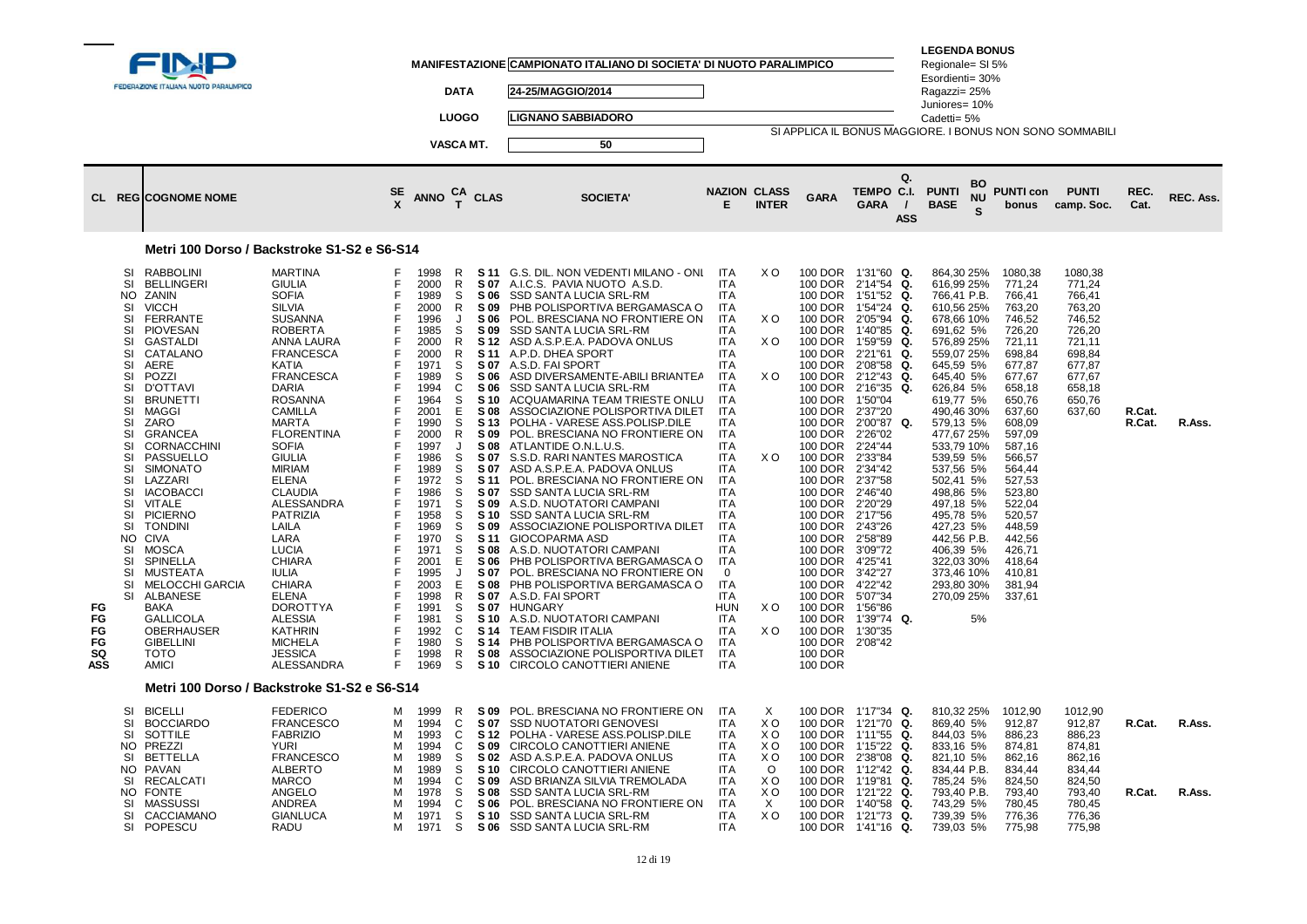|                                   | FEDERAZIONE ITALIANA NUOTO PARALIMPICO<br><b>CL REGICOGNOME NOME</b>                                                                                                                                                                                                                                                                                                                                                                                                                                                                                                                                                                                                                                                                             |                                                                                                                                                                                                                                                                                                                                                                                                                                                                                                                                                                                    |                                                                                                            | <b>ANNO</b>                                                                                                                                                                                                                                                                  | <b>DATA</b><br><b>LUOGO</b><br>VASCA MT.<br>CA<br>T                                                                                                                                                      | <b>CLAS</b>                                                                                                                                                                                                                                                                                                                          | MANIFESTAZIONE CAMPIONATO ITALIANO DI SOCIETA' DI NUOTO PARALIMPICO<br>24-25/MAGGIO/2014<br><b>LIGNANO SABBIADORO</b><br>50<br><b>SOCIETA'</b>                                                                                                                                                                                                                                                                                                                                                                                                                                                                                                                                                                                                                                                                                                                                                                                                                                                                                       | <b>NAZION CLASS</b><br>E.                                                                                                                                                                                                                                                                                                                                                                                                                                                   | <b>INTER</b>                                                                                                    | <b>GARA</b>                                                                                                                                                                                                                                                                                                                                                                                           | Q.<br>TEMPO C.I.<br><b>GARA</b><br>$\prime$<br><b>ASS</b>                                                                                                                                                                                                                                                                                                                                                        | <b>LEGENDA BONUS</b><br>Regionale= SI 5%<br>Esordienti= 30%<br>Ragazzi= 25%<br>Juniores= 10%<br>Cadetti= 5%<br><b>PUNTI</b><br><b>BASE</b>                                                                                                                                                                                                                                               | BO<br><b>NU</b> | <b>PUNTI con</b><br>bonus                                                                                                                                                                                                                                                            | SI APPLICA IL BONUS MAGGIORE. I BONUS NON SONO SOMMABILI<br><b>PUNTI</b><br>camp. Soc.                               | REC.<br>Cat.     | <b>REC. Ass.</b> |
|-----------------------------------|--------------------------------------------------------------------------------------------------------------------------------------------------------------------------------------------------------------------------------------------------------------------------------------------------------------------------------------------------------------------------------------------------------------------------------------------------------------------------------------------------------------------------------------------------------------------------------------------------------------------------------------------------------------------------------------------------------------------------------------------------|------------------------------------------------------------------------------------------------------------------------------------------------------------------------------------------------------------------------------------------------------------------------------------------------------------------------------------------------------------------------------------------------------------------------------------------------------------------------------------------------------------------------------------------------------------------------------------|------------------------------------------------------------------------------------------------------------|------------------------------------------------------------------------------------------------------------------------------------------------------------------------------------------------------------------------------------------------------------------------------|----------------------------------------------------------------------------------------------------------------------------------------------------------------------------------------------------------|--------------------------------------------------------------------------------------------------------------------------------------------------------------------------------------------------------------------------------------------------------------------------------------------------------------------------------------|--------------------------------------------------------------------------------------------------------------------------------------------------------------------------------------------------------------------------------------------------------------------------------------------------------------------------------------------------------------------------------------------------------------------------------------------------------------------------------------------------------------------------------------------------------------------------------------------------------------------------------------------------------------------------------------------------------------------------------------------------------------------------------------------------------------------------------------------------------------------------------------------------------------------------------------------------------------------------------------------------------------------------------------|-----------------------------------------------------------------------------------------------------------------------------------------------------------------------------------------------------------------------------------------------------------------------------------------------------------------------------------------------------------------------------------------------------------------------------------------------------------------------------|-----------------------------------------------------------------------------------------------------------------|-------------------------------------------------------------------------------------------------------------------------------------------------------------------------------------------------------------------------------------------------------------------------------------------------------------------------------------------------------------------------------------------------------|------------------------------------------------------------------------------------------------------------------------------------------------------------------------------------------------------------------------------------------------------------------------------------------------------------------------------------------------------------------------------------------------------------------|------------------------------------------------------------------------------------------------------------------------------------------------------------------------------------------------------------------------------------------------------------------------------------------------------------------------------------------------------------------------------------------|-----------------|--------------------------------------------------------------------------------------------------------------------------------------------------------------------------------------------------------------------------------------------------------------------------------------|----------------------------------------------------------------------------------------------------------------------|------------------|------------------|
|                                   | <b>RABBOLINI</b><br>SI                                                                                                                                                                                                                                                                                                                                                                                                                                                                                                                                                                                                                                                                                                                           | Metri 100 Dorso / Backstroke S1-S2 e S6-S14<br><b>MARTINA</b>                                                                                                                                                                                                                                                                                                                                                                                                                                                                                                                      |                                                                                                            | 1998                                                                                                                                                                                                                                                                         | R                                                                                                                                                                                                        |                                                                                                                                                                                                                                                                                                                                      | S 11 G.S. DIL. NON VEDENTI MILANO - ONL                                                                                                                                                                                                                                                                                                                                                                                                                                                                                                                                                                                                                                                                                                                                                                                                                                                                                                                                                                                              | ITA                                                                                                                                                                                                                                                                                                                                                                                                                                                                         | X O                                                                                                             |                                                                                                                                                                                                                                                                                                                                                                                                       | 100 DOR 1'31"60 Q.                                                                                                                                                                                                                                                                                                                                                                                               | 864,30 25%                                                                                                                                                                                                                                                                                                                                                                               |                 | 1080,38                                                                                                                                                                                                                                                                              | 1080,38                                                                                                              |                  |                  |
| FG<br>FG<br>FG<br>FG<br>SQ<br>ASS | <b>SI</b><br><b>BELLINGERI</b><br>ZANIN<br>NO.<br><b>VICCH</b><br>SI<br>SI<br><b>FERRANTE</b><br>SI<br><b>PIOVESAN</b><br><b>GASTALDI</b><br>SI<br><b>SI</b><br>CATALANO<br>SI<br>AERE<br>SI<br>POZZI<br>SI<br><b>D'OTTAVI</b><br><b>SI</b><br><b>BRUNETTI</b><br>SI<br>MAGGI<br>SI<br>ZARO<br>SI<br><b>GRANCEA</b><br>SI<br><b>CORNACCHINI</b><br>SI<br>PASSUELLO<br>SI<br><b>SIMONATO</b><br>SI<br>LAZZARI<br>SI<br><b>IACOBACCI</b><br><b>SI</b><br>VITALE<br><b>SI</b><br><b>PICIERNO</b><br>SI<br><b>TONDINI</b><br>NO CIVA<br>SI<br>MOSCA<br>SI<br>SPINELLA<br><b>SI</b><br><b>MUSTEATA</b><br>SI<br><b>MELOCCHI GARCIA</b><br>SI<br>ALBANESE<br><b>BAKA</b><br>GALLICOLA<br>OBERHAUSER<br><b>GIBELLINI</b><br><b>TOTO</b><br><b>AMICI</b> | <b>GIULIA</b><br><b>SOFIA</b><br><b>SILVIA</b><br><b>SUSANNA</b><br><b>ROBERTA</b><br>ANNA LAURA<br><b>FRANCESCA</b><br>KATIA<br><b>FRANCESCA</b><br><b>DARIA</b><br><b>ROSANNA</b><br><b>CAMILLA</b><br><b>MARTA</b><br><b>FLORENTINA</b><br><b>SOFIA</b><br><b>GIULIA</b><br><b>MIRIAM</b><br><b>ELENA</b><br><b>CLAUDIA</b><br><b>ALESSANDRA</b><br><b>PATRIZIA</b><br>LAILA<br>LARA<br><b>LUCIA</b><br><b>CHIARA</b><br><b>IULIA</b><br><b>CHIARA</b><br><b>ELENA</b><br><b>DOROTTYA</b><br><b>ALESSIA</b><br><b>KATHRIN</b><br><b>MICHELA</b><br><b>JESSICA</b><br>ALESSANDRA | F<br>F<br>F<br>F<br>F<br>F<br>F<br>F<br>F<br>E<br>F<br>E<br>F<br>F<br>E<br>E<br>F<br>F<br>F<br>E<br>E<br>E | 2000<br>1989<br>2000<br>1996<br>1985<br>2000<br>2000<br>1971<br>1989<br>1994<br>1964<br>2001<br>1990<br>2000<br>1997<br>1986<br>1989<br>1972<br>1986<br>1971<br>1958<br>1969<br>1970<br>1971<br>2001<br>1995<br>2003<br>1998<br>1991<br>1981<br>1992<br>1980<br>1998<br>1969 | R<br>S<br>R<br>$\cdot$<br>S<br>R<br>$\mathsf{R}$<br>S<br>S<br>C<br>S<br>E<br>S<br>$\mathsf{R}$<br>S<br>S<br>S<br>S<br>S<br>S<br>S<br>S<br>S<br>Е<br>J<br>Е<br>$\mathsf{R}$<br>S<br>S<br>C<br>S<br>R<br>S | S 07<br>S 06<br>S 09<br>S 06<br>S 09<br>S 12<br>S 11<br>S 07<br>S 06<br>S 06<br><b>S</b> 10<br><b>S08</b><br>S <sub>13</sub><br>S 09<br>S 08<br>S 07<br>S 07<br>S 11<br>S 07<br>S 09<br>S 10<br>S 09<br>S 11<br><b>S08</b><br>S 06<br>S 07<br><b>S08</b><br>S 07<br>S 07<br><b>S</b> 10<br>S 14<br><b>S</b> 14<br><b>S08</b><br>S 10 | A.I.C.S. PAVIA NUOTO A.S.D.<br>SSD SANTA LUCIA SRL-RM<br>PHB POLISPORTIVA BERGAMASCA O<br>POL. BRESCIANA NO FRONTIERE ON<br>SSD SANTA LUCIA SRL-RM<br>ASD A.S.P.E.A. PADOVA ONLUS<br>A.P.D. DHEA SPORT<br>A.S.D. FAI SPORT<br>ASD DIVERSAMENTE-ABILI BRIANTEA<br>SSD SANTA LUCIA SRL-RM<br>ACQUAMARINA TEAM TRIESTE ONLU<br>ASSOCIAZIONE POLISPORTIVA DILET<br>POLHA - VARESE ASS.POLISP.DILE<br>POL. BRESCIANA NO FRONTIERE ON<br>ATLANTIDE O.N.L.U.S.<br>S.S.D. RARI NANTES MAROSTICA<br>ASD A.S.P.E.A. PADOVA ONLUS<br>POL. BRESCIANA NO FRONTIERE ON<br>SSD SANTA LUCIA SRL-RM<br>A.S.D. NUOTATORI CAMPANI<br>SSD SANTA LUCIA SRL-RM<br>ASSOCIAZIONE POLISPORTIVA DILET<br><b>GIOCOPARMA ASD</b><br>A.S.D. NUOTATORI CAMPANI<br>PHB POLISPORTIVA BERGAMASCA O<br>POL. BRESCIANA NO FRONTIERE ON<br>PHB POLISPORTIVA BERGAMASCA O<br>A.S.D. FAI SPORT<br><b>HUNGARY</b><br>A.S.D. NUOTATORI CAMPANI<br><b>TEAM FISDIR ITALIA</b><br>PHB POLISPORTIVA BERGAMASCA O<br>ASSOCIAZIONE POLISPORTIVA DILET<br>CIRCOLO CANOTTIERI ANIENE | <b>ITA</b><br><b>ITA</b><br><b>ITA</b><br>ITA<br><b>ITA</b><br><b>ITA</b><br><b>ITA</b><br><b>ITA</b><br><b>ITA</b><br><b>ITA</b><br><b>ITA</b><br><b>ITA</b><br><b>ITA</b><br><b>ITA</b><br><b>ITA</b><br><b>ITA</b><br><b>ITA</b><br><b>ITA</b><br><b>ITA</b><br><b>ITA</b><br><b>ITA</b><br>ITA<br><b>ITA</b><br><b>ITA</b><br><b>ITA</b><br>$\mathbf 0$<br><b>ITA</b><br><b>ITA</b><br><b>HUN</b><br><b>ITA</b><br><b>ITA</b><br><b>ITA</b><br><b>ITA</b><br><b>ITA</b> | X O<br>X O<br>X <sub>O</sub><br>X O<br>X O<br>X <sub>O</sub>                                                    | 100 DOR<br>100 DOR<br>100 DOR<br>100 DOR<br>100 DOR<br>100 DOR<br>100 DOR<br>100 DOR<br>100 DOR<br>100 DOR<br>100 DOR<br>100 DOR<br>100 DOR<br>100 DOR<br>100 DOR<br>100 DOR<br>100 DOR<br>100 DOR<br>100 DOR 2'20"29<br>100 DOR 2'17"56<br>100 DOR<br>100 DOR<br>100 DOR<br>100 DOR<br>100 DOR<br>100 DOR<br>100 DOR<br>100 DOR<br>100 DOR<br>100 DOR<br>100 DOR<br><b>100 DOR</b><br><b>100 DOR</b> | Q.<br>2'14"54<br>1'51"52<br>Q.<br>1'54"24<br>Q.<br>2'05"94<br>Q.<br>Q.<br>1'40"85<br>1'59"59<br>Q.<br>2'21"61<br>Q.<br>2'08"58<br>Q.<br>2'12"43<br>Q.<br>2'16"35<br>Q.<br>1'50"04<br>2'37"20<br>100 DOR 2'00"87 Q.<br>2'26"02<br>2'24"44<br>2'33"84<br>2'34"42<br>2'37"58<br>2'46"40<br>2'43"26<br>2'58"89<br>3'09"72<br>4'25"41<br>3'42"27<br>4'22"42<br>5'07"34<br>1'56"86<br>1'39"74 Q.<br>1'30"35<br>2'08"42 | 616,99 25%<br>766,41 P.B.<br>610,56 25%<br>678,66 10%<br>691,62 5%<br>576,89 25%<br>559,07 25%<br>645,59 5%<br>645,40 5%<br>626,84 5%<br>619,77 5%<br>490,46 30%<br>579,13 5%<br>477,67 25%<br>533,79 10%<br>539,59 5%<br>537,56 5%<br>502,41 5%<br>498,86 5%<br>497,18 5%<br>495,78 5%<br>427,23 5%<br>442,56 P.B.<br>406,39 5%<br>322,03 30%<br>373,46 10%<br>293,80 30%<br>270,09 25% | 5%              | 771.24<br>766,41<br>763,20<br>746,52<br>726,20<br>721,11<br>698,84<br>677,87<br>677,67<br>658,18<br>650,76<br>637,60<br>608,09<br>597,09<br>587,16<br>566,57<br>564,44<br>527,53<br>523,80<br>522,04<br>520,57<br>448,59<br>442,56<br>426,71<br>418,64<br>410,81<br>381,94<br>337,61 | 771.24<br>766,41<br>763,20<br>746,52<br>726,20<br>721,11<br>698,84<br>677,87<br>677,67<br>658,18<br>650,76<br>637,60 | R.Cat.<br>R.Cat. | R.Ass.           |
|                                   | SI<br><b>BICELLI</b>                                                                                                                                                                                                                                                                                                                                                                                                                                                                                                                                                                                                                                                                                                                             | Metri 100 Dorso / Backstroke S1-S2 e S6-S14<br><b>FEDERICO</b>                                                                                                                                                                                                                                                                                                                                                                                                                                                                                                                     | м                                                                                                          | 1999                                                                                                                                                                                                                                                                         | R.                                                                                                                                                                                                       | S 09                                                                                                                                                                                                                                                                                                                                 | POL. BRESCIANA NO FRONTIERE ON                                                                                                                                                                                                                                                                                                                                                                                                                                                                                                                                                                                                                                                                                                                                                                                                                                                                                                                                                                                                       | ITA                                                                                                                                                                                                                                                                                                                                                                                                                                                                         | X                                                                                                               |                                                                                                                                                                                                                                                                                                                                                                                                       | 100 DOR 1'17"34 Q.                                                                                                                                                                                                                                                                                                                                                                                               | 810,32 25%                                                                                                                                                                                                                                                                                                                                                                               |                 | 1012,90                                                                                                                                                                                                                                                                              | 1012,90                                                                                                              |                  |                  |
|                                   | SI<br><b>BOCCIARDO</b><br>SI<br>SOTTILE<br>NO PREZZI<br>BETTELLA<br>SI<br>NO PAVAN<br><b>RECALCATI</b><br>SI<br><b>FONTE</b><br>NO.<br>SI<br>MASSUSSI<br>SI<br>CACCIAMANO<br>SI<br>POPESCU                                                                                                                                                                                                                                                                                                                                                                                                                                                                                                                                                       | <b>FRANCESCO</b><br><b>FABRIZIO</b><br><b>YURI</b><br><b>FRANCESCO</b><br><b>ALBERTO</b><br><b>MARCO</b><br>ANGELO<br>ANDREA<br><b>GIANLUCA</b><br>RADU                                                                                                                                                                                                                                                                                                                                                                                                                            | м<br>м<br>м<br>м<br>м<br>м<br>м<br>м<br>м<br>м                                                             | 1994<br>1993<br>1994<br>1989<br>1989<br>1994<br>1978<br>1994<br>1971<br>1971                                                                                                                                                                                                 | C<br>C<br>C<br>S<br>S<br>C<br>S<br>C<br>S<br>S                                                                                                                                                           | S 07<br>S 12<br>S 09<br>S 02<br><b>S</b> 10<br>S 09<br>S 08<br>S 06<br><b>S10</b><br>S 06                                                                                                                                                                                                                                            | <b>SSD NUOTATORI GENOVESI</b><br>POLHA - VARESE ASS.POLISP.DILE<br>CIRCOLO CANOTTIERI ANIENE<br>ASD A.S.P.E.A. PADOVA ONLUS<br>CIRCOLO CANOTTIERI ANIENE<br>ASD BRIANZA SILVIA TREMOLADA<br>SSD SANTA LUCIA SRL-RM<br>POL. BRESCIANA NO FRONTIERE ON<br>SSD SANTA LUCIA SRL-RM<br><b>SSD SANTA LUCIA SRL-RM</b>                                                                                                                                                                                                                                                                                                                                                                                                                                                                                                                                                                                                                                                                                                                      | <b>ITA</b><br><b>ITA</b><br><b>ITA</b><br><b>ITA</b><br><b>ITA</b><br><b>ITA</b><br><b>ITA</b><br><b>ITA</b><br><b>ITA</b><br><b>ITA</b>                                                                                                                                                                                                                                                                                                                                    | X <sub>O</sub><br>x o<br>X <sub>O</sub><br>X O<br>$\circ$<br>X <sub>O</sub><br>X <sub>O</sub><br>$\times$<br>XO | 100 DOR 2'38"08<br>100 DOR 1'19"81<br>100 DOR 1'21"22<br>100 DOR                                                                                                                                                                                                                                                                                                                                      | Q.<br>100 DOR 1'21"70<br>100 DOR 1'11"55 Q.<br>100 DOR 1'15"22<br>Q.<br>Q.<br>100 DOR 1'12"42<br>Q.<br>Q.<br>Q.<br>1'40"58 Q.<br>100 DOR 1'21"73 Q.<br>100 DOR 1'41"16 Q.                                                                                                                                                                                                                                        | 869,40 5%<br>844,03 5%<br>833,16 5%<br>821,10 5%<br>834,44 P.B.<br>785,24 5%<br>793,40 P.B.<br>743,29 5%<br>739,39 5%<br>739,03 5%                                                                                                                                                                                                                                                       |                 | 912,87<br>886,23<br>874.81<br>862,16<br>834,44<br>824,50<br>793,40<br>780,45<br>776,36<br>775,98                                                                                                                                                                                     | 912,87<br>886,23<br>874,81<br>862,16<br>834,44<br>824,50<br>793,40<br>780,45<br>776,36<br>775,98                     | R.Cat.<br>R.Cat. | R.Ass.<br>R.Ass. |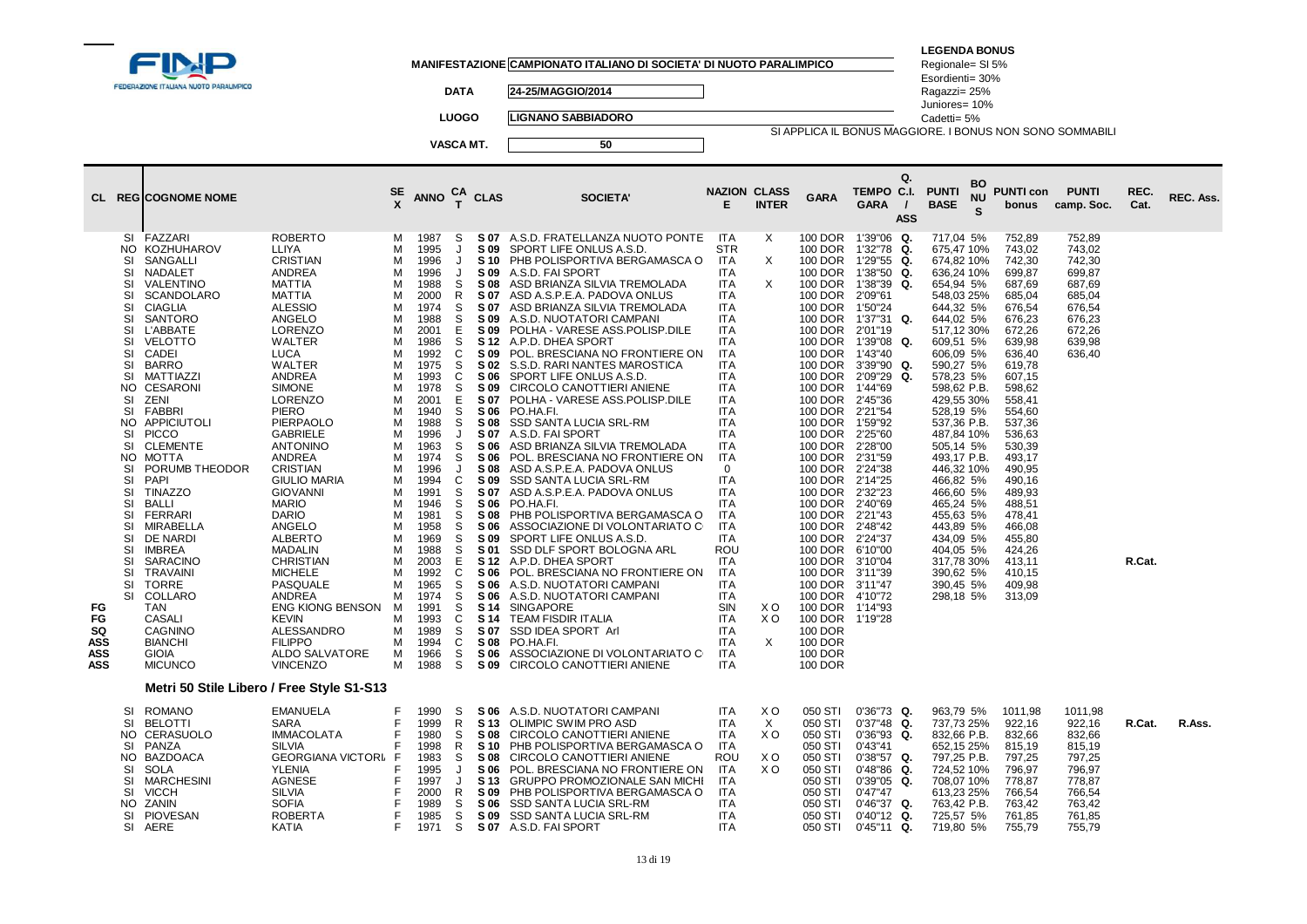|                                                   |                                                                                                                                                                                                            | FEDERAZIONE ITALIANA NUOTO PARALIMPICO                                                                                                                                                                                                                                                                                                                                                                                                                                                                                                        |                                                                                                                                                                                                                                                                                                                                                                                                                                                                                                                                                                                                                                                                              |                                                                                                                                                                                            |                                                                                                                                                                                                                                                                                                              | <b>DATA</b><br><b>LUOGO</b><br>VASCA MT.                                                                                                                                                                      |                                                                                                                                                                                                                                                                                                      | MANIFESTAZIONE CAMPIONATO ITALIANO DI SOCIETA' DI NUOTO PARALIMPICO<br>24-25/MAGGIO/2014<br><b>LIGNANO SABBIADORO</b><br>50                                                                                                                                                                                                                                                                                                                                                                                                                                                                                                                                                                                                                                                                                                                                                                                                                                                                                                                                                                |                                                                                                                                                                                                                                                                                                                                                                                                                                                                                                          |                                                                |                                                                                                                                                                                                                                                                                                                                                                                                                                                                                     | SI APPLICA IL BONUS MAGGIORE. I BONUS NON SONO SOMMABILI                                                                                                                                                                                                                                                                                                                   | <b>LEGENDA BONUS</b><br>Regionale= SI 5%<br>Esordienti= 30%<br>Ragazzi= 25%<br>Juniores= 10%<br>Cadetti= 5%                                                                                                                                                                                                                                                                                                                                 |                      |                                                                                                                                                                                                                                                                                                                              |                                                                                                             |              |           |
|---------------------------------------------------|------------------------------------------------------------------------------------------------------------------------------------------------------------------------------------------------------------|-----------------------------------------------------------------------------------------------------------------------------------------------------------------------------------------------------------------------------------------------------------------------------------------------------------------------------------------------------------------------------------------------------------------------------------------------------------------------------------------------------------------------------------------------|------------------------------------------------------------------------------------------------------------------------------------------------------------------------------------------------------------------------------------------------------------------------------------------------------------------------------------------------------------------------------------------------------------------------------------------------------------------------------------------------------------------------------------------------------------------------------------------------------------------------------------------------------------------------------|--------------------------------------------------------------------------------------------------------------------------------------------------------------------------------------------|--------------------------------------------------------------------------------------------------------------------------------------------------------------------------------------------------------------------------------------------------------------------------------------------------------------|---------------------------------------------------------------------------------------------------------------------------------------------------------------------------------------------------------------|------------------------------------------------------------------------------------------------------------------------------------------------------------------------------------------------------------------------------------------------------------------------------------------------------|--------------------------------------------------------------------------------------------------------------------------------------------------------------------------------------------------------------------------------------------------------------------------------------------------------------------------------------------------------------------------------------------------------------------------------------------------------------------------------------------------------------------------------------------------------------------------------------------------------------------------------------------------------------------------------------------------------------------------------------------------------------------------------------------------------------------------------------------------------------------------------------------------------------------------------------------------------------------------------------------------------------------------------------------------------------------------------------------|----------------------------------------------------------------------------------------------------------------------------------------------------------------------------------------------------------------------------------------------------------------------------------------------------------------------------------------------------------------------------------------------------------------------------------------------------------------------------------------------------------|----------------------------------------------------------------|-------------------------------------------------------------------------------------------------------------------------------------------------------------------------------------------------------------------------------------------------------------------------------------------------------------------------------------------------------------------------------------------------------------------------------------------------------------------------------------|----------------------------------------------------------------------------------------------------------------------------------------------------------------------------------------------------------------------------------------------------------------------------------------------------------------------------------------------------------------------------|---------------------------------------------------------------------------------------------------------------------------------------------------------------------------------------------------------------------------------------------------------------------------------------------------------------------------------------------------------------------------------------------------------------------------------------------|----------------------|------------------------------------------------------------------------------------------------------------------------------------------------------------------------------------------------------------------------------------------------------------------------------------------------------------------------------|-------------------------------------------------------------------------------------------------------------|--------------|-----------|
|                                                   |                                                                                                                                                                                                            | CL REGICOGNOME NOME                                                                                                                                                                                                                                                                                                                                                                                                                                                                                                                           |                                                                                                                                                                                                                                                                                                                                                                                                                                                                                                                                                                                                                                                                              | SE<br>X                                                                                                                                                                                    | <b>ANNO</b>                                                                                                                                                                                                                                                                                                  | CA<br>T                                                                                                                                                                                                       | <b>CLAS</b>                                                                                                                                                                                                                                                                                          | <b>SOCIETA'</b>                                                                                                                                                                                                                                                                                                                                                                                                                                                                                                                                                                                                                                                                                                                                                                                                                                                                                                                                                                                                                                                                            | <b>NAZION CLASS</b><br>Е                                                                                                                                                                                                                                                                                                                                                                                                                                                                                 | <b>INTER</b>                                                   | <b>GARA</b>                                                                                                                                                                                                                                                                                                                                                                                                                                                                         | Q.<br>TEMPO C.I.<br><b>GARA</b><br>$\prime$<br><b>ASS</b>                                                                                                                                                                                                                                                                                                                  | <b>PUNTI</b><br><b>BASE</b>                                                                                                                                                                                                                                                                                                                                                                                                                 | BO<br><b>NU</b><br>S | <b>PUNTI con</b><br>bonus                                                                                                                                                                                                                                                                                                    | <b>PUNTI</b><br>camp. Soc.                                                                                  | REC.<br>Cat. | REC. Ass. |
| FG<br>FG<br>SQ<br><b>ASS</b><br><b>ASS</b><br>ASS | NO.<br>SI<br>SI<br>SI<br>SI<br>SI<br>SI<br>SI<br>SI<br><b>SI</b><br>SI<br>SI<br>NO.<br>SI<br>SI<br>NO.<br>SI<br>SI<br>NO.<br>SI<br>SI<br>SI<br><b>SI</b><br>SI<br>SI<br>SI<br>SI<br>-SI<br>-SI<br>SI<br>SI | SI FAZZARI<br>KOZHUHAROV<br>SANGALLI<br>NADALET<br>VALENTINO<br><b>SCANDOLARO</b><br><b>CIAGLIA</b><br>SANTORO<br>L'ABBATE<br><b>VELOTTO</b><br>CADEI<br><b>BARRO</b><br>MATTIAZZI<br><b>CESARONI</b><br>ZENI<br>FABBRI<br>APPICIUTOLI<br><b>PICCO</b><br><b>CLEMENTE</b><br>MOTTA<br>PORUMB THEODOR<br><b>PAPI</b><br><b>TINAZZO</b><br><b>BALLI</b><br>FERRARI<br>MIRABELLA<br>DE NARDI<br><b>IMBREA</b><br><b>SARACINO</b><br>TRAVAINI<br>TORRE<br>COLLARO<br>TAN<br>CASALI<br>CAGNINO<br><b>BIANCHI</b><br><b>GIOIA</b><br><b>MICUNCO</b> | <b>ROBERTO</b><br>LLIYA<br><b>CRISTIAN</b><br>ANDREA<br><b>MATTIA</b><br><b>MATTIA</b><br><b>ALESSIO</b><br>ANGELO<br><b>LORENZO</b><br>WALTER<br><b>LUCA</b><br>WALTER<br>ANDREA<br><b>SIMONE</b><br><b>LORENZO</b><br><b>PIERO</b><br><b>PIERPAOLO</b><br><b>GABRIELE</b><br><b>ANTONINO</b><br>ANDREA<br><b>CRISTIAN</b><br><b>GIULIO MARIA</b><br><b>GIOVANNI</b><br><b>MARIO</b><br><b>DARIO</b><br>ANGELO<br><b>ALBERTO</b><br><b>MADALIN</b><br><b>CHRISTIAN</b><br><b>MICHELE</b><br>PASQUALE<br><b>ANDREA</b><br>ENG KIONG BENSON<br><b>KEVIN</b><br>ALESSANDRO<br><b>FILIPPO</b><br><b>ALDO SALVATORE</b><br>VINCENZO<br>Metri 50 Stile Libero / Free Style S1-S13 | м<br>м<br>м<br>M<br>м<br>М<br>М<br>м<br>м<br>М<br>м<br>М<br>м<br>М<br>м<br>м<br>M<br>м<br>М<br>м<br>M<br>м<br>м<br>м<br>М<br>М<br>М<br>м<br>м<br>м<br>М<br>M<br>м<br>м<br>м<br>м<br>м<br>M | 1987<br>1995<br>1996<br>1996<br>1988<br>2000<br>1974<br>1988<br>2001<br>1986<br>1992<br>1975<br>1993<br>1978<br>2001<br>1940<br>1988<br>1996<br>1963<br>1974<br>1996<br>1994<br>1991<br>1946<br>1981<br>1958<br>1969<br>1988<br>2003<br>1992<br>1965<br>1974<br>1991<br>1993<br>1989<br>1994<br>1966<br>1988 | S.<br>J<br>$\cdot$<br>J<br>S.<br>$\mathsf{R}$<br>S<br>S<br>E<br>S<br>C<br>S<br>C<br>S<br>Е<br>S<br>S<br>J<br>S<br>S<br>J<br>C<br>S<br>S<br>S<br>S<br>S<br>S<br>E<br>C<br>S<br>S<br>S<br>C<br>S<br>C<br>S<br>S | S 09<br>S 10<br>S 09<br>S 08<br>S 07<br>S 07<br>S 09<br>S 09<br>S 12<br>S 09<br>S 02<br>S 06<br>S 09<br>S 07<br>S 06<br>S 08<br>S 07<br>S 06<br>S 06<br>S 08<br>S 09<br>S 07<br>S 06<br>S 08<br>S 06<br>S 09<br>S 01<br>S 12<br>S 06<br>S 06<br>S 06<br>S 14<br>S 14<br>S 07<br>S 08<br>S 06<br>S 09 | S 07 A.S.D. FRATELLANZA NUOTO PONTE<br>SPORT LIFE ONLUS A.S.D.<br>PHB POLISPORTIVA BERGAMASCA O<br>A.S.D. FAI SPORT<br>ASD BRIANZA SILVIA TREMOLADA<br>ASD A.S.P.E.A. PADOVA ONLUS<br>ASD BRIANZA SILVIA TREMOLADA<br>A.S.D. NUOTATORI CAMPANI<br>POLHA - VARESE ASS.POLISP.DILE<br>A.P.D. DHEA SPORT<br>POL. BRESCIANA NO FRONTIERE ON<br>S.S.D. RARI NANTES MAROSTICA<br>SPORT LIFE ONLUS A.S.D.<br>CIRCOLO CANOTTIERI ANIENE<br>POLHA - VARESE ASS.POLISP.DILE<br>PO.HA.FI.<br>SSD SANTA LUCIA SRL-RM<br>A.S.D. FAI SPORT<br>ASD BRIANZA SILVIA TREMOLADA<br>POL. BRESCIANA NO FRONTIERE ON<br>ASD A.S.P.E.A. PADOVA ONLUS<br>SSD SANTA LUCIA SRL-RM<br>ASD A.S.P.E.A. PADOVA ONLUS<br>PO.HA.FI.<br>PHB POLISPORTIVA BERGAMASCA O<br>ASSOCIAZIONE DI VOLONTARIATO C<br>SPORT LIFE ONLUS A.S.D.<br>SSD DLF SPORT BOLOGNA ARL<br>A.P.D. DHEA SPORT<br>POL. BRESCIANA NO FRONTIERE ON<br>A.S.D. NUOTATORI CAMPANI<br>A.S.D. NUOTATORI CAMPANI<br><b>SINGAPORE</b><br>TEAM FISDIR ITALIA<br>SSD IDEA SPORT Arl<br>PO HA FI.<br>ASSOCIAZIONE DI VOLONTARIATO CI<br>CIRCOLO CANOTTIERI ANIENE | ITA<br>STR<br>ITA.<br><b>ITA</b><br><b>ITA</b><br><b>ITA</b><br><b>ITA</b><br><b>ITA</b><br><b>ITA</b><br><b>ITA</b><br><b>ITA</b><br><b>ITA</b><br><b>ITA</b><br><b>ITA</b><br>ITA<br><b>ITA</b><br><b>ITA</b><br><b>ITA</b><br><b>ITA</b><br><b>ITA</b><br>$\mathbf 0$<br><b>ITA</b><br><b>ITA</b><br><b>ITA</b><br><b>ITA</b><br><b>ITA</b><br><b>ITA</b><br>ROU<br><b>ITA</b><br><b>ITA</b><br><b>ITA</b><br><b>ITA</b><br>SIN<br><b>ITA</b><br><b>ITA</b><br><b>ITA</b><br><b>ITA</b><br><b>ITA</b> | X<br>$\times$<br>X<br>X O<br>X O<br>X                          | 100 DOR<br>100 DOR<br>100 DOR<br><b>100 DOR</b><br>100 DOR<br>100 DOR<br>100 DOR<br>100 DOR<br>100 DOR<br>100 DOR<br>100 DOR<br>100 DOR<br>100 DOR<br>100 DOR<br>100 DOR<br><b>100 DOR</b><br><b>100 DOR</b><br>100 DOR<br>100 DOR 2'28"00<br>100 DOR<br>100 DOR<br>100 DOR<br>100 DOR<br>100 DOR<br>100 DOR<br>100 DOR<br>100 DOR<br>100 DOR<br>100 DOR<br>100 DOR<br>100 DOR 3'11"47<br>100 DOR 4'10"72<br>100 DOR 1'14"93<br>100 DOR<br>100 DOR<br>100 DOR<br>100 DOR<br>100 DOR | 1'39"06 Q.<br>1'32"78<br>Q.<br>1'29"55 Q.<br>1'38"50 Q.<br>1'38"39 Q.<br>2'09"61<br>1'50"24<br>1'37"31<br>Q.<br>2'01"19<br>1'39"08 Q.<br>1'43"40<br>3'39"90 Q.<br>2'09"29<br>Q.<br>1'44"69<br>2'45"36<br>2'21"54<br>1'59"92<br>2'25"60<br>2'31"59<br>2'24"38<br>2'14"25<br>2'32"23<br>2'40"69<br>2'21"43<br>2'48"42<br>2'24"37<br>6'10"00<br>3'10"04<br>3'11"39<br>1'19"28 | 717,04 5%<br>675,47 10%<br>674.82 10%<br>636,24 10%<br>654,94 5%<br>548,03 25%<br>644,32 5%<br>644,02 5%<br>517,12 30%<br>609,51 5%<br>606,09 5%<br>590,27 5%<br>578,23 5%<br>598,62 P.B.<br>429,55 30%<br>528,19 5%<br>537,36 P.B.<br>487,84 10%<br>505,14 5%<br>493,17 P.B.<br>446,32 10%<br>466,82 5%<br>466,60 5%<br>465,24 5%<br>455,63 5%<br>443,89 5%<br>434,09 5%<br>404,05 5%<br>317,78 30%<br>390,62 5%<br>390,45 5%<br>298,18 5% |                      | 752,89<br>743,02<br>742,30<br>699,87<br>687,69<br>685,04<br>676,54<br>676,23<br>672,26<br>639,98<br>636,40<br>619,78<br>607,15<br>598,62<br>558,41<br>554,60<br>537,36<br>536,63<br>530.39<br>493,17<br>490,95<br>490,16<br>489,93<br>488,51<br>478,41<br>466,08<br>455,80<br>424,26<br>413,11<br>410,15<br>409,98<br>313,09 | 752,89<br>743,02<br>742,30<br>699,87<br>687,69<br>685,04<br>676,54<br>676,23<br>672,26<br>639,98<br>636,40  | R.Cat.       |           |
|                                                   | SI<br>-SI<br>SI<br>SI<br>SI<br>SI<br>NO.<br>SI<br>SI                                                                                                                                                       | <b>ROMANO</b><br><b>BELOTTI</b><br>NO CERASUOLO<br>PANZA<br>NO BAZDOACA<br><b>SOLA</b><br><b>MARCHESINI</b><br><b>VICCH</b><br>ZANIN<br><b>PIOVESAN</b><br>AERE                                                                                                                                                                                                                                                                                                                                                                               | <b>EMANUELA</b><br>SARA<br><b>IMMACOLATA</b><br><b>SILVIA</b><br><b>GEORGIANA VICTORI F</b><br><b>YLENIA</b><br>AGNESE<br><b>SILVIA</b><br><b>SOFIA</b><br><b>ROBERTA</b><br>KATIA                                                                                                                                                                                                                                                                                                                                                                                                                                                                                           | F<br>E<br>F<br>F<br>F<br>F<br>F<br>F<br>F                                                                                                                                                  | 1990<br>1999<br>1980<br>1998<br>1983<br>1995<br>1997<br>2000<br>1989<br>1985<br>1971                                                                                                                                                                                                                         | -S<br>R<br>S<br>R<br>S.<br>J<br>J<br>R<br>S<br>S<br>S                                                                                                                                                         | S 13<br>S 08<br>S 10<br>S 08<br>S 06<br>S 13<br>S 09<br>S 06<br>S 09                                                                                                                                                                                                                                 | S 06 A.S.D. NUOTATORI CAMPANI<br>OLIMPIC SWIM PRO ASD<br>CIRCOLO CANOTTIERI ANIENE<br>PHB POLISPORTIVA BERGAMASCA O<br>CIRCOLO CANOTTIERI ANIENE<br>POL. BRESCIANA NO FRONTIERE ON<br><b>GRUPPO PROMOZIONALE SAN MICHI</b><br>PHB POLISPORTIVA BERGAMASCA O<br><b>SSD SANTA LUCIA SRL-RM</b><br><b>SSD SANTA LUCIA SRL-RM</b><br>S 07 A.S.D. FAI SPORT                                                                                                                                                                                                                                                                                                                                                                                                                                                                                                                                                                                                                                                                                                                                     | <b>ITA</b><br><b>ITA</b><br><b>ITA</b><br><b>ITA</b><br>ROU<br><b>ITA</b><br><b>ITA</b><br><b>ITA</b><br><b>ITA</b><br><b>ITA</b><br><b>ITA</b>                                                                                                                                                                                                                                                                                                                                                          | X <sub>O</sub><br>$\mathsf{X}$<br>X O<br>X O<br>X <sub>O</sub> | 050 STI<br>050 STI<br>050 STI<br>050 STI<br>050 STI<br>050 STI<br>050 STI<br>050 STI<br>050 STI<br>050 STI<br>050 STI                                                                                                                                                                                                                                                                                                                                                               | $0'36''73$ Q.<br>$0'37''48$ Q.<br>$0'36''93$ Q.<br>0'43''41<br>$0'38"57$ Q.<br>0'48"86 Q.<br>$0'39"05$ Q.<br>0'47"47<br>0'46"37 Q.<br>0'40"12 Q.<br>$0'45"11$ Q.                                                                                                                                                                                                           | 963,79 5%<br>737,73 25%<br>832,66 P.B.<br>652,15 25%<br>797,25 P.B.<br>724,52 10%<br>708,07 10%<br>613,23 25%<br>763,42 P.B.<br>725,57 5%<br>719,80 5%                                                                                                                                                                                                                                                                                      |                      | 1011.98<br>922,16<br>832,66<br>815,19<br>797,25<br>796,97<br>778,87<br>766,54<br>763,42<br>761,85<br>755,79                                                                                                                                                                                                                  | 1011.98<br>922,16<br>832,66<br>815,19<br>797,25<br>796,97<br>778,87<br>766,54<br>763,42<br>761,85<br>755,79 | R.Cat.       | R.Ass.    |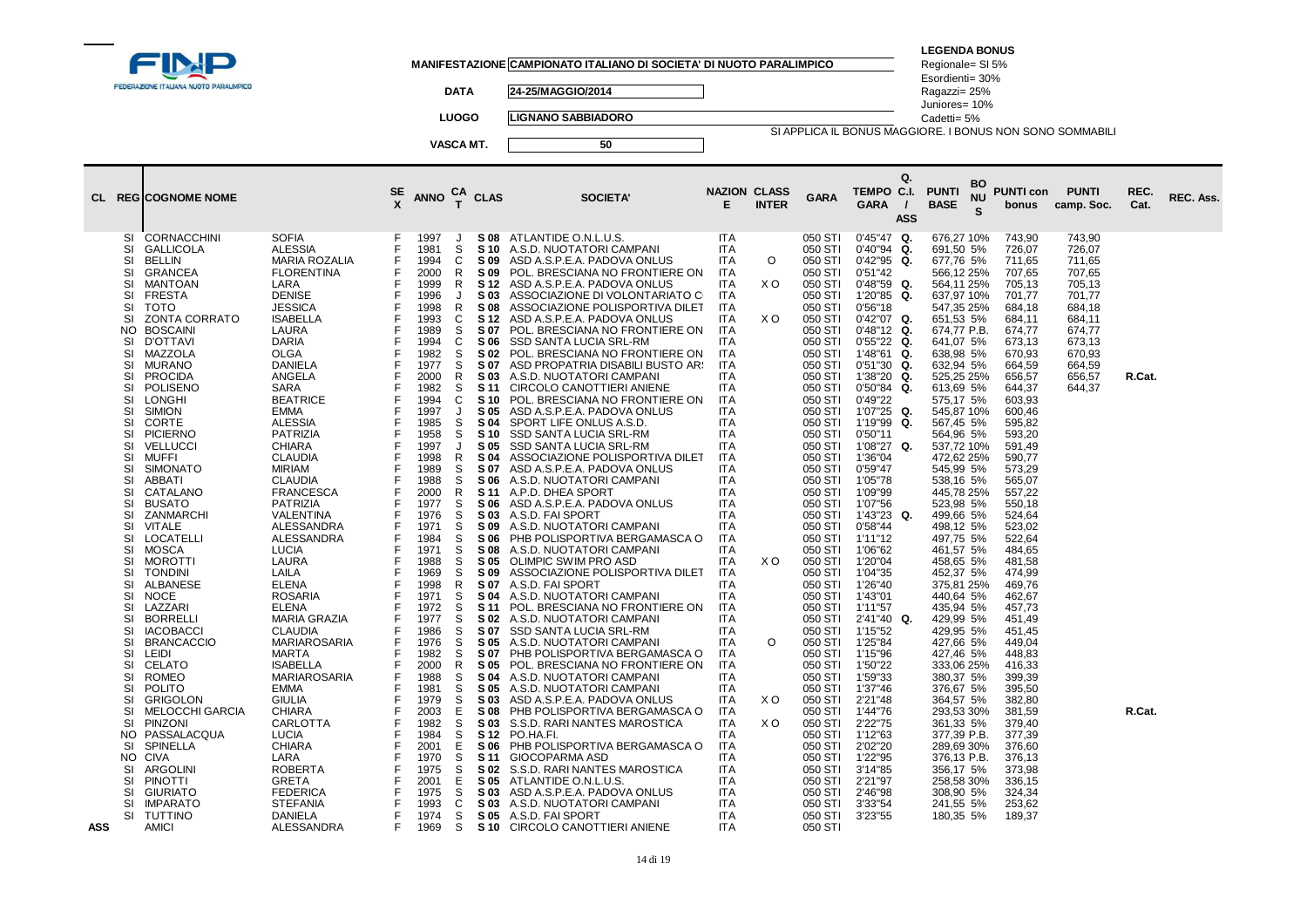| FEDERAZIONE ITALIANA NUOTO PARALIMPICO                                                                                                                                                                                                                                                                                                                                                                                                                                                                                                                                                                                                                                                                                                                                                                                                                                                                                                                                                                                                                                                                                                                                                                                      |                                                                                                                                                                                                                                                                                                                                                                                                                                                                                                                                                                                                                                                                                                                                                                                                                                                                  |                                                                                   | <b>DATA</b><br><b>LUOGO</b><br>VASCA MT.                                                                                                                                                                                                                                                                                                                                                                                                                                                                                                                                                                                                                                                                     |                                                                                                                                                                                                                                                                                                                                                                                                                                                            | MANIFESTAZIONE CAMPIONATO ITALIANO DI SOCIETA' DI NUOTO PARALIMPICO<br>24-25/MAGGIO/2014<br><b>LIGNANO SABBIADORO</b><br>50                                                                                                                                                                                                                                                                                                                                                                                                                                                                                                                                                                                                                                                                                                                                                                                                                                                                                                                                                                                                                                                                                                                                                                                                                                                                                                                                                                                                                                  |                                                                                                                                                                                                                                                                                                                                                                                                                                                                                                                                                                                                                                |                                                                             |                                                                                                                                                                                                                                                                                                                                                                                                                                                                                                                                                                                          | SI APPLICA IL BONUS MAGGIORE. I BONUS NON SONO SOMMABILI                                                                                                                                                                                                                                                                                                                                                                                                                                                                                                                                                                                                                 | <b>LEGENDA BONUS</b><br>Regionale= SI 5%<br>Esordienti= 30%<br>Ragazzi= 25%<br>Juniores= 10%<br>Cadetti= 5%                                                                                                                                                                                                                                                                                                                                                                                                                                                                                                                                                                                              |                                                                                                                                                                                                                                                                                                                                                                                                                                                                                                                            |                                                                                                                                          |                  |           |
|-----------------------------------------------------------------------------------------------------------------------------------------------------------------------------------------------------------------------------------------------------------------------------------------------------------------------------------------------------------------------------------------------------------------------------------------------------------------------------------------------------------------------------------------------------------------------------------------------------------------------------------------------------------------------------------------------------------------------------------------------------------------------------------------------------------------------------------------------------------------------------------------------------------------------------------------------------------------------------------------------------------------------------------------------------------------------------------------------------------------------------------------------------------------------------------------------------------------------------|------------------------------------------------------------------------------------------------------------------------------------------------------------------------------------------------------------------------------------------------------------------------------------------------------------------------------------------------------------------------------------------------------------------------------------------------------------------------------------------------------------------------------------------------------------------------------------------------------------------------------------------------------------------------------------------------------------------------------------------------------------------------------------------------------------------------------------------------------------------|-----------------------------------------------------------------------------------|--------------------------------------------------------------------------------------------------------------------------------------------------------------------------------------------------------------------------------------------------------------------------------------------------------------------------------------------------------------------------------------------------------------------------------------------------------------------------------------------------------------------------------------------------------------------------------------------------------------------------------------------------------------------------------------------------------------|------------------------------------------------------------------------------------------------------------------------------------------------------------------------------------------------------------------------------------------------------------------------------------------------------------------------------------------------------------------------------------------------------------------------------------------------------------|--------------------------------------------------------------------------------------------------------------------------------------------------------------------------------------------------------------------------------------------------------------------------------------------------------------------------------------------------------------------------------------------------------------------------------------------------------------------------------------------------------------------------------------------------------------------------------------------------------------------------------------------------------------------------------------------------------------------------------------------------------------------------------------------------------------------------------------------------------------------------------------------------------------------------------------------------------------------------------------------------------------------------------------------------------------------------------------------------------------------------------------------------------------------------------------------------------------------------------------------------------------------------------------------------------------------------------------------------------------------------------------------------------------------------------------------------------------------------------------------------------------------------------------------------------------|--------------------------------------------------------------------------------------------------------------------------------------------------------------------------------------------------------------------------------------------------------------------------------------------------------------------------------------------------------------------------------------------------------------------------------------------------------------------------------------------------------------------------------------------------------------------------------------------------------------------------------|-----------------------------------------------------------------------------|------------------------------------------------------------------------------------------------------------------------------------------------------------------------------------------------------------------------------------------------------------------------------------------------------------------------------------------------------------------------------------------------------------------------------------------------------------------------------------------------------------------------------------------------------------------------------------------|--------------------------------------------------------------------------------------------------------------------------------------------------------------------------------------------------------------------------------------------------------------------------------------------------------------------------------------------------------------------------------------------------------------------------------------------------------------------------------------------------------------------------------------------------------------------------------------------------------------------------------------------------------------------------|----------------------------------------------------------------------------------------------------------------------------------------------------------------------------------------------------------------------------------------------------------------------------------------------------------------------------------------------------------------------------------------------------------------------------------------------------------------------------------------------------------------------------------------------------------------------------------------------------------------------------------------------------------------------------------------------------------|----------------------------------------------------------------------------------------------------------------------------------------------------------------------------------------------------------------------------------------------------------------------------------------------------------------------------------------------------------------------------------------------------------------------------------------------------------------------------------------------------------------------------|------------------------------------------------------------------------------------------------------------------------------------------|------------------|-----------|
| <b>CL REGICOGNOME NOME</b>                                                                                                                                                                                                                                                                                                                                                                                                                                                                                                                                                                                                                                                                                                                                                                                                                                                                                                                                                                                                                                                                                                                                                                                                  |                                                                                                                                                                                                                                                                                                                                                                                                                                                                                                                                                                                                                                                                                                                                                                                                                                                                  | $rac{\text{SE}}{\text{X}}$                                                        | CA<br>T<br><b>ANNO</b>                                                                                                                                                                                                                                                                                                                                                                                                                                                                                                                                                                                                                                                                                       | <b>CLAS</b>                                                                                                                                                                                                                                                                                                                                                                                                                                                | <b>SOCIETA'</b>                                                                                                                                                                                                                                                                                                                                                                                                                                                                                                                                                                                                                                                                                                                                                                                                                                                                                                                                                                                                                                                                                                                                                                                                                                                                                                                                                                                                                                                                                                                                              | <b>NAZION CLASS</b><br>E                                                                                                                                                                                                                                                                                                                                                                                                                                                                                                                                                                                                       | <b>INTER</b>                                                                | <b>GARA</b>                                                                                                                                                                                                                                                                                                                                                                                                                                                                                                                                                                              | Q.<br>TEMPO C.I.<br><b>GARA</b><br>$\prime$<br><b>ASS</b>                                                                                                                                                                                                                                                                                                                                                                                                                                                                                                                                                                                                                | BO<br><b>PUNTI</b><br>ΝU<br><b>BASE</b><br>S                                                                                                                                                                                                                                                                                                                                                                                                                                                                                                                                                                                                                                                             | <b>PUNTI con</b><br>bonus                                                                                                                                                                                                                                                                                                                                                                                                                                                                                                  | <b>PUNTI</b><br>camp. Soc.                                                                                                               | REC.<br>Cat.     | REC. Ass. |
| CORNACCHINI<br>SI<br><b>GALLICOLA</b><br>SI<br><b>BELLIN</b><br>SI<br>SI<br><b>GRANCEA</b><br>SI<br>MANTOAN<br>SI<br><b>FRESTA</b><br>SI<br><b>TOTO</b><br>ZONTA CORRATO<br>SI<br>NO<br><b>BOSCAINI</b><br>SI<br><b>D'OTTAVI</b><br>SI<br>MAZZOLA<br><b>MURANO</b><br>SI<br><b>PROCIDA</b><br>SI<br>SI<br><b>POLISENO</b><br>SI<br><b>LONGHI</b><br>SI<br><b>SIMION</b><br>SI<br><b>CORTE</b><br>SI<br><b>PICIERNO</b><br><b>VELLUCCI</b><br>SI<br>SI<br><b>MUFFI</b><br><b>SIMONATO</b><br>SI<br>SI<br>ABBATI<br>SI<br>CATALANO<br>SI<br><b>BUSATO</b><br>SI<br>ZANMARCHI<br>SI<br>VITALE<br>SI<br><b>LOCATELLI</b><br><b>MOSCA</b><br>SI<br><b>MOROTTI</b><br>SI<br>SI<br><b>TONDINI</b><br>SI<br>ALBANESE<br><b>NOCE</b><br>SI<br>LAZZARI<br>SI<br>SI<br><b>BORRELLI</b><br><b>SI</b><br><b>IACOBACCI</b><br>SI<br><b>BRANCACCIO</b><br><b>LEIDI</b><br>SI<br><b>CELATO</b><br>SI<br>SI<br><b>ROMEO</b><br>SI<br><b>POLITO</b><br>SI<br><b>GRIGOLON</b><br><b>MELOCCHI GARCIA</b><br>SI<br>SI<br><b>PINZONI</b><br>NO.<br>PASSALACQUA<br>SPINELLA<br><b>SI</b><br>NO.<br><b>CIVA</b><br>SI<br>ARGOLINI<br><b>PINOTTI</b><br>SI<br>SI<br><b>GIURIATO</b><br>SI<br><b>IMPARATO</b><br>SI<br><b>TUTTINO</b><br>ASS<br>AMICI | <b>SOFIA</b><br><b>ALESSIA</b><br><b>MARIA ROZALIA</b><br><b>FLORENTINA</b><br>LARA<br><b>DENISE</b><br><b>JESSICA</b><br><b>ISABELLA</b><br>LAURA<br><b>DARIA</b><br><b>OLGA</b><br>DANIELA<br>ANGELA<br>SARA<br><b>BEATRICE</b><br><b>EMMA</b><br><b>ALESSIA</b><br><b>PATRIZIA</b><br><b>CHIARA</b><br><b>CLAUDIA</b><br><b>MIRIAM</b><br><b>CLAUDIA</b><br><b>FRANCESCA</b><br><b>PATRIZIA</b><br>VALENTINA<br><b>ALESSANDRA</b><br>ALESSANDRA<br><b>LUCIA</b><br>LAURA<br>LAILA<br><b>ELENA</b><br><b>ROSARIA</b><br>ELENA<br><b>MARIA GRAZIA</b><br><b>CLAUDIA</b><br><b>MARIAROSARIA</b><br><b>MARTA</b><br><b>ISABELLA</b><br><b>MARIAROSARIA</b><br><b>EMMA</b><br><b>GIULIA</b><br><b>CHIARA</b><br>CARLOTTA<br><b>LUCIA</b><br><b>CHIARA</b><br>LARA<br><b>ROBERTA</b><br><b>GRETA</b><br><b>FEDERICA</b><br><b>STEFANIA</b><br>DANIELA<br>ALESSANDRA | F<br>F<br>E<br>E<br>F<br>F<br>E<br>F<br>F<br>F<br>F<br>F<br>F<br>F<br>F<br>F<br>F | 1997<br>J<br>1981<br>S<br>1994<br>C<br>2000<br>R<br>1999<br>R<br>1996<br>J<br>1998<br>R<br>1993<br>C<br>1989<br>S<br>1994<br>C<br>1982<br>S<br>1977<br>S<br>2000<br>R<br>1982<br>S<br>1994<br>C<br>1997<br>$\cdot$<br>1985<br>S<br>1958<br>S<br>1997<br>$\cdot$<br>1998<br>R<br>1989<br>S<br>1988<br>S<br>2000<br>R<br>1977<br>S<br>1976<br>S<br>1971<br>S<br>1984<br>S<br>1971<br>S<br>1988<br>S<br>S<br>1969<br>1998<br>R<br>1971<br>S<br>1972<br>S<br>1977<br>S<br>1986<br>S<br>1976<br>S<br>1982<br>S<br>2000<br>R<br>1988<br>S<br>S<br>1981<br>1979<br>S<br>2003<br>E<br>1982<br>S<br>1984<br>S<br>2001<br>E<br>1970<br>S<br>1975<br>S<br>2001<br>Ε<br>1975<br>S<br>1993<br>C<br>1974<br>S<br>1969<br>S | <b>S08</b><br>S 10<br>S 09<br>S 09<br>S 12<br>S 03<br>S 08<br>S 12<br>S 07<br>S 06<br>S 02<br>S 07<br>S 03<br>S 11<br>S <sub>10</sub><br>S 05<br>S 04<br>S 10<br>S 05<br>S 04<br>S 07<br>S 06<br>S 11<br>S 06<br>S 03<br>S 09<br>S 06<br>S 08<br>S 05<br>S 09<br>S 07<br>S 04<br><b>S11</b><br>S 02<br>S 07<br>S 05<br>S 07<br>S 05<br>S 04<br>S 05<br>S 03<br>S 08<br>S 03<br>S 12<br>S 06<br>S 11<br>S 02<br>S 05<br>S 03<br>S 03<br>S 05<br><b>S</b> 10 | ATLANTIDE O.N.L.U.S.<br>A.S.D. NUOTATORI CAMPANI<br>ASD A.S.P.E.A. PADOVA ONLUS<br>POL. BRESCIANA NO FRONTIERE ON<br>ASD A.S.P.E.A. PADOVA ONLUS<br>ASSOCIAZIONE DI VOLONTARIATO C<br>ASSOCIAZIONE POLISPORTIVA DILET<br>ASD A.S.P.E.A. PADOVA ONLUS<br>POL. BRESCIANA NO FRONTIERE ON<br>SSD SANTA LUCIA SRL-RM<br>POL. BRESCIANA NO FRONTIERE ON<br>ASD PROPATRIA DISABILI BUSTO ARS<br>A.S.D. NUOTATORI CAMPANI<br>CIRCOLO CANOTTIERI ANIENE<br>POL. BRESCIANA NO FRONTIERE ON<br>ASD A.S.P.E.A. PADOVA ONLUS<br>SPORT LIFE ONLUS A.S.D.<br>SSD SANTA LUCIA SRL-RM<br>SSD SANTA LUCIA SRL-RM<br>ASSOCIAZIONE POLISPORTIVA DILET<br>ASD A.S.P.E.A. PADOVA ONLUS<br>A.S.D. NUOTATORI CAMPANI<br>A.P.D. DHEA SPORT<br>ASD A.S.P.E.A. PADOVA ONLUS<br>A.S.D. FAI SPORT<br>A.S.D. NUOTATORI CAMPANI<br>PHB POLISPORTIVA BERGAMASCA O<br>A.S.D. NUOTATORI CAMPANI<br>OLIMPIC SWIM PRO ASD<br>ASSOCIAZIONE POLISPORTIVA DILET<br>A.S.D. FAI SPORT<br>A.S.D. NUOTATORI CAMPANI<br>POL. BRESCIANA NO FRONTIERE ON<br>A.S.D. NUOTATORI CAMPANI<br>SSD SANTA LUCIA SRL-RM<br>A.S.D. NUOTATORI CAMPANI<br>PHB POLISPORTIVA BERGAMASCA O<br>POL. BRESCIANA NO FRONTIERE ON<br>A.S.D. NUOTATORI CAMPANI<br>A.S.D. NUOTATORI CAMPANI<br>ASD A.S.P.E.A. PADOVA ONLUS<br>PHB POLISPORTIVA BERGAMASCA O<br>S.S.D. RARI NANTES MAROSTICA<br>PO HA FI.<br>PHB POLISPORTIVA BERGAMASCA O<br>GIOCOPARMA ASD<br>S.S.D. RARI NANTES MAROSTICA<br>ATLANTIDE O.N.L.U.S.<br>ASD A.S.P.E.A. PADOVA ONLUS<br>A.S.D. NUOTATORI CAMPANI<br>A.S.D. FAI SPORT<br>CIRCOLO CANOTTIERI ANIENE | <b>ITA</b><br>ITA<br><b>ITA</b><br><b>ITA</b><br>ITA<br><b>ITA</b><br><b>ITA</b><br><b>ITA</b><br><b>ITA</b><br><b>ITA</b><br><b>ITA</b><br>ITA<br>ITA<br>ITA<br><b>ITA</b><br>ITA<br><b>ITA</b><br><b>ITA</b><br>ITA<br><b>ITA</b><br>ITA<br><b>ITA</b><br><b>ITA</b><br><b>ITA</b><br><b>ITA</b><br><b>ITA</b><br>ITA<br><b>ITA</b><br><b>ITA</b><br><b>ITA</b><br><b>ITA</b><br>ITA<br><b>ITA</b><br><b>ITA</b><br><b>ITA</b><br><b>ITA</b><br>ITA<br>ITA<br>ITA.<br><b>ITA</b><br>ITA<br><b>ITA</b><br><b>ITA</b><br><b>ITA</b><br><b>ITA</b><br>ITA<br>ITA<br><b>ITA</b><br><b>ITA</b><br>ITA<br><b>ITA</b><br><b>ITA</b> | $\circ$<br>X O<br>X O<br>X <sub>O</sub><br>$\circ$<br>X <sub>O</sub><br>X O | 050 STI<br>050 STI<br>050 STI<br>050 STI<br>050 STI<br>050 STI<br>050 STI<br>050 STI<br>050 STI<br>050 STI<br>050 STI<br>050 STI<br>050 STI<br>050 STI<br>050 STI<br>050 STI<br>050 STI<br>050 STI<br>050 STI<br>050 STI<br>050 STI<br>050 STI<br>050 STI<br>050 STI<br>050 STI<br>050 STI<br>050 STI<br>050 STI<br>050 STI<br>050 STI<br>050 STI<br>050 STI<br>050 STI<br>050 STI<br>050 STI<br>050 STI<br>050 STI<br>050 STI<br>050 STI<br>050 STI<br>050 STI<br>050 STI<br>050 STI<br>050 STI<br>050 STI<br>050 STI<br>050 STI<br>050 STI<br>050 STI<br>050 STI<br>050 STI<br>050 STI | $0'45''47$ Q.<br>0'40"94<br>Q.<br>0'42"95<br>Q.<br>0'51"42<br>$0'48"59$ Q.<br>1'20"85<br>Q.<br>0'56''18<br>0'42"07 Q.<br>$0'48"12$ Q.<br>$0'55"22$ Q.<br>1'48"61<br>Q.<br>0'51"30<br>Q.<br>1'38"20<br>Q.<br>0'50"84<br>Q.<br>0'49"22<br>1'07"25<br>Q.<br>1'19"99<br>Q.<br>0'50"11<br>1'08"27 Q.<br>1'36"04<br>0'59"47<br>1'05"78<br>1'09"99<br>1'07"56<br>$1'43''23$ Q.<br>0'58"44<br>1'11"12<br>1'06"62<br>1'20"04<br>1'04"35<br>1'26"40<br>1'43"01<br>1'11"57<br>2'41"40 Q.<br>1'15"52<br>1'25"84<br>1'15"96<br>1'50"22<br>1'59"33<br>1'37"46<br>2'21"48<br>1'44"76<br>2'22"75<br>1'12"63<br>2'02"20<br>1'22"95<br>3'14"85<br>2'21"97<br>2'46"98<br>3'33"54<br>3'23"55 | 676,27 10%<br>691,50 5%<br>677,76 5%<br>566,12 25%<br>564,11 25%<br>637,97 10%<br>547,35 25%<br>651,53 5%<br>674,77 P.B.<br>641,07 5%<br>638,98 5%<br>632,94 5%<br>525,25 25%<br>613,69 5%<br>575,17 5%<br>545,87 10%<br>567,45 5%<br>564,96 5%<br>537,72 10%<br>472,62 25%<br>545,99 5%<br>538,16 5%<br>445,78 25%<br>523,98 5%<br>499,66 5%<br>498,12 5%<br>497,75 5%<br>461,57 5%<br>458,65 5%<br>452,37 5%<br>375,81 25%<br>440,64 5%<br>435,94 5%<br>429,99 5%<br>429,95 5%<br>427,66 5%<br>427,46 5%<br>333,06 25%<br>380,37 5%<br>376,67 5%<br>364,57 5%<br>293,53 30%<br>361,33 5%<br>377,39 P.B.<br>289,69 30%<br>376,13 P.B.<br>356,17 5%<br>258,58 30%<br>308,90 5%<br>241,55 5%<br>180,35 5% | 743,90<br>726,07<br>711,65<br>707,65<br>705,13<br>701.77<br>684,18<br>684,11<br>674,77<br>673,13<br>670,93<br>664,59<br>656,57<br>644,37<br>603.93<br>600,46<br>595,82<br>593,20<br>591,49<br>590,77<br>573,29<br>565,07<br>557,22<br>550.18<br>524,64<br>523.02<br>522,64<br>484.65<br>481,58<br>474,99<br>469,76<br>462,67<br>457,73<br>451.49<br>451,45<br>449,04<br>448,83<br>416,33<br>399,39<br>395.50<br>382,80<br>381.59<br>379,40<br>377,39<br>376,60<br>376,13<br>373,98<br>336,15<br>324,34<br>253,62<br>189,37 | 743,90<br>726,07<br>711,65<br>707,65<br>705,13<br>701,77<br>684,18<br>684,11<br>674,77<br>673,13<br>670,93<br>664,59<br>656,57<br>644,37 | R.Cat.<br>R.Cat. |           |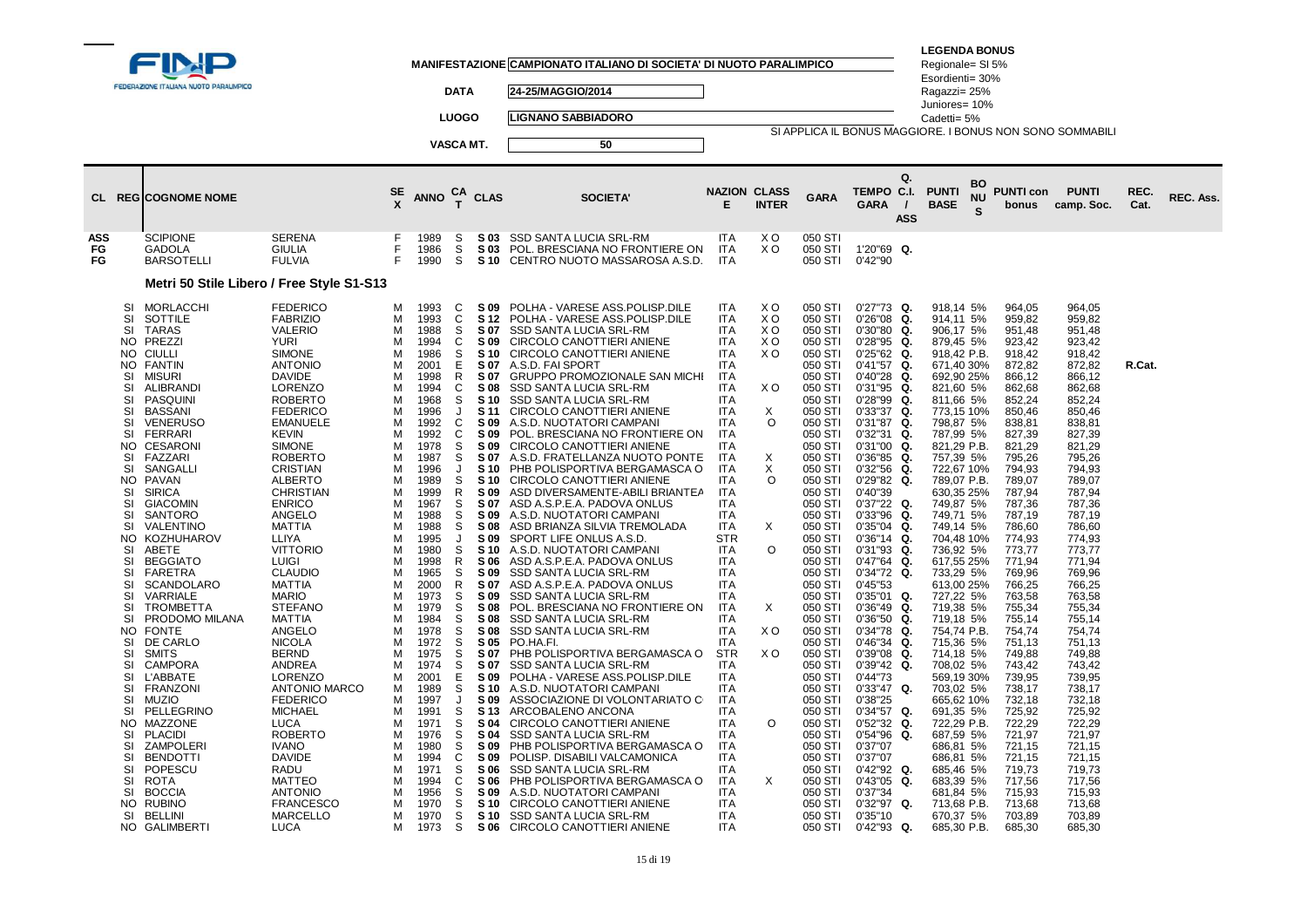|                                                                                                                                                                                                                                                                              | FEDERAZIONE ITALIANA NUOTO PARALIMPICO<br>CL REGICOGNOME NOME                                                                                                                                                                                                                                                                                                                                                                                                                                                                                                                                                                                                                                                          |                                                                                                                                                                                                                                                                                                                                                                                                                                                                                                                                                                                                                                                                                                                                                                                      | SE                                                                                                                                                                                                                                 | <b>ANNO</b>                                                                                                                                                                                                                                                                                                                                                                  | <b>DATA</b><br><b>LUOGO</b><br>VASCA MT.<br>CА<br>$\mathbf{r}$                                                                                                                                                                                                         | <b>CLAS</b>                                                                                                                                                                                                                                                                                                                                                                                                        | MANIFESTAZIONE CAMPIONATO ITALIANO DI SOCIETA' DI NUOTO PARALIMPICO<br>24-25/MAGGIO/2014<br><b>LIGNANO SABBIADORO</b><br>50<br><b>SOCIETA</b>                                                                                                                                                                                                                                                                                                                                                                                                                                                                                                                                                                                                                                                                                                                                                                                                                                                                                                                                                                                                                                                                                                                                                                                                                                             | <b>NAZION CLASS</b><br>Е                                                                                                                                                                                                                                                                                                                                                                                                                                                                                                                                                                                                                           | <b>INTER</b>                                                                                                                                 | <b>GARA</b>                                                                                                                                                                                                                                                                                                                                                                                                                                                                                                            | SI APPLICA IL BONUS MAGGIORE. I BONUS NON SONO SOMMABILI<br>Q.<br>TEMPO C.I.<br><b>GARA</b><br><b>ASS</b>                                                                                                                                                                                                                                                                                                                                                                                                                                                                                                                                                                                                                                 | <b>LEGENDA BONUS</b><br>Regionale= SI 5%<br>Esordienti= 30%<br>Ragazzi= 25%<br>Juniores= 10%<br>Cadetti= 5%<br><b>PUNTI</b><br><b>BASE</b>                                                                                                                                                                                                                                                                                                                                                                                                                                                                                                 | BO<br><b>NU</b><br>S. | <b>PUNTI con</b><br>bonus                                                                                                                                                                                                                                                                                                                                                                                                                                                | <b>PUNTI</b><br>camp. Soc.                                                                                                                                                                                                                                                                                                                                                                                                                                               | REC.<br>Cat. | REC. Ass. |
|------------------------------------------------------------------------------------------------------------------------------------------------------------------------------------------------------------------------------------------------------------------------------|------------------------------------------------------------------------------------------------------------------------------------------------------------------------------------------------------------------------------------------------------------------------------------------------------------------------------------------------------------------------------------------------------------------------------------------------------------------------------------------------------------------------------------------------------------------------------------------------------------------------------------------------------------------------------------------------------------------------|--------------------------------------------------------------------------------------------------------------------------------------------------------------------------------------------------------------------------------------------------------------------------------------------------------------------------------------------------------------------------------------------------------------------------------------------------------------------------------------------------------------------------------------------------------------------------------------------------------------------------------------------------------------------------------------------------------------------------------------------------------------------------------------|------------------------------------------------------------------------------------------------------------------------------------------------------------------------------------------------------------------------------------|------------------------------------------------------------------------------------------------------------------------------------------------------------------------------------------------------------------------------------------------------------------------------------------------------------------------------------------------------------------------------|------------------------------------------------------------------------------------------------------------------------------------------------------------------------------------------------------------------------------------------------------------------------|--------------------------------------------------------------------------------------------------------------------------------------------------------------------------------------------------------------------------------------------------------------------------------------------------------------------------------------------------------------------------------------------------------------------|-------------------------------------------------------------------------------------------------------------------------------------------------------------------------------------------------------------------------------------------------------------------------------------------------------------------------------------------------------------------------------------------------------------------------------------------------------------------------------------------------------------------------------------------------------------------------------------------------------------------------------------------------------------------------------------------------------------------------------------------------------------------------------------------------------------------------------------------------------------------------------------------------------------------------------------------------------------------------------------------------------------------------------------------------------------------------------------------------------------------------------------------------------------------------------------------------------------------------------------------------------------------------------------------------------------------------------------------------------------------------------------------|----------------------------------------------------------------------------------------------------------------------------------------------------------------------------------------------------------------------------------------------------------------------------------------------------------------------------------------------------------------------------------------------------------------------------------------------------------------------------------------------------------------------------------------------------------------------------------------------------------------------------------------------------|----------------------------------------------------------------------------------------------------------------------------------------------|------------------------------------------------------------------------------------------------------------------------------------------------------------------------------------------------------------------------------------------------------------------------------------------------------------------------------------------------------------------------------------------------------------------------------------------------------------------------------------------------------------------------|-------------------------------------------------------------------------------------------------------------------------------------------------------------------------------------------------------------------------------------------------------------------------------------------------------------------------------------------------------------------------------------------------------------------------------------------------------------------------------------------------------------------------------------------------------------------------------------------------------------------------------------------------------------------------------------------------------------------------------------------|--------------------------------------------------------------------------------------------------------------------------------------------------------------------------------------------------------------------------------------------------------------------------------------------------------------------------------------------------------------------------------------------------------------------------------------------------------------------------------------------------------------------------------------------------------------------------------------------------------------------------------------------|-----------------------|--------------------------------------------------------------------------------------------------------------------------------------------------------------------------------------------------------------------------------------------------------------------------------------------------------------------------------------------------------------------------------------------------------------------------------------------------------------------------|--------------------------------------------------------------------------------------------------------------------------------------------------------------------------------------------------------------------------------------------------------------------------------------------------------------------------------------------------------------------------------------------------------------------------------------------------------------------------|--------------|-----------|
| ASS<br>FG<br>FG                                                                                                                                                                                                                                                              | <b>SCIPIONE</b><br><b>GADOLA</b><br><b>BARSOTELLI</b>                                                                                                                                                                                                                                                                                                                                                                                                                                                                                                                                                                                                                                                                  | <b>SERENA</b><br><b>GIULIA</b><br><b>FULVIA</b>                                                                                                                                                                                                                                                                                                                                                                                                                                                                                                                                                                                                                                                                                                                                      | F<br>F<br>F                                                                                                                                                                                                                        | 1989<br>1986<br>1990                                                                                                                                                                                                                                                                                                                                                         | S<br>S<br>S                                                                                                                                                                                                                                                            | S 03<br>S 03<br><b>S</b> 10                                                                                                                                                                                                                                                                                                                                                                                        | SSD SANTA LUCIA SRL-RM<br>POL. BRESCIANA NO FRONTIERE ON<br>CENTRO NUOTO MASSAROSA A.S.D.                                                                                                                                                                                                                                                                                                                                                                                                                                                                                                                                                                                                                                                                                                                                                                                                                                                                                                                                                                                                                                                                                                                                                                                                                                                                                                 | <b>ITA</b><br>ITA<br><b>ITA</b>                                                                                                                                                                                                                                                                                                                                                                                                                                                                                                                                                                                                                    | X O<br>X O                                                                                                                                   | 050 STI<br>050 STI<br>050 STI                                                                                                                                                                                                                                                                                                                                                                                                                                                                                          | 1'20"69 Q.<br>0'42"90                                                                                                                                                                                                                                                                                                                                                                                                                                                                                                                                                                                                                                                                                                                     |                                                                                                                                                                                                                                                                                                                                                                                                                                                                                                                                                                                                                                            |                       |                                                                                                                                                                                                                                                                                                                                                                                                                                                                          |                                                                                                                                                                                                                                                                                                                                                                                                                                                                          |              |           |
|                                                                                                                                                                                                                                                                              |                                                                                                                                                                                                                                                                                                                                                                                                                                                                                                                                                                                                                                                                                                                        | Metri 50 Stile Libero / Free Style S1-S13                                                                                                                                                                                                                                                                                                                                                                                                                                                                                                                                                                                                                                                                                                                                            |                                                                                                                                                                                                                                    |                                                                                                                                                                                                                                                                                                                                                                              |                                                                                                                                                                                                                                                                        |                                                                                                                                                                                                                                                                                                                                                                                                                    |                                                                                                                                                                                                                                                                                                                                                                                                                                                                                                                                                                                                                                                                                                                                                                                                                                                                                                                                                                                                                                                                                                                                                                                                                                                                                                                                                                                           |                                                                                                                                                                                                                                                                                                                                                                                                                                                                                                                                                                                                                                                    |                                                                                                                                              |                                                                                                                                                                                                                                                                                                                                                                                                                                                                                                                        |                                                                                                                                                                                                                                                                                                                                                                                                                                                                                                                                                                                                                                                                                                                                           |                                                                                                                                                                                                                                                                                                                                                                                                                                                                                                                                                                                                                                            |                       |                                                                                                                                                                                                                                                                                                                                                                                                                                                                          |                                                                                                                                                                                                                                                                                                                                                                                                                                                                          |              |           |
| SI<br>SI<br>SI<br>NO.<br>NO.<br>SI<br>SI<br>SI<br>SI<br>SI<br>SI<br>NO.<br>SI<br>SI<br>NO.<br>SI<br>SI<br>SI<br>SI<br>NO.<br>SI<br>SI<br>SI<br>SI<br>SI<br>SI<br>SI<br>NO.<br>SI<br>SI<br>SI<br>SI<br>SI<br>SI<br>SI<br>NO.<br>SI<br>SI<br>SI<br>SI<br>SI<br>SI<br>NO.<br>SI | MORLACCHI<br>SOTTILE<br><b>TARAS</b><br>PREZZI<br>NO CIULLI<br>FANTIN<br><b>MISURI</b><br>ALIBRANDI<br><b>PASQUINI</b><br>BASSANI<br><b>VENERUSO</b><br><b>FERRARI</b><br><b>CESARONI</b><br>FAZZARI<br>SANGALLI<br>PAVAN<br><b>SIRICA</b><br><b>GIACOMIN</b><br><b>SANTORO</b><br>VALENTINO<br>KOZHUHAROV<br>ABETE<br><b>BEGGIATO</b><br>FARETRA<br>SCANDOLARO<br>VARRIALE<br><b>TROMBETTA</b><br>PRODOMO MILANA<br><b>FONTE</b><br>DE CARLO<br><b>SMITS</b><br><b>CAMPORA</b><br><b>L'ABBATE</b><br><b>FRANZONI</b><br><b>MUZIO</b><br>PELLEGRINO<br>MAZZONE<br><b>PLACIDI</b><br><b>ZAMPOLERI</b><br><b>BENDOTTI</b><br>POPESCU<br><b>ROTA</b><br><b>BOCCIA</b><br><b>RUBINO</b><br><b>BELLINI</b><br>NO GALIMBERTI | <b>FEDERICO</b><br><b>FABRIZIO</b><br><b>VALERIO</b><br><b>YURI</b><br><b>SIMONE</b><br><b>ANTONIO</b><br><b>DAVIDE</b><br>LORENZO<br><b>ROBERTO</b><br><b>FEDERICO</b><br><b>EMANUELE</b><br><b>KEVIN</b><br><b>SIMONE</b><br><b>ROBERTO</b><br><b>CRISTIAN</b><br><b>ALBERTO</b><br><b>CHRISTIAN</b><br><b>ENRICO</b><br>ANGELO<br><b>MATTIA</b><br>LLIYA<br><b>VITTORIO</b><br><b>LUIGI</b><br><b>CLAUDIO</b><br><b>MATTIA</b><br><b>MARIO</b><br><b>STEFANO</b><br>MATTIA<br>ANGELO<br><b>NICOLA</b><br><b>BERND</b><br>ANDREA<br><b>LORENZO</b><br><b>ANTONIO MARCO</b><br><b>FEDERICO</b><br><b>MICHAEL</b><br><b>LUCA</b><br><b>ROBERTO</b><br><b>IVANO</b><br><b>DAVIDE</b><br>RADU<br><b>MATTEO</b><br><b>ANTONIO</b><br><b>FRANCESCO</b><br><b>MARCELLO</b><br><b>LUCA</b> | M<br>м<br>м<br>м<br>м<br>м<br>м<br>м<br>м<br>м<br>м<br>M<br>М<br>М<br>М<br>м<br>м<br>м<br>м<br>м<br>м<br>м<br>м<br>M<br>м<br>м<br>М<br>м<br>м<br>м<br>M<br>M<br>М<br>м<br>М<br>м<br>м<br>М<br>м<br>М<br>м<br>М<br>М<br>М<br>М<br>м | 1993<br>1993<br>1988<br>1994<br>1986<br>2001<br>1998<br>1994<br>1968<br>1996<br>1992<br>1992<br>1978<br>1987<br>1996<br>1989<br>1999<br>1967<br>1988<br>1988<br>1995<br>1980<br>1998<br>1965<br>2000<br>1973<br>1979<br>1984<br>1978<br>1972<br>1975<br>1974<br>2001<br>1989<br>1997<br>1991<br>1971<br>1976<br>1980<br>1994<br>1971<br>1994<br>1956<br>1970<br>1970<br>1973 | <sup>-</sup> C<br>C<br>S<br>C<br>S<br>E<br>R<br>C<br>S<br>$\cdot$<br>C<br>C<br>S<br>S<br>J<br>S<br>R<br>S<br>S<br>S<br>$\cdot$<br>S<br>R<br>S<br>$\mathsf{R}$<br>S<br>S<br>S<br>S<br>S<br>S<br>S<br>Е<br>S<br>J<br>S<br>S<br>S<br>S<br>C<br>S<br>C<br>S<br>S<br>S<br>S | S 09<br>S 12<br>S 07<br>S 09<br>S 10<br>S 07<br>S 07<br>S 08<br><b>S</b> 10<br>S 11<br>S 09<br>S 09<br>S 09<br>S 07<br>S 10<br>S 10<br>S 09<br>S 07<br>S 09<br><b>S08</b><br>S 09<br>S 10<br>S 06<br>S 09<br>S 07<br>S 09<br><b>S08</b><br><b>S08</b><br>S 08<br>S 05<br>S 07<br>S 07<br>S 09<br>S 10<br>S 09<br>S 13<br>S 04<br>S 04<br>S 09<br>S 09<br>S 06<br>S 06<br>S 09<br><b>S10</b><br><b>S</b> 10<br>S 06 | POLHA - VARESE ASS.POLISP.DILE<br>POLHA - VARESE ASS POLISP DILE<br>SSD SANTA LUCIA SRL-RM<br>CIRCOLO CANOTTIERI ANIENE<br>CIRCOLO CANOTTIERI ANIENE<br>A.S.D. FAI SPORT<br>GRUPPO PROMOZIONALE SAN MICHI<br>SSD SANTA LUCIA SRL-RM<br>SSD SANTA LUCIA SRL-RM<br>CIRCOLO CANOTTIERI ANIENE<br>A.S.D. NUOTATORI CAMPANI<br>POL. BRESCIANA NO FRONTIERE ON<br>CIRCOLO CANOTTIERI ANIENE<br>A.S.D. FRATELLANZA NUOTO PONTE<br>PHB POLISPORTIVA BERGAMASCA O<br>CIRCOLO CANOTTIERI ANIENE<br>ASD DIVERSAMENTE-ABILI BRIANTEA<br>ASD A.S.P.E.A. PADOVA ONLUS<br>A.S.D. NUOTATORI CAMPANI<br>ASD BRIANZA SILVIA TREMOLADA<br>SPORT LIFE ONLUS A.S.D.<br>A.S.D. NUOTATORI CAMPANI<br>ASD A.S.P.E.A. PADOVA ONLUS<br>SSD SANTA LUCIA SRL-RM<br>ASD A.S.P.E.A. PADOVA ONLUS<br>SSD SANTA LUCIA SRL-RM<br>POL. BRESCIANA NO FRONTIERE ON<br>SSD SANTA LUCIA SRL-RM<br><b>SSD SANTA LUCIA SRL-RM</b><br>PO.HA.FI.<br>PHB POLISPORTIVA BERGAMASCA O<br>SSD SANTA LUCIA SRL-RM<br>POLHA - VARESE ASS.POLISP.DILE<br>A.S.D. NUOTATORI CAMPANI<br>ASSOCIAZIONE DI VOLONTARIATO C<br>ARCOBALENO ANCONA<br>CIRCOLO CANOTTIERI ANIENE<br>SSD SANTA LUCIA SRL-RM<br>PHB POLISPORTIVA BERGAMASCA O<br>POLISP. DISABILI VALCAMONICA<br>SSD SANTA LUCIA SRL-RM<br>PHB POLISPORTIVA BERGAMASCA O<br>A.S.D. NUOTATORI CAMPANI<br>CIRCOLO CANOTTIERI ANIENE<br>SSD SANTA LUCIA SRL-RM<br>CIRCOLO CANOTTIERI ANIENE | <b>ITA</b><br><b>ITA</b><br><b>ITA</b><br><b>ITA</b><br><b>ITA</b><br><b>ITA</b><br><b>ITA</b><br><b>ITA</b><br><b>ITA</b><br><b>ITA</b><br><b>ITA</b><br><b>ITA</b><br><b>ITA</b><br><b>ITA</b><br><b>ITA</b><br><b>ITA</b><br><b>ITA</b><br><b>ITA</b><br>ITA<br><b>ITA</b><br><b>STR</b><br><b>ITA</b><br><b>ITA</b><br><b>ITA</b><br><b>ITA</b><br><b>ITA</b><br><b>ITA</b><br><b>ITA</b><br><b>ITA</b><br><b>ITA</b><br><b>STR</b><br><b>ITA</b><br><b>ITA</b><br><b>ITA</b><br><b>ITA</b><br>ITA<br><b>ITA</b><br><b>ITA</b><br><b>ITA</b><br><b>ITA</b><br><b>ITA</b><br><b>ITA</b><br><b>ITA</b><br><b>ITA</b><br><b>ITA</b><br><b>ITA</b> | X O<br>X O<br>X O<br>X O<br>X O<br>X O<br>X<br>$\Omega$<br>X<br>X<br>$\Omega$<br>X<br>$\circ$<br>X<br>X <sub>O</sub><br>X O<br>$\Omega$<br>X | 050 STI<br>050 STI<br>050 STI<br>050 STI<br>050 STI<br>050 STI<br>050 STI<br>050 STI<br>050 STI<br>050 STI<br>050 STI<br>050 STI<br>050 STI<br>050 STI<br>050 STI<br>050 STI<br>050 STI<br>050 STI<br>050 STI<br>050 STI<br>050 STI<br>050 STI<br>050 STI<br>050 STI<br>050 STI<br>050 STI<br>050 STI<br>050 STI<br>050 STI<br>050 STI<br>050 STI<br>050 STI<br>050 STI<br>050 STI<br>050 STI<br>050 STI<br>050 STI<br>050 STI<br>050 STI<br>050 STI<br>050 STI<br>050 STI<br>050 STI<br>050 STI<br>050 STI<br>050 STI | $0'27"73$ Q.<br>0'26"08<br>Q.<br>0'30"80<br>Q.<br>$0'28"95$ Q.<br>$0'25"62$ Q.<br>$0'41"57$ Q.<br>0'40"28<br>Q.<br>0'31"95<br>Q.<br>0'28"99<br>Q.<br>0'33"37<br>Q.<br>$0'31''87$ Q.<br>$0'32"31$ Q.<br>0'31"00<br>Q.<br>0'36"85<br>Q.<br>0'32"56<br>Q.<br>0'29"82<br>Q.<br>0'40"39<br>$0'37"22$ Q.<br>0'33"96<br>Q.<br>$0'35"04$ Q.<br>$0'36"14$ Q.<br>0'31"93<br>Q.<br>$0'47"64$ Q.<br>0'34"72 Q.<br>0'45"53<br>$0'35"01$ Q.<br>0'36"49<br>Q.<br>0'36"50<br>Q.<br>0'34"78<br>Q.<br>$0'46''34$ Q.<br>$0'39''08$ Q.<br>$0'39''42$ Q.<br>0'44"73<br>0'33"47<br>Q.<br>0'38"25<br>$0'34"57$ Q.<br>$0'52''32$ Q.<br>$0'54''96$ Q.<br>0'37"07<br>0'37"07<br>0'42"92 Q.<br>0'43"05<br>Q.<br>0'37"34<br>0'32"97<br>Q.<br>0'35"10<br>0'42"93<br>Q. | 918,14 5%<br>914,11 5%<br>906,17 5%<br>879,45 5%<br>918,42 P.B.<br>671,40 30%<br>692,90 25%<br>821,60 5%<br>811,66 5%<br>773,15 10%<br>798,87 5%<br>787,99 5%<br>821,29 P.B.<br>757,39 5%<br>722,67 10%<br>789,07 P.B.<br>630,35 25%<br>749,87 5%<br>749.71 5%<br>749,14 5%<br>704,48 10%<br>736,92 5%<br>617,55 25%<br>733,29 5%<br>613,00 25%<br>727,22 5%<br>719,38 5%<br>719,18 5%<br>754.74 P.B.<br>715,36 5%<br>714,18 5%<br>708,02 5%<br>569,19 30%<br>703,02 5%<br>665,62 10%<br>691,35 5%<br>722,29 P.B.<br>687,59 5%<br>686.81 5%<br>686,81 5%<br>685,46 5%<br>683,39 5%<br>681,84 5%<br>713,68 P.B.<br>670,37 5%<br>685,30 P.B. |                       | 964,05<br>959,82<br>951,48<br>923,42<br>918,42<br>872,82<br>866,12<br>862,68<br>852,24<br>850,46<br>838,81<br>827,39<br>821,29<br>795,26<br>794,93<br>789,07<br>787,94<br>787,36<br>787.19<br>786,60<br>774,93<br>773,77<br>771,94<br>769,96<br>766,25<br>763,58<br>755,34<br>755,14<br>754.74<br>751,13<br>749,88<br>743,42<br>739,95<br>738,17<br>732,18<br>725,92<br>722,29<br>721,97<br>721,15<br>721,15<br>719,73<br>717,56<br>715,93<br>713,68<br>703,89<br>685,30 | 964,05<br>959,82<br>951,48<br>923,42<br>918,42<br>872,82<br>866,12<br>862,68<br>852,24<br>850,46<br>838,81<br>827,39<br>821,29<br>795,26<br>794,93<br>789,07<br>787,94<br>787,36<br>787.19<br>786,60<br>774,93<br>773,77<br>771,94<br>769,96<br>766,25<br>763,58<br>755,34<br>755,14<br>754,74<br>751,13<br>749,88<br>743,42<br>739,95<br>738,17<br>732,18<br>725,92<br>722,29<br>721,97<br>721,15<br>721,15<br>719,73<br>717,56<br>715,93<br>713,68<br>703,89<br>685,30 | R.Cat.       |           |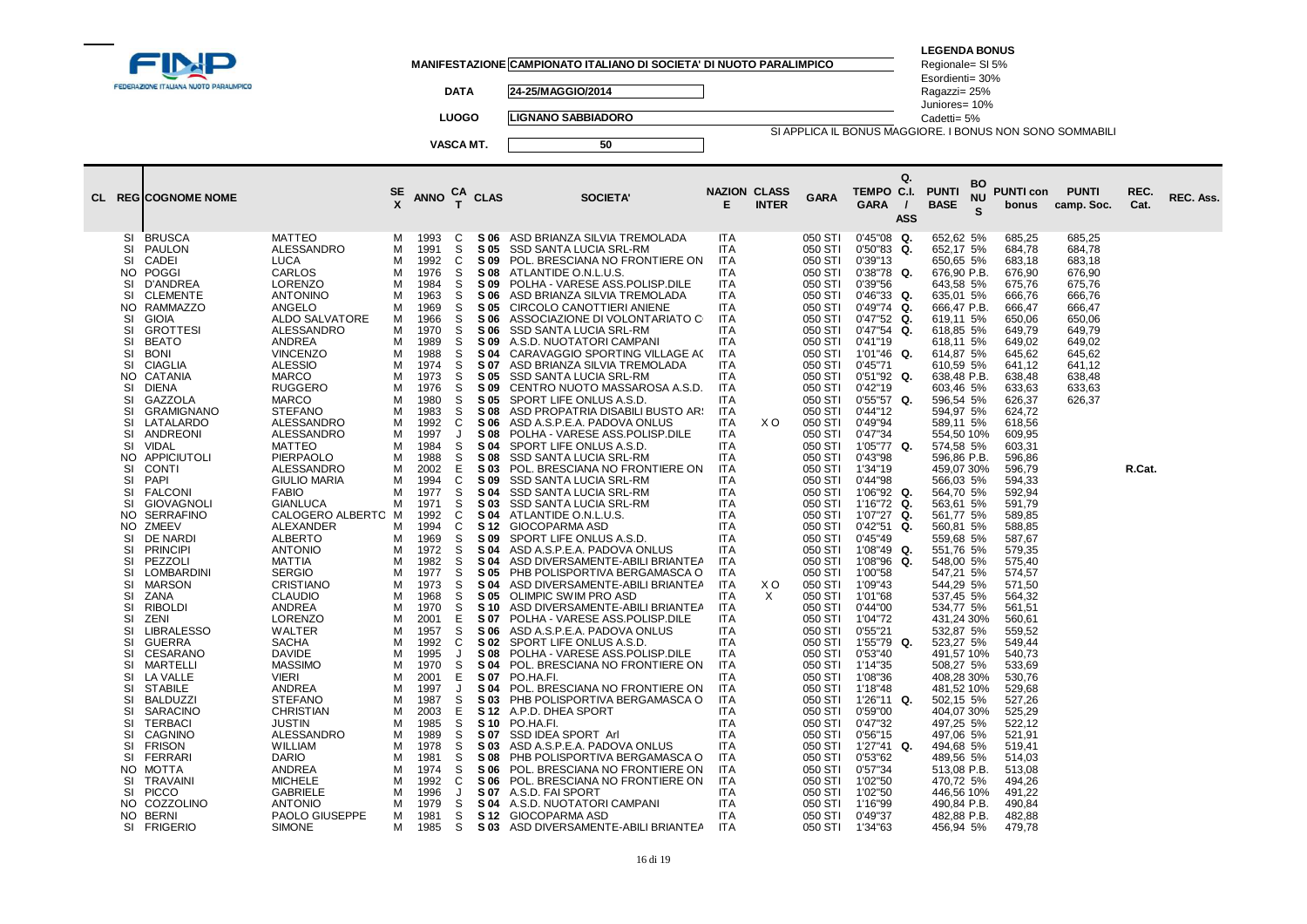| FEDERAZIONE ITALIANA NUOTO PARALIMPICO                                                                                                                                                                                                                                                                                                                                                                                                                                                                                                                                                                                                                                                                                                                                                                                                                                                                                                                                                                                                                                                                                                                                                                                                                                                                                                                                                                                                                                                                                                                                                                                                                                                                                                                                                                                                                                                                                                                                                           |                                                                                                                                                                                                                                                             |                                                                                                                                                                                                                                                                                                                                                                                                                              | <b>DATA</b><br><b>LUOGO</b><br>VASCA MT.                                                                                                                                                                                                                                   |                                                                                                                                                                                                                                                                                                                                                                                                                                               | MANIFESTAZIONE CAMPIONATO ITALIANO DI SOCIETA' DI NUOTO PARALIMPICO<br>24-25/MAGGIO/2014<br><b>LIGNANO SABBIADORO</b><br>50                                                                                                                                                                                                                                                                                                                                                                                                                                                                                                                                                                                                                                                                                                                                                                                                                                                                                                                                                                                                                                                                                                                                                                                                                                                                                                                                                                                                                                                  |                                                                                                                                                                                                                                                                                                                                                                                                                                                                                                                                                                                                                 |                 |                                                                                                                                                                                                                                                                                                                                                                                                                                                                                                                                                                                          | SI APPLICA IL BONUS MAGGIORE. I BONUS NON SONO SOMMABILI                                                                                                                                                                                                                                                                                                                                                                                                                                                                                                                                                                                                                                         | <b>LEGENDA BONUS</b><br>Regionale= SI 5%<br>Esordienti= 30%<br>Ragazzi= 25%<br>Juniores= 10%<br>Cadetti= 5%                                                                                                                                                                                                                                                                                                                                                                                                                                                                                                                                                                                                            |                                                                                                                                                                                                                                                                                                                                                                                                                                                                                                                                      |                                                                                                                                                    |              |           |
|--------------------------------------------------------------------------------------------------------------------------------------------------------------------------------------------------------------------------------------------------------------------------------------------------------------------------------------------------------------------------------------------------------------------------------------------------------------------------------------------------------------------------------------------------------------------------------------------------------------------------------------------------------------------------------------------------------------------------------------------------------------------------------------------------------------------------------------------------------------------------------------------------------------------------------------------------------------------------------------------------------------------------------------------------------------------------------------------------------------------------------------------------------------------------------------------------------------------------------------------------------------------------------------------------------------------------------------------------------------------------------------------------------------------------------------------------------------------------------------------------------------------------------------------------------------------------------------------------------------------------------------------------------------------------------------------------------------------------------------------------------------------------------------------------------------------------------------------------------------------------------------------------------------------------------------------------------------------------------------------------|-------------------------------------------------------------------------------------------------------------------------------------------------------------------------------------------------------------------------------------------------------------|------------------------------------------------------------------------------------------------------------------------------------------------------------------------------------------------------------------------------------------------------------------------------------------------------------------------------------------------------------------------------------------------------------------------------|----------------------------------------------------------------------------------------------------------------------------------------------------------------------------------------------------------------------------------------------------------------------------|-----------------------------------------------------------------------------------------------------------------------------------------------------------------------------------------------------------------------------------------------------------------------------------------------------------------------------------------------------------------------------------------------------------------------------------------------|------------------------------------------------------------------------------------------------------------------------------------------------------------------------------------------------------------------------------------------------------------------------------------------------------------------------------------------------------------------------------------------------------------------------------------------------------------------------------------------------------------------------------------------------------------------------------------------------------------------------------------------------------------------------------------------------------------------------------------------------------------------------------------------------------------------------------------------------------------------------------------------------------------------------------------------------------------------------------------------------------------------------------------------------------------------------------------------------------------------------------------------------------------------------------------------------------------------------------------------------------------------------------------------------------------------------------------------------------------------------------------------------------------------------------------------------------------------------------------------------------------------------------------------------------------------------------|-----------------------------------------------------------------------------------------------------------------------------------------------------------------------------------------------------------------------------------------------------------------------------------------------------------------------------------------------------------------------------------------------------------------------------------------------------------------------------------------------------------------------------------------------------------------------------------------------------------------|-----------------|------------------------------------------------------------------------------------------------------------------------------------------------------------------------------------------------------------------------------------------------------------------------------------------------------------------------------------------------------------------------------------------------------------------------------------------------------------------------------------------------------------------------------------------------------------------------------------------|--------------------------------------------------------------------------------------------------------------------------------------------------------------------------------------------------------------------------------------------------------------------------------------------------------------------------------------------------------------------------------------------------------------------------------------------------------------------------------------------------------------------------------------------------------------------------------------------------------------------------------------------------------------------------------------------------|------------------------------------------------------------------------------------------------------------------------------------------------------------------------------------------------------------------------------------------------------------------------------------------------------------------------------------------------------------------------------------------------------------------------------------------------------------------------------------------------------------------------------------------------------------------------------------------------------------------------------------------------------------------------------------------------------------------------|--------------------------------------------------------------------------------------------------------------------------------------------------------------------------------------------------------------------------------------------------------------------------------------------------------------------------------------------------------------------------------------------------------------------------------------------------------------------------------------------------------------------------------------|----------------------------------------------------------------------------------------------------------------------------------------------------|--------------|-----------|
| CL REGICOGNOME NOME                                                                                                                                                                                                                                                                                                                                                                                                                                                                                                                                                                                                                                                                                                                                                                                                                                                                                                                                                                                                                                                                                                                                                                                                                                                                                                                                                                                                                                                                                                                                                                                                                                                                                                                                                                                                                                                                                                                                                                              |                                                                                                                                                                                                                                                             | <b>ANNO</b>                                                                                                                                                                                                                                                                                                                                                                                                                  | CA<br>T                                                                                                                                                                                                                                                                    | <b>CLAS</b>                                                                                                                                                                                                                                                                                                                                                                                                                                   | <b>SOCIETA'</b>                                                                                                                                                                                                                                                                                                                                                                                                                                                                                                                                                                                                                                                                                                                                                                                                                                                                                                                                                                                                                                                                                                                                                                                                                                                                                                                                                                                                                                                                                                                                                              | <b>NAZION CLASS</b><br>Е                                                                                                                                                                                                                                                                                                                                                                                                                                                                                                                                                                                        | <b>INTER</b>    | <b>GARA</b>                                                                                                                                                                                                                                                                                                                                                                                                                                                                                                                                                                              | Q.<br>TEMPO C.I.<br><b>GARA</b><br><b>ASS</b>                                                                                                                                                                                                                                                                                                                                                                                                                                                                                                                                                                                                                                                    | <b>BO</b><br><b>PUNTI</b><br><b>NU</b><br><b>BASE</b><br><b>S</b>                                                                                                                                                                                                                                                                                                                                                                                                                                                                                                                                                                                                                                                      | <b>PUNTI con</b><br>bonus                                                                                                                                                                                                                                                                                                                                                                                                                                                                                                            | <b>PUNTI</b><br>camp. Soc.                                                                                                                         | REC.<br>Cat. | REC. Ass. |
| <b>BRUSCA</b><br><b>MATTEO</b><br>SI<br>ALESSANDRO<br>SI<br>PAULON<br>SI<br>CADEI<br>LUCA<br>POGGI<br>CARLOS<br>N <sub>O</sub><br>LORENZO<br>SI<br>D'ANDREA<br><b>SI</b><br><b>ANTONINO</b><br><b>CLEMENTE</b><br>RAMMAZZO<br>ANGELO<br>NO.<br><b>GIOIA</b><br>ALDO SALVATORE<br>SI<br>SI<br><b>GROTTESI</b><br>ALESSANDRO<br>SI<br><b>ANDREA</b><br><b>BEATO</b><br><b>SI</b><br><b>BONI</b><br>VINCENZO<br><b>SI</b><br><b>ALESSIO</b><br><b>CIAGLIA</b><br><b>MARCO</b><br>NO.<br>CATANIA<br>SI<br>DIENA<br><b>RUGGERO</b><br>SI<br>GAZZOLA<br>MARCO<br>SI<br><b>GRAMIGNANO</b><br><b>STEFANO</b><br>SI<br>LATALARDO<br>ALESSANDRO<br>ALESSANDRO<br>SI<br>ANDREONI<br><b>SI</b><br><b>VIDAL</b><br><b>MATTEO</b><br>APPICIUTOLI<br>PIERPAOLO<br>NO.<br><b>CONTI</b><br>ALESSANDRO<br>SI<br>SI<br>PAPI<br><b>GIULIO MARIA</b><br>SI<br><b>FABIO</b><br><b>FALCONI</b><br><b>SI</b><br><b>GIOVAGNOLI</b><br><b>GIANLUCA</b><br>CALOGERO ALBERTO M<br><b>SERRAFINO</b><br>NO.<br>ALEXANDER<br>NO.<br>ZMEEV<br>SI<br>DE NARDI<br>ALBERTO<br>SI<br><b>PRINCIPI</b><br><b>ANTONIO</b><br>SI<br>PEZZOLI<br>MATTIA<br>SI<br>LOMBARDINI<br><b>SERGIO</b><br>SI<br><b>MARSON</b><br><b>CRISTIANO</b><br>SI<br><b>CLAUDIO</b><br>ZANA<br>SI<br><b>RIBOLDI</b><br>ANDREA<br>LORENZO<br>SI<br>ZENI<br>SI<br><b>LIBRALESSO</b><br>WALTER<br>SI<br><b>GUERRA</b><br><b>SACHA</b><br>SI<br><b>CESARANO</b><br><b>DAVIDE</b><br><b>SI</b><br><b>MASSIMO</b><br>MARTELLI<br>SI<br>LA VALLE<br><b>VIERI</b><br>SI<br><b>STABILE</b><br>ANDREA<br>SI<br><b>BALDUZZI</b><br><b>STEFANO</b><br>SI<br><b>SARACINO</b><br><b>CHRISTIAN</b><br>SI<br><b>TERBACI</b><br><b>JUSTIN</b><br>SI<br>CAGNINO<br>ALESSANDRO<br>SI<br><b>WILLIAM</b><br><b>FRISON</b><br>SI<br>FERRARI<br><b>DARIO</b><br>MOTTA<br>ANDREA<br>NO.<br>SI<br><b>TRAVAINI</b><br><b>MICHELE</b><br>SI<br><b>PICCO</b><br>GABRIELE<br>COZZOLINO<br><b>ANTONIO</b><br>NO.<br>PAOLO GIUSEPPE<br>NO.<br>BERNI<br><b>FRIGERIO</b><br><b>SIMONE</b><br>SI | м<br>м<br>м<br>м<br>м<br>M<br>м<br>м<br>М<br>м<br>M<br>M<br>М<br>м<br>м<br>М<br>м<br>М<br>м<br>м<br>M<br>м<br>м<br>м<br>м<br>М<br>М<br>М<br>м<br>M<br>М<br>м<br>м<br>M<br>м<br>м<br>M<br>м<br>M<br>М<br>м<br>м<br>М<br>M<br>м<br>M<br>M<br>м<br>M<br>М<br>м | 1993<br>1991<br>1992<br>1976<br>1984<br>1963<br>1969<br>1966<br>1970<br>1989<br>1988<br>1974<br>1973<br>1976<br>1980<br>1983<br>1992<br>1997<br>1984<br>1988<br>2002<br>1994<br>1977<br>1971<br>1992<br>1994<br>1969<br>1972<br>1982<br>1977<br>1973<br>1968<br>1970<br>2001<br>1957<br>1992<br>1995<br>1970<br>2001<br>1997<br>1987<br>2003<br>1985<br>1989<br>1978<br>1981<br>1974<br>1992<br>1996<br>1979<br>1981<br>1985 | C<br>S<br>C<br>S<br>S<br>S<br>S<br>S<br>S<br>S<br>S<br>S<br>S<br>S<br>S<br>S<br>C<br>J<br>S<br>$\mathbb S$<br>E<br>C<br>S<br>S<br>C<br>C<br>S<br>S<br>S<br>S<br>S<br>S<br>S<br>Е<br>S<br>C<br>J<br>S<br>Е<br>J<br>S<br>Е<br>S<br>S<br>S<br>S<br>S<br>C<br>J<br>S<br>S<br>S | S 06<br>S 05<br>S 09<br><b>S08</b><br>S 09<br>S 06<br>S 05<br>S 06<br>S 06<br>S 09<br>S 04<br>S 07<br>S 05<br>S 09<br>S 05<br>S 08<br>S 06<br>S 08<br>S 04<br>S 08<br>S 03<br>S 09<br>S 04<br>S 03<br>S 04<br>S 12<br>S 09<br>S 04<br>S 04<br>S 05<br>S 04<br>S 05<br><b>S</b> 10<br>S 07<br>S 06<br>S 02<br><b>S08</b><br>S 04<br>S 07<br>S 04<br>S 03<br>S 12<br>S 10<br>S 07<br>S 03<br><b>S08</b><br>S 06<br>S 06<br>S 07<br>S 04<br>S 12 | ASD BRIANZA SILVIA TREMOLADA<br>SSD SANTA LUCIA SRL-RM<br>POL. BRESCIANA NO FRONTIERE ON<br>ATLANTIDE O.N.L.U.S.<br>POLHA - VARESE ASS.POLISP.DILE<br>ASD BRIANZA SILVIA TREMOLADA<br>CIRCOLO CANOTTIERI ANIENE<br>ASSOCIAZIONE DI VOLONTARIATO C<br>SSD SANTA LUCIA SRL-RM<br>A.S.D. NUOTATORI CAMPANI<br>CARAVAGGIO SPORTING VILLAGE AC<br>ASD BRIANZA SILVIA TREMOLADA<br>SSD SANTA LUCIA SRL-RM<br>CENTRO NUOTO MASSAROSA A.S.D.<br>SPORT LIFE ONLUS A.S.D.<br>ASD PROPATRIA DISABILI BUSTO AR!<br>ASD A.S.P.E.A. PADOVA ONLUS<br>POLHA - VARESE ASS.POLISP.DILE<br>SPORT LIFE ONLUS A.S.D.<br>SSD SANTA LUCIA SRL-RM<br>POL. BRESCIANA NO FRONTIERE ON<br>SSD SANTA LUCIA SRL-RM<br>SSD SANTA LUCIA SRL-RM<br>SSD SANTA LUCIA SRL-RM<br>ATLANTIDE O.N.L.U.S.<br><b>GIOCOPARMA ASD</b><br>SPORT LIFE ONLUS A.S.D.<br>ASD A.S.P.E.A. PADOVA ONLUS<br>ASD DIVERSAMENTE-ABILI BRIANTEA<br>PHB POLISPORTIVA BERGAMASCA O<br>ASD DIVERSAMENTE-ABILI BRIANTEA<br>OLIMPIC SWIM PRO ASD<br>ASD DIVERSAMENTE-ABILI BRIANTEA<br>POLHA - VARESE ASS.POLISP.DILE<br>ASD A.S.P.E.A. PADOVA ONLUS<br>SPORT LIFE ONLUS A.S.D.<br>POLHA - VARESE ASS.POLISP.DILE<br>POL. BRESCIANA NO FRONTIERE ON<br>PO.HA.FI.<br>POL. BRESCIANA NO FRONTIERE ON<br>PHB POLISPORTIVA BERGAMASCA O<br>A.P.D. DHEA SPORT<br>PO.HA.FI.<br>SSD IDEA SPORT Arl<br>ASD A.S.P.E.A. PADOVA ONLUS<br>PHB POLISPORTIVA BERGAMASCA O<br>POL. BRESCIANA NO FRONTIERE ON<br>POL. BRESCIANA NO FRONTIERE ON<br>A.S.D. FAI SPORT<br>A.S.D. NUOTATORI CAMPANI<br>GIOCOPARMA ASD<br>S 03 ASD DIVERSAMENTE-ABILI BRIANTEA | <b>ITA</b><br>ITA<br>ITA<br><b>ITA</b><br><b>ITA</b><br><b>ITA</b><br>ITA<br>ITA<br><b>ITA</b><br>ITA<br><b>ITA</b><br><b>ITA</b><br>ITA<br><b>ITA</b><br>ITA<br>ITA<br><b>ITA</b><br><b>ITA</b><br><b>ITA</b><br>ITA<br><b>ITA</b><br><b>ITA</b><br><b>ITA</b><br><b>ITA</b><br><b>ITA</b><br>ITA<br>ITA<br><b>ITA</b><br><b>ITA</b><br><b>ITA</b><br><b>ITA</b><br>ITA<br><b>ITA</b><br><b>ITA</b><br><b>ITA</b><br><b>ITA</b><br>ITA<br><b>ITA</b><br>ITA<br><b>ITA</b><br><b>ITA</b><br>ITA<br><b>ITA</b><br><b>ITA</b><br><b>ITA</b><br><b>ITA</b><br>ITA<br><b>ITA</b><br>ITA<br><b>ITA</b><br>ITA<br>ITA | X O<br>X O<br>X | 050 STI<br>050 STI<br>050 STI<br>050 STI<br>050 STI<br>050 STI<br>050 STI<br>050 STI<br>050 STI<br>050 STI<br>050 STI<br>050 STI<br>050 STI<br>050 STI<br>050 STI<br>050 STI<br>050 STI<br>050 STI<br>050 STI<br>050 STI<br>050 STI<br>050 STI<br>050 STI<br>050 STI<br>050 STI<br>050 STI<br>050 STI<br>050 STI<br>050 STI<br>050 STI<br>050 STI<br>050 STI<br>050 STI<br>050 STI<br>050 STI<br>050 STI<br>050 STI<br>050 STI<br>050 STI<br>050 STI<br>050 STI<br>050 STI<br>050 STI<br>050 STI<br>050 STI<br>050 STI<br>050 STI<br>050 STI<br>050 STI<br>050 STI<br>050 STI<br>050 STI | $0'45"08$ Q.<br>0'50"83<br>Q.<br>0'39"13<br>0'38"78<br>Q.<br>0'39"56<br>$0'46''33$ Q.<br>$0'49''74$ Q.<br>$0'47"52$ Q.<br>0'47"54<br>Q.<br>0'41"19<br>$1'01''46$ Q.<br>0'45"71<br>0'51"92<br>Q.<br>0'42"19<br>0'55"57<br>Q.<br>0'44''12<br>0'49"94<br>0'47"34<br>1'05"77 Q.<br>0'43"98<br>1'34"19<br>0'44"98<br>1'06"92 Q.<br>1'16"72 Q.<br>1'07"27 Q.<br>0'42"51<br>Q.<br>0'45"49<br>1'08"49<br>Q.<br>1'08"96<br>Q.<br>1'00"58<br>1'09"43<br>1'01"68<br>0'44"00<br>1'04"72<br>0'55"21<br>1'55"79 Q.<br>0'53"40<br>1'14"35<br>1'08"36<br>1'18"48<br>1'26"11<br>Q.<br>0'59"00<br>0'47"32<br>0'56"15<br>$1'27''41$ Q.<br>0'53"62<br>0'57"34<br>1'02"50<br>1'02"50<br>1'16"99<br>0'49"37<br>1'34"63 | 652,62 5%<br>652,17 5%<br>650,65 5%<br>676,90 P.B.<br>643,58 5%<br>635,01 5%<br>666,47 P.B.<br>619,11 5%<br>618,85 5%<br>618,11 5%<br>614,87 5%<br>610,59 5%<br>638,48 P.B.<br>603,46 5%<br>596,54 5%<br>594,97 5%<br>589,11 5%<br>554,50 10%<br>574,58 5%<br>596,86 P.B.<br>459,07 30%<br>566,03 5%<br>564.70 5%<br>563,61 5%<br>561,77 5%<br>560,81 5%<br>559,68 5%<br>551,76 5%<br>548,00 5%<br>547,21 5%<br>544,29 5%<br>537,45 5%<br>534,77 5%<br>431,24 30%<br>532,87 5%<br>523,27 5%<br>491,57 10%<br>508,27 5%<br>408,28 30%<br>481,52 10%<br>502,15 5%<br>404,07 30%<br>497,25 5%<br>497,06 5%<br>494,68 5%<br>489,56 5%<br>513,08 P.B.<br>470,72 5%<br>446,56 10%<br>490,84 P.B.<br>482,88 P.B.<br>456,94 5% | 685.25<br>684,78<br>683,18<br>676,90<br>675,76<br>666,76<br>666,47<br>650,06<br>649,79<br>649,02<br>645,62<br>641,12<br>638,48<br>633,63<br>626,37<br>624,72<br>618,56<br>609,95<br>603,31<br>596,86<br>596,79<br>594,33<br>592.94<br>591,79<br>589,85<br>588,85<br>587,67<br>579,35<br>575,40<br>574,57<br>571,50<br>564,32<br>561,51<br>560,61<br>559,52<br>549,44<br>540,73<br>533,69<br>530,76<br>529,68<br>527,26<br>525,29<br>522,12<br>521,91<br>519,41<br>514,03<br>513,08<br>494,26<br>491,22<br>490,84<br>482,88<br>479,78 | 685.25<br>684,78<br>683,18<br>676,90<br>675,76<br>666,76<br>666,47<br>650,06<br>649,79<br>649,02<br>645.62<br>641,12<br>638,48<br>633,63<br>626,37 | R.Cat.       |           |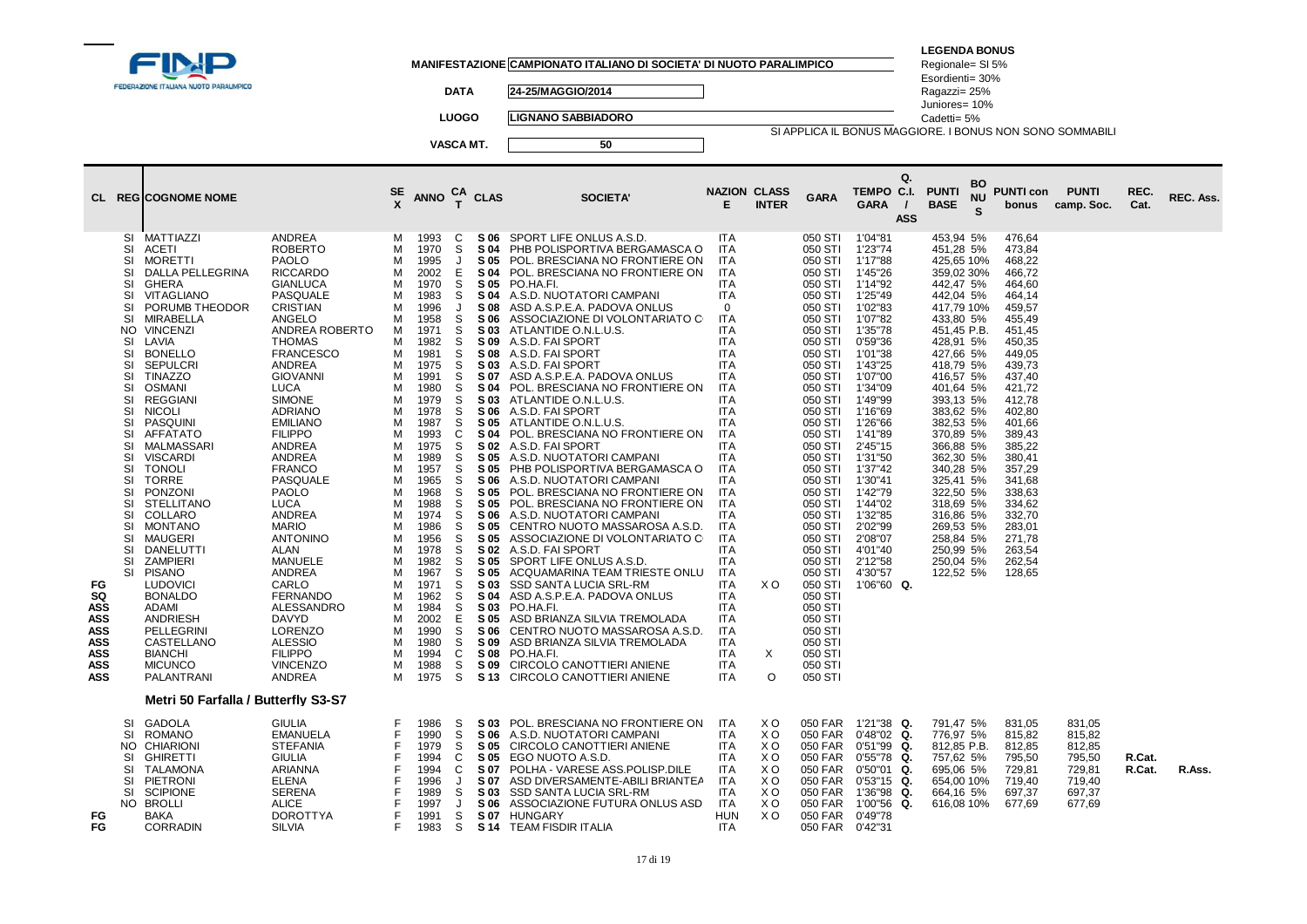|                                                                                              | FEDERAZIONE ITALIANA NUOTO PARALIMPICO                                                                                                                                                                                                                                                                                                                                                                                                                                                                                                                                                                                                                                                                                                                                                           |                                                                                                                                                                                                                                                                                                                                                                                                                                                                                                                                                                                                                         |                                                                                                                                                                                                 |                                                                                                                                                                                                                                                                                                                      | <b>DATA</b><br><b>LUOGO</b>                                                                                                                                                                                          |                                                                                                                                                                                                                                                              | MANIFESTAZIONE CAMPIONATO ITALIANO DI SOCIETA' DI NUOTO PARALIMPICO<br>24-25/MAGGIO/2014<br><b>LIGNANO SABBIADORO</b>                                                                                                                                                                                                                                                                                                                                                                                                                                                                                                                                                                                                                                                                                                                                                                                                                                                                                                                                                                                                                               |                                                                                                                                                                                                                                                                                                                                                                                                                                                                                                                                     |                                                                |                                                                                                                                                                                                                                                                                                                                                                                                                                           | SI APPLICA IL BONUS MAGGIORE. I BONUS NON SONO SOMMABILI                                                                                                                                                                                                                                                                                             | <b>LEGENDA BONUS</b><br>Regionale= SI 5%<br>Esordienti= 30%<br>Ragazzi= 25%<br>Juniores= 10%<br>Cadetti= 5%                                                                                                                                                                                                                                                                                             |                      |                                                                                                                                                                                                                                                                                                          |                                                                    |                  |           |
|----------------------------------------------------------------------------------------------|--------------------------------------------------------------------------------------------------------------------------------------------------------------------------------------------------------------------------------------------------------------------------------------------------------------------------------------------------------------------------------------------------------------------------------------------------------------------------------------------------------------------------------------------------------------------------------------------------------------------------------------------------------------------------------------------------------------------------------------------------------------------------------------------------|-------------------------------------------------------------------------------------------------------------------------------------------------------------------------------------------------------------------------------------------------------------------------------------------------------------------------------------------------------------------------------------------------------------------------------------------------------------------------------------------------------------------------------------------------------------------------------------------------------------------------|-------------------------------------------------------------------------------------------------------------------------------------------------------------------------------------------------|----------------------------------------------------------------------------------------------------------------------------------------------------------------------------------------------------------------------------------------------------------------------------------------------------------------------|----------------------------------------------------------------------------------------------------------------------------------------------------------------------------------------------------------------------|--------------------------------------------------------------------------------------------------------------------------------------------------------------------------------------------------------------------------------------------------------------|-----------------------------------------------------------------------------------------------------------------------------------------------------------------------------------------------------------------------------------------------------------------------------------------------------------------------------------------------------------------------------------------------------------------------------------------------------------------------------------------------------------------------------------------------------------------------------------------------------------------------------------------------------------------------------------------------------------------------------------------------------------------------------------------------------------------------------------------------------------------------------------------------------------------------------------------------------------------------------------------------------------------------------------------------------------------------------------------------------------------------------------------------------|-------------------------------------------------------------------------------------------------------------------------------------------------------------------------------------------------------------------------------------------------------------------------------------------------------------------------------------------------------------------------------------------------------------------------------------------------------------------------------------------------------------------------------------|----------------------------------------------------------------|-------------------------------------------------------------------------------------------------------------------------------------------------------------------------------------------------------------------------------------------------------------------------------------------------------------------------------------------------------------------------------------------------------------------------------------------|------------------------------------------------------------------------------------------------------------------------------------------------------------------------------------------------------------------------------------------------------------------------------------------------------------------------------------------------------|---------------------------------------------------------------------------------------------------------------------------------------------------------------------------------------------------------------------------------------------------------------------------------------------------------------------------------------------------------------------------------------------------------|----------------------|----------------------------------------------------------------------------------------------------------------------------------------------------------------------------------------------------------------------------------------------------------------------------------------------------------|--------------------------------------------------------------------|------------------|-----------|
|                                                                                              | <b>CL REGICOGNOME NOME</b>                                                                                                                                                                                                                                                                                                                                                                                                                                                                                                                                                                                                                                                                                                                                                                       |                                                                                                                                                                                                                                                                                                                                                                                                                                                                                                                                                                                                                         | SE                                                                                                                                                                                              | <b>ANNO</b>                                                                                                                                                                                                                                                                                                          | VASCA MT.<br>CA<br>$\mathbf{r}$                                                                                                                                                                                      | <b>CLAS</b>                                                                                                                                                                                                                                                  | 50<br><b>SOCIETA'</b>                                                                                                                                                                                                                                                                                                                                                                                                                                                                                                                                                                                                                                                                                                                                                                                                                                                                                                                                                                                                                                                                                                                               | <b>NAZION CLASS</b><br>E.                                                                                                                                                                                                                                                                                                                                                                                                                                                                                                           | <b>INTER</b>                                                   | <b>GARA</b>                                                                                                                                                                                                                                                                                                                                                                                                                               | Q.<br>TEMPO C.I.<br><b>GARA</b><br>$\prime$<br><b>ASS</b>                                                                                                                                                                                                                                                                                            | <b>PUNTI</b><br><b>BASE</b>                                                                                                                                                                                                                                                                                                                                                                             | BO<br><b>NU</b><br>S | <b>PUNTI con</b><br>bonus                                                                                                                                                                                                                                                                                | <b>PUNTI</b><br>camp. Soc.                                         | REC.<br>Cat.     | REC. Ass. |
| FG<br>SQ<br><b>ASS</b><br><b>ASS</b><br><b>ASS</b><br><b>ASS</b><br>ASS<br>ASS<br><b>ASS</b> | SI MATTIAZZI<br>SI<br>ACETI<br>SI<br>MORETTI<br>DALLA PELLEGRINA<br>SI<br>SI<br>GHERA<br>SI<br>VITAGLIANO<br>PORUMB THEODOR<br>SI<br>SI<br>MIRABELLA<br><b>VINCENZI</b><br>NO.<br>SI<br>LAVIA<br><b>BONELLO</b><br>SI<br><b>SEPULCRI</b><br>SI<br><b>TINAZZO</b><br>SI<br>SI<br><b>OSMANI</b><br>SI<br>REGGIANI<br>SI<br><b>NICOLI</b><br>PASQUINI<br>SI<br>SI<br>AFFATATO<br>MALMASSARI<br>SI<br>SI<br><b>VISCARDI</b><br>SI<br><b>TONOLI</b><br><b>SI</b><br><b>TORRE</b><br>SI<br>PONZONI<br><b>STELLITANO</b><br>SI<br>SI<br>COLLARO<br>SI<br>MONTANO<br>MAUGERI<br>SI<br>SI<br>DANELUTTI<br><b>SI</b><br><b>ZAMPIERI</b><br>SI PISANO<br><b>LUDOVICI</b><br><b>BONALDO</b><br><b>ADAMI</b><br><b>ANDRIESH</b><br>PELLEGRINI<br>CASTELLANO<br><b>BIANCHI</b><br><b>MICUNCO</b><br>PALANTRANI | ANDREA<br><b>ROBERTO</b><br><b>PAOLO</b><br><b>RICCARDO</b><br><b>GIANLUCA</b><br>PASQUALE<br>CRISTIAN<br>ANGELO<br>ANDREA ROBERTO<br><b>THOMAS</b><br><b>FRANCESCO</b><br><b>ANDREA</b><br><b>GIOVANNI</b><br><b>LUCA</b><br><b>SIMONE</b><br><b>ADRIANO</b><br><b>EMILIANO</b><br><b>FILIPPO</b><br><b>ANDREA</b><br>ANDREA<br><b>FRANCO</b><br>PASQUALE<br>PAOLO<br><b>LUCA</b><br><b>ANDREA</b><br><b>MARIO</b><br><b>ANTONINO</b><br>ALAN<br><b>MANUELE</b><br>ANDREA<br>CARLO<br><b>FERNANDO</b><br>ALESSANDRO<br><b>DAVYD</b><br>LORENZO<br><b>ALESSIO</b><br><b>FILIPPO</b><br><b>VINCENZO</b><br><b>ANDREA</b> | м<br>м<br>м<br>м<br>М<br>М<br>М<br>м<br>м<br>М<br>M<br>M<br>M<br>м<br>м<br>М<br>M<br>М<br>M<br>M<br>M<br>м<br>М<br>M<br>М<br>M<br>м<br>м<br>м<br>М<br>M<br>м<br>м<br>М<br>м<br>M<br>М<br>м<br>м | 1993<br>1970<br>1995<br>2002<br>1970<br>1983<br>1996<br>1958<br>1971<br>1982<br>1981<br>1975<br>1991<br>1980<br>1979<br>1978<br>1987<br>1993<br>1975<br>1989<br>1957<br>1965<br>1968<br>1988<br>1974<br>1986<br>1956<br>1978<br>1982<br>1967<br>1971<br>1962<br>1984<br>2002<br>1990<br>1980<br>1994<br>1988<br>1975 | C<br>S<br>J<br>E<br>S<br>S<br>J<br>S<br>S<br>S<br>S<br>S<br>S<br>S<br>S<br>S<br>S<br>C<br>S<br>S<br>S<br>S<br>S<br>S<br>S<br>S<br>S<br>S<br><sub>S</sub><br>S<br>S<br>S<br>S<br>$\mathsf E$<br>S<br>S<br>C<br>S<br>S | S 06<br>S 04<br>S 05<br>S 04<br>S 05<br>S 04<br>S 08<br>S 06<br>S 03<br>S 07<br>S 04<br>S 04<br>S 02<br>S 05<br>S 05<br>S 06<br>S 05<br>S 06<br>S 05<br>S 05<br>S 02<br>S 05<br>S 05<br>S 03<br>S 04<br>S 03<br>S 05<br>S 06<br>S 09<br>S 08<br>S 09<br>S 13 | SPORT LIFE ONLUS A.S.D.<br>PHB POLISPORTIVA BERGAMASCA O<br>POL. BRESCIANA NO FRONTIERE ON<br>POL. BRESCIANA NO FRONTIERE ON<br>PO.HA.FI.<br>A.S.D. NUOTATORI CAMPANI<br>ASD A.S.P.E.A. PADOVA ONLUS<br>ASSOCIAZIONE DI VOLONTARIATO CO<br>S 03 ATLANTIDE O.N.L.U.S.<br>S 09 A.S.D. FAI SPORT<br>S 08 A.S.D. FAI SPORT<br>A.S.D. FAI SPORT<br>ASD A.S.P.E.A. PADOVA ONLUS<br>POL. BRESCIANA NO FRONTIERE ON<br>S 03 ATLANTIDE O.N.L.U.S.<br>S 06 A.S.D. FAI SPORT<br>S 05 ATLANTIDE O.N.L.U.S.<br>POL. BRESCIANA NO FRONTIERE ON<br>A.S.D. FAI SPORT<br>A.S.D. NUOTATORI CAMPANI<br>PHB POLISPORTIVA BERGAMASCA O<br>A.S.D. NUOTATORI CAMPANI<br>POL. BRESCIANA NO FRONTIERE ON<br>S 05 POL. BRESCIANA NO FRONTIERE ON<br>A.S.D. NUOTATORI CAMPANI<br>CENTRO NUOTO MASSAROSA A.S.D.<br>ASSOCIAZIONE DI VOLONTARIATO C<br>A.S.D. FAI SPORT<br>SPORT LIFE ONLUS A.S.D.<br>ACQUAMARINA TEAM TRIESTE ONLU<br>SSD SANTA LUCIA SRL-RM<br>ASD A.S.P.E.A. PADOVA ONLUS<br>PO.HA.FI.<br>ASD BRIANZA SILVIA TREMOLADA<br>CENTRO NUOTO MASSAROSA A.S.D.<br>ASD BRIANZA SILVIA TREMOLADA<br>PO.HA.FI.<br>CIRCOLO CANOTTIERI ANIENE<br>CIRCOLO CANOTTIERI ANIENE | ITA<br><b>ITA</b><br><b>ITA</b><br>ITA<br><b>ITA</b><br><b>ITA</b><br>$\mathbf 0$<br><b>ITA</b><br><b>ITA</b><br><b>ITA</b><br><b>ITA</b><br><b>ITA</b><br><b>ITA</b><br><b>ITA</b><br><b>ITA</b><br><b>ITA</b><br><b>ITA</b><br><b>ITA</b><br><b>ITA</b><br><b>ITA</b><br><b>ITA</b><br><b>ITA</b><br><b>ITA</b><br><b>ITA</b><br><b>ITA</b><br>ITA<br><b>ITA</b><br><b>ITA</b><br><b>ITA</b><br><b>ITA</b><br><b>ITA</b><br><b>ITA</b><br>ITA<br><b>ITA</b><br><b>ITA</b><br><b>ITA</b><br><b>ITA</b><br><b>ITA</b><br><b>ITA</b> | X <sub>O</sub><br>X<br>O                                       | 050 STI<br>050 STI<br>050 STI<br>050 STI<br>050 STI<br>050 STI<br>050 STI<br>050 STI<br>050 STI<br>050 STI<br>050 STI<br>050 STI<br>050 STI<br>050 STI<br>050 STI<br>050 STI<br>050 STI<br>050 STI<br>050 STI<br>050 STI<br>050 STI<br>050 STI<br>050 STI<br>050 STI<br>050 STI<br>050 STI<br>050 STI<br>050 STI<br>050 STI<br>050 STI<br>050 STI<br>050 STI<br>050 STI<br>050 STI<br>050 STI<br>050 STI<br>050 STI<br>050 STI<br>050 STI | 1'04"81<br>1'23"74<br>1'17"88<br>1'45"26<br>1'14"92<br>1'25"49<br>1'02"83<br>1'07"82<br>1'35"78<br>0'59"36<br>1'01"38<br>1'43"25<br>1'07"00<br>1'34"09<br>1'49"99<br>1'16"69<br>1'26"66<br>1'41"89<br>2'45"15<br>1'31"50<br>1'37"42<br>1'30"41<br>1'42"79<br>1'44"02<br>1'32"85<br>2'02"99<br>2'08"07<br>4'01"40<br>2'12"58<br>4'30"57<br>1'06"60 Q. | 453,94 5%<br>451,28 5%<br>425,65 10%<br>359,02 30%<br>442,47 5%<br>442,04 5%<br>417,79 10%<br>433,80 5%<br>451,45 P.B.<br>428,91 5%<br>427,66 5%<br>418,79 5%<br>416,57 5%<br>401,64 5%<br>393,13 5%<br>383,62 5%<br>382,53 5%<br>370,89 5%<br>366,88 5%<br>362,30 5%<br>340,28 5%<br>325,41 5%<br>322,50 5%<br>318,69 5%<br>316,86 5%<br>269,53 5%<br>258,84 5%<br>250,99 5%<br>250,04 5%<br>122,52 5% |                      | 476,64<br>473,84<br>468,22<br>466,72<br>464,60<br>464,14<br>459,57<br>455,49<br>451.45<br>450,35<br>449,05<br>439,73<br>437,40<br>421,72<br>412,78<br>402,80<br>401,66<br>389,43<br>385,22<br>380,41<br>357,29<br>341,68<br>338,63<br>334,62<br>332,70<br>283,01<br>271,78<br>263,54<br>262,54<br>128,65 |                                                                    |                  |           |
|                                                                                              | Metri 50 Farfalla / Butterfly S3-S7<br>SI<br>GADOLA                                                                                                                                                                                                                                                                                                                                                                                                                                                                                                                                                                                                                                                                                                                                              | <b>GIULIA</b>                                                                                                                                                                                                                                                                                                                                                                                                                                                                                                                                                                                                           | F                                                                                                                                                                                               | 1986                                                                                                                                                                                                                                                                                                                 | -S                                                                                                                                                                                                                   |                                                                                                                                                                                                                                                              | S 03 POL. BRESCIANA NO FRONTIERE ON                                                                                                                                                                                                                                                                                                                                                                                                                                                                                                                                                                                                                                                                                                                                                                                                                                                                                                                                                                                                                                                                                                                 | <b>ITA</b>                                                                                                                                                                                                                                                                                                                                                                                                                                                                                                                          | ΧO                                                             | 050 FAR                                                                                                                                                                                                                                                                                                                                                                                                                                   | 1'21"38 Q.                                                                                                                                                                                                                                                                                                                                           | 791,47 5%                                                                                                                                                                                                                                                                                                                                                                                               |                      | 831,05                                                                                                                                                                                                                                                                                                   | 831,05                                                             |                  |           |
| FG.<br>FG                                                                                    | SI<br>ROMANO<br><b>CHIARIONI</b><br>NO.<br>SI<br><b>GHIRETTI</b><br>SI<br>TALAMONA<br><b>SI</b><br>PIETRONI<br>SI<br><b>SCIPIONE</b><br>NO BROLLI<br>BAKA<br><b>CORRADIN</b>                                                                                                                                                                                                                                                                                                                                                                                                                                                                                                                                                                                                                     | <b>EMANUELA</b><br><b>STEFANIA</b><br><b>GIULIA</b><br>ARIANNA<br><b>ELENA</b><br><b>SERENA</b><br><b>ALICE</b><br><b>DOROTTYA</b><br><b>SILVIA</b>                                                                                                                                                                                                                                                                                                                                                                                                                                                                     | F<br>F<br>F<br>F<br>F<br>E<br>E<br>F<br>F                                                                                                                                                       | 1990<br>1979<br>1994<br>1994<br>1996<br>1989<br>1997<br>1991<br>1983                                                                                                                                                                                                                                                 | <sub>S</sub><br>S<br>C<br>C<br>J<br>S<br>J<br>S<br>S                                                                                                                                                                 | S 06<br>S 05<br>S 05<br>S 07<br>S 07<br>S 03<br>S 06<br>S 07                                                                                                                                                                                                 | A.S.D. NUOTATORI CAMPANI<br>CIRCOLO CANOTTIERI ANIENE<br>EGO NUOTO A.S.D.<br>POLHA - VARESE ASS.POLISP.DILE<br>ASD DIVERSAMENTE-ABILI BRIANTEA<br>SSD SANTA LUCIA SRL-RM<br>ASSOCIAZIONE FUTURA ONLUS ASD<br><b>HUNGARY</b><br>S 14 TEAM FISDIR ITALIA                                                                                                                                                                                                                                                                                                                                                                                                                                                                                                                                                                                                                                                                                                                                                                                                                                                                                              | <b>ITA</b><br><b>ITA</b><br>ITA<br>ITA<br><b>ITA</b><br><b>ITA</b><br><b>ITA</b><br><b>HUN</b><br><b>ITA</b>                                                                                                                                                                                                                                                                                                                                                                                                                        | X <sub>O</sub><br>ΧO<br>X O<br>X O<br>X O<br>X O<br>X O<br>X O | 050 FAR<br>050 FAR<br>050 FAR<br>050 FAR<br>050 FAR<br>050 FAR<br>050 FAR<br>050 FAR<br>050 FAR                                                                                                                                                                                                                                                                                                                                           | $0'48"02$ Q.<br>$0'51''99$ Q.<br>$0'55''78$ Q.<br>0'50"01 Q.<br>$0'53''15$ Q.<br>1'36"98 Q.<br>1'00"56<br>Q.<br>0'49"78<br>0'42"31                                                                                                                                                                                                                   | 776,97 5%<br>812,85 P.B.<br>757,62 5%<br>695,06 5%<br>654,00 10%<br>664,16 5%<br>616,08 10%                                                                                                                                                                                                                                                                                                             |                      | 815,82<br>812,85<br>795,50<br>729,81<br>719,40<br>697,37<br>677,69                                                                                                                                                                                                                                       | 815,82<br>812,85<br>795,50<br>729,81<br>719,40<br>697,37<br>677,69 | R.Cat.<br>R.Cat. | R.Ass.    |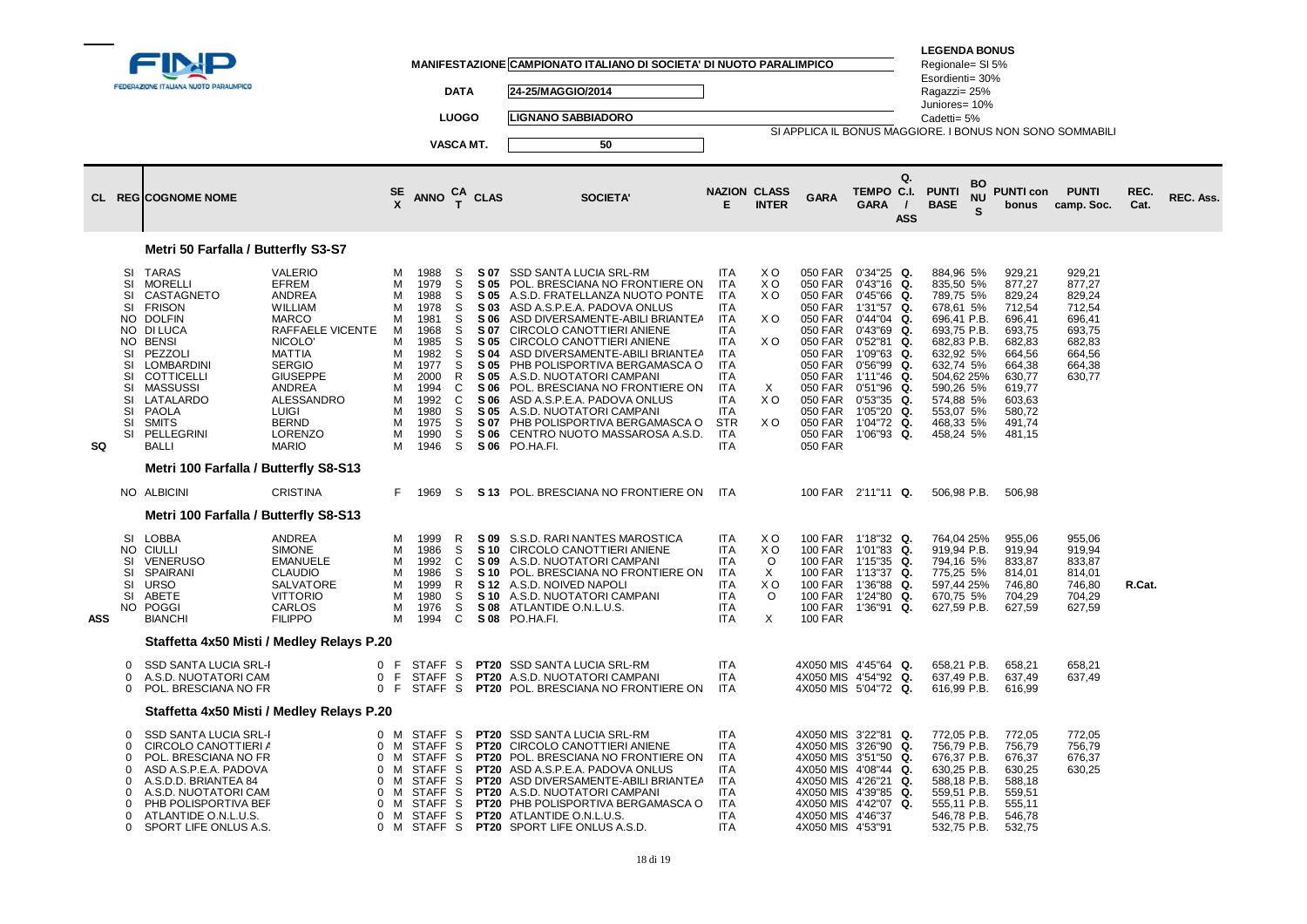|            |                                                                                     | FEDERAZIONE ITALIANA NUOTO PARALIMPICO                                                                                                                                                                                                 |                                                                                                                                                                                                                                                                                    |                                                                              |                                                                                                                                                     | <b>DATA</b><br><b>LUOGO</b><br>VASCA MT.                                     |                                                                                                                      | MANIFESTAZIONE CAMPIONATO ITALIANO DI SOCIETA' DI NUOTO PARALIMPICO<br>24-25/MAGGIO/2014<br><b>LIGNANO SABBIADORO</b><br>50                                                                                                                                                                                                                                                                                                                                                                             |                                                                                                                                                                                                                       |                                                                                |                                                                                                                                                                   |                                                                                                                                                                                                                                                               | <b>LEGENDA BONUS</b><br>Regionale= SI 5%<br>Esordienti= 30%<br>Ragazzi= 25%<br>Juniores= 10%<br>Cadetti= 5%                                                                                            |         |                                                                                                                                                    | SI APPLICA IL BONUS MAGGIORE. I BONUS NON SONO SOMMABILI                                         |              |                  |
|------------|-------------------------------------------------------------------------------------|----------------------------------------------------------------------------------------------------------------------------------------------------------------------------------------------------------------------------------------|------------------------------------------------------------------------------------------------------------------------------------------------------------------------------------------------------------------------------------------------------------------------------------|------------------------------------------------------------------------------|-----------------------------------------------------------------------------------------------------------------------------------------------------|------------------------------------------------------------------------------|----------------------------------------------------------------------------------------------------------------------|---------------------------------------------------------------------------------------------------------------------------------------------------------------------------------------------------------------------------------------------------------------------------------------------------------------------------------------------------------------------------------------------------------------------------------------------------------------------------------------------------------|-----------------------------------------------------------------------------------------------------------------------------------------------------------------------------------------------------------------------|--------------------------------------------------------------------------------|-------------------------------------------------------------------------------------------------------------------------------------------------------------------|---------------------------------------------------------------------------------------------------------------------------------------------------------------------------------------------------------------------------------------------------------------|--------------------------------------------------------------------------------------------------------------------------------------------------------------------------------------------------------|---------|----------------------------------------------------------------------------------------------------------------------------------------------------|--------------------------------------------------------------------------------------------------|--------------|------------------|
|            |                                                                                     | <b>CL REGICOGNOME NOME</b>                                                                                                                                                                                                             |                                                                                                                                                                                                                                                                                    | SE                                                                           | <b>ANNO</b>                                                                                                                                         | CA<br>T                                                                      | <b>CLAS</b>                                                                                                          | <b>SOCIETA'</b>                                                                                                                                                                                                                                                                                                                                                                                                                                                                                         | E                                                                                                                                                                                                                     | <b>NAZION CLASS</b><br><b>INTER</b>                                            | <b>GARA</b>                                                                                                                                                       | Q.<br>TEMPO C.I.<br><b>GARA</b><br>$\prime$<br><b>ASS</b>                                                                                                                                                                                                     | <b>PUNTI</b><br><b>BASE</b>                                                                                                                                                                            | BO<br>Ś | <b>PUNTI con</b><br>bonus                                                                                                                          | <b>PUNTI</b><br>camp. Soc.                                                                       | REC.<br>Cat. | <b>REC. Ass.</b> |
|            |                                                                                     | Metri 50 Farfalla / Butterfly S3-S7                                                                                                                                                                                                    |                                                                                                                                                                                                                                                                                    |                                                                              |                                                                                                                                                     |                                                                              |                                                                                                                      |                                                                                                                                                                                                                                                                                                                                                                                                                                                                                                         |                                                                                                                                                                                                                       |                                                                                |                                                                                                                                                                   |                                                                                                                                                                                                                                                               |                                                                                                                                                                                                        |         |                                                                                                                                                    |                                                                                                  |              |                  |
| SQ         | SI<br>SI<br>SI<br>SI<br>NO.<br>SI<br>SI<br>SI<br>SI<br>SI<br>SI<br>SI<br>SI         | TARAS<br>MORELLI<br>CASTAGNETO<br><b>FRISON</b><br><b>DOLFIN</b><br>NO DI LUCA<br>NO BENSI<br>PEZZOLI<br>LOMBARDINI<br><b>COTTICELLI</b><br><b>MASSUSSI</b><br>LATALARDO<br><b>PAOLA</b><br><b>SMITS</b><br>PELLEGRINI<br><b>BALLI</b> | <b>VALERIO</b><br><b>EFREM</b><br><b>ANDREA</b><br><b>WILLIAM</b><br><b>MARCO</b><br>RAFFAELE VICENTE<br>NICOLO <sup>®</sup><br><b>MATTIA</b><br><b>SERGIO</b><br><b>GIUSEPPE</b><br>ANDREA<br><b>ALESSANDRO</b><br><b>LUIGI</b><br><b>BERND</b><br><b>LORENZO</b><br><b>MARIO</b> | м<br>м<br>м<br>м<br>м<br>M<br>M<br>M<br>м<br>М<br>М<br>м<br>м<br>м<br>м<br>м | 1988<br>1979<br>1988<br>1978<br>1981<br>1968<br>1985<br>1982<br>1977<br>2000<br>1994<br>1992<br>1980<br>1975<br>1990<br>1946                        | S<br>S<br>S<br>S<br>S<br>S<br>S<br>S<br>S<br>R<br>C<br>C<br>S<br>S<br>S<br>S | S 07<br>S 05<br>S 05<br>S 03<br>S 06<br>S 07<br>S 05<br>S 04<br>S 05<br>S 05<br>S 06<br>S 06<br>S 05<br>S 07<br>S 06 | SSD SANTA LUCIA SRL-RM<br>POL. BRESCIANA NO FRONTIERE ON<br>A.S.D. FRATELLANZA NUOTO PONTE<br>ASD A.S.P.E.A. PADOVA ONLUS<br>ASD DIVERSAMENTE-ABILI BRIANTEA<br>CIRCOLO CANOTTIERI ANIENE<br>CIRCOLO CANOTTIERI ANIENE<br>ASD DIVERSAMENTE-ABILI BRIANTEA<br>PHB POLISPORTIVA BERGAMASCA O<br>A.S.D. NUOTATORI CAMPANI<br>POL. BRESCIANA NO FRONTIERE ON<br>ASD A.S.P.E.A. PADOVA ONLUS<br>A.S.D. NUOTATORI CAMPANI<br>PHB POLISPORTIVA BERGAMASCA O<br>CENTRO NUOTO MASSAROSA A.S.D.<br>S 06 PO.HA.FI. | <b>ITA</b><br><b>ITA</b><br><b>ITA</b><br><b>ITA</b><br><b>ITA</b><br><b>ITA</b><br><b>ITA</b><br><b>ITA</b><br><b>ITA</b><br><b>ITA</b><br><b>ITA</b><br>ITA<br><b>ITA</b><br><b>STR</b><br><b>ITA</b><br><b>ITA</b> | X O<br>X O<br>X O<br>X O<br>X O<br>$\times$<br>X <sub>O</sub><br>X O           | 050 FAR<br>050 FAR<br>050 FAR<br>050 FAR<br>050 FAR<br>050 FAR<br>050 FAR<br>050 FAR<br>050 FAR<br>050 FAR<br>050 FAR<br>050 FAR<br>050 FAR<br>050 FAR<br>050 FAR | 050 FAR 0'34"25 Q.<br>0'43"16<br>Q.<br>0'45"66<br>Q.<br>1'31"57<br>Q.<br>0'44"04<br>Q.<br>0'43"69<br>Q.<br>0'52"81<br>Q.<br>1'09"63<br>Q.<br>0'56"99<br>Q.<br>1'11"46<br>Q.<br>0'51"96<br>Q.<br>0'53"35<br>Q.<br>1'05"20<br>Q.<br>1'04"72<br>Q.<br>1'06"93 Q. | 884,96 5%<br>835,50 5%<br>789,75 5%<br>678,61 5%<br>696,41 P.B.<br>693,75 P.B.<br>682,83 P.B.<br>632,92 5%<br>632,74 5%<br>504,62 25%<br>590,26 5%<br>574,88 5%<br>553,07 5%<br>468,33 5%<br>458,24 5% |         | 929,21<br>877,27<br>829,24<br>712,54<br>696,41<br>693,75<br>682,83<br>664,56<br>664,38<br>630,77<br>619,77<br>603.63<br>580,72<br>491,74<br>481,15 | 929,21<br>877.27<br>829,24<br>712,54<br>696,41<br>693,75<br>682,83<br>664,56<br>664,38<br>630,77 |              |                  |
|            |                                                                                     | Metri 100 Farfalla / Butterfly S8-S13                                                                                                                                                                                                  |                                                                                                                                                                                                                                                                                    |                                                                              |                                                                                                                                                     |                                                                              |                                                                                                                      |                                                                                                                                                                                                                                                                                                                                                                                                                                                                                                         |                                                                                                                                                                                                                       |                                                                                |                                                                                                                                                                   |                                                                                                                                                                                                                                                               |                                                                                                                                                                                                        |         |                                                                                                                                                    |                                                                                                  |              |                  |
|            |                                                                                     | NO ALBICINI                                                                                                                                                                                                                            | <b>CRISTINA</b>                                                                                                                                                                                                                                                                    | F.                                                                           | 1969                                                                                                                                                | S.                                                                           |                                                                                                                      | S 13 POL. BRESCIANA NO FRONTIERE ON                                                                                                                                                                                                                                                                                                                                                                                                                                                                     | <b>ITA</b>                                                                                                                                                                                                            |                                                                                |                                                                                                                                                                   | 100 FAR 2'11"11 Q.                                                                                                                                                                                                                                            | 506,98 P.B.                                                                                                                                                                                            |         | 506,98                                                                                                                                             |                                                                                                  |              |                  |
|            |                                                                                     | Metri 100 Farfalla / Butterfly S8-S13                                                                                                                                                                                                  |                                                                                                                                                                                                                                                                                    |                                                                              |                                                                                                                                                     |                                                                              |                                                                                                                      |                                                                                                                                                                                                                                                                                                                                                                                                                                                                                                         |                                                                                                                                                                                                                       |                                                                                |                                                                                                                                                                   |                                                                                                                                                                                                                                                               |                                                                                                                                                                                                        |         |                                                                                                                                                    |                                                                                                  |              |                  |
| <b>ASS</b> | NO.<br>SI<br>SI<br>SI<br>SI<br>NO.                                                  | SI LOBBA<br>CIULLI<br><b>VENERUSO</b><br>SPAIRANI<br><b>URSO</b><br>ABETE<br><b>POGGI</b><br><b>BIANCHI</b>                                                                                                                            | <b>ANDREA</b><br><b>SIMONE</b><br><b>EMANUELE</b><br><b>CLAUDIO</b><br><b>SALVATORE</b><br><b>VITTORIO</b><br>CARLOS<br><b>FILIPPO</b>                                                                                                                                             | м<br>м<br>м<br>м<br>м<br>м<br>м<br>м                                         | 1999<br>1986<br>1992<br>1986<br>1999<br>1980<br>1976<br>1994                                                                                        | R<br>S<br>C<br>S<br>R<br>S<br>S<br>C                                         | S 09<br>S 10<br>S 09<br><b>S08</b>                                                                                   | S.S.D. RARI NANTES MAROSTICA<br>CIRCOLO CANOTTIERI ANIENE<br>A.S.D. NUOTATORI CAMPANI<br>S 10 POL. BRESCIANA NO FRONTIERE ON<br>S 12 A.S.D. NOIVED NAPOLI<br>S 10 A.S.D. NUOTATORI CAMPANI<br>ATLANTIDE O.N.L.U.S.<br>S 08 PO.HA.FI.                                                                                                                                                                                                                                                                    | <b>ITA</b><br><b>ITA</b><br><b>ITA</b><br><b>ITA</b><br>ITA<br><b>ITA</b><br>ITA<br><b>ITA</b>                                                                                                                        | X O<br>X O<br>$\circ$<br>$\times$<br>X <sub>O</sub><br>$\circ$<br>$\mathsf{X}$ | 100 FAR<br><b>100 FAR</b><br><b>100 FAR</b><br><b>100 FAR</b><br><b>100 FAR</b><br>100 FAR<br><b>100 FAR</b>                                                      | 100 FAR 1'18"32 Q.<br>1'01"83<br>Q.<br>1'15"35<br>Q.<br>1'13"37<br>Q.<br>1'36"88<br>Q.<br>1'24"80<br>Q.<br>1'36"91 Q.                                                                                                                                         | 764,04 25%<br>919,94 P.B.<br>794,16 5%<br>775,25 5%<br>597,44 25%<br>670,75 5%<br>627,59 P.B.                                                                                                          |         | 955,06<br>919,94<br>833,87<br>814,01<br>746.80<br>704,29<br>627,59                                                                                 | 955,06<br>919,94<br>833,87<br>814,01<br>746,80<br>704,29<br>627,59                               | R.Cat.       |                  |
|            |                                                                                     | Staffetta 4x50 Misti / Medley Relays P.20                                                                                                                                                                                              |                                                                                                                                                                                                                                                                                    |                                                                              |                                                                                                                                                     |                                                                              |                                                                                                                      |                                                                                                                                                                                                                                                                                                                                                                                                                                                                                                         |                                                                                                                                                                                                                       |                                                                                |                                                                                                                                                                   |                                                                                                                                                                                                                                                               |                                                                                                                                                                                                        |         |                                                                                                                                                    |                                                                                                  |              |                  |
|            | 0<br>0<br>0                                                                         | <b>SSD SANTA LUCIA SRL-I</b><br>A.S.D. NUOTATORI CAM<br>POL. BRESCIANA NO FR                                                                                                                                                           | 0<br>0<br>$\mathbf{0}$                                                                                                                                                                                                                                                             | E<br>-F<br>-F                                                                | STAFF <sub>S</sub><br><b>STAFF</b><br>STAFF S                                                                                                       | S                                                                            | <b>PT20</b>                                                                                                          | <b>PT20 SSD SANTA LUCIA SRL-RM</b><br>A.S.D. NUOTATORI CAMPANI<br>PT20 POL. BRESCIANA NO FRONTIERE ON                                                                                                                                                                                                                                                                                                                                                                                                   | <b>ITA</b><br><b>ITA</b><br><b>ITA</b>                                                                                                                                                                                |                                                                                | 4X050 MIS 4'54"92<br>4X050 MIS 5'04"72                                                                                                                            | 4X050 MIS 4'45"64 Q.<br>Q.<br>Q.                                                                                                                                                                                                                              | 658,21 P.B.<br>637,49 P.B.<br>616,99 P.B.                                                                                                                                                              |         | 658,21<br>637,49<br>616,99                                                                                                                         | 658,21<br>637,49                                                                                 |              |                  |
|            |                                                                                     | Staffetta 4x50 Misti / Medley Relays P.20                                                                                                                                                                                              |                                                                                                                                                                                                                                                                                    |                                                                              |                                                                                                                                                     |                                                                              |                                                                                                                      |                                                                                                                                                                                                                                                                                                                                                                                                                                                                                                         |                                                                                                                                                                                                                       |                                                                                |                                                                                                                                                                   |                                                                                                                                                                                                                                                               |                                                                                                                                                                                                        |         |                                                                                                                                                    |                                                                                                  |              |                  |
|            | $\Omega$<br>$\Omega$<br>$\Omega$<br>0<br>$\Omega$<br>$\Omega$<br>$\Omega$<br>0<br>0 | <b>SSD SANTA LUCIA SRL-I</b><br>CIRCOLO CANOTTIERI A<br>POL. BRESCIANA NO FR<br>ASD A.S.P.E.A. PADOVA<br>A.S.D.D. BRIANTEA 84<br>A.S.D. NUOTATORI CAM<br>PHB POLISPORTIVA BEF<br>ATLANTIDE O.N.L.U.S.<br>SPORT LIFE ONLUS A.S.         | $\mathbf{0}$<br>0<br>0<br>$\mathbf 0$<br>$\mathbf 0$<br>$\Omega$<br>0<br>$\mathbf 0$                                                                                                                                                                                               | 0 M<br>M<br>M<br>M<br>м<br>M<br>M<br>M<br>M                                  | STAFF <sub>S</sub><br><b>STAFF</b><br><b>STAFF</b><br><b>STAFF</b><br><b>STAFF</b><br><b>STAFF</b><br><b>STAFF</b><br>STAFF <sub>S</sub><br>STAFF S | -S<br>S<br>S<br>S<br>S.<br>S                                                 | <b>PT20</b><br><b>PT20</b><br><b>PT20</b><br><b>PT20</b>                                                             | <b>PT20 SSD SANTA LUCIA SRL-RM</b><br><b>CIRCOLO CANOTTIERI ANIENE</b><br>POL. BRESCIANA NO FRONTIERE ON<br>ASD A.S.P.E.A. PADOVA ONLUS<br><b>PT20 ASD DIVERSAMENTE-ABILI BRIANTEA</b><br>A.S.D. NUOTATORI CAMPANI<br>PT20 PHB POLISPORTIVA BERGAMASCA O<br><b>PT20</b> ATLANTIDE O.N.L.U.S.<br>PT20 SPORT LIFE ONLUS A.S.D.                                                                                                                                                                            | <b>ITA</b><br><b>ITA</b><br><b>ITA</b><br>ITA<br><b>ITA</b><br><b>ITA</b><br><b>ITA</b><br><b>ITA</b><br><b>ITA</b>                                                                                                   |                                                                                | 4X050 MIS 3'26"90<br>4X050 MIS 3'51"50<br>4X050 MIS 4'08"44<br>4X050 MIS 4'26"21<br>4X050 MIS 4'42"07<br>4X050 MIS 4'46"37<br>4X050 MIS 4'53"91                   | 4X050 MIS 3'22"81 Q.<br>Q.<br>Q.<br>Q.<br>Q.<br>4X050 MIS 4'39"85 Q.<br>Q.                                                                                                                                                                                    | 772,05 P.B.<br>756,79 P.B.<br>676,37 P.B.<br>630,25 P.B.<br>588,18 P.B.<br>559,51 P.B.<br>555,11 P.B.<br>546,78 P.B.<br>532,75 P.B.                                                                    |         | 772,05<br>756,79<br>676,37<br>630,25<br>588,18<br>559,51<br>555,11<br>546,78<br>532,75                                                             | 772,05<br>756,79<br>676,37<br>630,25                                                             |              |                  |